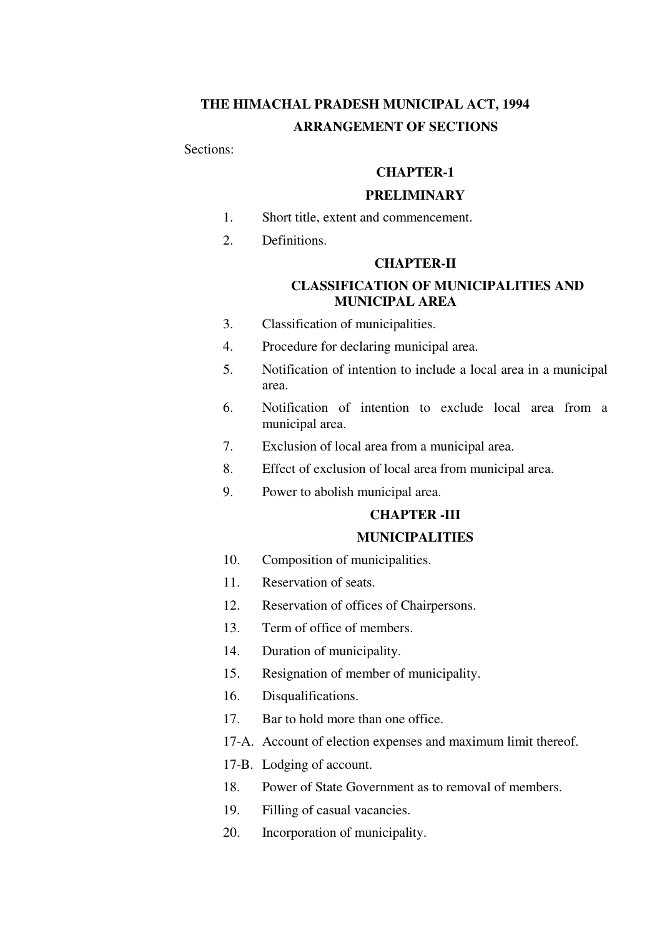# **THE HIMACHAL PRADESH MUNICIPAL ACT, 1994 ARRANGEMENT OF SECTIONS**

Sections:

# **CHAPTER-1**

#### **PRELIMINARY**

- 1. Short title, extent and commencement.
- 2. Definitions.

### **CHAPTER-II**

# **CLASSIFICATION OF MUNICIPALITIES AND MUNICIPAL AREA**

- 3. Classification of municipalities.
- 4. Procedure for declaring municipal area.
- 5. Notification of intention to include a local area in a municipal area.
- 6. Notification of intention to exclude local area from a municipal area.
- 7. Exclusion of local area from a municipal area.
- 8. Effect of exclusion of local area from municipal area.
- 9. Power to abolish municipal area.

# **CHAPTER -III**

# **MUNICIPALITIES**

- 10. Composition of municipalities.
- 11. Reservation of seats.
- 12. Reservation of offices of Chairpersons.
- 13. Term of office of members.
- 14. Duration of municipality.
- 15. Resignation of member of municipality.
- 16. Disqualifications.
- 17. Bar to hold more than one office.
- 17-A. Account of election expenses and maximum limit thereof.
- 17-B. Lodging of account.
- 18. Power of State Government as to removal of members.
- 19. Filling of casual vacancies.
- 20. Incorporation of municipality.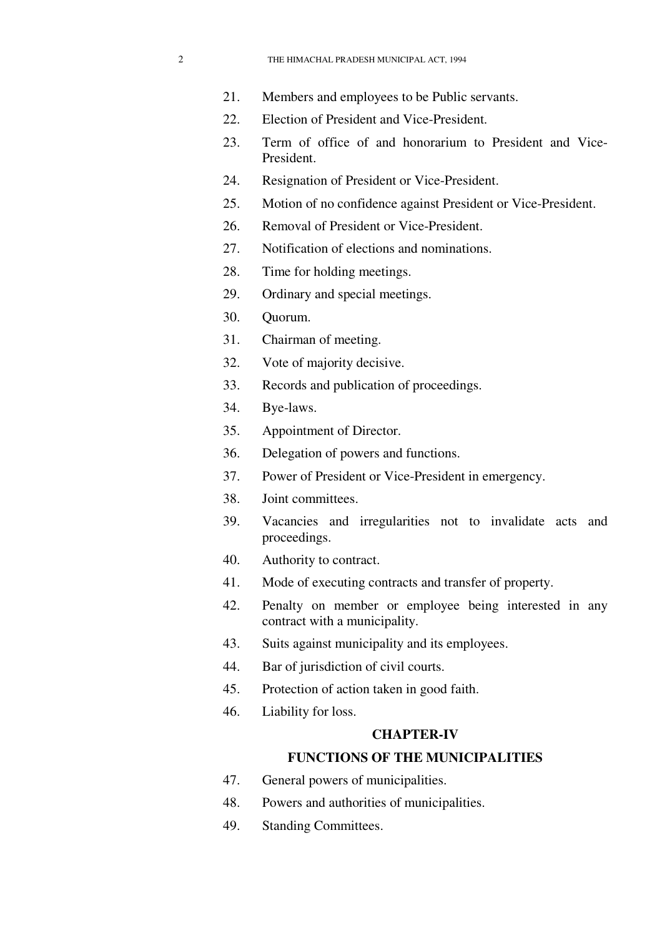- 21. Members and employees to be Public servants.
- 22. Election of President and Vice-President.
- 23. Term of office of and honorarium to President and Vice-President.
- 24. Resignation of President or Vice-President.
- 25. Motion of no confidence against President or Vice-President.
- 26. Removal of President or Vice-President.
- 27. Notification of elections and nominations.
- 28. Time for holding meetings.
- 29. Ordinary and special meetings.
- 30. Quorum.
- 31. Chairman of meeting.
- 32. Vote of majority decisive.
- 33. Records and publication of proceedings.
- 34. Bye-laws.
- 35. Appointment of Director.
- 36. Delegation of powers and functions.
- 37. Power of President or Vice-President in emergency.
- 38. Joint committees.
- 39. Vacancies and irregularities not to invalidate acts and proceedings.
- 40. Authority to contract.
- 41. Mode of executing contracts and transfer of property.
- 42. Penalty on member or employee being interested in any contract with a municipality.
- 43. Suits against municipality and its employees.
- 44. Bar of jurisdiction of civil courts.
- 45. Protection of action taken in good faith.
- 46. Liability for loss.

### **CHAPTER-IV**

# **FUNCTIONS OF THE MUNICIPALITIES**

- 47. General powers of municipalities.
- 48. Powers and authorities of municipalities.
- 49. Standing Committees.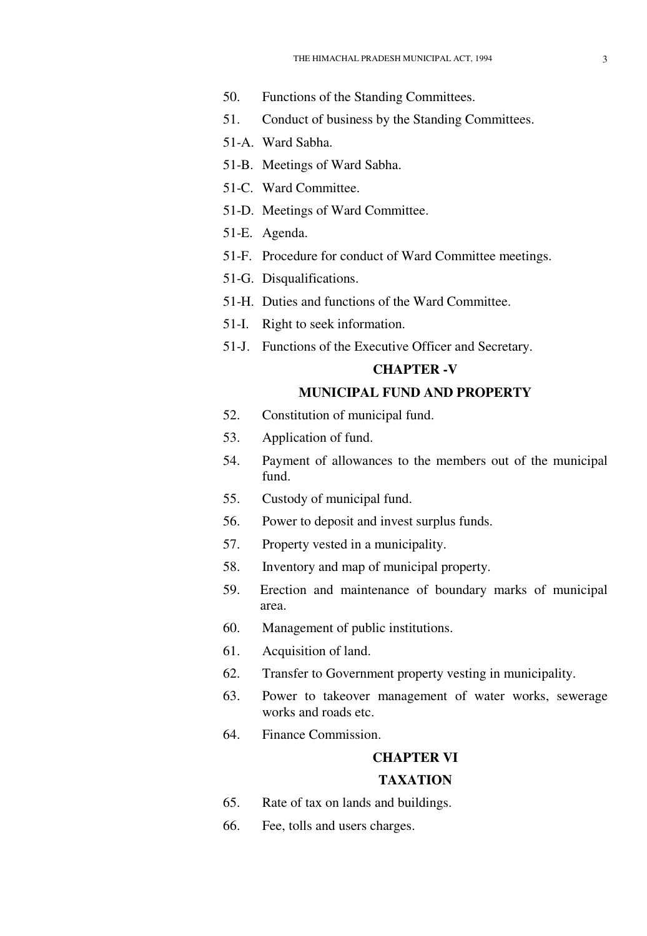- 50. Functions of the Standing Committees.
- 51. Conduct of business by the Standing Committees.
- 51-A. Ward Sabha.
- 51-B. Meetings of Ward Sabha.
- 51-C. Ward Committee.
- 51-D. Meetings of Ward Committee.
- 51-E. Agenda.
- 51-F. Procedure for conduct of Ward Committee meetings.
- 51-G. Disqualifications.
- 51-H. Duties and functions of the Ward Committee.
- 51-I. Right to seek information.
- 51-J. Functions of the Executive Officer and Secretary.

#### **CHAPTER -V**

# **MUNICIPAL FUND AND PROPERTY**

- 52. Constitution of municipal fund.
- 53. Application of fund.
- 54. Payment of allowances to the members out of the municipal fund.
- 55. Custody of municipal fund.
- 56. Power to deposit and invest surplus funds.
- 57. Property vested in a municipality.
- 58. Inventory and map of municipal property.
- 59. Erection and maintenance of boundary marks of municipal area.
- 60. Management of public institutions.
- 61. Acquisition of land.
- 62. Transfer to Government property vesting in municipality.
- 63. Power to takeover management of water works, sewerage works and roads etc.
- 64. Finance Commission.

# **CHAPTER VI TAXATION**

- 65. Rate of tax on lands and buildings.
- 66. Fee, tolls and users charges.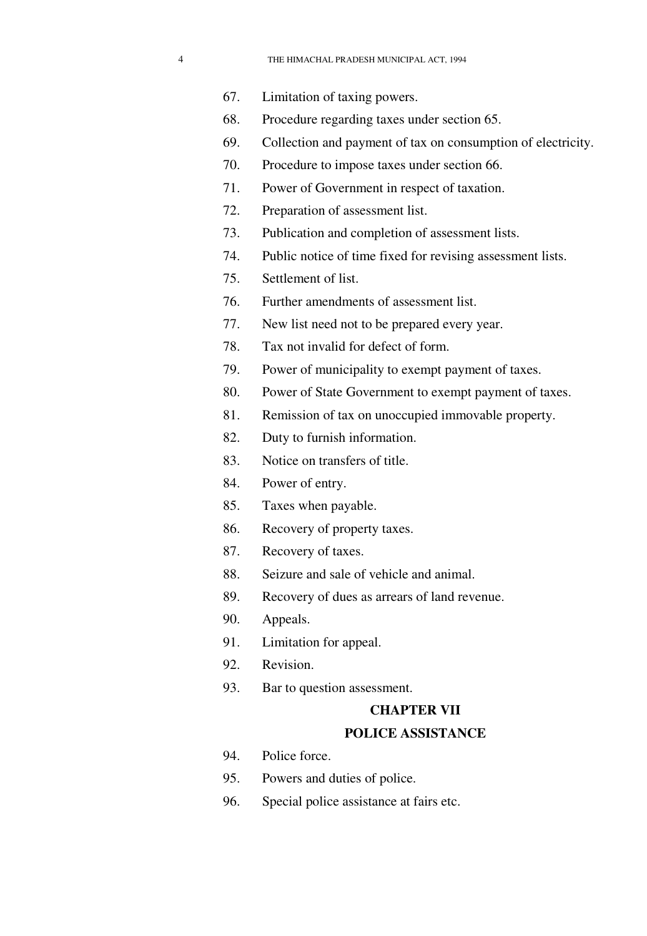- 
- 67. Limitation of taxing powers.
- 68. Procedure regarding taxes under section 65.
- 69. Collection and payment of tax on consumption of electricity.
- 70. Procedure to impose taxes under section 66.
- 71. Power of Government in respect of taxation.
- 72. Preparation of assessment list.
- 73. Publication and completion of assessment lists.
- 74. Public notice of time fixed for revising assessment lists.
- 75. Settlement of list.
- 76. Further amendments of assessment list.
- 77. New list need not to be prepared every year.
- 78. Tax not invalid for defect of form.
- 79. Power of municipality to exempt payment of taxes.
- 80. Power of State Government to exempt payment of taxes.
- 81. Remission of tax on unoccupied immovable property.
- 82. Duty to furnish information.
- 83. Notice on transfers of title.
- 84. Power of entry.
- 85. Taxes when payable.
- 86. Recovery of property taxes.
- 87. Recovery of taxes.
- 88. Seizure and sale of vehicle and animal.
- 89. Recovery of dues as arrears of land revenue.
- 90. Appeals.
- 91. Limitation for appeal.
- 92. Revision.
- 93. Bar to question assessment.

### **CHAPTER VII**

## **POLICE ASSISTANCE**

- 94. Police force.
- 95. Powers and duties of police.
- 96. Special police assistance at fairs etc.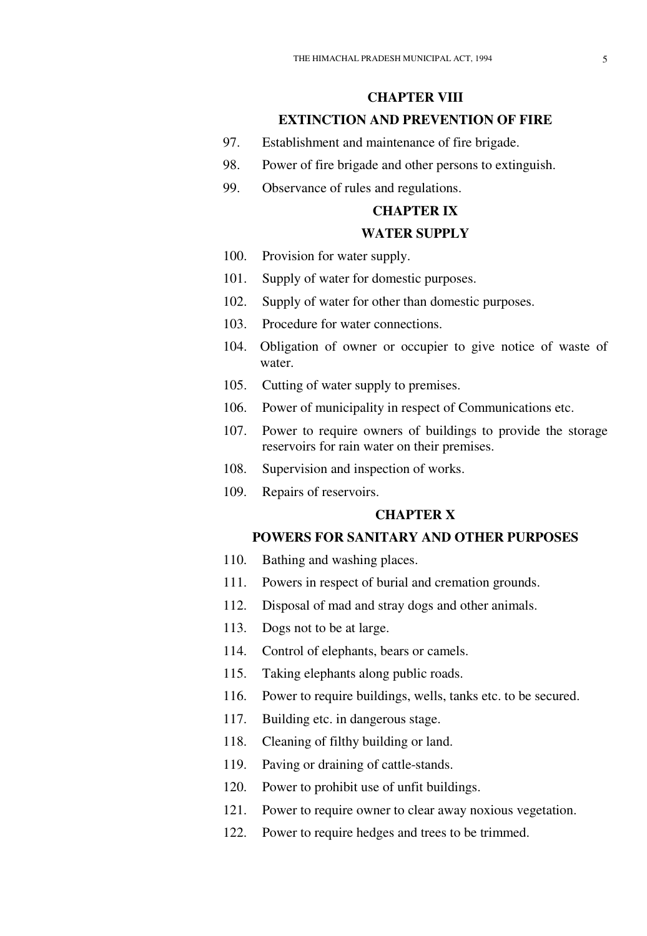# **CHAPTER VIII EXTINCTION AND PREVENTION OF FIRE**

- 97. Establishment and maintenance of fire brigade.
- 98. Power of fire brigade and other persons to extinguish.
- 99. Observance of rules and regulations.

# **CHAPTER IX**

### **WATER SUPPLY**

- 100. Provision for water supply.
- 101. Supply of water for domestic purposes.
- 102. Supply of water for other than domestic purposes.
- 103. Procedure for water connections.
- 104. Obligation of owner or occupier to give notice of waste of water.
- 105. Cutting of water supply to premises.
- 106. Power of municipality in respect of Communications etc.
- 107. Power to require owners of buildings to provide the storage reservoirs for rain water on their premises.
- 108. Supervision and inspection of works.
- 109. Repairs of reservoirs.

# **CHAPTER X**

## **POWERS FOR SANITARY AND OTHER PURPOSES**

- 110. Bathing and washing places.
- 111. Powers in respect of burial and cremation grounds.
- 112. Disposal of mad and stray dogs and other animals.
- 113. Dogs not to be at large.
- 114. Control of elephants, bears or camels.
- 115. Taking elephants along public roads.
- 116. Power to require buildings, wells, tanks etc. to be secured.
- 117. Building etc. in dangerous stage.
- 118. Cleaning of filthy building or land.
- 119. Paving or draining of cattle-stands.
- 120. Power to prohibit use of unfit buildings.
- 121. Power to require owner to clear away noxious vegetation.
- 122. Power to require hedges and trees to be trimmed.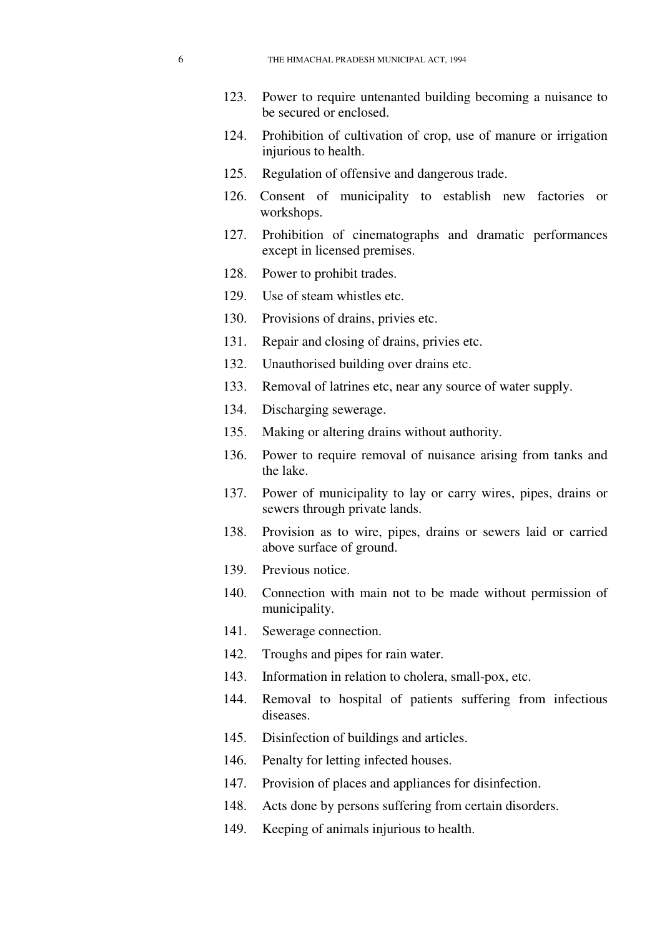- 123. Power to require untenanted building becoming a nuisance to be secured or enclosed.
- 124. Prohibition of cultivation of crop, use of manure or irrigation injurious to health.
- 125. Regulation of offensive and dangerous trade.
- 126. Consent of municipality to establish new factories or workshops.
- 127. Prohibition of cinematographs and dramatic performances except in licensed premises.
- 128. Power to prohibit trades.
- 129. Use of steam whistles etc.
- 130. Provisions of drains, privies etc.
- 131. Repair and closing of drains, privies etc.
- 132. Unauthorised building over drains etc.
- 133. Removal of latrines etc, near any source of water supply.
- 134. Discharging sewerage.
- 135. Making or altering drains without authority.
- 136. Power to require removal of nuisance arising from tanks and the lake.
- 137. Power of municipality to lay or carry wires, pipes, drains or sewers through private lands.
- 138. Provision as to wire, pipes, drains or sewers laid or carried above surface of ground.
- 139. Previous notice.
- 140. Connection with main not to be made without permission of municipality.
- 141. Sewerage connection.
- 142. Troughs and pipes for rain water.
- 143. Information in relation to cholera, small-pox, etc.
- 144. Removal to hospital of patients suffering from infectious diseases.
- 145. Disinfection of buildings and articles.
- 146. Penalty for letting infected houses.
- 147. Provision of places and appliances for disinfection.
- 148. Acts done by persons suffering from certain disorders.
- 149. Keeping of animals injurious to health.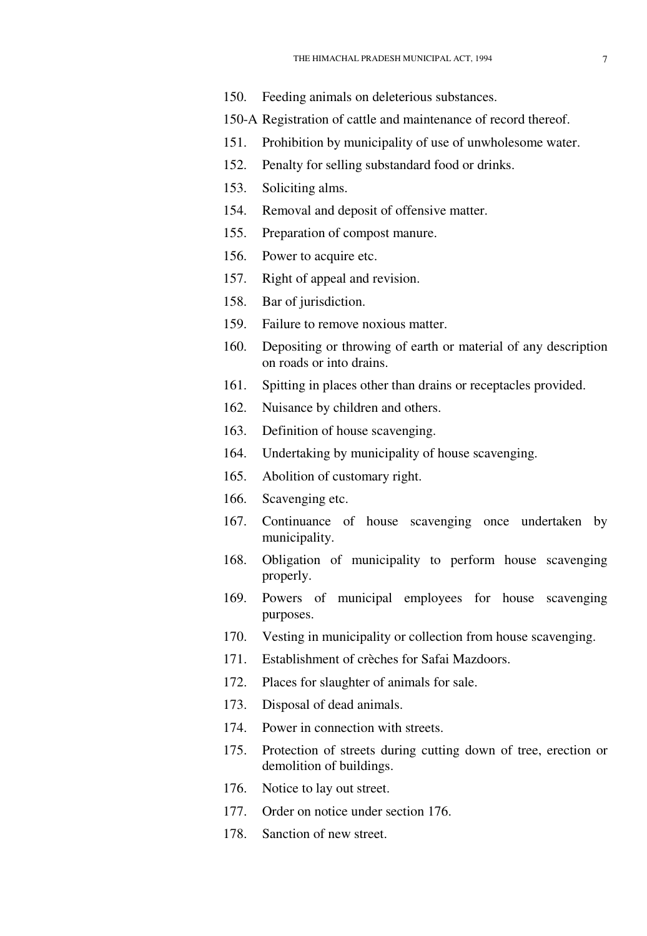- 150. Feeding animals on deleterious substances.
- 150-A Registration of cattle and maintenance of record thereof.
- 151. Prohibition by municipality of use of unwholesome water.
- 152. Penalty for selling substandard food or drinks.
- 153. Soliciting alms.
- 154. Removal and deposit of offensive matter.
- 155. Preparation of compost manure.
- 156. Power to acquire etc.
- 157. Right of appeal and revision.
- 158. Bar of jurisdiction.
- 159. Failure to remove noxious matter.
- 160. Depositing or throwing of earth or material of any description on roads or into drains.
- 161. Spitting in places other than drains or receptacles provided.
- 162. Nuisance by children and others.
- 163. Definition of house scavenging.
- 164. Undertaking by municipality of house scavenging.
- 165. Abolition of customary right.
- 166. Scavenging etc.
- 167. Continuance of house scavenging once undertaken by municipality.
- 168. Obligation of municipality to perform house scavenging properly.
- 169. Powers of municipal employees for house scavenging purposes.
- 170. Vesting in municipality or collection from house scavenging.
- 171. Establishment of crèches for Safai Mazdoors.
- 172. Places for slaughter of animals for sale.
- 173. Disposal of dead animals.
- 174. Power in connection with streets.
- 175. Protection of streets during cutting down of tree, erection or demolition of buildings.
- 176. Notice to lay out street.
- 177. Order on notice under section 176.
- 178. Sanction of new street.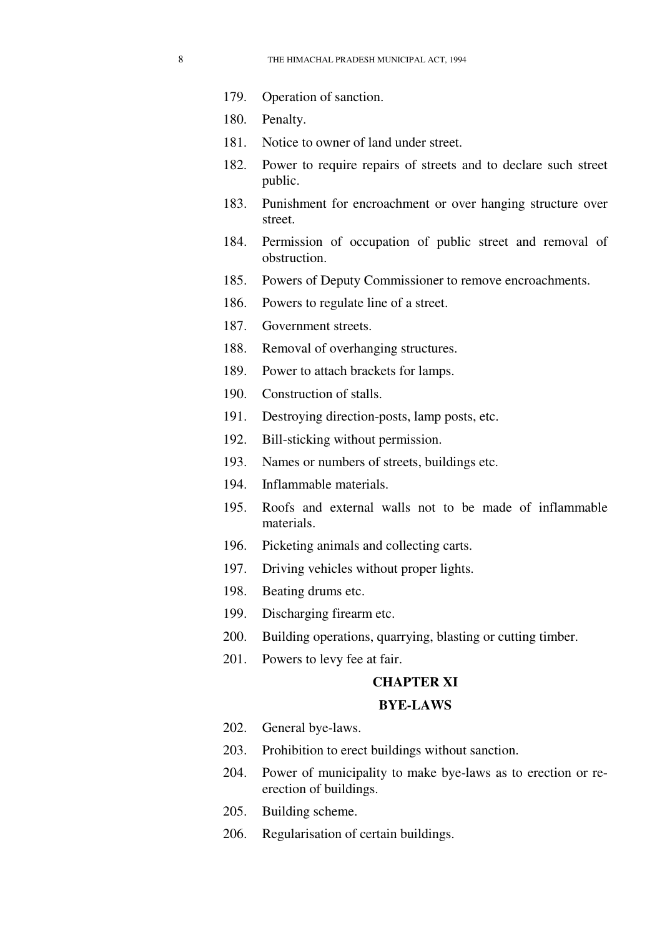- 179. Operation of sanction.
- 180. Penalty.
- 181. Notice to owner of land under street.
- 182. Power to require repairs of streets and to declare such street public.
- 183. Punishment for encroachment or over hanging structure over street.
- 184. Permission of occupation of public street and removal of obstruction.
- 185. Powers of Deputy Commissioner to remove encroachments.
- 186. Powers to regulate line of a street.
- 187. Government streets.
- 188. Removal of overhanging structures.
- 189. Power to attach brackets for lamps.
- 190. Construction of stalls.
- 191. Destroying direction-posts, lamp posts, etc.
- 192. Bill-sticking without permission.
- 193. Names or numbers of streets, buildings etc.
- 194. Inflammable materials.
- 195. Roofs and external walls not to be made of inflammable materials.
- 196. Picketing animals and collecting carts.
- 197. Driving vehicles without proper lights.
- 198. Beating drums etc.
- 199. Discharging firearm etc.
- 200. Building operations, quarrying, blasting or cutting timber.
- 201. Powers to levy fee at fair.

#### **CHAPTER XI**

#### **BYE-LAWS**

- 202. General bye-laws.
- 203. Prohibition to erect buildings without sanction.
- 204. Power of municipality to make bye-laws as to erection or reerection of buildings.
- 205. Building scheme.
- 206. Regularisation of certain buildings.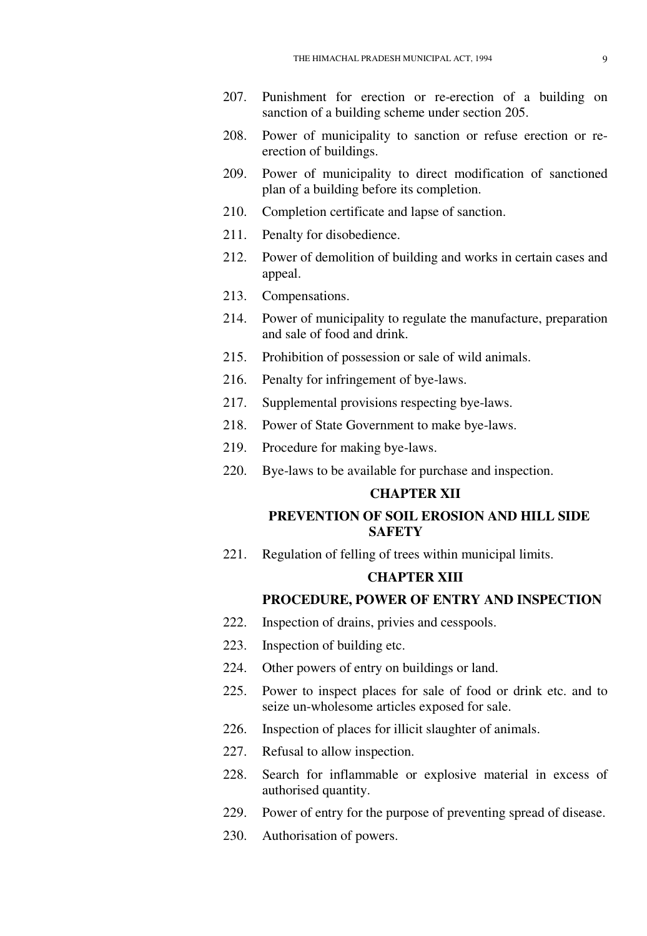- 207. Punishment for erection or re-erection of a building on sanction of a building scheme under section 205.
- 208. Power of municipality to sanction or refuse erection or reerection of buildings.
- 209. Power of municipality to direct modification of sanctioned plan of a building before its completion.
- 210. Completion certificate and lapse of sanction.
- 211. Penalty for disobedience.
- 212. Power of demolition of building and works in certain cases and appeal.
- 213. Compensations.
- 214. Power of municipality to regulate the manufacture, preparation and sale of food and drink.
- 215. Prohibition of possession or sale of wild animals.
- 216. Penalty for infringement of bye-laws.
- 217. Supplemental provisions respecting bye-laws.
- 218. Power of State Government to make bye-laws.
- 219. Procedure for making bye-laws.
- 220. Bye-laws to be available for purchase and inspection.

# **CHAPTER XII**

### **PREVENTION OF SOIL EROSION AND HILL SIDE SAFETY**

221. Regulation of felling of trees within municipal limits.

#### **CHAPTER XIII**

#### **PROCEDURE, POWER OF ENTRY AND INSPECTION**

- 222. Inspection of drains, privies and cesspools.
- 223. Inspection of building etc.
- 224. Other powers of entry on buildings or land.
- 225. Power to inspect places for sale of food or drink etc. and to seize un-wholesome articles exposed for sale.
- 226. Inspection of places for illicit slaughter of animals.
- 227. Refusal to allow inspection.
- 228. Search for inflammable or explosive material in excess of authorised quantity.
- 229. Power of entry for the purpose of preventing spread of disease.
- 230. Authorisation of powers.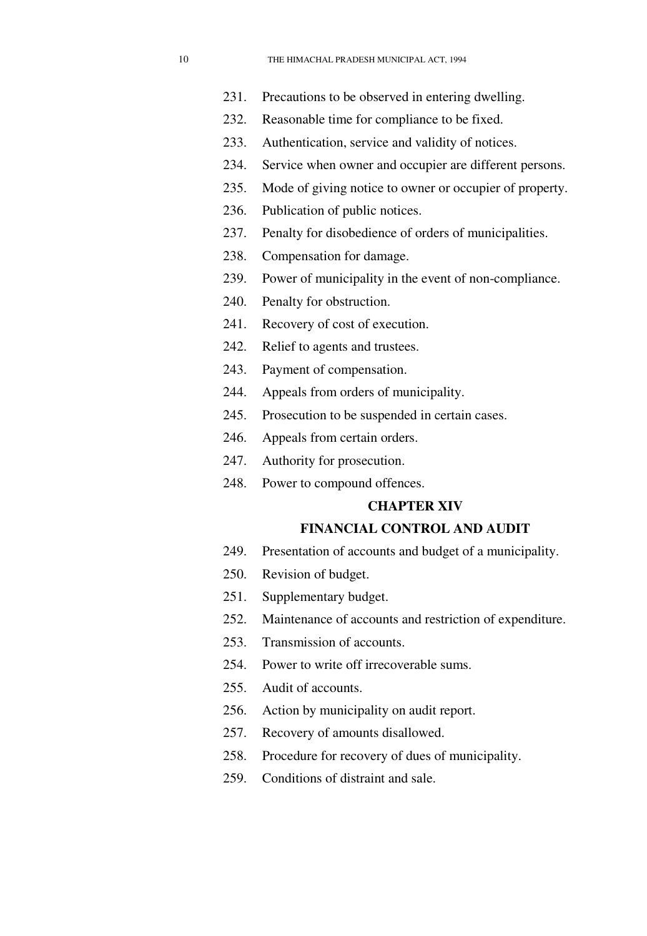- 231. Precautions to be observed in entering dwelling.
- 232. Reasonable time for compliance to be fixed.
- 233. Authentication, service and validity of notices.
- 234. Service when owner and occupier are different persons.
- 235. Mode of giving notice to owner or occupier of property.
- 236. Publication of public notices.
- 237. Penalty for disobedience of orders of municipalities.
- 238. Compensation for damage.
- 239. Power of municipality in the event of non-compliance.
- 240. Penalty for obstruction.
- 241. Recovery of cost of execution.
- 242. Relief to agents and trustees.
- 243. Payment of compensation.
- 244. Appeals from orders of municipality.
- 245. Prosecution to be suspended in certain cases.
- 246. Appeals from certain orders.
- 247. Authority for prosecution.
- 248. Power to compound offences.

#### **CHAPTER XIV**

#### **FINANCIAL CONTROL AND AUDIT**

- 249. Presentation of accounts and budget of a municipality.
- 250. Revision of budget.
- 251. Supplementary budget.
- 252. Maintenance of accounts and restriction of expenditure.
- 253. Transmission of accounts.
- 254. Power to write off irrecoverable sums.
- 255. Audit of accounts.
- 256. Action by municipality on audit report.
- 257. Recovery of amounts disallowed.
- 258. Procedure for recovery of dues of municipality.
- 259. Conditions of distraint and sale.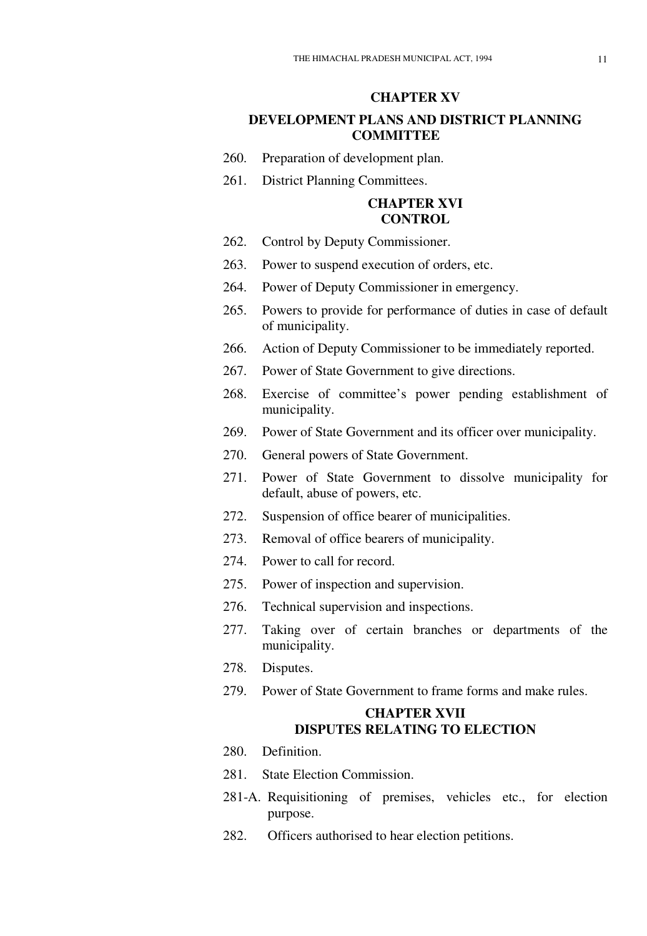### **CHAPTER XV**

## **DEVELOPMENT PLANS AND DISTRICT PLANNING COMMITTEE**

- 260. Preparation of development plan.
- 261. District Planning Committees.

# **CHAPTER XVI CONTROL**

- 262. Control by Deputy Commissioner.
- 263. Power to suspend execution of orders, etc.
- 264. Power of Deputy Commissioner in emergency.
- 265. Powers to provide for performance of duties in case of default of municipality.
- 266. Action of Deputy Commissioner to be immediately reported.
- 267. Power of State Government to give directions.
- 268. Exercise of committee's power pending establishment of municipality.
- 269. Power of State Government and its officer over municipality.
- 270. General powers of State Government.
- 271. Power of State Government to dissolve municipality for default, abuse of powers, etc.
- 272. Suspension of office bearer of municipalities.
- 273. Removal of office bearers of municipality.
- 274. Power to call for record.
- 275. Power of inspection and supervision.
- 276. Technical supervision and inspections.
- 277. Taking over of certain branches or departments of the municipality.
- 278. Disputes.
- 279. Power of State Government to frame forms and make rules.

# **CHAPTER XVII DISPUTES RELATING TO ELECTION**

- 280. Definition.
- 281. State Election Commission.
- 281-A. Requisitioning of premises, vehicles etc., for election purpose.
- 282. Officers authorised to hear election petitions.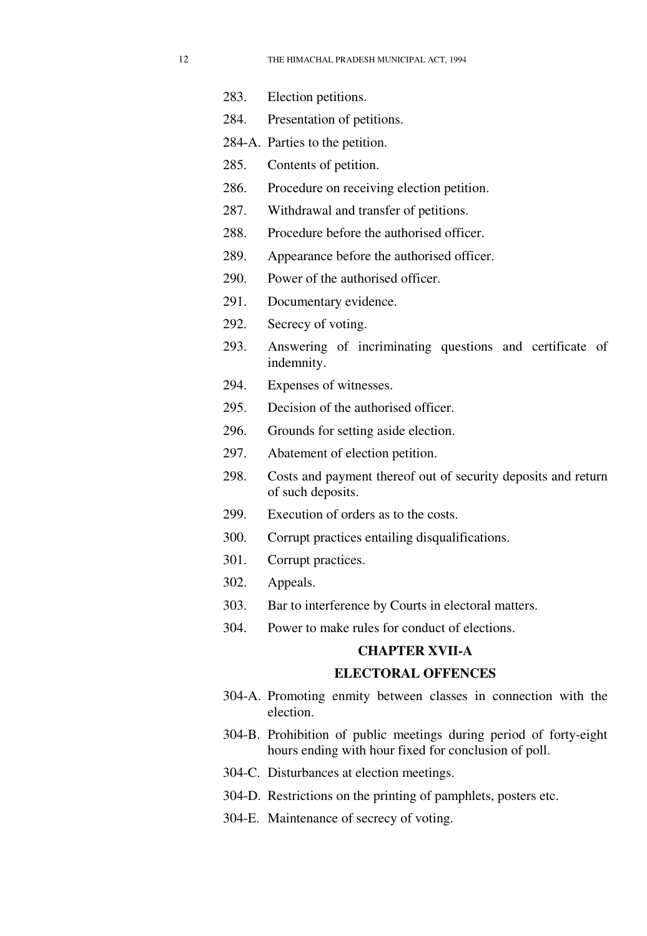- 283. Election petitions.
- 284. Presentation of petitions.
- 284-A. Parties to the petition.
- 285. Contents of petition.
- 286. Procedure on receiving election petition.
- 287. Withdrawal and transfer of petitions.
- 288. Procedure before the authorised officer.
- 289. Appearance before the authorised officer.
- 290. Power of the authorised officer.
- 291. Documentary evidence.
- 292. Secrecy of voting.
- 293. Answering of incriminating questions and certificate of indemnity.
- 294. Expenses of witnesses.
- 295. Decision of the authorised officer.
- 296. Grounds for setting aside election.
- 297. Abatement of election petition.
- 298. Costs and payment thereof out of security deposits and return of such deposits.
- 299. Execution of orders as to the costs.
- 300. Corrupt practices entailing disqualifications.
- 301. Corrupt practices.
- 302. Appeals.
- 303. Bar to interference by Courts in electoral matters.
- 304. Power to make rules for conduct of elections.

# **CHAPTER XVII-A**

#### **ELECTORAL OFFENCES**

- 304-A. Promoting enmity between classes in connection with the election.
- 304-B. Prohibition of public meetings during period of forty-eight hours ending with hour fixed for conclusion of poll.
- 304-C. Disturbances at election meetings.
- 304-D. Restrictions on the printing of pamphlets, posters etc.
- 304-E. Maintenance of secrecy of voting.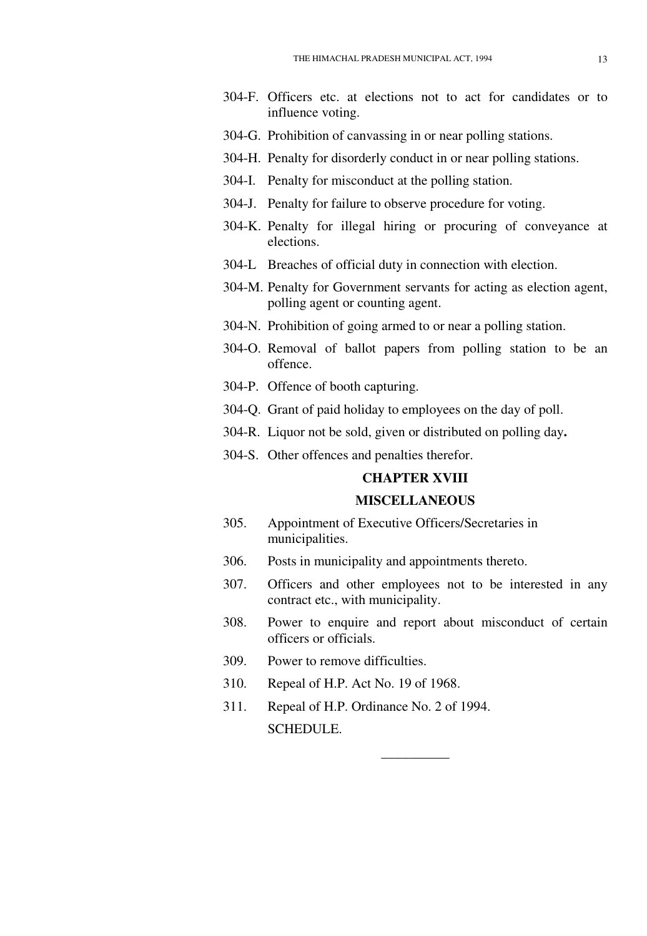- 304-F. Officers etc. at elections not to act for candidates or to influence voting.
- 304-G. Prohibition of canvassing in or near polling stations.
- 304-H. Penalty for disorderly conduct in or near polling stations.
- 304-I. Penalty for misconduct at the polling station.
- 304-J. Penalty for failure to observe procedure for voting.
- 304-K. Penalty for illegal hiring or procuring of conveyance at elections.
- 304-L Breaches of official duty in connection with election.
- 304-M. Penalty for Government servants for acting as election agent, polling agent or counting agent.
- 304-N. Prohibition of going armed to or near a polling station.
- 304-O. Removal of ballot papers from polling station to be an offence.
- 304-P. Offence of booth capturing.
- 304-Q. Grant of paid holiday to employees on the day of poll.
- 304-R. Liquor not be sold, given or distributed on polling day**.**
- 304-S. Other offences and penalties therefor.

#### **CHAPTER XVIII**

## **MISCELLANEOUS**

- 305. Appointment of Executive Officers/Secretaries in municipalities.
- 306. Posts in municipality and appointments thereto.
- 307. Officers and other employees not to be interested in any contract etc., with municipality.
- 308. Power to enquire and report about misconduct of certain officers or officials.

**\_\_\_\_\_\_\_\_\_\_** 

- 309. Power to remove difficulties.
- 310. Repeal of H.P. Act No. 19 of 1968.
- 311. Repeal of H.P. Ordinance No. 2 of 1994. SCHEDULE.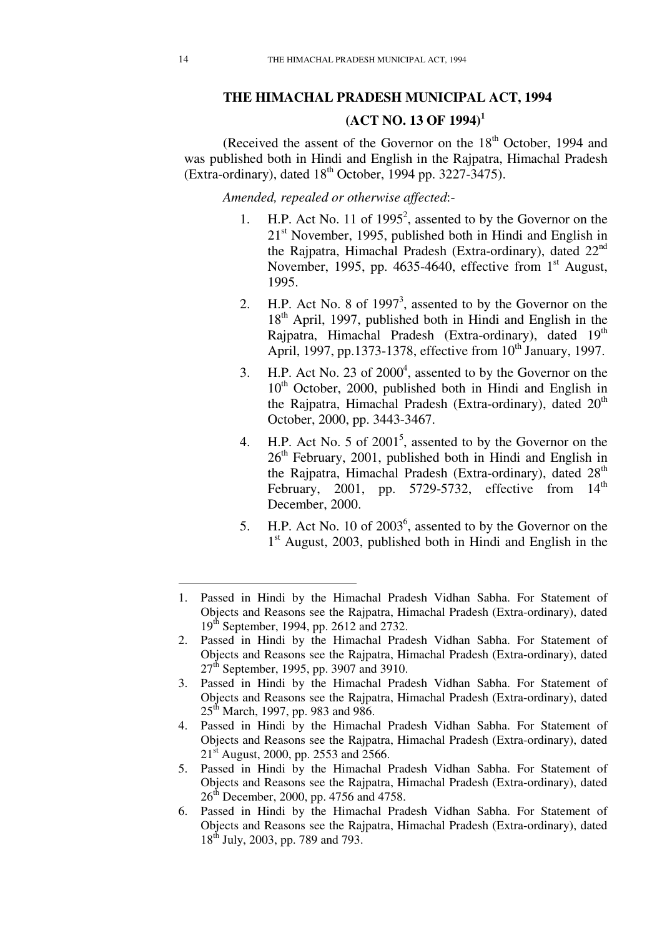# **THE HIMACHAL PRADESH MUNICIPAL ACT, 1994 (ACT NO. 13 OF 1994)<sup>1</sup>**

(Received the assent of the Governor on the 18<sup>th</sup> October, 1994 and was published both in Hindi and English in the Rajpatra, Himachal Pradesh (Extra-ordinary), dated  $18^{th}$  October, 1994 pp. 3227-3475).

*Amended, repealed or otherwise affected*:-

- 1. H.P. Act No. 11 of  $1995^2$ , assented to by the Governor on the  $21<sup>st</sup>$  November, 1995, published both in Hindi and English in the Rajpatra, Himachal Pradesh (Extra-ordinary), dated 22nd November, 1995, pp. 4635-4640, effective from  $1<sup>st</sup>$  August, 1995.
- 2. H.P. Act No. 8 of  $1997<sup>3</sup>$ , assented to by the Governor on the 18<sup>th</sup> April, 1997, published both in Hindi and English in the Rajpatra, Himachal Pradesh (Extra-ordinary), dated 19<sup>th</sup> April, 1997, pp.1373-1378, effective from  $10^{th}$  January, 1997.
- 3. H.P. Act No. 23 of  $2000<sup>4</sup>$ , assented to by the Governor on the  $10<sup>th</sup>$  October, 2000, published both in Hindi and English in the Rajpatra, Himachal Pradesh (Extra-ordinary), dated  $20<sup>th</sup>$ October, 2000, pp. 3443-3467.
- 4. H.P. Act No. 5 of  $2001^5$ , assented to by the Governor on the  $26<sup>th</sup>$  February, 2001, published both in Hindi and English in the Rajpatra, Himachal Pradesh (Extra-ordinary), dated  $28<sup>th</sup>$ February, 2001, pp. 5729-5732, effective from  $14<sup>th</sup>$ December, 2000.
- 5. H.P. Act No. 10 of  $2003^6$ , assented to by the Governor on the 1<sup>st</sup> August, 2003, published both in Hindi and English in the

- 4. Passed in Hindi by the Himachal Pradesh Vidhan Sabha. For Statement of Objects and Reasons see the Rajpatra, Himachal Pradesh (Extra-ordinary), dated  $21<sup>st</sup>$  August, 2000, pp. 2553 and 2566.
- 5. Passed in Hindi by the Himachal Pradesh Vidhan Sabha. For Statement of Objects and Reasons see the Rajpatra, Himachal Pradesh (Extra-ordinary), dated 26<sup>th</sup> December, 2000, pp. 4756 and 4758.
- 6. Passed in Hindi by the Himachal Pradesh Vidhan Sabha. For Statement of Objects and Reasons see the Rajpatra, Himachal Pradesh (Extra-ordinary), dated 18<sup>th</sup> July, 2003, pp. 789 and 793.

<sup>1.</sup> Passed in Hindi by the Himachal Pradesh Vidhan Sabha. For Statement of Objects and Reasons see the Rajpatra, Himachal Pradesh (Extra-ordinary), dated 19th September, 1994, pp. 2612 and 2732.

<sup>2.</sup> Passed in Hindi by the Himachal Pradesh Vidhan Sabha. For Statement of Objects and Reasons see the Rajpatra, Himachal Pradesh (Extra-ordinary), dated 27<sup>th</sup> September, 1995, pp. 3907 and 3910.

<sup>3.</sup> Passed in Hindi by the Himachal Pradesh Vidhan Sabha. For Statement of Objects and Reasons see the Rajpatra, Himachal Pradesh (Extra-ordinary), dated  $25<sup>th</sup>$  March, 1997, pp. 983 and 986.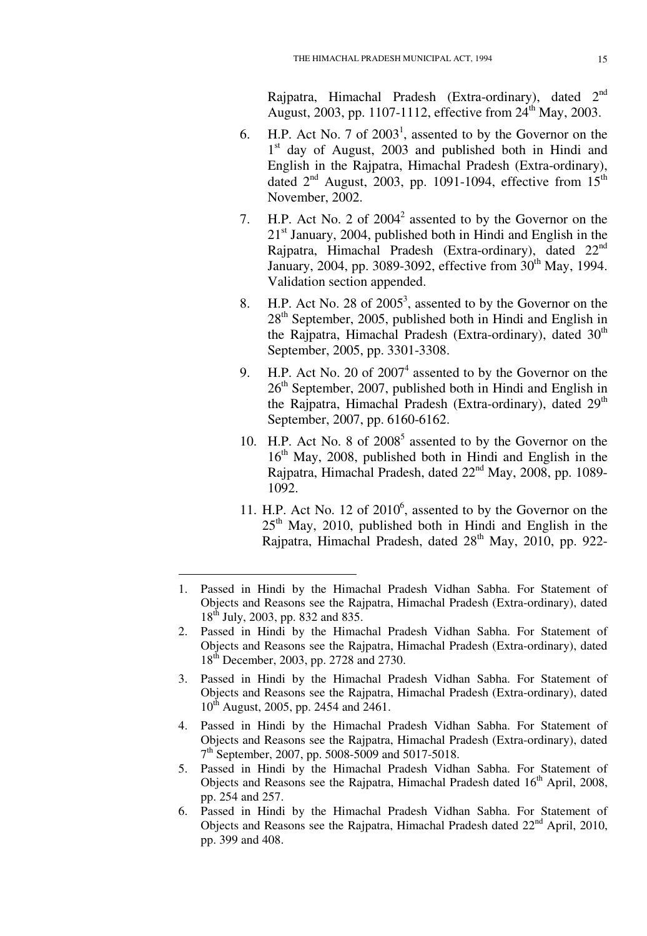Rajpatra, Himachal Pradesh (Extra-ordinary), dated 2<sup>nd</sup> August, 2003, pp. 1107-1112, effective from  $24^{th}$  May, 2003.

- 6. H.P. Act No. 7 of  $2003<sup>1</sup>$ , assented to by the Governor on the 1<sup>st</sup> day of August, 2003 and published both in Hindi and English in the Rajpatra, Himachal Pradesh (Extra-ordinary), dated  $2<sup>nd</sup>$  August, 2003, pp. 1091-1094, effective from  $15<sup>th</sup>$ November, 2002.
- 7. H.P. Act No. 2 of  $2004^2$  assented to by the Governor on the  $21<sup>st</sup>$  January, 2004, published both in Hindi and English in the Rajpatra, Himachal Pradesh (Extra-ordinary), dated  $22<sup>nd</sup>$ January, 2004, pp. 3089-3092, effective from 30<sup>th</sup> May, 1994. Validation section appended.
- 8. H.P. Act No. 28 of  $2005^3$ , assented to by the Governor on the  $28<sup>th</sup>$  September, 2005, published both in Hindi and English in the Rajpatra, Himachal Pradesh (Extra-ordinary), dated  $30<sup>th</sup>$ September, 2005, pp. 3301-3308.
- 9. H.P. Act No. 20 of  $2007<sup>4</sup>$  assented to by the Governor on the 26<sup>th</sup> September, 2007, published both in Hindi and English in the Rajpatra, Himachal Pradesh (Extra-ordinary), dated  $29<sup>th</sup>$ September, 2007, pp. 6160-6162.
- 10. H.P. Act No. 8 of 2008<sup>5</sup> assented to by the Governor on the  $16<sup>th</sup>$  May, 2008, published both in Hindi and English in the Rajpatra, Himachal Pradesh, dated  $22<sup>nd</sup>$  May, 2008, pp. 1089-1092.
- 11. H.P. Act No. 12 of 2010<sup>6</sup>, assented to by the Governor on the  $25<sup>th</sup>$  May, 2010, published both in Hindi and English in the Rajpatra, Himachal Pradesh, dated  $28<sup>th</sup>$  May, 2010, pp. 922-

- 3. Passed in Hindi by the Himachal Pradesh Vidhan Sabha. For Statement of Objects and Reasons see the Rajpatra, Himachal Pradesh (Extra-ordinary), dated 10<sup>th</sup> August, 2005, pp. 2454 and 2461.
- 4. Passed in Hindi by the Himachal Pradesh Vidhan Sabha. For Statement of Objects and Reasons see the Rajpatra, Himachal Pradesh (Extra-ordinary), dated 7<sup>th</sup> September, 2007, pp. 5008-5009 and 5017-5018.
- 5. Passed in Hindi by the Himachal Pradesh Vidhan Sabha. For Statement of Objects and Reasons see the Rajpatra, Himachal Pradesh dated 16<sup>th</sup> April, 2008, pp. 254 and 257.
- 6. Passed in Hindi by the Himachal Pradesh Vidhan Sabha. For Statement of Objects and Reasons see the Rajpatra, Himachal Pradesh dated  $22<sup>nd</sup>$  April, 2010, pp. 399 and 408.

<sup>1.</sup> Passed in Hindi by the Himachal Pradesh Vidhan Sabha. For Statement of Objects and Reasons see the Rajpatra, Himachal Pradesh (Extra-ordinary), dated 18<sup>th</sup> July, 2003, pp. 832 and 835.

<sup>2.</sup> Passed in Hindi by the Himachal Pradesh Vidhan Sabha. For Statement of Objects and Reasons see the Rajpatra, Himachal Pradesh (Extra-ordinary), dated 18th December, 2003, pp. 2728 and 2730.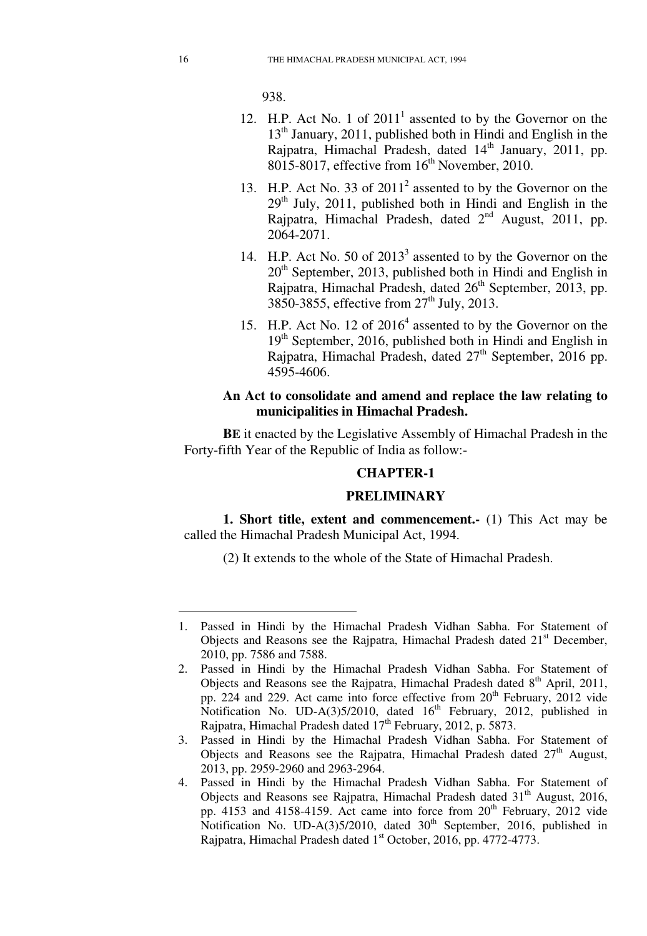938.

- 12. H.P. Act No. 1 of  $2011<sup>1</sup>$  assented to by the Governor on the 13<sup>th</sup> January, 2011, published both in Hindi and English in the Rajpatra, Himachal Pradesh, dated 14<sup>th</sup> January, 2011, pp.  $8015-8017$ , effective from  $16<sup>th</sup>$  November, 2010.
- 13. H.P. Act No. 33 of 2011<sup>2</sup> assented to by the Governor on the  $29<sup>th</sup>$  July, 2011, published both in Hindi and English in the Rajpatra, Himachal Pradesh, dated  $2<sup>nd</sup>$  August, 2011, pp. 2064-2071.
- 14. H.P. Act No. 50 of 2013<sup>3</sup> assented to by the Governor on the  $20<sup>th</sup>$  September, 2013, published both in Hindi and English in Rajpatra, Himachal Pradesh, dated 26<sup>th</sup> September, 2013, pp. 3850-3855, effective from 27<sup>th</sup> July, 2013.
- 15. H.P. Act No. 12 of 2016<sup>4</sup> assented to by the Governor on the  $19<sup>th</sup>$  September, 2016, published both in Hindi and English in Rajpatra, Himachal Pradesh, dated  $27<sup>th</sup>$  September, 2016 pp. 4595-4606.

## **An Act to consolidate and amend and replace the law relating to municipalities in Himachal Pradesh.**

**BE** it enacted by the Legislative Assembly of Himachal Pradesh in the Forty-fifth Year of the Republic of India as follow:-

#### **CHAPTER-1**

#### **PRELIMINARY**

**1. Short title, extent and commencement.-** (1) This Act may be called the Himachal Pradesh Municipal Act, 1994.

(2) It extends to the whole of the State of Himachal Pradesh.

- 3. Passed in Hindi by the Himachal Pradesh Vidhan Sabha. For Statement of Objects and Reasons see the Rajpatra, Himachal Pradesh dated  $27<sup>th</sup>$  August, 2013, pp. 2959-2960 and 2963-2964.
- 4. Passed in Hindi by the Himachal Pradesh Vidhan Sabha. For Statement of Objects and Reasons see Rajpatra, Himachal Pradesh dated 31<sup>th</sup> August, 2016, pp. 4153 and 4158-4159. Act came into force from 20<sup>th</sup> February, 2012 vide Notification No. UD-A(3)5/2010, dated  $30<sup>th</sup>$  September, 2016, published in Rajpatra, Himachal Pradesh dated 1<sup>st</sup> October, 2016, pp. 4772-4773.

<sup>1.</sup> Passed in Hindi by the Himachal Pradesh Vidhan Sabha. For Statement of Objects and Reasons see the Rajpatra, Himachal Pradesh dated  $21<sup>st</sup>$  December, 2010, pp. 7586 and 7588.

<sup>2.</sup> Passed in Hindi by the Himachal Pradesh Vidhan Sabha. For Statement of Objects and Reasons see the Rajpatra, Himachal Pradesh dated  $8<sup>th</sup>$  April, 2011, pp. 224 and 229. Act came into force effective from  $20<sup>th</sup>$  February, 2012 vide Notification No. UD-A(3)5/2010, dated  $16<sup>th</sup>$  February, 2012, published in Rajpatra, Himachal Pradesh dated  $17<sup>th</sup>$  February, 2012, p. 5873.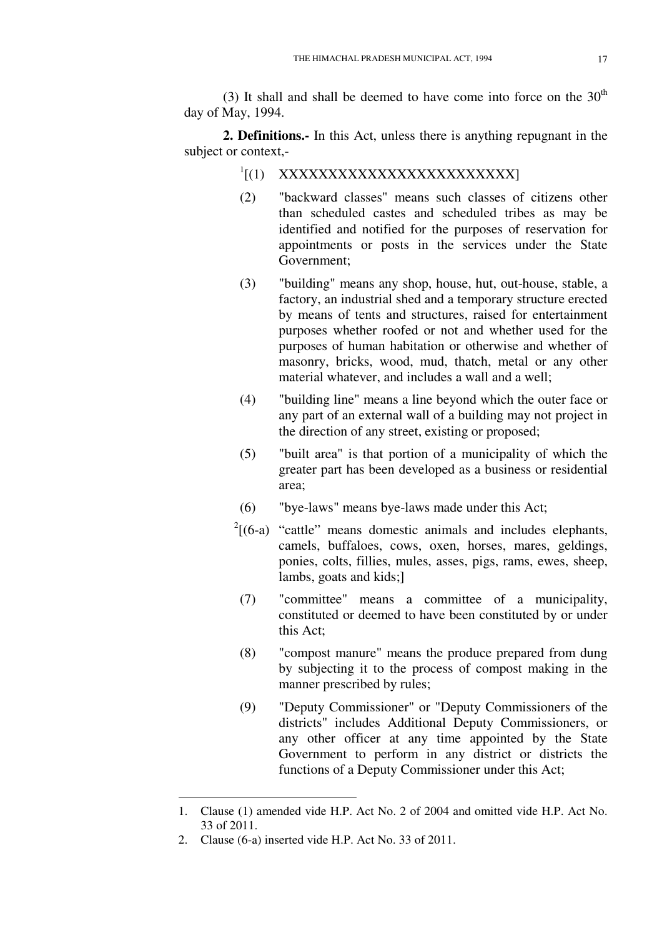(3) It shall and shall be deemed to have come into force on the  $30<sup>th</sup>$ day of May, 1994.

**2. Definitions.-** In this Act, unless there is anything repugnant in the subject or context,-

- <sup>1</sup>[(1) XXXXXXXXXXXXXXXXXXXXXXXX
- (2) "backward classes" means such classes of citizens other than scheduled castes and scheduled tribes as may be identified and notified for the purposes of reservation for appointments or posts in the services under the State Government;
- (3) "building" means any shop, house, hut, out-house, stable, a factory, an industrial shed and a temporary structure erected by means of tents and structures, raised for entertainment purposes whether roofed or not and whether used for the purposes of human habitation or otherwise and whether of masonry, bricks, wood, mud, thatch, metal or any other material whatever, and includes a wall and a well;
- (4) "building line" means a line beyond which the outer face or any part of an external wall of a building may not project in the direction of any street, existing or proposed;
- (5) "built area" is that portion of a municipality of which the greater part has been developed as a business or residential area;
- (6) "bye-laws" means bye-laws made under this Act;
- $2[(6-a)$  "cattle" means domestic animals and includes elephants, camels, buffaloes, cows, oxen, horses, mares, geldings, ponies, colts, fillies, mules, asses, pigs, rams, ewes, sheep, lambs, goats and kids;]
- (7) "committee" means a committee of a municipality, constituted or deemed to have been constituted by or under this Act;
- (8) "compost manure" means the produce prepared from dung by subjecting it to the process of compost making in the manner prescribed by rules;
- (9) "Deputy Commissioner" or "Deputy Commissioners of the districts" includes Additional Deputy Commissioners, or any other officer at any time appointed by the State Government to perform in any district or districts the functions of a Deputy Commissioner under this Act;

<u>.</u>

<sup>1.</sup> Clause (1) amended vide H.P. Act No. 2 of 2004 and omitted vide H.P. Act No. 33 of 2011.

<sup>2.</sup> Clause (6-a) inserted vide H.P. Act No. 33 of 2011.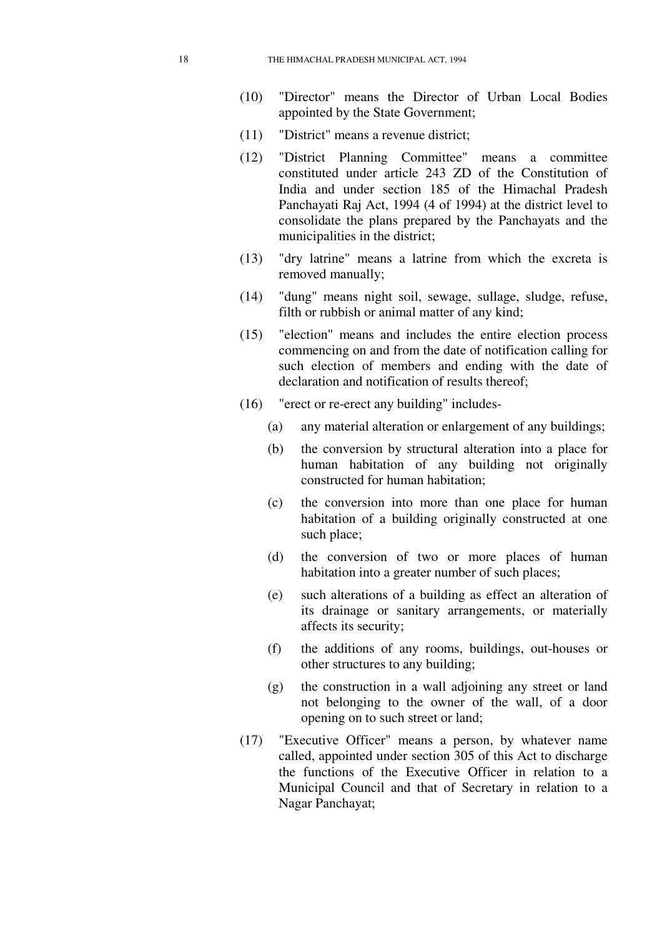- (10) "Director" means the Director of Urban Local Bodies appointed by the State Government;
- (11) "District" means a revenue district;
- (12) "District Planning Committee" means a committee constituted under article 243 ZD of the Constitution of India and under section 185 of the Himachal Pradesh Panchayati Raj Act, 1994 (4 of 1994) at the district level to consolidate the plans prepared by the Panchayats and the municipalities in the district;
- (13) "dry latrine" means a latrine from which the excreta is removed manually;
- (14) "dung" means night soil, sewage, sullage, sludge, refuse, filth or rubbish or animal matter of any kind;
- (15) "election" means and includes the entire election process commencing on and from the date of notification calling for such election of members and ending with the date of declaration and notification of results thereof;
- (16) "erect or re-erect any building" includes-
	- (a) any material alteration or enlargement of any buildings;
	- (b) the conversion by structural alteration into a place for human habitation of any building not originally constructed for human habitation;
	- (c) the conversion into more than one place for human habitation of a building originally constructed at one such place;
	- (d) the conversion of two or more places of human habitation into a greater number of such places;
	- (e) such alterations of a building as effect an alteration of its drainage or sanitary arrangements, or materially affects its security;
	- (f) the additions of any rooms, buildings, out-houses or other structures to any building;
	- (g) the construction in a wall adjoining any street or land not belonging to the owner of the wall, of a door opening on to such street or land;
- (17) "Executive Officer" means a person, by whatever name called, appointed under section 305 of this Act to discharge the functions of the Executive Officer in relation to a Municipal Council and that of Secretary in relation to a Nagar Panchayat;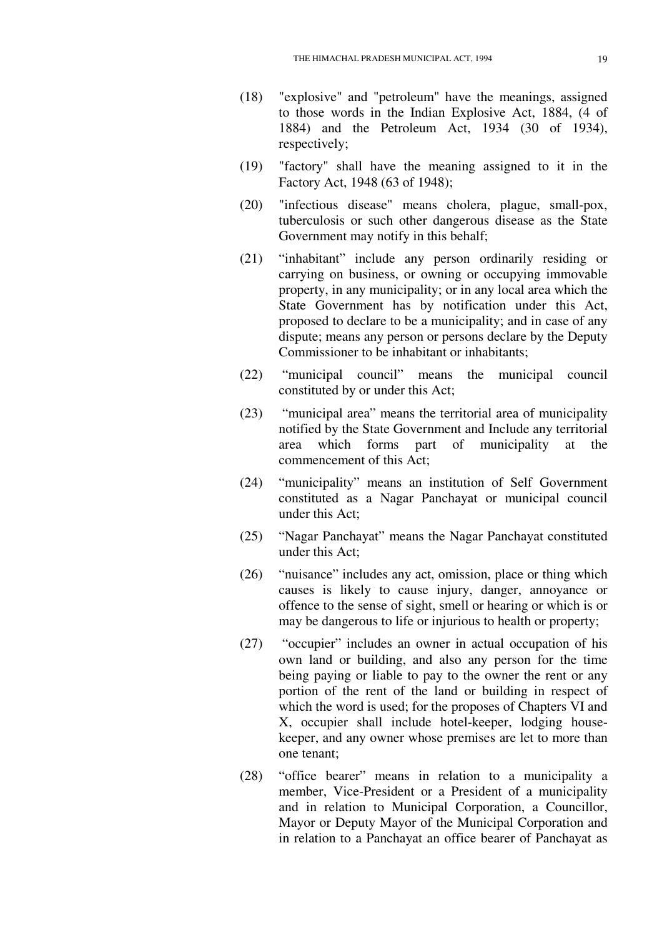- (18) "explosive" and "petroleum" have the meanings, assigned to those words in the Indian Explosive Act, 1884, (4 of 1884) and the Petroleum Act, 1934 (30 of 1934), respectively;
- (19) "factory" shall have the meaning assigned to it in the Factory Act, 1948 (63 of 1948);
- (20) "infectious disease" means cholera, plague, small-pox, tuberculosis or such other dangerous disease as the State Government may notify in this behalf;
- (21) "inhabitant" include any person ordinarily residing or carrying on business, or owning or occupying immovable property, in any municipality; or in any local area which the State Government has by notification under this Act, proposed to declare to be a municipality; and in case of any dispute; means any person or persons declare by the Deputy Commissioner to be inhabitant or inhabitants;
- (22) "municipal council" means the municipal council constituted by or under this Act;
- (23) "municipal area" means the territorial area of municipality notified by the State Government and Include any territorial area which forms part of municipality at the commencement of this Act;
- (24) "municipality" means an institution of Self Government constituted as a Nagar Panchayat or municipal council under this Act;
- (25) "Nagar Panchayat" means the Nagar Panchayat constituted under this Act;
- (26) "nuisance" includes any act, omission, place or thing which causes is likely to cause injury, danger, annoyance or offence to the sense of sight, smell or hearing or which is or may be dangerous to life or injurious to health or property;
- (27) "occupier" includes an owner in actual occupation of his own land or building, and also any person for the time being paying or liable to pay to the owner the rent or any portion of the rent of the land or building in respect of which the word is used; for the proposes of Chapters VI and X, occupier shall include hotel-keeper, lodging housekeeper, and any owner whose premises are let to more than one tenant;
- (28) "office bearer" means in relation to a municipality a member, Vice-President or a President of a municipality and in relation to Municipal Corporation, a Councillor, Mayor or Deputy Mayor of the Municipal Corporation and in relation to a Panchayat an office bearer of Panchayat as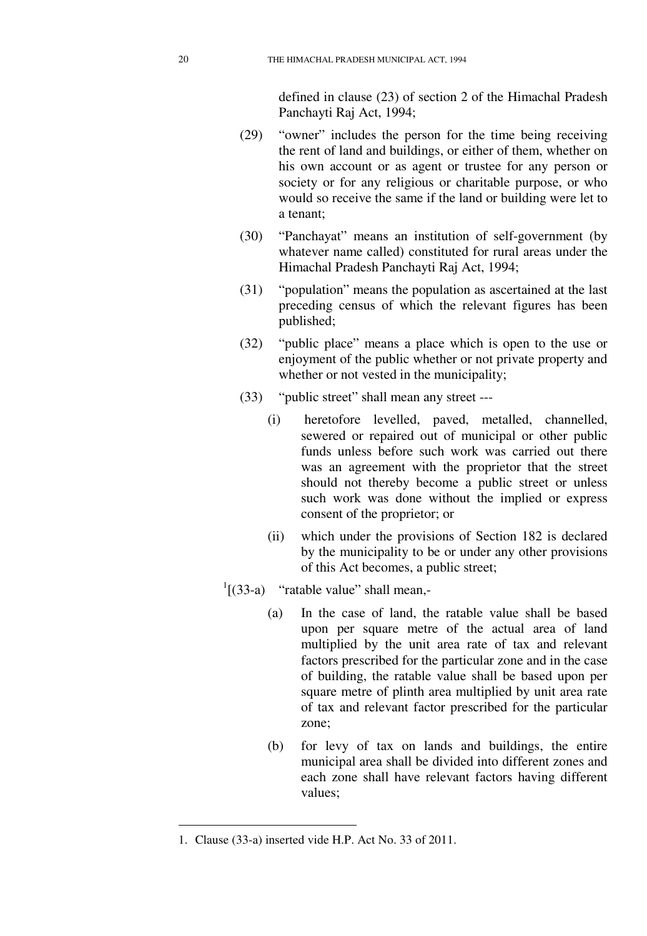defined in clause (23) of section 2 of the Himachal Pradesh Panchayti Raj Act, 1994;

- (29) "owner" includes the person for the time being receiving the rent of land and buildings, or either of them, whether on his own account or as agent or trustee for any person or society or for any religious or charitable purpose, or who would so receive the same if the land or building were let to a tenant;
- (30) "Panchayat" means an institution of self-government (by whatever name called) constituted for rural areas under the Himachal Pradesh Panchayti Raj Act, 1994;
- (31) "population" means the population as ascertained at the last preceding census of which the relevant figures has been published;
- (32) "public place" means a place which is open to the use or enjoyment of the public whether or not private property and whether or not vested in the municipality;
- (33) "public street" shall mean any street ---
	- (i) heretofore levelled, paved, metalled, channelled, sewered or repaired out of municipal or other public funds unless before such work was carried out there was an agreement with the proprietor that the street should not thereby become a public street or unless such work was done without the implied or express consent of the proprietor; or
	- (ii) which under the provisions of Section 182 is declared by the municipality to be or under any other provisions of this Act becomes, a public street;
- $\frac{1}{3}$  (33-a) "ratable value" shall mean,-
	- (a) In the case of land, the ratable value shall be based upon per square metre of the actual area of land multiplied by the unit area rate of tax and relevant factors prescribed for the particular zone and in the case of building, the ratable value shall be based upon per square metre of plinth area multiplied by unit area rate of tax and relevant factor prescribed for the particular zone;
	- (b) for levy of tax on lands and buildings, the entire municipal area shall be divided into different zones and each zone shall have relevant factors having different values;

<u>.</u>

<sup>1.</sup> Clause (33-a) inserted vide H.P. Act No. 33 of 2011.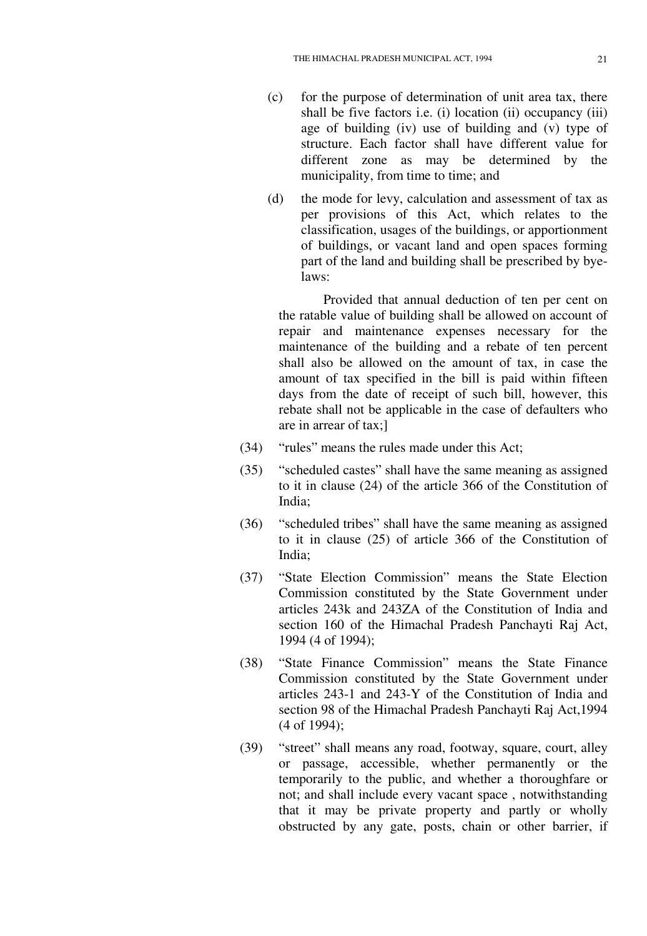- (c) for the purpose of determination of unit area tax, there shall be five factors i.e. (i) location (ii) occupancy (iii) age of building (iv) use of building and (v) type of structure. Each factor shall have different value for different zone as may be determined by the municipality, from time to time; and
- (d) the mode for levy, calculation and assessment of tax as per provisions of this Act, which relates to the classification, usages of the buildings, or apportionment of buildings, or vacant land and open spaces forming part of the land and building shall be prescribed by byelaws:

Provided that annual deduction of ten per cent on the ratable value of building shall be allowed on account of repair and maintenance expenses necessary for the maintenance of the building and a rebate of ten percent shall also be allowed on the amount of tax, in case the amount of tax specified in the bill is paid within fifteen days from the date of receipt of such bill, however, this rebate shall not be applicable in the case of defaulters who are in arrear of tax;]

- (34) "rules" means the rules made under this Act;
- (35) "scheduled castes" shall have the same meaning as assigned to it in clause (24) of the article 366 of the Constitution of India;
- (36) "scheduled tribes" shall have the same meaning as assigned to it in clause (25) of article 366 of the Constitution of India;
- (37) "State Election Commission" means the State Election Commission constituted by the State Government under articles 243k and 243ZA of the Constitution of India and section 160 of the Himachal Pradesh Panchayti Raj Act, 1994 (4 of 1994);
- (38) "State Finance Commission" means the State Finance Commission constituted by the State Government under articles 243-1 and 243-Y of the Constitution of India and section 98 of the Himachal Pradesh Panchayti Raj Act,1994 (4 of 1994);
- (39) "street" shall means any road, footway, square, court, alley or passage, accessible, whether permanently or the temporarily to the public, and whether a thoroughfare or not; and shall include every vacant space , notwithstanding that it may be private property and partly or wholly obstructed by any gate, posts, chain or other barrier, if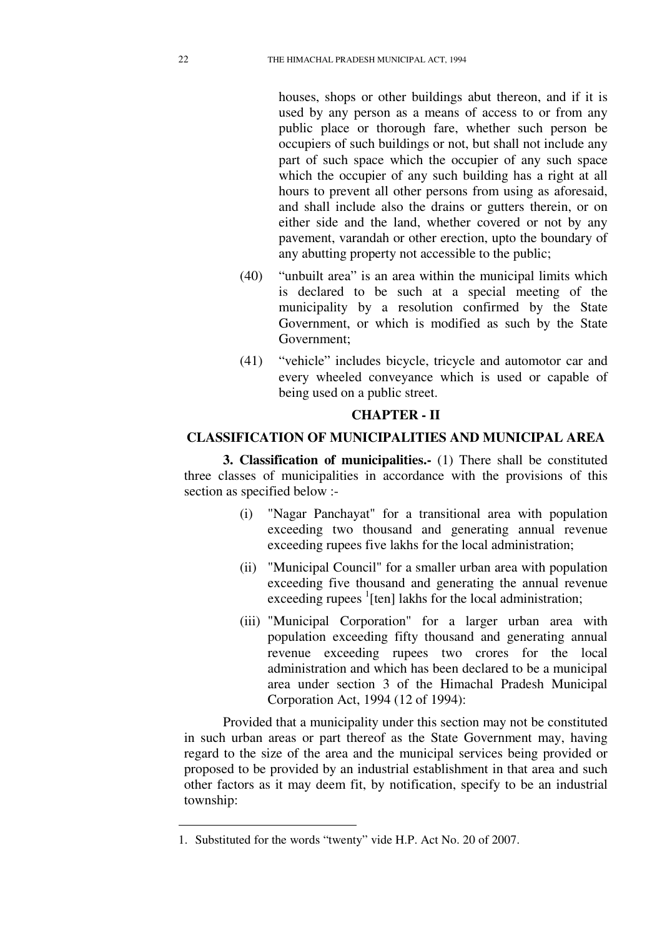houses, shops or other buildings abut thereon, and if it is used by any person as a means of access to or from any public place or thorough fare, whether such person be occupiers of such buildings or not, but shall not include any part of such space which the occupier of any such space which the occupier of any such building has a right at all hours to prevent all other persons from using as aforesaid, and shall include also the drains or gutters therein, or on either side and the land, whether covered or not by any pavement, varandah or other erection, upto the boundary of any abutting property not accessible to the public;

- (40) "unbuilt area" is an area within the municipal limits which is declared to be such at a special meeting of the municipality by a resolution confirmed by the State Government, or which is modified as such by the State Government;
- (41) "vehicle" includes bicycle, tricycle and automotor car and every wheeled conveyance which is used or capable of being used on a public street.

#### **CHAPTER - II**

#### **CLASSIFICATION OF MUNICIPALITIES AND MUNICIPAL AREA**

**3. Classification of municipalities.-** (1) There shall be constituted three classes of municipalities in accordance with the provisions of this section as specified below :-

- (i) "Nagar Panchayat" for a transitional area with population exceeding two thousand and generating annual revenue exceeding rupees five lakhs for the local administration;
- (ii) "Municipal Council" for a smaller urban area with population exceeding five thousand and generating the annual revenue exceeding rupees <sup>1</sup>[ten] lakhs for the local administration;
- (iii) "Municipal Corporation" for a larger urban area with population exceeding fifty thousand and generating annual revenue exceeding rupees two crores for the local administration and which has been declared to be a municipal area under section 3 of the Himachal Pradesh Municipal Corporation Act, 1994 (12 of 1994):

Provided that a municipality under this section may not be constituted in such urban areas or part thereof as the State Government may, having regard to the size of the area and the municipal services being provided or proposed to be provided by an industrial establishment in that area and such other factors as it may deem fit, by notification, specify to be an industrial township:

<u>.</u>

<sup>1.</sup> Substituted for the words "twenty" vide H.P. Act No. 20 of 2007.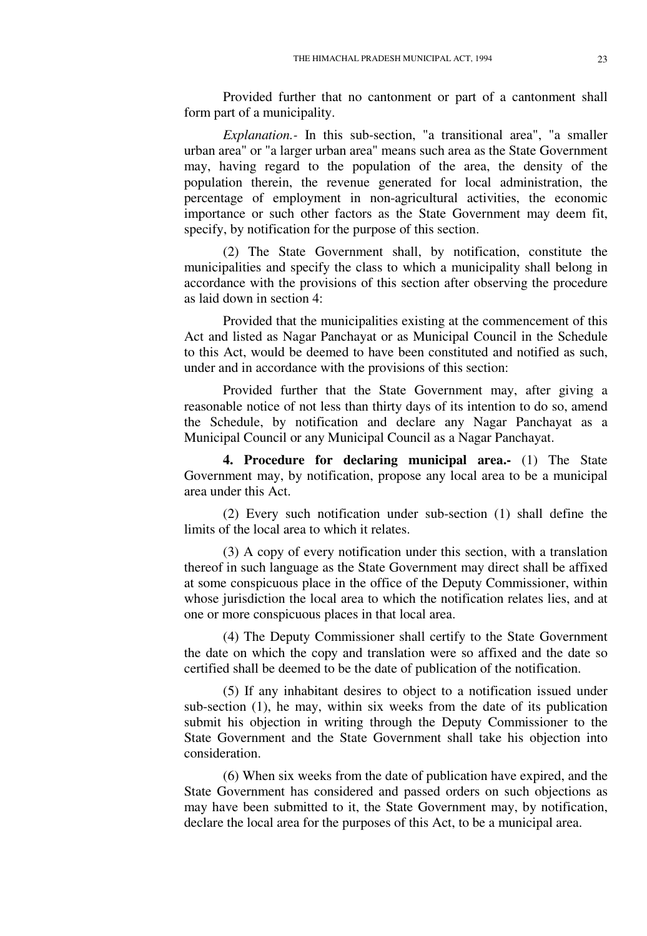Provided further that no cantonment or part of a cantonment shall form part of a municipality.

*Explanation.-* In this sub-section, "a transitional area", "a smaller urban area" or "a larger urban area" means such area as the State Government may, having regard to the population of the area, the density of the population therein, the revenue generated for local administration, the percentage of employment in non-agricultural activities, the economic importance or such other factors as the State Government may deem fit, specify, by notification for the purpose of this section.

(2) The State Government shall, by notification, constitute the municipalities and specify the class to which a municipality shall belong in accordance with the provisions of this section after observing the procedure as laid down in section 4:

Provided that the municipalities existing at the commencement of this Act and listed as Nagar Panchayat or as Municipal Council in the Schedule to this Act, would be deemed to have been constituted and notified as such, under and in accordance with the provisions of this section:

Provided further that the State Government may, after giving a reasonable notice of not less than thirty days of its intention to do so, amend the Schedule, by notification and declare any Nagar Panchayat as a Municipal Council or any Municipal Council as a Nagar Panchayat.

**4. Procedure for declaring municipal area.-** (1) The State Government may, by notification, propose any local area to be a municipal area under this Act.

(2) Every such notification under sub-section (1) shall define the limits of the local area to which it relates.

(3) A copy of every notification under this section, with a translation thereof in such language as the State Government may direct shall be affixed at some conspicuous place in the office of the Deputy Commissioner, within whose jurisdiction the local area to which the notification relates lies, and at one or more conspicuous places in that local area.

(4) The Deputy Commissioner shall certify to the State Government the date on which the copy and translation were so affixed and the date so certified shall be deemed to be the date of publication of the notification.

(5) If any inhabitant desires to object to a notification issued under sub-section (1), he may, within six weeks from the date of its publication submit his objection in writing through the Deputy Commissioner to the State Government and the State Government shall take his objection into consideration.

(6) When six weeks from the date of publication have expired, and the State Government has considered and passed orders on such objections as may have been submitted to it, the State Government may, by notification, declare the local area for the purposes of this Act, to be a municipal area.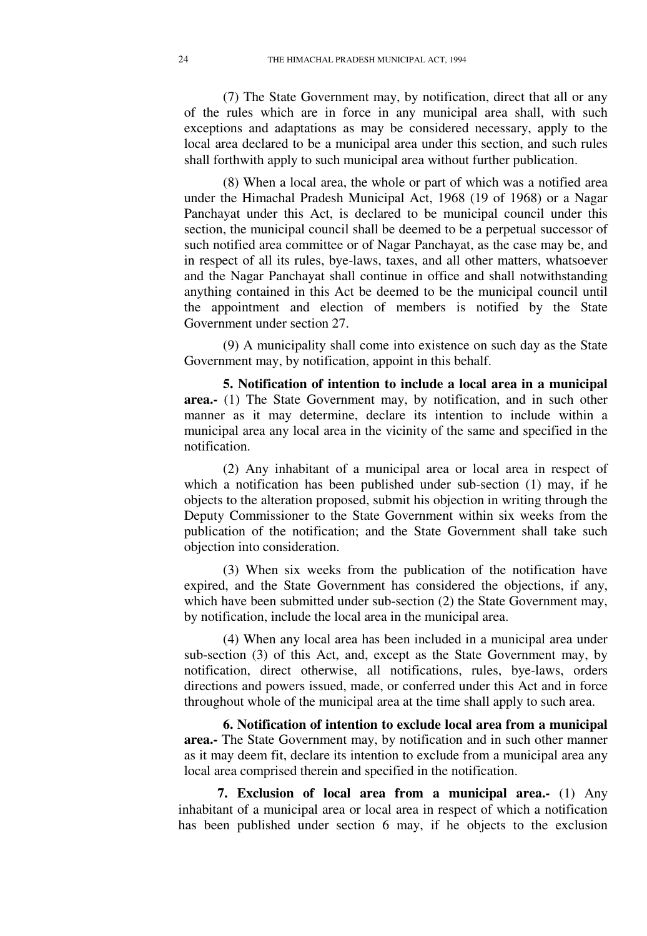(7) The State Government may, by notification, direct that all or any of the rules which are in force in any municipal area shall, with such exceptions and adaptations as may be considered necessary, apply to the local area declared to be a municipal area under this section, and such rules shall forthwith apply to such municipal area without further publication.

(8) When a local area, the whole or part of which was a notified area under the Himachal Pradesh Municipal Act, 1968 (19 of 1968) or a Nagar Panchayat under this Act, is declared to be municipal council under this section, the municipal council shall be deemed to be a perpetual successor of such notified area committee or of Nagar Panchayat, as the case may be, and in respect of all its rules, bye-laws, taxes, and all other matters, whatsoever and the Nagar Panchayat shall continue in office and shall notwithstanding anything contained in this Act be deemed to be the municipal council until the appointment and election of members is notified by the State Government under section 27.

(9) A municipality shall come into existence on such day as the State Government may, by notification, appoint in this behalf.

**5. Notification of intention to include a local area in a municipal area.-** (1) The State Government may, by notification, and in such other manner as it may determine, declare its intention to include within a municipal area any local area in the vicinity of the same and specified in the notification.

(2) Any inhabitant of a municipal area or local area in respect of which a notification has been published under sub-section (1) may, if he objects to the alteration proposed, submit his objection in writing through the Deputy Commissioner to the State Government within six weeks from the publication of the notification; and the State Government shall take such objection into consideration.

(3) When six weeks from the publication of the notification have expired, and the State Government has considered the objections, if any, which have been submitted under sub-section (2) the State Government may, by notification, include the local area in the municipal area.

(4) When any local area has been included in a municipal area under sub-section (3) of this Act, and, except as the State Government may, by notification, direct otherwise, all notifications, rules, bye-laws, orders directions and powers issued, made, or conferred under this Act and in force throughout whole of the municipal area at the time shall apply to such area.

**6. Notification of intention to exclude local area from a municipal area.-** The State Government may, by notification and in such other manner as it may deem fit, declare its intention to exclude from a municipal area any local area comprised therein and specified in the notification.

**7. Exclusion of local area from a municipal area.-** (1) Any inhabitant of a municipal area or local area in respect of which a notification has been published under section 6 may, if he objects to the exclusion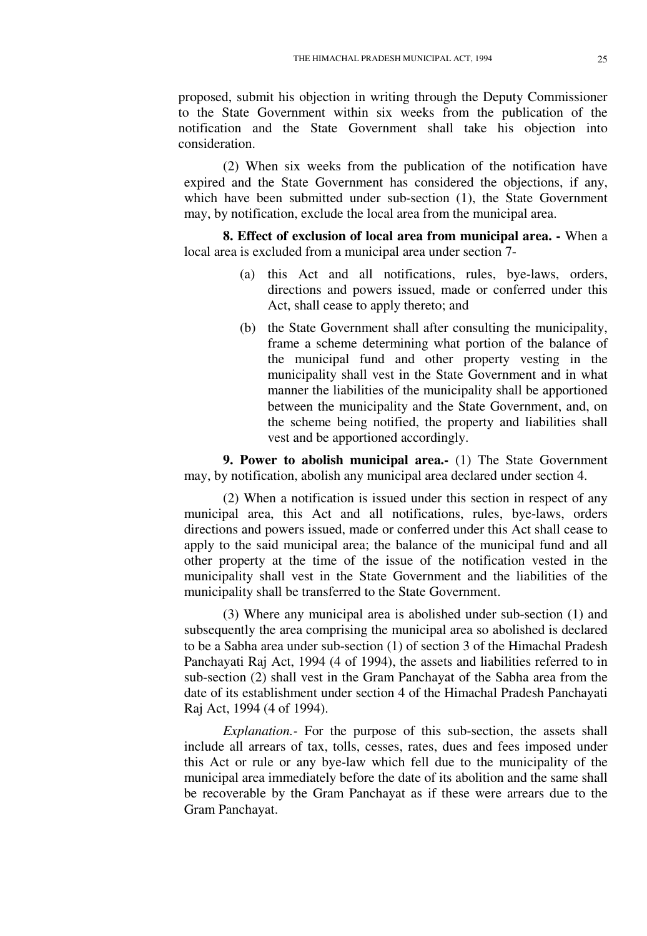proposed, submit his objection in writing through the Deputy Commissioner to the State Government within six weeks from the publication of the notification and the State Government shall take his objection into consideration.

(2) When six weeks from the publication of the notification have expired and the State Government has considered the objections, if any, which have been submitted under sub-section (1), the State Government may, by notification, exclude the local area from the municipal area.

**8. Effect of exclusion of local area from municipal area. -** When a local area is excluded from a municipal area under section 7-

- (a) this Act and all notifications, rules, bye-laws, orders, directions and powers issued, made or conferred under this Act, shall cease to apply thereto; and
- (b) the State Government shall after consulting the municipality, frame a scheme determining what portion of the balance of the municipal fund and other property vesting in the municipality shall vest in the State Government and in what manner the liabilities of the municipality shall be apportioned between the municipality and the State Government, and, on the scheme being notified, the property and liabilities shall vest and be apportioned accordingly.

**9. Power to abolish municipal area.-** (1) The State Government may, by notification, abolish any municipal area declared under section 4.

(2) When a notification is issued under this section in respect of any municipal area, this Act and all notifications, rules, bye-laws, orders directions and powers issued, made or conferred under this Act shall cease to apply to the said municipal area; the balance of the municipal fund and all other property at the time of the issue of the notification vested in the municipality shall vest in the State Government and the liabilities of the municipality shall be transferred to the State Government.

(3) Where any municipal area is abolished under sub-section (1) and subsequently the area comprising the municipal area so abolished is declared to be a Sabha area under sub-section (1) of section 3 of the Himachal Pradesh Panchayati Raj Act, 1994 (4 of 1994), the assets and liabilities referred to in sub-section (2) shall vest in the Gram Panchayat of the Sabha area from the date of its establishment under section 4 of the Himachal Pradesh Panchayati Raj Act, 1994 (4 of 1994).

*Explanation.-* For the purpose of this sub-section, the assets shall include all arrears of tax, tolls, cesses, rates, dues and fees imposed under this Act or rule or any bye-law which fell due to the municipality of the municipal area immediately before the date of its abolition and the same shall be recoverable by the Gram Panchayat as if these were arrears due to the Gram Panchayat.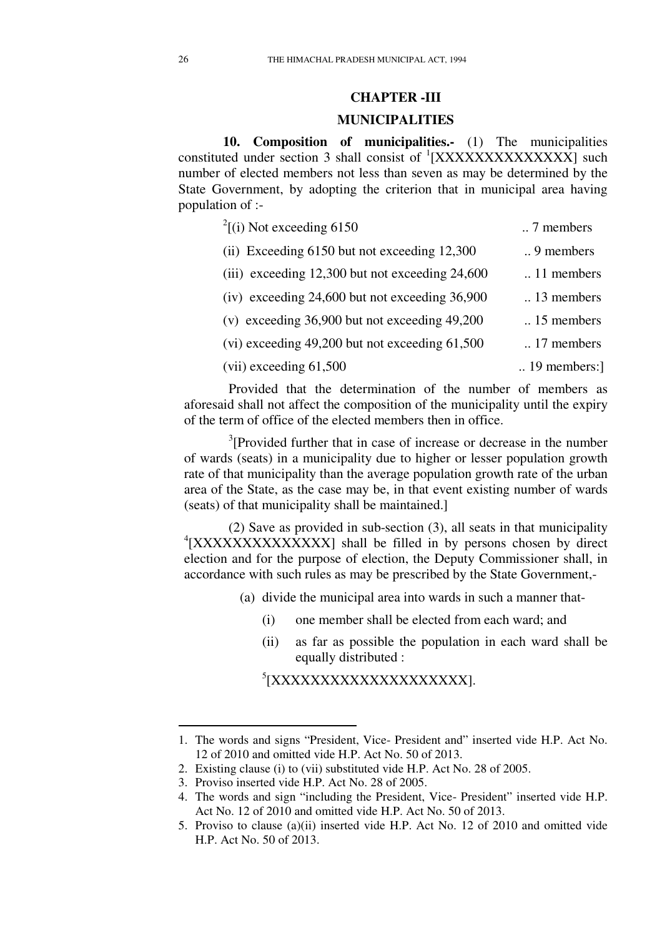### **CHAPTER -III**

#### **MUNICIPALITIES**

**10. Composition of municipalities.-** (1) The municipalities constituted under section 3 shall consist of  ${}^{1}[XXXXXXXXXX]$  such number of elected members not less than seven as may be determined by the State Government, by adopting the criterion that in municipal area having population of :-

| $^{2}$ [(i) Not exceeding 6150                      | 7 members               |
|-----------------------------------------------------|-------------------------|
| (ii) Exceeding 6150 but not exceeding 12,300        | $\ldots$ 9 members      |
| (iii) exceeding $12,300$ but not exceeding $24,600$ | $\ldots$ 11 members     |
| $(iv)$ exceeding 24,600 but not exceeding 36,900    | $\therefore$ 13 members |
| (v) exceeding $36,900$ but not exceeding $49,200$   | $\ldots$ 15 members     |
| $(vi)$ exceeding 49,200 but not exceeding 61,500    | $\ldots$ 17 members     |
| $(vii)$ exceeding $61,500$                          | $\ldots$ 19 members:    |
|                                                     |                         |

Provided that the determination of the number of members as aforesaid shall not affect the composition of the municipality until the expiry of the term of office of the elected members then in office.

<sup>3</sup>[Provided further that in case of increase or decrease in the number of wards (seats) in a municipality due to higher or lesser population growth rate of that municipality than the average population growth rate of the urban area of the State, as the case may be, in that event existing number of wards (seats) of that municipality shall be maintained.]

(2) Save as provided in sub-section (3), all seats in that municipality <sup>4</sup>[XXXXXXXXXXXXXXXX] shall be filled in by persons chosen by direct election and for the purpose of election, the Deputy Commissioner shall, in accordance with such rules as may be prescribed by the State Government,-

- (a) divide the municipal area into wards in such a manner that-
	- (i) one member shall be elected from each ward; and
	- (ii) as far as possible the population in each ward shall be equally distributed :

5 [XXXXXXXXXXXXXXXXXXXX].

<sup>1.</sup> The words and signs "President, Vice- President and" inserted vide H.P. Act No. 12 of 2010 and omitted vide H.P. Act No. 50 of 2013.

<sup>2.</sup> Existing clause (i) to (vii) substituted vide H.P. Act No. 28 of 2005.

<sup>3.</sup> Proviso inserted vide H.P. Act No. 28 of 2005.

<sup>4.</sup> The words and sign "including the President, Vice- President" inserted vide H.P. Act No. 12 of 2010 and omitted vide H.P. Act No. 50 of 2013.

<sup>5.</sup> Proviso to clause (a)(ii) inserted vide H.P. Act No. 12 of 2010 and omitted vide H.P. Act No. 50 of 2013.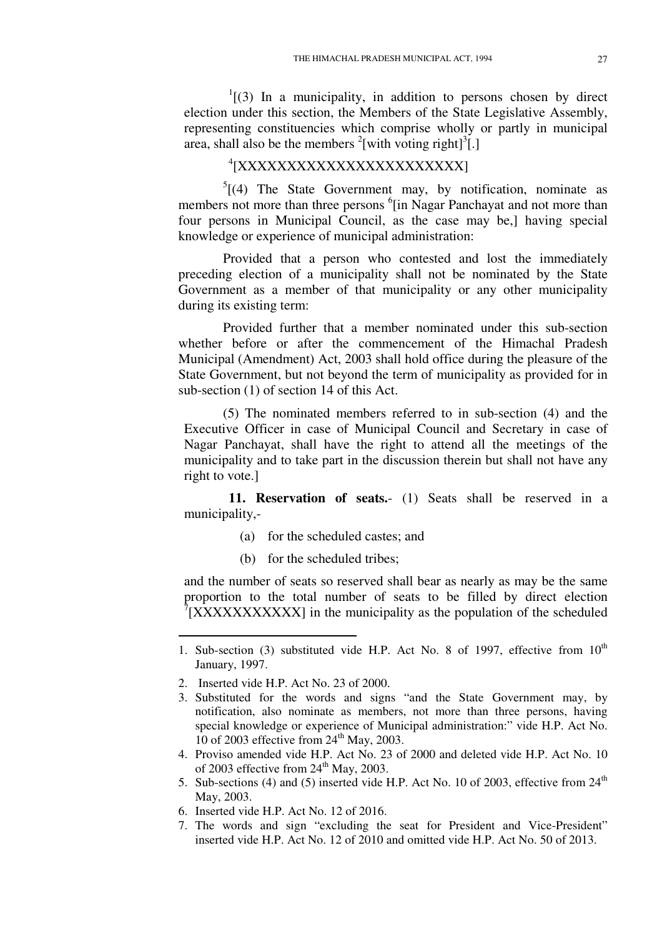$I<sup>1</sup>(3)$  In a municipality, in addition to persons chosen by direct election under this section, the Members of the State Legislative Assembly, representing constituencies which comprise wholly or partly in municipal area, shall also be the members  $2$ [with voting right] $3$ [.]

# 4 [XXXXXXXXXXXXXXXXXXXXXXX]

 $5[(4)$  The State Government may, by notification, nominate as members not more than three persons <sup>6</sup>[in Nagar Panchayat and not more than four persons in Municipal Council, as the case may be,] having special knowledge or experience of municipal administration:

Provided that a person who contested and lost the immediately preceding election of a municipality shall not be nominated by the State Government as a member of that municipality or any other municipality during its existing term:

Provided further that a member nominated under this sub-section whether before or after the commencement of the Himachal Pradesh Municipal (Amendment) Act, 2003 shall hold office during the pleasure of the State Government, but not beyond the term of municipality as provided for in sub-section (1) of section 14 of this Act.

(5) The nominated members referred to in sub-section (4) and the Executive Officer in case of Municipal Council and Secretary in case of Nagar Panchayat, shall have the right to attend all the meetings of the municipality and to take part in the discussion therein but shall not have any right to vote.]

**11. Reservation of seats.**- (1) Seats shall be reserved in a municipality,-

- (a) for the scheduled castes; and
- (b) for the scheduled tribes;

and the number of seats so reserved shall bear as nearly as may be the same proportion to the total number of seats to be filled by direct election  $7$ [XXXXXXXXXXX] in the municipality as the population of the scheduled

- 4. Proviso amended vide H.P. Act No. 23 of 2000 and deleted vide H.P. Act No. 10 of 2003 effective from  $24<sup>th</sup>$  May, 2003.
- 5. Sub-sections (4) and (5) inserted vide H.P. Act No. 10 of 2003, effective from  $24<sup>th</sup>$ May, 2003.
- 6. Inserted vide H.P. Act No. 12 of 2016.
- 7. The words and sign "excluding the seat for President and Vice-President" inserted vide H.P. Act No. 12 of 2010 and omitted vide H.P. Act No. 50 of 2013.

<sup>1.</sup> Sub-section (3) substituted vide H.P. Act No. 8 of 1997, effective from  $10^{th}$ January, 1997.

<sup>2.</sup> Inserted vide H.P. Act No. 23 of 2000.

<sup>3.</sup> Substituted for the words and signs "and the State Government may, by notification, also nominate as members, not more than three persons, having special knowledge or experience of Municipal administration:" vide H.P. Act No. 10 of 2003 effective from  $24<sup>th</sup>$  May, 2003.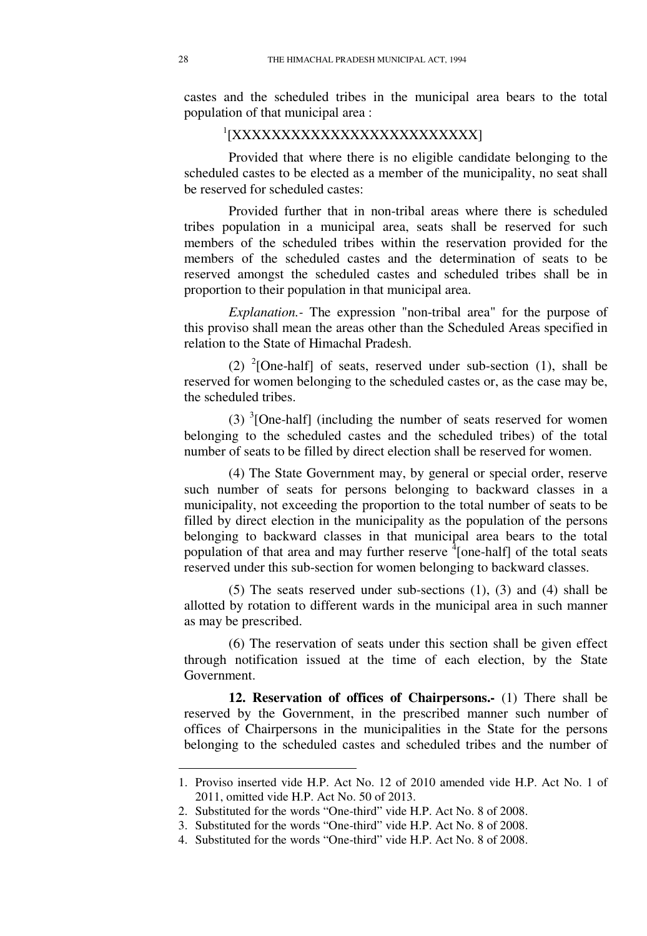castes and the scheduled tribes in the municipal area bears to the total population of that municipal area :

# 1 [XXXXXXXXXXXXXXXXXXXXXXXXX]

Provided that where there is no eligible candidate belonging to the scheduled castes to be elected as a member of the municipality, no seat shall be reserved for scheduled castes:

Provided further that in non-tribal areas where there is scheduled tribes population in a municipal area, seats shall be reserved for such members of the scheduled tribes within the reservation provided for the members of the scheduled castes and the determination of seats to be reserved amongst the scheduled castes and scheduled tribes shall be in proportion to their population in that municipal area.

*Explanation.-* The expression "non-tribal area" for the purpose of this proviso shall mean the areas other than the Scheduled Areas specified in relation to the State of Himachal Pradesh.

(2) <sup>2</sup>[One-half] of seats, reserved under sub-section (1), shall be reserved for women belonging to the scheduled castes or, as the case may be, the scheduled tribes.

(3)  ${}^{3}$ [One-half] (including the number of seats reserved for women belonging to the scheduled castes and the scheduled tribes) of the total number of seats to be filled by direct election shall be reserved for women.

(4) The State Government may, by general or special order, reserve such number of seats for persons belonging to backward classes in a municipality, not exceeding the proportion to the total number of seats to be filled by direct election in the municipality as the population of the persons belonging to backward classes in that municipal area bears to the total population of that area and may further reserve  $\frac{1}{4}$  [one-half] of the total seats reserved under this sub-section for women belonging to backward classes.

(5) The seats reserved under sub-sections (1), (3) and (4) shall be allotted by rotation to different wards in the municipal area in such manner as may be prescribed.

(6) The reservation of seats under this section shall be given effect through notification issued at the time of each election, by the State Government.

**12. Reservation of offices of Chairpersons.-** (1) There shall be reserved by the Government, in the prescribed manner such number of offices of Chairpersons in the municipalities in the State for the persons belonging to the scheduled castes and scheduled tribes and the number of

<sup>1.</sup> Proviso inserted vide H.P. Act No. 12 of 2010 amended vide H.P. Act No. 1 of 2011, omitted vide H.P. Act No. 50 of 2013.

<sup>2.</sup> Substituted for the words "One-third" vide H.P. Act No. 8 of 2008.

<sup>3.</sup> Substituted for the words "One-third" vide H.P. Act No. 8 of 2008.

<sup>4.</sup> Substituted for the words "One-third" vide H.P. Act No. 8 of 2008.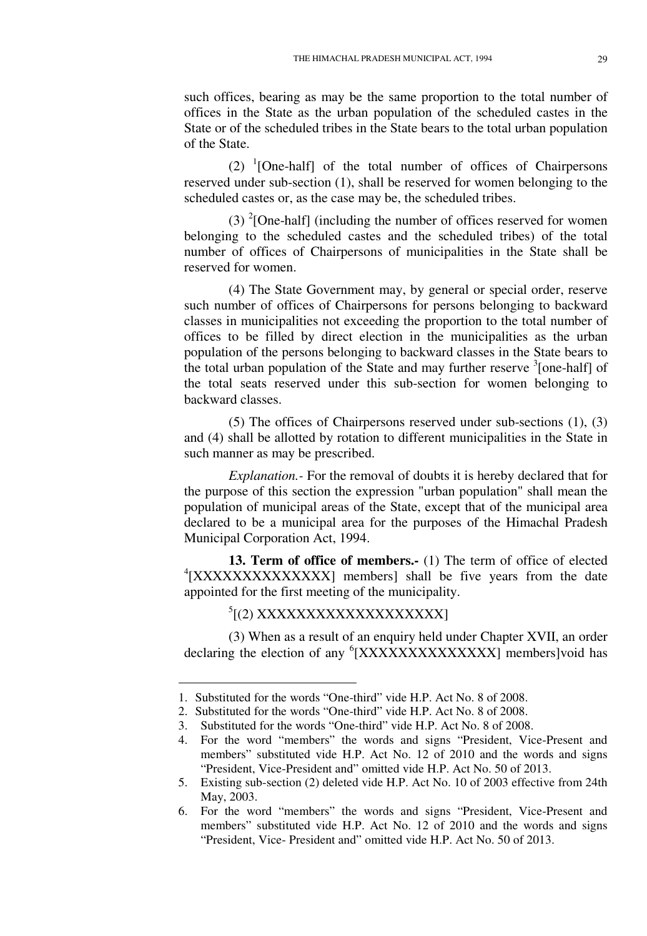such offices, bearing as may be the same proportion to the total number of offices in the State as the urban population of the scheduled castes in the State or of the scheduled tribes in the State bears to the total urban population of the State.

 $(2)$  <sup>1</sup>[One-half] of the total number of offices of Chairpersons reserved under sub-section (1), shall be reserved for women belonging to the scheduled castes or, as the case may be, the scheduled tribes.

(3)  $^{2}$ [One-half] (including the number of offices reserved for women belonging to the scheduled castes and the scheduled tribes) of the total number of offices of Chairpersons of municipalities in the State shall be reserved for women.

(4) The State Government may, by general or special order, reserve such number of offices of Chairpersons for persons belonging to backward classes in municipalities not exceeding the proportion to the total number of offices to be filled by direct election in the municipalities as the urban population of the persons belonging to backward classes in the State bears to the total urban population of the State and may further reserve  $\frac{3}{2}$  [one-half] of the total seats reserved under this sub-section for women belonging to backward classes.

(5) The offices of Chairpersons reserved under sub-sections (1), (3) and (4) shall be allotted by rotation to different municipalities in the State in such manner as may be prescribed.

*Explanation.-* For the removal of doubts it is hereby declared that for the purpose of this section the expression "urban population" shall mean the population of municipal areas of the State, except that of the municipal area declared to be a municipal area for the purposes of the Himachal Pradesh Municipal Corporation Act, 1994.

**13. Term of office of members.-** (1) The term of office of elected <sup>4</sup>[XXXXXXXXXXXXXXXX] members] shall be five years from the date appointed for the first meeting of the municipality.

<sup>5</sup>[(2) XXXXXXXXXXXXXXXXX]

-

(3) When as a result of an enquiry held under Chapter XVII, an order declaring the election of any <sup>6</sup>[XXXXXXXXXXXXXX] members]void has

<sup>1.</sup> Substituted for the words "One-third" vide H.P. Act No. 8 of 2008.

<sup>2.</sup> Substituted for the words "One-third" vide H.P. Act No. 8 of 2008.

<sup>3.</sup> Substituted for the words "One-third" vide H.P. Act No. 8 of 2008.

<sup>4.</sup> For the word "members" the words and signs "President, Vice-Present and members" substituted vide H.P. Act No. 12 of 2010 and the words and signs "President, Vice-President and" omitted vide H.P. Act No. 50 of 2013.

<sup>5.</sup> Existing sub-section (2) deleted vide H.P. Act No. 10 of 2003 effective from 24th May, 2003.

<sup>6.</sup> For the word "members" the words and signs "President, Vice-Present and members" substituted vide H.P. Act No. 12 of 2010 and the words and signs "President, Vice- President and" omitted vide H.P. Act No. 50 of 2013.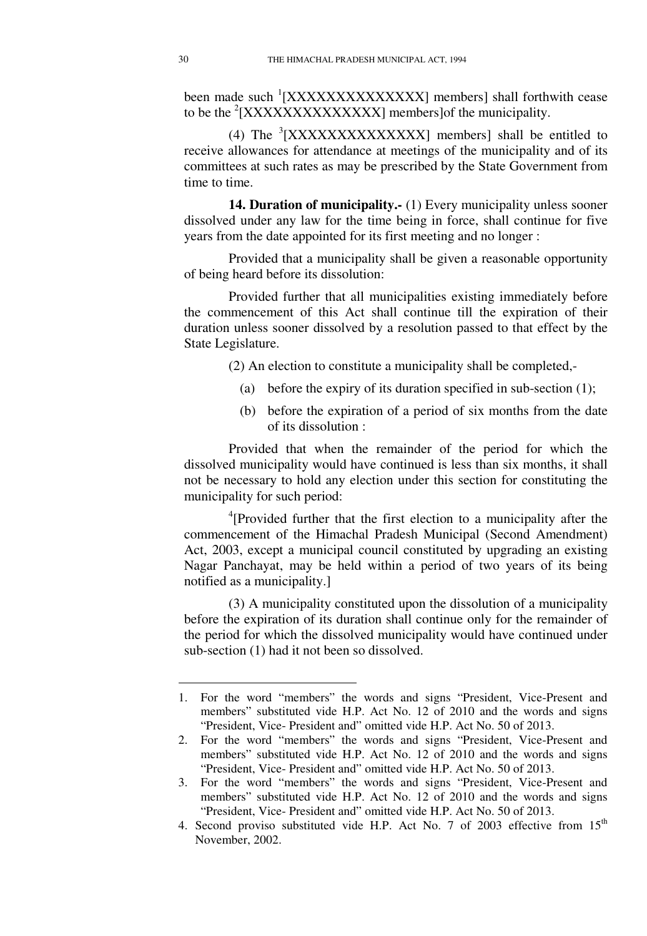been made such <sup>1</sup>[XXXXXXXXXXXXXX] members] shall forthwith cease to be the  $2$ [XXXXXXXXXXXXXXX] members] of the municipality.

(4) The  ${}^{3}$ [XXXXXXXXXXXXXXXX] members] shall be entitled to receive allowances for attendance at meetings of the municipality and of its committees at such rates as may be prescribed by the State Government from time to time.

**14. Duration of municipality.-** (1) Every municipality unless sooner dissolved under any law for the time being in force, shall continue for five years from the date appointed for its first meeting and no longer :

Provided that a municipality shall be given a reasonable opportunity of being heard before its dissolution:

Provided further that all municipalities existing immediately before the commencement of this Act shall continue till the expiration of their duration unless sooner dissolved by a resolution passed to that effect by the State Legislature.

(2) An election to constitute a municipality shall be completed,-

- (a) before the expiry of its duration specified in sub-section (1);
- (b) before the expiration of a period of six months from the date of its dissolution :

Provided that when the remainder of the period for which the dissolved municipality would have continued is less than six months, it shall not be necessary to hold any election under this section for constituting the municipality for such period:

4 [Provided further that the first election to a municipality after the commencement of the Himachal Pradesh Municipal (Second Amendment) Act, 2003, except a municipal council constituted by upgrading an existing Nagar Panchayat, may be held within a period of two years of its being notified as a municipality.]

(3) A municipality constituted upon the dissolution of a municipality before the expiration of its duration shall continue only for the remainder of the period for which the dissolved municipality would have continued under sub-section (1) had it not been so dissolved.

<sup>1.</sup> For the word "members" the words and signs "President, Vice-Present and members" substituted vide H.P. Act No. 12 of 2010 and the words and signs "President, Vice- President and" omitted vide H.P. Act No. 50 of 2013.

<sup>2.</sup> For the word "members" the words and signs "President, Vice-Present and members" substituted vide H.P. Act No. 12 of 2010 and the words and signs "President, Vice- President and" omitted vide H.P. Act No. 50 of 2013.

<sup>3.</sup> For the word "members" the words and signs "President, Vice-Present and members" substituted vide H.P. Act No. 12 of 2010 and the words and signs "President, Vice- President and" omitted vide H.P. Act No. 50 of 2013.

<sup>4.</sup> Second proviso substituted vide H.P. Act No. 7 of 2003 effective from 15<sup>th</sup> November, 2002.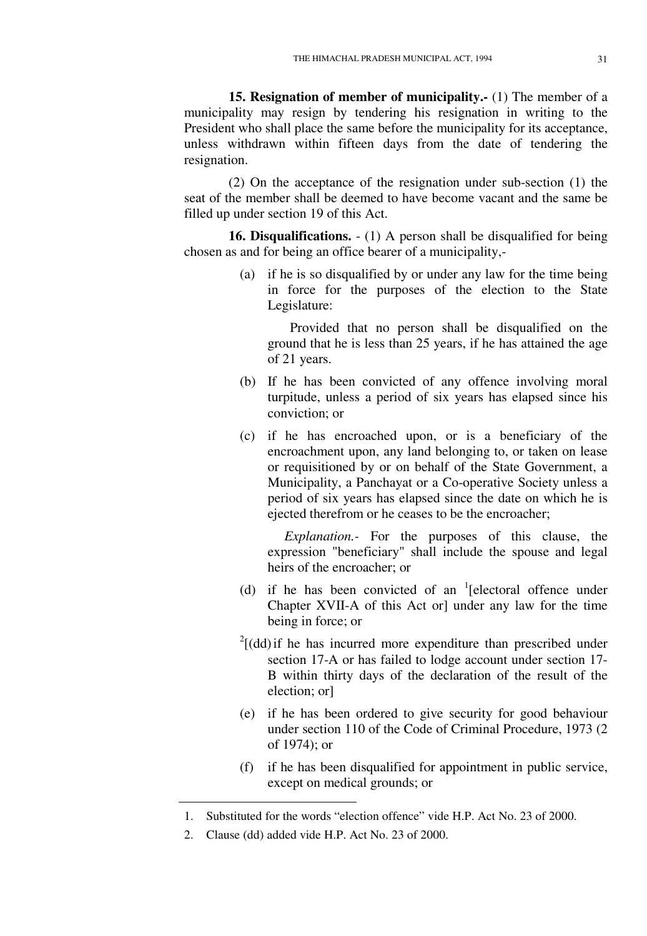**15. Resignation of member of municipality.-** (1) The member of a municipality may resign by tendering his resignation in writing to the President who shall place the same before the municipality for its acceptance, unless withdrawn within fifteen days from the date of tendering the resignation.

(2) On the acceptance of the resignation under sub-section (1) the seat of the member shall be deemed to have become vacant and the same be filled up under section 19 of this Act.

**16. Disqualifications.** - (1) A person shall be disqualified for being chosen as and for being an office bearer of a municipality,-

> (a) if he is so disqualified by or under any law for the time being in force for the purposes of the election to the State Legislature:

Provided that no person shall be disqualified on the ground that he is less than 25 years, if he has attained the age of 21 years.

- (b) If he has been convicted of any offence involving moral turpitude, unless a period of six years has elapsed since his conviction; or
- (c) if he has encroached upon, or is a beneficiary of the encroachment upon, any land belonging to, or taken on lease or requisitioned by or on behalf of the State Government, a Municipality, a Panchayat or a Co-operative Society unless a period of six years has elapsed since the date on which he is ejected therefrom or he ceases to be the encroacher;

*Explanation.-* For the purposes of this clause, the expression "beneficiary" shall include the spouse and legal heirs of the encroacher; or

- (d) if he has been convicted of an  $\textsuperscript{1}{\text{}}$  [electoral offence under Chapter XVII-A of this Act or] under any law for the time being in force; or
- $2^2$ [(dd) if he has incurred more expenditure than prescribed under section 17-A or has failed to lodge account under section 17- B within thirty days of the declaration of the result of the election; or]
- (e) if he has been ordered to give security for good behaviour under section 110 of the Code of Criminal Procedure, 1973 (2 of 1974); or
- (f) if he has been disqualified for appointment in public service, except on medical grounds; or

<sup>1.</sup> Substituted for the words "election offence" vide H.P. Act No. 23 of 2000.

<sup>2.</sup> Clause (dd) added vide H.P. Act No. 23 of 2000.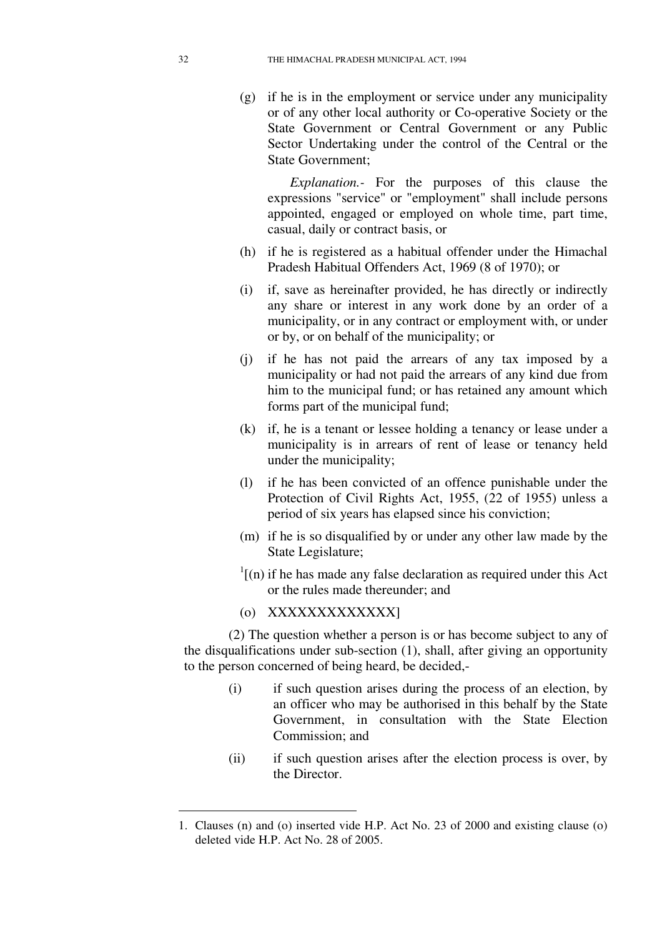(g) if he is in the employment or service under any municipality or of any other local authority or Co-operative Society or the State Government or Central Government or any Public Sector Undertaking under the control of the Central or the State Government;

*Explanation.-* For the purposes of this clause the expressions "service" or "employment" shall include persons appointed, engaged or employed on whole time, part time, casual, daily or contract basis, or

- (h) if he is registered as a habitual offender under the Himachal Pradesh Habitual Offenders Act, 1969 (8 of 1970); or
- (i) if, save as hereinafter provided, he has directly or indirectly any share or interest in any work done by an order of a municipality, or in any contract or employment with, or under or by, or on behalf of the municipality; or
- (j) if he has not paid the arrears of any tax imposed by a municipality or had not paid the arrears of any kind due from him to the municipal fund; or has retained any amount which forms part of the municipal fund;
- (k) if, he is a tenant or lessee holding a tenancy or lease under a municipality is in arrears of rent of lease or tenancy held under the municipality;
- (l) if he has been convicted of an offence punishable under the Protection of Civil Rights Act, 1955, (22 of 1955) unless a period of six years has elapsed since his conviction;
- (m) if he is so disqualified by or under any other law made by the State Legislature;
- $\frac{1}{1}$ [(n) if he has made any false declaration as required under this Act or the rules made thereunder; and
- (o) XXXXXXXXXXXXX]

(2) The question whether a person is or has become subject to any of the disqualifications under sub-section (1), shall, after giving an opportunity to the person concerned of being heard, be decided,-

- (i) if such question arises during the process of an election, by an officer who may be authorised in this behalf by the State Government, in consultation with the State Election Commission; and
- (ii) if such question arises after the election process is over, by the Director.

<sup>1.</sup> Clauses (n) and (o) inserted vide H.P. Act No. 23 of 2000 and existing clause (o) deleted vide H.P. Act No. 28 of 2005.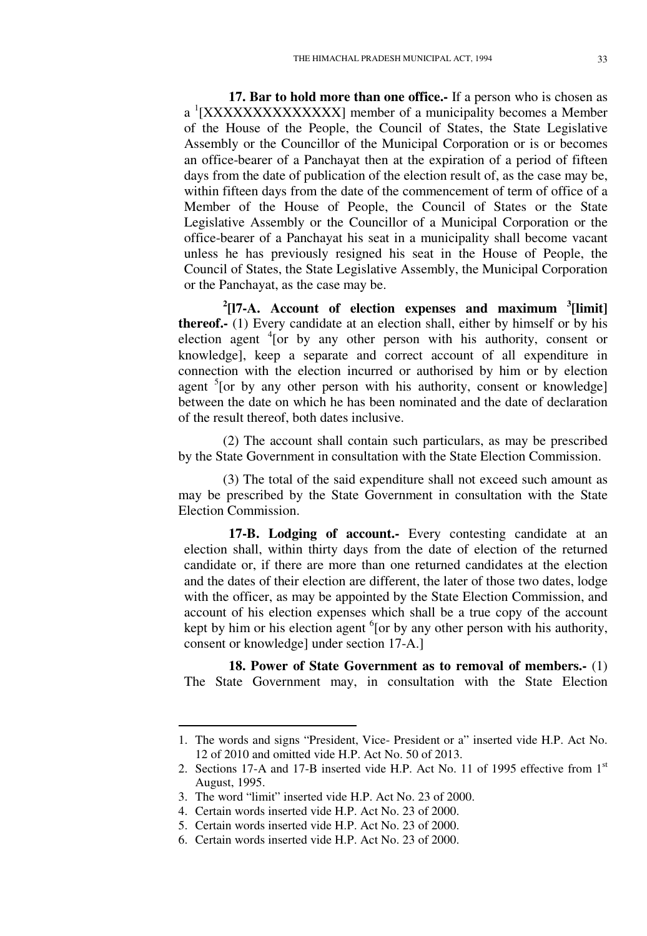**17. Bar to hold more than one office.-** If a person who is chosen as a <sup>1</sup>[XXXXXXXXXXXXXXX] member of a municipality becomes a Member of the House of the People, the Council of States, the State Legislative Assembly or the Councillor of the Municipal Corporation or is or becomes an office-bearer of a Panchayat then at the expiration of a period of fifteen days from the date of publication of the election result of, as the case may be, within fifteen days from the date of the commencement of term of office of a Member of the House of People, the Council of States or the State Legislative Assembly or the Councillor of a Municipal Corporation or the office-bearer of a Panchayat his seat in a municipality shall become vacant unless he has previously resigned his seat in the House of People, the Council of States, the State Legislative Assembly, the Municipal Corporation or the Panchayat, as the case may be.

**2 [l7-A. Account of election expenses and maximum <sup>3</sup> [limit] thereof.-** (1) Every candidate at an election shall, either by himself or by his election agent <sup>4</sup>[or by any other person with his authority, consent or knowledge], keep a separate and correct account of all expenditure in connection with the election incurred or authorised by him or by election agent <sup>5</sup>[or by any other person with his authority, consent or knowledge] between the date on which he has been nominated and the date of declaration of the result thereof, both dates inclusive.

(2) The account shall contain such particulars, as may be prescribed by the State Government in consultation with the State Election Commission.

(3) The total of the said expenditure shall not exceed such amount as may be prescribed by the State Government in consultation with the State Election Commission.

**17-B. Lodging of account.-** Every contesting candidate at an election shall, within thirty days from the date of election of the returned candidate or, if there are more than one returned candidates at the election and the dates of their election are different, the later of those two dates, lodge with the officer, as may be appointed by the State Election Commission, and account of his election expenses which shall be a true copy of the account kept by him or his election agent <sup>6</sup>[or by any other person with his authority, consent or knowledge] under section 17-A.]

**18. Power of State Government as to removal of members.-** (1) The State Government may, in consultation with the State Election

<sup>1.</sup> The words and signs "President, Vice- President or a" inserted vide H.P. Act No. 12 of 2010 and omitted vide H.P. Act No. 50 of 2013.

<sup>2.</sup> Sections 17-A and 17-B inserted vide H.P. Act No. 11 of 1995 effective from 1st August, 1995.

<sup>3.</sup> The word "limit" inserted vide H.P. Act No. 23 of 2000.

<sup>4.</sup> Certain words inserted vide H.P. Act No. 23 of 2000.

<sup>5.</sup> Certain words inserted vide H.P. Act No. 23 of 2000.

<sup>6.</sup> Certain words inserted vide H.P. Act No. 23 of 2000.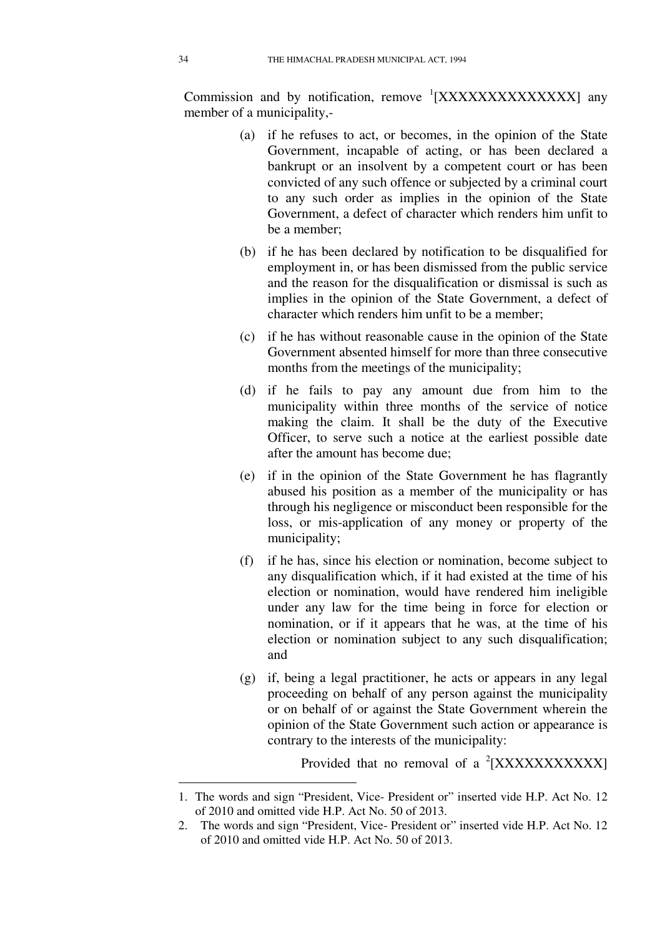Commission and by notification, remove  ${}^{1}[XXXXXXXXXX]$  any member of a municipality,-

- (a) if he refuses to act, or becomes, in the opinion of the State Government, incapable of acting, or has been declared a bankrupt or an insolvent by a competent court or has been convicted of any such offence or subjected by a criminal court to any such order as implies in the opinion of the State Government, a defect of character which renders him unfit to be a member;
- (b) if he has been declared by notification to be disqualified for employment in, or has been dismissed from the public service and the reason for the disqualification or dismissal is such as implies in the opinion of the State Government, a defect of character which renders him unfit to be a member;
- (c) if he has without reasonable cause in the opinion of the State Government absented himself for more than three consecutive months from the meetings of the municipality;
- (d) if he fails to pay any amount due from him to the municipality within three months of the service of notice making the claim. It shall be the duty of the Executive Officer, to serve such a notice at the earliest possible date after the amount has become due;
- (e) if in the opinion of the State Government he has flagrantly abused his position as a member of the municipality or has through his negligence or misconduct been responsible for the loss, or mis-application of any money or property of the municipality;
- (f) if he has, since his election or nomination, become subject to any disqualification which, if it had existed at the time of his election or nomination, would have rendered him ineligible under any law for the time being in force for election or nomination, or if it appears that he was, at the time of his election or nomination subject to any such disqualification; and
- (g) if, being a legal practitioner, he acts or appears in any legal proceeding on behalf of any person against the municipality or on behalf of or against the State Government wherein the opinion of the State Government such action or appearance is contrary to the interests of the municipality:

Provided that no removal of a  $2$ [XXXXXXXXXXX]

<sup>1.</sup> The words and sign "President, Vice- President or" inserted vide H.P. Act No. 12 of 2010 and omitted vide H.P. Act No. 50 of 2013.

<sup>2.</sup> The words and sign "President, Vice- President or" inserted vide H.P. Act No. 12 of 2010 and omitted vide H.P. Act No. 50 of 2013.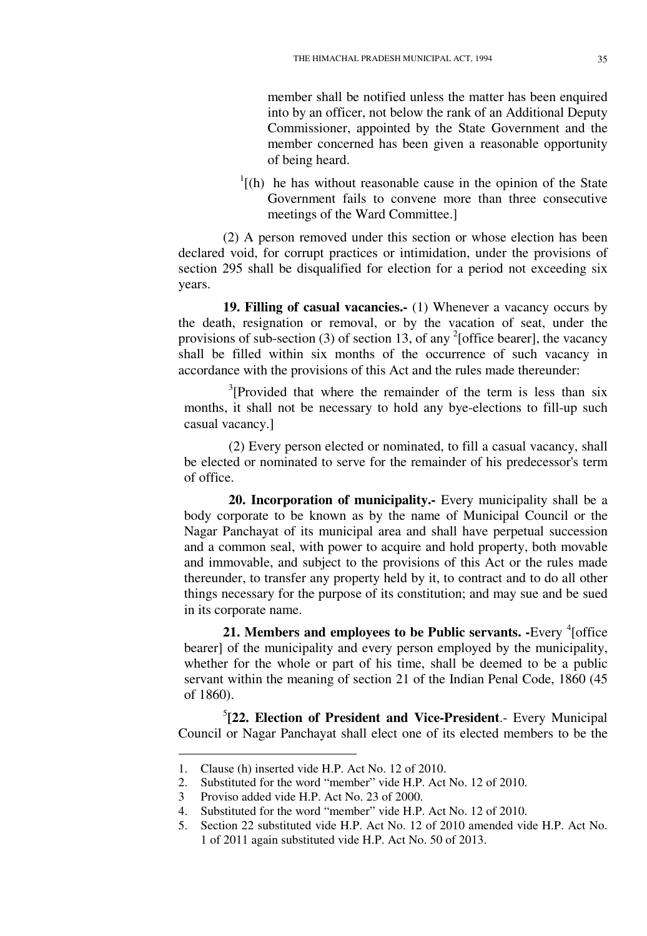member shall be notified unless the matter has been enquired into by an officer, not below the rank of an Additional Deputy Commissioner, appointed by the State Government and the member concerned has been given a reasonable opportunity of being heard.

 $<sup>1</sup>$ [(h) he has without reasonable cause in the opinion of the State</sup> Government fails to convene more than three consecutive meetings of the Ward Committee.]

(2) A person removed under this section or whose election has been declared void, for corrupt practices or intimidation, under the provisions of section 295 shall be disqualified for election for a period not exceeding six years.

**19. Filling of casual vacancies.-** (1) Whenever a vacancy occurs by the death, resignation or removal, or by the vacation of seat, under the provisions of sub-section (3) of section 13, of any  $^{2}$ [office bearer], the vacancy shall be filled within six months of the occurrence of such vacancy in accordance with the provisions of this Act and the rules made thereunder:

 $3$ [Provided that where the remainder of the term is less than six months, it shall not be necessary to hold any bye-elections to fill-up such casual vacancy.]

(2) Every person elected or nominated, to fill a casual vacancy, shall be elected or nominated to serve for the remainder of his predecessor's term of office.

**20. Incorporation of municipality.-** Every municipality shall be a body corporate to be known as by the name of Municipal Council or the Nagar Panchayat of its municipal area and shall have perpetual succession and a common seal, with power to acquire and hold property, both movable and immovable, and subject to the provisions of this Act or the rules made thereunder, to transfer any property held by it, to contract and to do all other things necessary for the purpose of its constitution; and may sue and be sued in its corporate name.

**21. Members and employees to be Public servants.** -Every <sup>4</sup> [office bearer] of the municipality and every person employed by the municipality, whether for the whole or part of his time, shall be deemed to be a public servant within the meaning of section 21 of the Indian Penal Code, 1860 (45) of 1860).

5 **[22. Election of President and Vice-President**.- Every Municipal Council or Nagar Panchayat shall elect one of its elected members to be the

<sup>1.</sup> Clause (h) inserted vide H.P. Act No. 12 of 2010.

<sup>2.</sup> Substituted for the word "member" vide H.P. Act No. 12 of 2010.

<sup>3</sup> Proviso added vide H.P. Act No. 23 of 2000.

<sup>4.</sup> Substituted for the word "member" vide H.P. Act No. 12 of 2010.

<sup>5.</sup> Section 22 substituted vide H.P. Act No. 12 of 2010 amended vide H.P. Act No. 1 of 2011 again substituted vide H.P. Act No. 50 of 2013.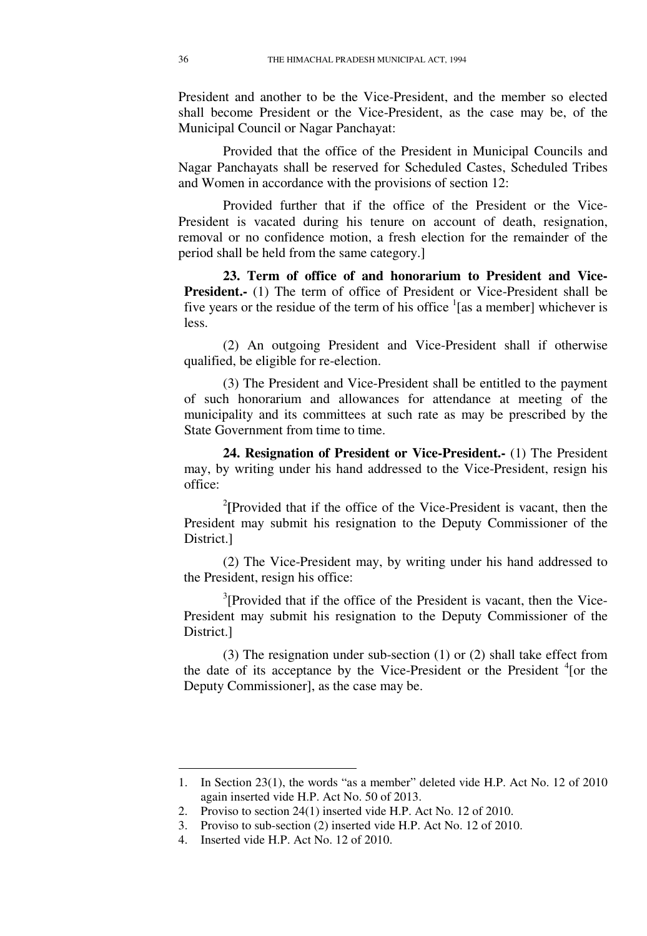President and another to be the Vice-President, and the member so elected shall become President or the Vice-President, as the case may be, of the Municipal Council or Nagar Panchayat:

Provided that the office of the President in Municipal Councils and Nagar Panchayats shall be reserved for Scheduled Castes, Scheduled Tribes and Women in accordance with the provisions of section 12:

Provided further that if the office of the President or the Vice-President is vacated during his tenure on account of death, resignation, removal or no confidence motion, a fresh election for the remainder of the period shall be held from the same category.]

**23. Term of office of and honorarium to President and Vice-President.-** (1) The term of office of President or Vice-President shall be five years or the residue of the term of his office  $\frac{1}{1}$  [as a member] whichever is less.

(2) An outgoing President and Vice-President shall if otherwise qualified, be eligible for re-election.

(3) The President and Vice-President shall be entitled to the payment of such honorarium and allowances for attendance at meeting of the municipality and its committees at such rate as may be prescribed by the State Government from time to time.

**24. Resignation of President or Vice-President.-** (1) The President may, by writing under his hand addressed to the Vice-President, resign his office:

<sup>2</sup>[Provided that if the office of the Vice-President is vacant, then the President may submit his resignation to the Deputy Commissioner of the District.]

(2) The Vice-President may, by writing under his hand addressed to the President, resign his office:

 $3$ [Provided that if the office of the President is vacant, then the Vice-President may submit his resignation to the Deputy Commissioner of the District.]

(3) The resignation under sub-section (1) or (2) shall take effect from the date of its acceptance by the Vice-President or the President  $4$ [or the Deputy Commissioner], as the case may be.

<sup>1.</sup> In Section 23(1), the words "as a member" deleted vide H.P. Act No. 12 of 2010 again inserted vide H.P. Act No. 50 of 2013.

<sup>2.</sup> Proviso to section 24(1) inserted vide H.P. Act No. 12 of 2010.

<sup>3.</sup> Proviso to sub-section (2) inserted vide H.P. Act No. 12 of 2010.

<sup>4.</sup> Inserted vide H.P. Act No. 12 of 2010.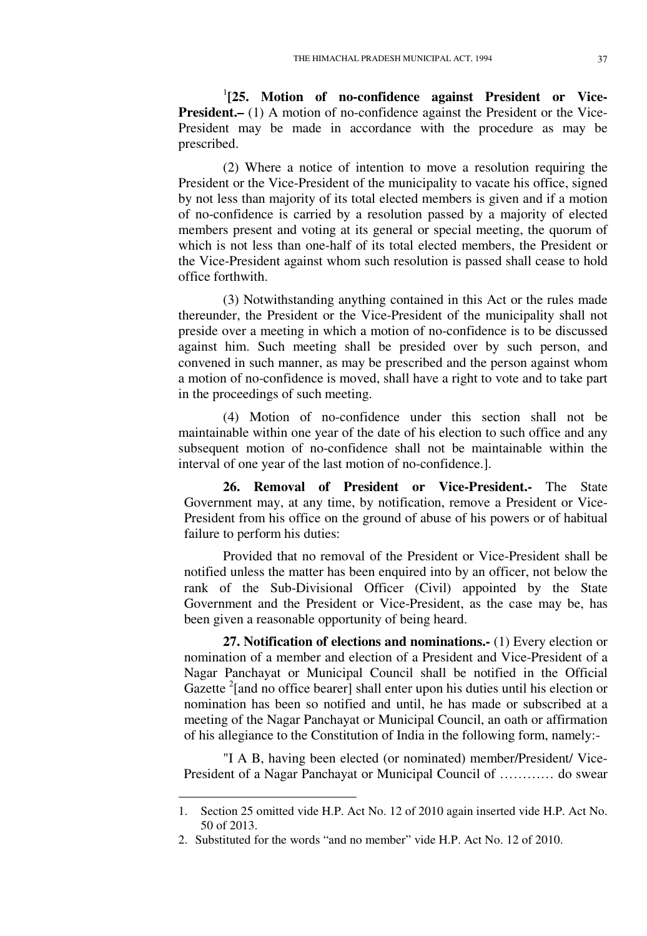<sup>1</sup>[25. Motion of no-confidence against President or Vice-**President.**– (1) A motion of no-confidence against the President or the Vice-President may be made in accordance with the procedure as may be prescribed.

(2) Where a notice of intention to move a resolution requiring the President or the Vice-President of the municipality to vacate his office, signed by not less than majority of its total elected members is given and if a motion of no-confidence is carried by a resolution passed by a majority of elected members present and voting at its general or special meeting, the quorum of which is not less than one-half of its total elected members, the President or the Vice-President against whom such resolution is passed shall cease to hold office forthwith.

(3) Notwithstanding anything contained in this Act or the rules made thereunder, the President or the Vice-President of the municipality shall not preside over a meeting in which a motion of no-confidence is to be discussed against him. Such meeting shall be presided over by such person, and convened in such manner, as may be prescribed and the person against whom a motion of no-confidence is moved, shall have a right to vote and to take part in the proceedings of such meeting.

(4) Motion of no-confidence under this section shall not be maintainable within one year of the date of his election to such office and any subsequent motion of no-confidence shall not be maintainable within the interval of one year of the last motion of no-confidence.].

**26. Removal of President or Vice-President.-** The State Government may, at any time, by notification, remove a President or Vice-President from his office on the ground of abuse of his powers or of habitual failure to perform his duties:

Provided that no removal of the President or Vice-President shall be notified unless the matter has been enquired into by an officer, not below the rank of the Sub-Divisional Officer (Civil) appointed by the State Government and the President or Vice-President, as the case may be, has been given a reasonable opportunity of being heard.

**27. Notification of elections and nominations.-** (1) Every election or nomination of a member and election of a President and Vice-President of a Nagar Panchayat or Municipal Council shall be notified in the Official Gazette <sup>2</sup>[and no office bearer] shall enter upon his duties until his election or nomination has been so notified and until, he has made or subscribed at a meeting of the Nagar Panchayat or Municipal Council, an oath or affirmation of his allegiance to the Constitution of India in the following form, namely:-

"I A B, having been elected (or nominated) member/President/ Vice-President of a Nagar Panchayat or Municipal Council of ………… do swear

<u>.</u>

<sup>1.</sup> Section 25 omitted vide H.P. Act No. 12 of 2010 again inserted vide H.P. Act No. 50 of 2013.

<sup>2.</sup> Substituted for the words "and no member" vide H.P. Act No. 12 of 2010.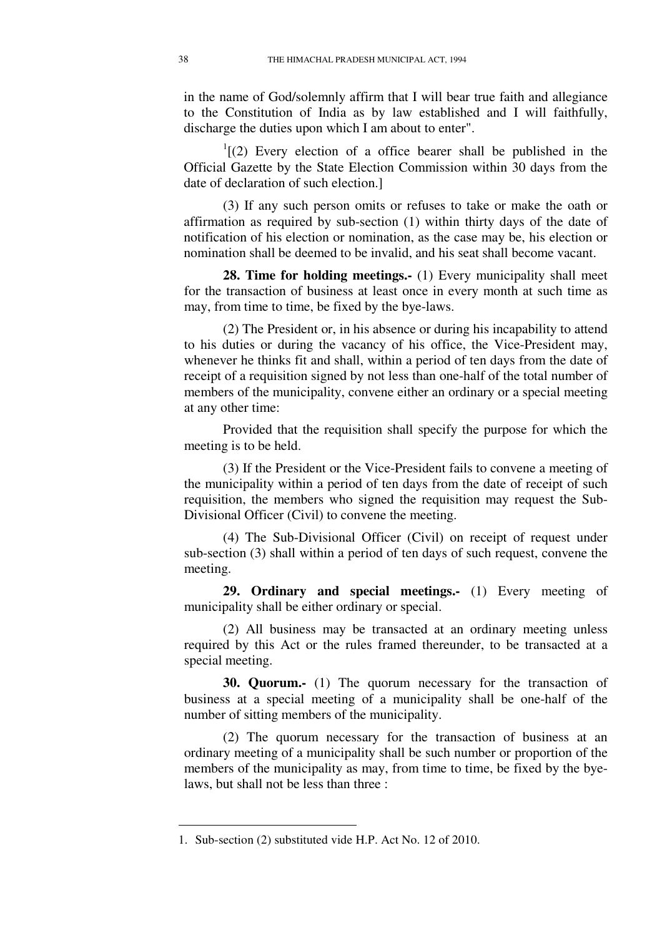in the name of God/solemnly affirm that I will bear true faith and allegiance to the Constitution of India as by law established and I will faithfully, discharge the duties upon which I am about to enter".

 $I(2)$  Every election of a office bearer shall be published in the Official Gazette by the State Election Commission within 30 days from the date of declaration of such election.]

(3) If any such person omits or refuses to take or make the oath or affirmation as required by sub-section (1) within thirty days of the date of notification of his election or nomination, as the case may be, his election or nomination shall be deemed to be invalid, and his seat shall become vacant.

**28. Time for holding meetings.-** (1) Every municipality shall meet for the transaction of business at least once in every month at such time as may, from time to time, be fixed by the bye-laws.

(2) The President or, in his absence or during his incapability to attend to his duties or during the vacancy of his office, the Vice-President may, whenever he thinks fit and shall, within a period of ten days from the date of receipt of a requisition signed by not less than one-half of the total number of members of the municipality, convene either an ordinary or a special meeting at any other time:

Provided that the requisition shall specify the purpose for which the meeting is to be held.

(3) If the President or the Vice-President fails to convene a meeting of the municipality within a period of ten days from the date of receipt of such requisition, the members who signed the requisition may request the Sub-Divisional Officer (Civil) to convene the meeting.

(4) The Sub-Divisional Officer (Civil) on receipt of request under sub-section (3) shall within a period of ten days of such request, convene the meeting.

**29. Ordinary and special meetings.-** (1) Every meeting of municipality shall be either ordinary or special.

(2) All business may be transacted at an ordinary meeting unless required by this Act or the rules framed thereunder, to be transacted at a special meeting.

**30. Quorum.-** (1) The quorum necessary for the transaction of business at a special meeting of a municipality shall be one-half of the number of sitting members of the municipality.

(2) The quorum necessary for the transaction of business at an ordinary meeting of a municipality shall be such number or proportion of the members of the municipality as may, from time to time, be fixed by the byelaws, but shall not be less than three :

<u>.</u>

<sup>1.</sup> Sub-section (2) substituted vide H.P. Act No. 12 of 2010.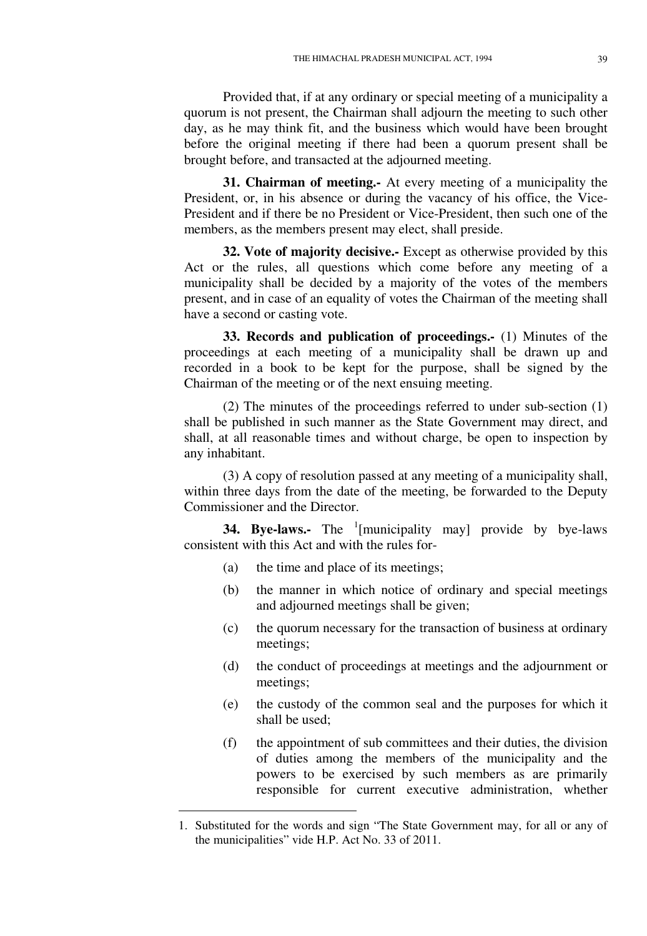Provided that, if at any ordinary or special meeting of a municipality a quorum is not present, the Chairman shall adjourn the meeting to such other day, as he may think fit, and the business which would have been brought before the original meeting if there had been a quorum present shall be brought before, and transacted at the adjourned meeting.

**31. Chairman of meeting.-** At every meeting of a municipality the President, or, in his absence or during the vacancy of his office, the Vice-President and if there be no President or Vice-President, then such one of the members, as the members present may elect, shall preside.

**32. Vote of majority decisive.-** Except as otherwise provided by this Act or the rules, all questions which come before any meeting of a municipality shall be decided by a majority of the votes of the members present, and in case of an equality of votes the Chairman of the meeting shall have a second or casting vote.

**33. Records and publication of proceedings.-** (1) Minutes of the proceedings at each meeting of a municipality shall be drawn up and recorded in a book to be kept for the purpose, shall be signed by the Chairman of the meeting or of the next ensuing meeting.

(2) The minutes of the proceedings referred to under sub-section (1) shall be published in such manner as the State Government may direct, and shall, at all reasonable times and without charge, be open to inspection by any inhabitant.

(3) A copy of resolution passed at any meeting of a municipality shall, within three days from the date of the meeting, be forwarded to the Deputy Commissioner and the Director.

**34. Bye-laws.-** The <sup>1</sup>[municipality may] provide by bye-laws consistent with this Act and with the rules for-

(a) the time and place of its meetings;

-

- (b) the manner in which notice of ordinary and special meetings and adjourned meetings shall be given;
- (c) the quorum necessary for the transaction of business at ordinary meetings;
- (d) the conduct of proceedings at meetings and the adjournment or meetings;
- (e) the custody of the common seal and the purposes for which it shall be used;
- (f) the appointment of sub committees and their duties, the division of duties among the members of the municipality and the powers to be exercised by such members as are primarily responsible for current executive administration, whether

<sup>1.</sup> Substituted for the words and sign "The State Government may, for all or any of the municipalities" vide H.P. Act No. 33 of 2011.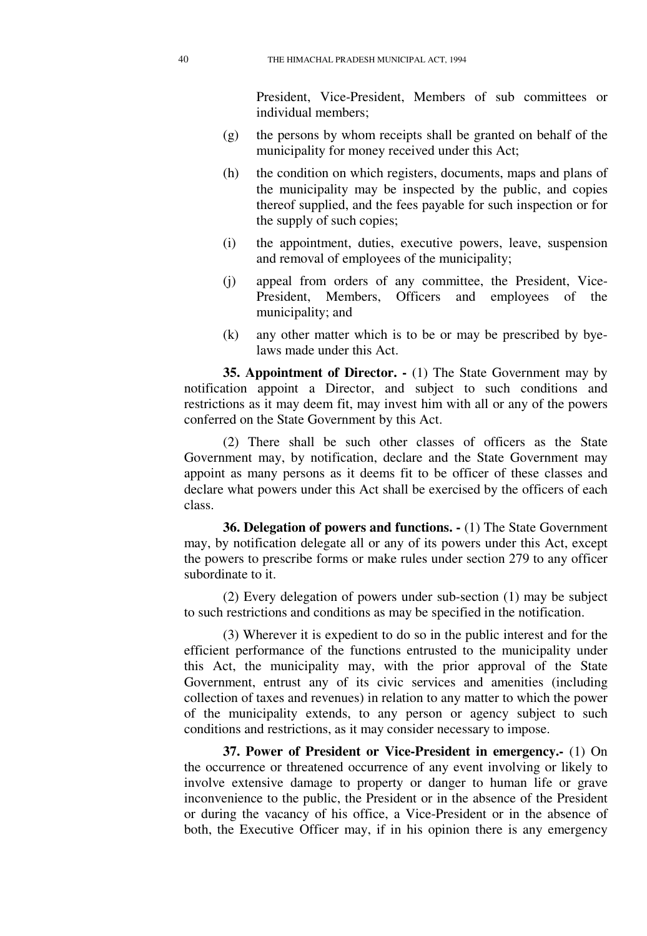President, Vice-President, Members of sub committees or individual members;

- (g) the persons by whom receipts shall be granted on behalf of the municipality for money received under this Act;
- (h) the condition on which registers, documents, maps and plans of the municipality may be inspected by the public, and copies thereof supplied, and the fees payable for such inspection or for the supply of such copies;
- (i) the appointment, duties, executive powers, leave, suspension and removal of employees of the municipality;
- (j) appeal from orders of any committee, the President, Vice-President, Members, Officers and employees of the municipality; and
- (k) any other matter which is to be or may be prescribed by byelaws made under this Act.

**35. Appointment of Director. -** (1) The State Government may by notification appoint a Director, and subject to such conditions and restrictions as it may deem fit, may invest him with all or any of the powers conferred on the State Government by this Act.

(2) There shall be such other classes of officers as the State Government may, by notification, declare and the State Government may appoint as many persons as it deems fit to be officer of these classes and declare what powers under this Act shall be exercised by the officers of each class.

**36. Delegation of powers and functions.**  $\cdot$  (1) The State Government may, by notification delegate all or any of its powers under this Act, except the powers to prescribe forms or make rules under section 279 to any officer subordinate to it.

(2) Every delegation of powers under sub-section (1) may be subject to such restrictions and conditions as may be specified in the notification.

(3) Wherever it is expedient to do so in the public interest and for the efficient performance of the functions entrusted to the municipality under this Act, the municipality may, with the prior approval of the State Government, entrust any of its civic services and amenities (including collection of taxes and revenues) in relation to any matter to which the power of the municipality extends, to any person or agency subject to such conditions and restrictions, as it may consider necessary to impose.

**37. Power of President or Vice-President in emergency.-** (1) On the occurrence or threatened occurrence of any event involving or likely to involve extensive damage to property or danger to human life or grave inconvenience to the public, the President or in the absence of the President or during the vacancy of his office, a Vice-President or in the absence of both, the Executive Officer may, if in his opinion there is any emergency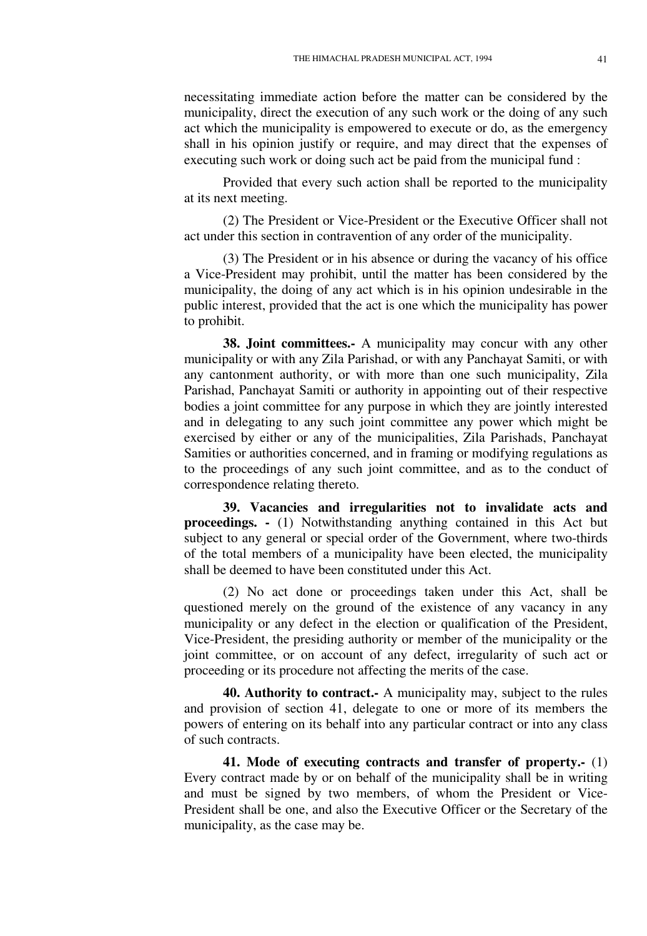necessitating immediate action before the matter can be considered by the municipality, direct the execution of any such work or the doing of any such act which the municipality is empowered to execute or do, as the emergency shall in his opinion justify or require, and may direct that the expenses of executing such work or doing such act be paid from the municipal fund :

Provided that every such action shall be reported to the municipality at its next meeting.

(2) The President or Vice-President or the Executive Officer shall not act under this section in contravention of any order of the municipality.

(3) The President or in his absence or during the vacancy of his office a Vice-President may prohibit, until the matter has been considered by the municipality, the doing of any act which is in his opinion undesirable in the public interest, provided that the act is one which the municipality has power to prohibit.

**38. Joint committees.-** A municipality may concur with any other municipality or with any Zila Parishad, or with any Panchayat Samiti, or with any cantonment authority, or with more than one such municipality, Zila Parishad, Panchayat Samiti or authority in appointing out of their respective bodies a joint committee for any purpose in which they are jointly interested and in delegating to any such joint committee any power which might be exercised by either or any of the municipalities, Zila Parishads, Panchayat Samities or authorities concerned, and in framing or modifying regulations as to the proceedings of any such joint committee, and as to the conduct of correspondence relating thereto.

**39. Vacancies and irregularities not to invalidate acts and proceedings. -** (1) Notwithstanding anything contained in this Act but subject to any general or special order of the Government, where two-thirds of the total members of a municipality have been elected, the municipality shall be deemed to have been constituted under this Act.

(2) No act done or proceedings taken under this Act, shall be questioned merely on the ground of the existence of any vacancy in any municipality or any defect in the election or qualification of the President, Vice-President, the presiding authority or member of the municipality or the joint committee, or on account of any defect, irregularity of such act or proceeding or its procedure not affecting the merits of the case.

**40. Authority to contract.-** A municipality may, subject to the rules and provision of section 41, delegate to one or more of its members the powers of entering on its behalf into any particular contract or into any class of such contracts.

**41. Mode of executing contracts and transfer of property.-** (1) Every contract made by or on behalf of the municipality shall be in writing and must be signed by two members, of whom the President or Vice-President shall be one, and also the Executive Officer or the Secretary of the municipality, as the case may be.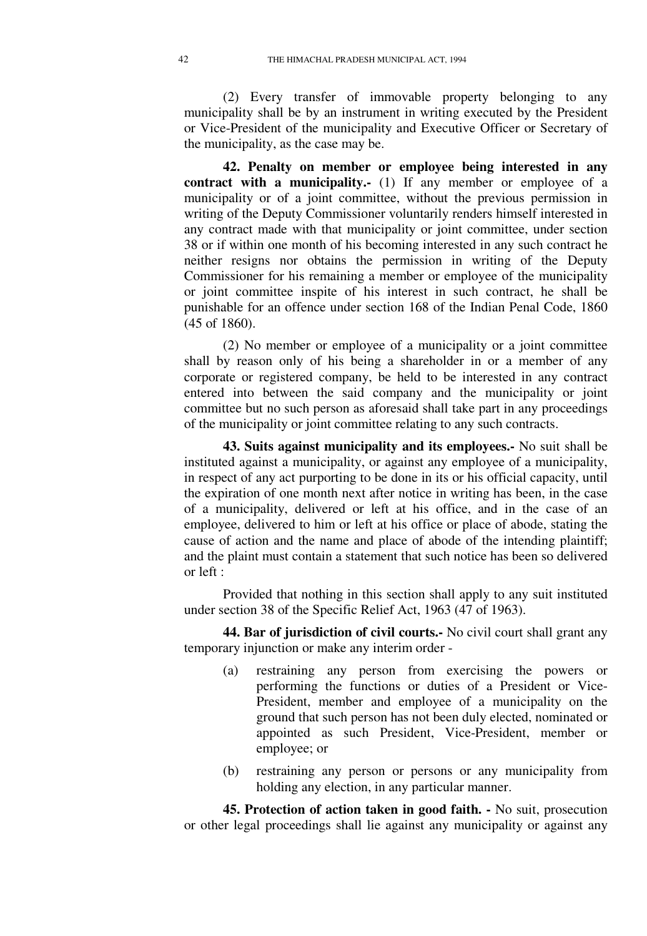(2) Every transfer of immovable property belonging to any municipality shall be by an instrument in writing executed by the President or Vice-President of the municipality and Executive Officer or Secretary of the municipality, as the case may be.

**42. Penalty on member or employee being interested in any contract with a municipality.-** (1) If any member or employee of a municipality or of a joint committee, without the previous permission in writing of the Deputy Commissioner voluntarily renders himself interested in any contract made with that municipality or joint committee, under section 38 or if within one month of his becoming interested in any such contract he neither resigns nor obtains the permission in writing of the Deputy Commissioner for his remaining a member or employee of the municipality or joint committee inspite of his interest in such contract, he shall be punishable for an offence under section 168 of the Indian Penal Code, 1860 (45 of 1860).

(2) No member or employee of a municipality or a joint committee shall by reason only of his being a shareholder in or a member of any corporate or registered company, be held to be interested in any contract entered into between the said company and the municipality or joint committee but no such person as aforesaid shall take part in any proceedings of the municipality or joint committee relating to any such contracts.

**43. Suits against municipality and its employees.-** No suit shall be instituted against a municipality, or against any employee of a municipality, in respect of any act purporting to be done in its or his official capacity, until the expiration of one month next after notice in writing has been, in the case of a municipality, delivered or left at his office, and in the case of an employee, delivered to him or left at his office or place of abode, stating the cause of action and the name and place of abode of the intending plaintiff; and the plaint must contain a statement that such notice has been so delivered or left :

Provided that nothing in this section shall apply to any suit instituted under section 38 of the Specific Relief Act, 1963 (47 of 1963).

**44. Bar of jurisdiction of civil courts.-** No civil court shall grant any temporary injunction or make any interim order -

- (a) restraining any person from exercising the powers or performing the functions or duties of a President or Vice-President, member and employee of a municipality on the ground that such person has not been duly elected, nominated or appointed as such President, Vice-President, member or employee; or
- (b) restraining any person or persons or any municipality from holding any election, in any particular manner.

**45. Protection of action taken in good faith. -** No suit, prosecution or other legal proceedings shall lie against any municipality or against any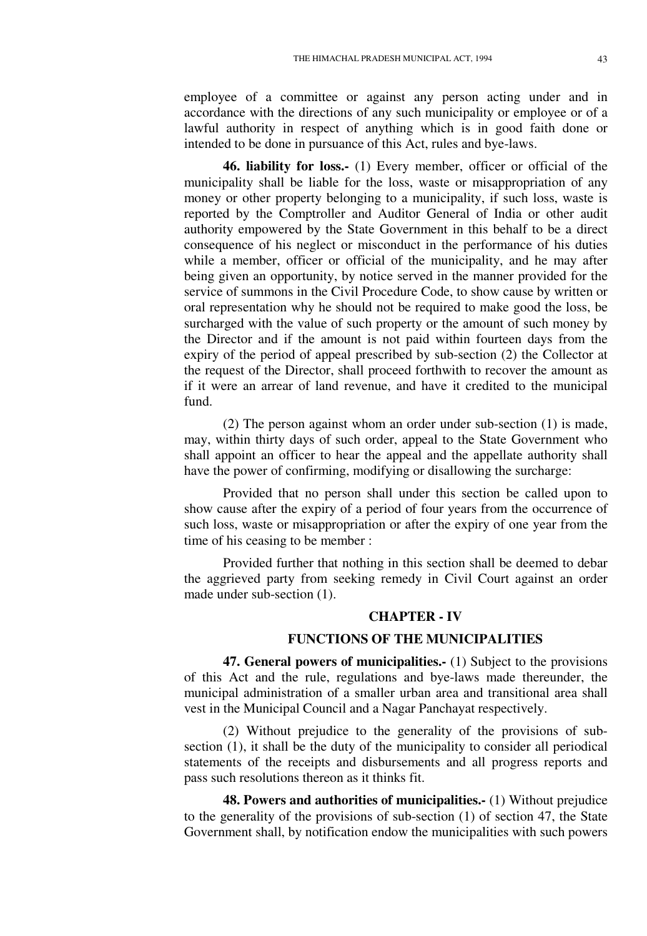employee of a committee or against any person acting under and in accordance with the directions of any such municipality or employee or of a lawful authority in respect of anything which is in good faith done or intended to be done in pursuance of this Act, rules and bye-laws.

**46. liability for loss.-** (1) Every member, officer or official of the municipality shall be liable for the loss, waste or misappropriation of any money or other property belonging to a municipality, if such loss, waste is reported by the Comptroller and Auditor General of India or other audit authority empowered by the State Government in this behalf to be a direct consequence of his neglect or misconduct in the performance of his duties while a member, officer or official of the municipality, and he may after being given an opportunity, by notice served in the manner provided for the service of summons in the Civil Procedure Code, to show cause by written or oral representation why he should not be required to make good the loss, be surcharged with the value of such property or the amount of such money by the Director and if the amount is not paid within fourteen days from the expiry of the period of appeal prescribed by sub-section (2) the Collector at the request of the Director, shall proceed forthwith to recover the amount as if it were an arrear of land revenue, and have it credited to the municipal fund.

(2) The person against whom an order under sub-section (1) is made, may, within thirty days of such order, appeal to the State Government who shall appoint an officer to hear the appeal and the appellate authority shall have the power of confirming, modifying or disallowing the surcharge:

Provided that no person shall under this section be called upon to show cause after the expiry of a period of four years from the occurrence of such loss, waste or misappropriation or after the expiry of one year from the time of his ceasing to be member :

Provided further that nothing in this section shall be deemed to debar the aggrieved party from seeking remedy in Civil Court against an order made under sub-section (1).

### **CHAPTER - IV**

#### **FUNCTIONS OF THE MUNICIPALITIES**

**47. General powers of municipalities.-** (1) Subject to the provisions of this Act and the rule, regulations and bye-laws made thereunder, the municipal administration of a smaller urban area and transitional area shall vest in the Municipal Council and a Nagar Panchayat respectively.

(2) Without prejudice to the generality of the provisions of subsection (1), it shall be the duty of the municipality to consider all periodical statements of the receipts and disbursements and all progress reports and pass such resolutions thereon as it thinks fit.

**48. Powers and authorities of municipalities.-** (1) Without prejudice to the generality of the provisions of sub-section (1) of section 47, the State Government shall, by notification endow the municipalities with such powers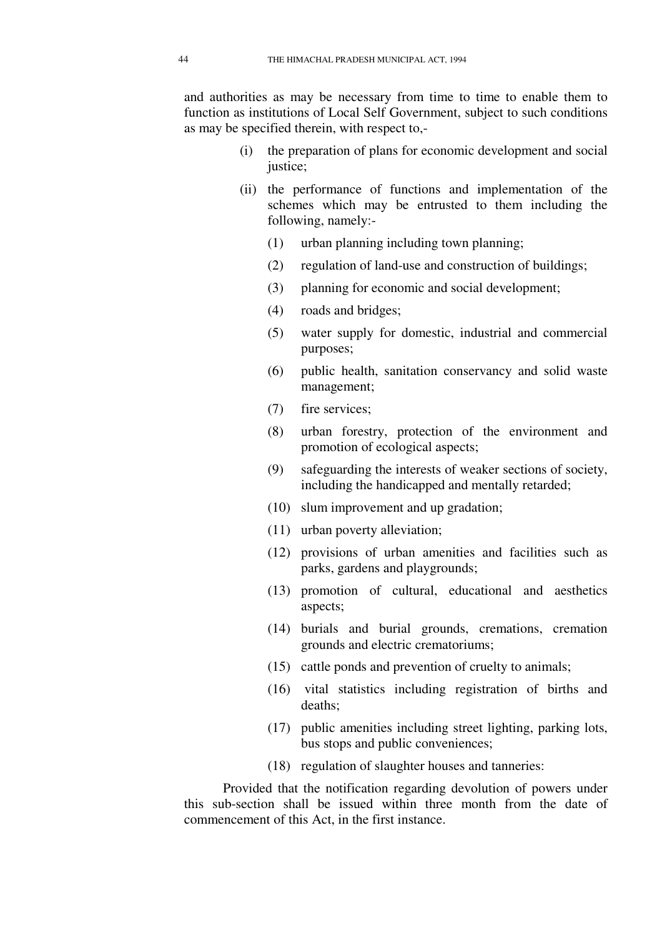and authorities as may be necessary from time to time to enable them to function as institutions of Local Self Government, subject to such conditions as may be specified therein, with respect to,-

- (i) the preparation of plans for economic development and social justice;
- (ii) the performance of functions and implementation of the schemes which may be entrusted to them including the following, namely:-
	- (1) urban planning including town planning;
	- (2) regulation of land-use and construction of buildings;
	- (3) planning for economic and social development;
	- (4) roads and bridges;
	- (5) water supply for domestic, industrial and commercial purposes;
	- (6) public health, sanitation conservancy and solid waste management;
	- (7) fire services;
	- (8) urban forestry, protection of the environment and promotion of ecological aspects;
	- (9) safeguarding the interests of weaker sections of society, including the handicapped and mentally retarded;
	- (10) slum improvement and up gradation;
	- (11) urban poverty alleviation;
	- (12) provisions of urban amenities and facilities such as parks, gardens and playgrounds;
	- (13) promotion of cultural, educational and aesthetics aspects;
	- (14) burials and burial grounds, cremations, cremation grounds and electric crematoriums;
	- (15) cattle ponds and prevention of cruelty to animals;
	- (16) vital statistics including registration of births and deaths;
	- (17) public amenities including street lighting, parking lots, bus stops and public conveniences;
	- (18) regulation of slaughter houses and tanneries:

Provided that the notification regarding devolution of powers under this sub-section shall be issued within three month from the date of commencement of this Act, in the first instance.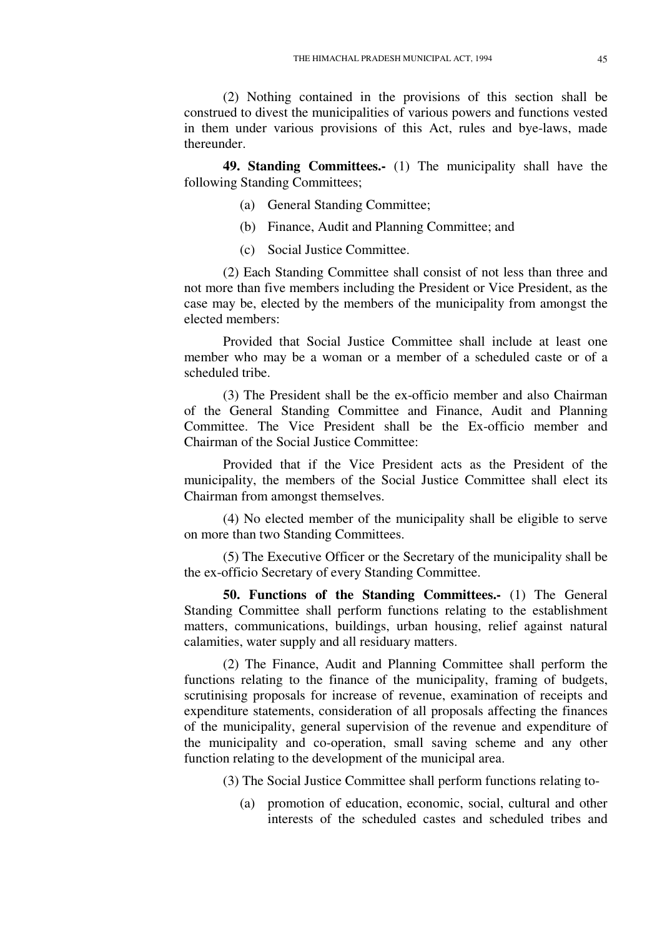(2) Nothing contained in the provisions of this section shall be construed to divest the municipalities of various powers and functions vested in them under various provisions of this Act, rules and bye-laws, made thereunder.

**49. Standing Committees.-** (1) The municipality shall have the following Standing Committees;

- (a) General Standing Committee;
- (b) Finance, Audit and Planning Committee; and
- (c) Social Justice Committee.

(2) Each Standing Committee shall consist of not less than three and not more than five members including the President or Vice President, as the case may be, elected by the members of the municipality from amongst the elected members:

Provided that Social Justice Committee shall include at least one member who may be a woman or a member of a scheduled caste or of a scheduled tribe.

(3) The President shall be the ex-officio member and also Chairman of the General Standing Committee and Finance, Audit and Planning Committee. The Vice President shall be the Ex-officio member and Chairman of the Social Justice Committee:

Provided that if the Vice President acts as the President of the municipality, the members of the Social Justice Committee shall elect its Chairman from amongst themselves.

(4) No elected member of the municipality shall be eligible to serve on more than two Standing Committees.

(5) The Executive Officer or the Secretary of the municipality shall be the ex-officio Secretary of every Standing Committee.

**50. Functions of the Standing Committees.-** (1) The General Standing Committee shall perform functions relating to the establishment matters, communications, buildings, urban housing, relief against natural calamities, water supply and all residuary matters.

(2) The Finance, Audit and Planning Committee shall perform the functions relating to the finance of the municipality, framing of budgets, scrutinising proposals for increase of revenue, examination of receipts and expenditure statements, consideration of all proposals affecting the finances of the municipality, general supervision of the revenue and expenditure of the municipality and co-operation, small saving scheme and any other function relating to the development of the municipal area.

(3) The Social Justice Committee shall perform functions relating to-

(a) promotion of education, economic, social, cultural and other interests of the scheduled castes and scheduled tribes and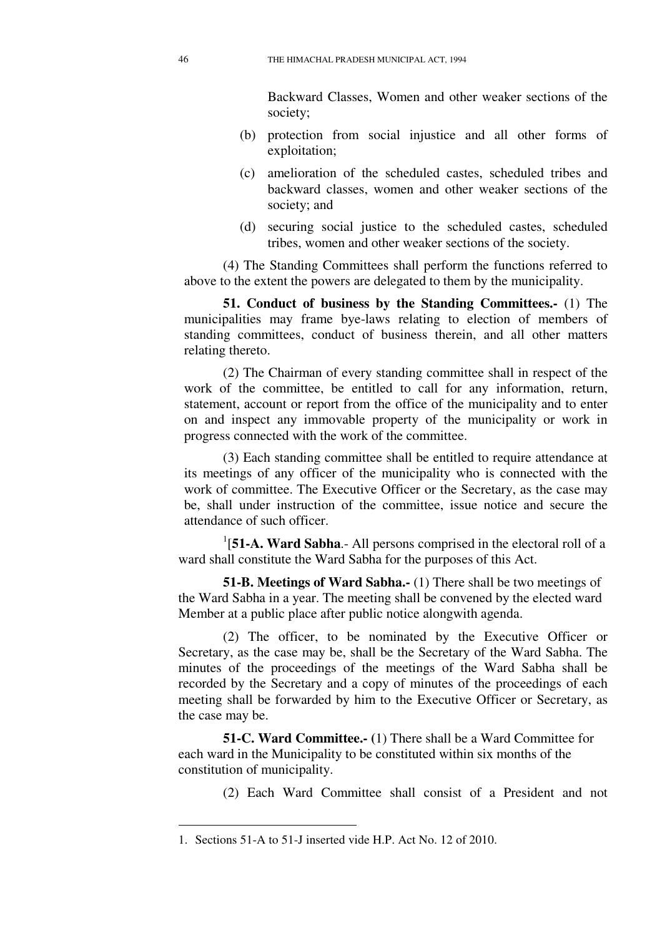Backward Classes, Women and other weaker sections of the society;

- (b) protection from social injustice and all other forms of exploitation;
- (c) amelioration of the scheduled castes, scheduled tribes and backward classes, women and other weaker sections of the society; and
- (d) securing social justice to the scheduled castes, scheduled tribes, women and other weaker sections of the society.

(4) The Standing Committees shall perform the functions referred to above to the extent the powers are delegated to them by the municipality.

**51. Conduct of business by the Standing Committees.-** (1) The municipalities may frame bye-laws relating to election of members of standing committees, conduct of business therein, and all other matters relating thereto.

(2) The Chairman of every standing committee shall in respect of the work of the committee, be entitled to call for any information, return, statement, account or report from the office of the municipality and to enter on and inspect any immovable property of the municipality or work in progress connected with the work of the committee.

(3) Each standing committee shall be entitled to require attendance at its meetings of any officer of the municipality who is connected with the work of committee. The Executive Officer or the Secretary, as the case may be, shall under instruction of the committee, issue notice and secure the attendance of such officer.

<sup>1</sup>[51-A. Ward Sabha.- All persons comprised in the electoral roll of a ward shall constitute the Ward Sabha for the purposes of this Act.

**51-B. Meetings of Ward Sabha.-** (1) There shall be two meetings of the Ward Sabha in a year. The meeting shall be convened by the elected ward Member at a public place after public notice alongwith agenda.

(2) The officer, to be nominated by the Executive Officer or Secretary, as the case may be, shall be the Secretary of the Ward Sabha. The minutes of the proceedings of the meetings of the Ward Sabha shall be recorded by the Secretary and a copy of minutes of the proceedings of each meeting shall be forwarded by him to the Executive Officer or Secretary, as the case may be.

**51-C. Ward Committee.- (**1) There shall be a Ward Committee for each ward in the Municipality to be constituted within six months of the constitution of municipality.

(2) Each Ward Committee shall consist of a President and not

<u>.</u>

<sup>1.</sup> Sections 51-A to 51-J inserted vide H.P. Act No. 12 of 2010.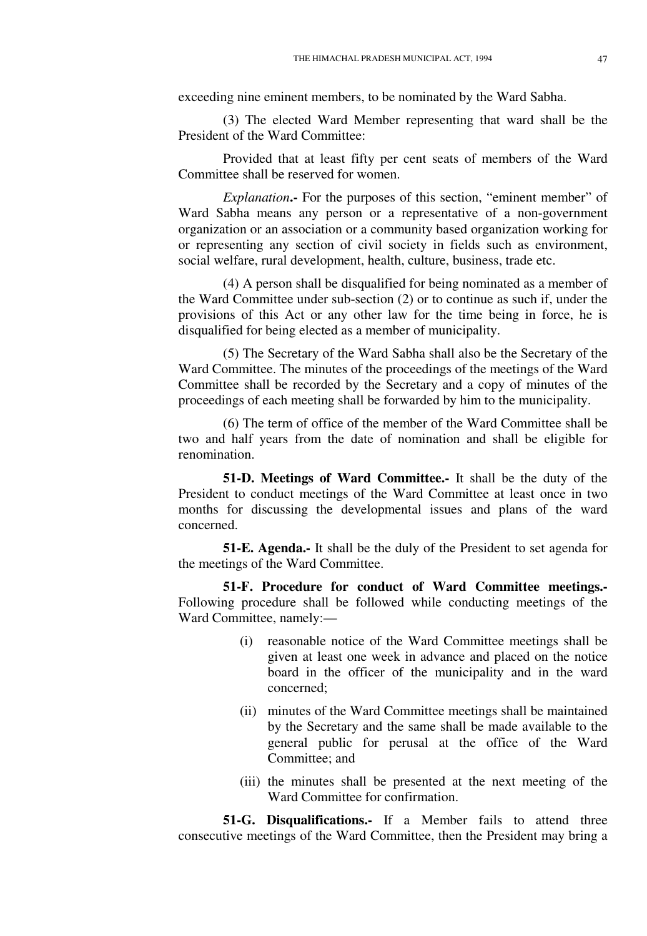exceeding nine eminent members, to be nominated by the Ward Sabha.

(3) The elected Ward Member representing that ward shall be the President of the Ward Committee:

Provided that at least fifty per cent seats of members of the Ward Committee shall be reserved for women.

*Explanation***.-** For the purposes of this section, "eminent member" of Ward Sabha means any person or a representative of a non-government organization or an association or a community based organization working for or representing any section of civil society in fields such as environment, social welfare, rural development, health, culture, business, trade etc.

(4) A person shall be disqualified for being nominated as a member of the Ward Committee under sub-section (2) or to continue as such if, under the provisions of this Act or any other law for the time being in force, he is disqualified for being elected as a member of municipality.

(5) The Secretary of the Ward Sabha shall also be the Secretary of the Ward Committee. The minutes of the proceedings of the meetings of the Ward Committee shall be recorded by the Secretary and a copy of minutes of the proceedings of each meeting shall be forwarded by him to the municipality.

(6) The term of office of the member of the Ward Committee shall be two and half years from the date of nomination and shall be eligible for renomination.

**51-D. Meetings of Ward Committee.-** It shall be the duty of the President to conduct meetings of the Ward Committee at least once in two months for discussing the developmental issues and plans of the ward concerned.

**51-E. Agenda.-** It shall be the duly of the President to set agenda for the meetings of the Ward Committee.

**51-F. Procedure for conduct of Ward Committee meetings.-**  Following procedure shall be followed while conducting meetings of the Ward Committee, namely:—

- (i) reasonable notice of the Ward Committee meetings shall be given at least one week in advance and placed on the notice board in the officer of the municipality and in the ward concerned;
- (ii) minutes of the Ward Committee meetings shall be maintained by the Secretary and the same shall be made available to the general public for perusal at the office of the Ward Committee; and
- (iii) the minutes shall be presented at the next meeting of the Ward Committee for confirmation.

**51-G. Disqualifications.-** If a Member fails to attend three consecutive meetings of the Ward Committee, then the President may bring a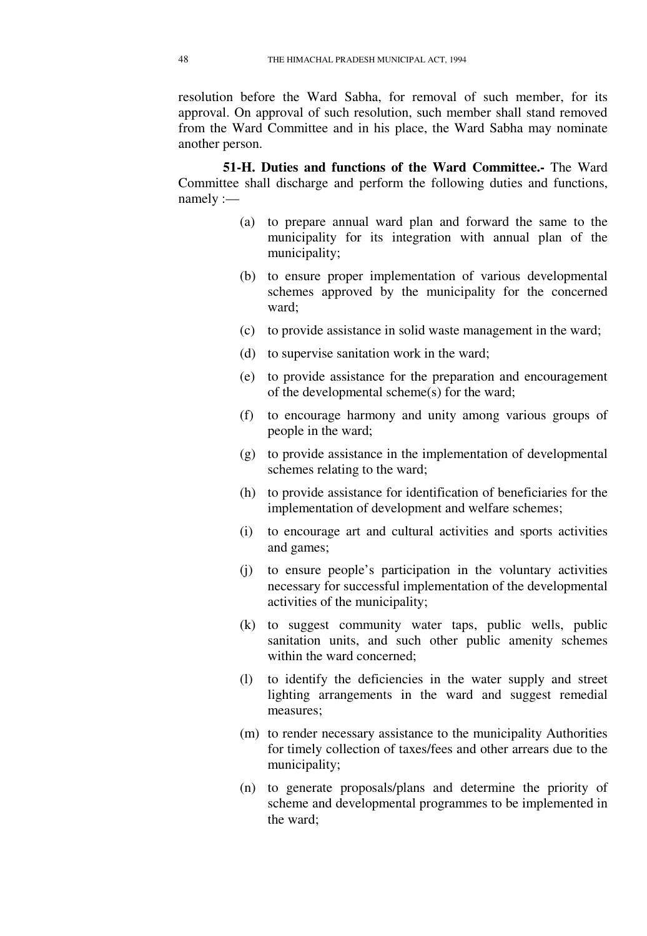resolution before the Ward Sabha, for removal of such member, for its approval. On approval of such resolution, such member shall stand removed from the Ward Committee and in his place, the Ward Sabha may nominate another person.

**51-H. Duties and functions of the Ward Committee.-** The Ward Committee shall discharge and perform the following duties and functions, namely :—

- (a) to prepare annual ward plan and forward the same to the municipality for its integration with annual plan of the municipality;
- (b) to ensure proper implementation of various developmental schemes approved by the municipality for the concerned ward;
- (c) to provide assistance in solid waste management in the ward;
- (d) to supervise sanitation work in the ward;
- (e) to provide assistance for the preparation and encouragement of the developmental scheme(s) for the ward;
- (f) to encourage harmony and unity among various groups of people in the ward;
- (g) to provide assistance in the implementation of developmental schemes relating to the ward;
- (h) to provide assistance for identification of beneficiaries for the implementation of development and welfare schemes;
- (i) to encourage art and cultural activities and sports activities and games;
- (j) to ensure people's participation in the voluntary activities necessary for successful implementation of the developmental activities of the municipality;
- (k) to suggest community water taps, public wells, public sanitation units, and such other public amenity schemes within the ward concerned;
- (l) to identify the deficiencies in the water supply and street lighting arrangements in the ward and suggest remedial measures;
- (m) to render necessary assistance to the municipality Authorities for timely collection of taxes/fees and other arrears due to the municipality;
- (n) to generate proposals/plans and determine the priority of scheme and developmental programmes to be implemented in the ward;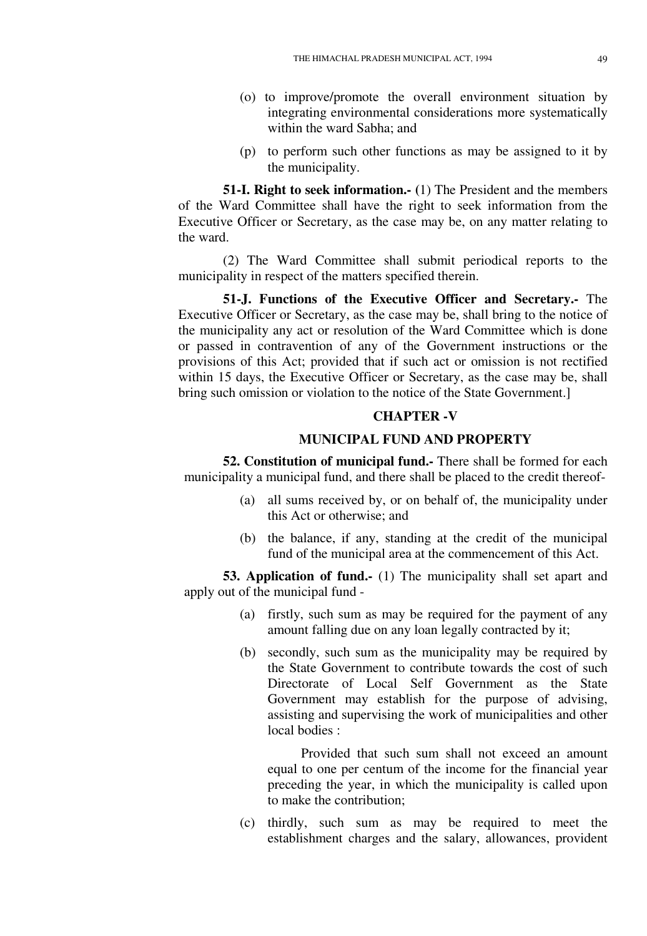- (o) to improve/promote the overall environment situation by integrating environmental considerations more systematically within the ward Sabha; and
- (p) to perform such other functions as may be assigned to it by the municipality.

**51-I. Right to seek information.- (**1) The President and the members of the Ward Committee shall have the right to seek information from the Executive Officer or Secretary, as the case may be, on any matter relating to the ward.

(2) The Ward Committee shall submit periodical reports to the municipality in respect of the matters specified therein.

**51-J. Functions of the Executive Officer and Secretary.-** The Executive Officer or Secretary, as the case may be, shall bring to the notice of the municipality any act or resolution of the Ward Committee which is done or passed in contravention of any of the Government instructions or the provisions of this Act; provided that if such act or omission is not rectified within 15 days, the Executive Officer or Secretary, as the case may be, shall bring such omission or violation to the notice of the State Government.]

## **CHAPTER -V**

#### **MUNICIPAL FUND AND PROPERTY**

**52. Constitution of municipal fund.-** There shall be formed for each municipality a municipal fund, and there shall be placed to the credit thereof-

- (a) all sums received by, or on behalf of, the municipality under this Act or otherwise; and
- (b) the balance, if any, standing at the credit of the municipal fund of the municipal area at the commencement of this Act.

**53. Application of fund.-** (1) The municipality shall set apart and apply out of the municipal fund -

- (a) firstly, such sum as may be required for the payment of any amount falling due on any loan legally contracted by it;
- (b) secondly, such sum as the municipality may be required by the State Government to contribute towards the cost of such Directorate of Local Self Government as the State Government may establish for the purpose of advising, assisting and supervising the work of municipalities and other local bodies :

Provided that such sum shall not exceed an amount equal to one per centum of the income for the financial year preceding the year, in which the municipality is called upon to make the contribution;

(c) thirdly, such sum as may be required to meet the establishment charges and the salary, allowances, provident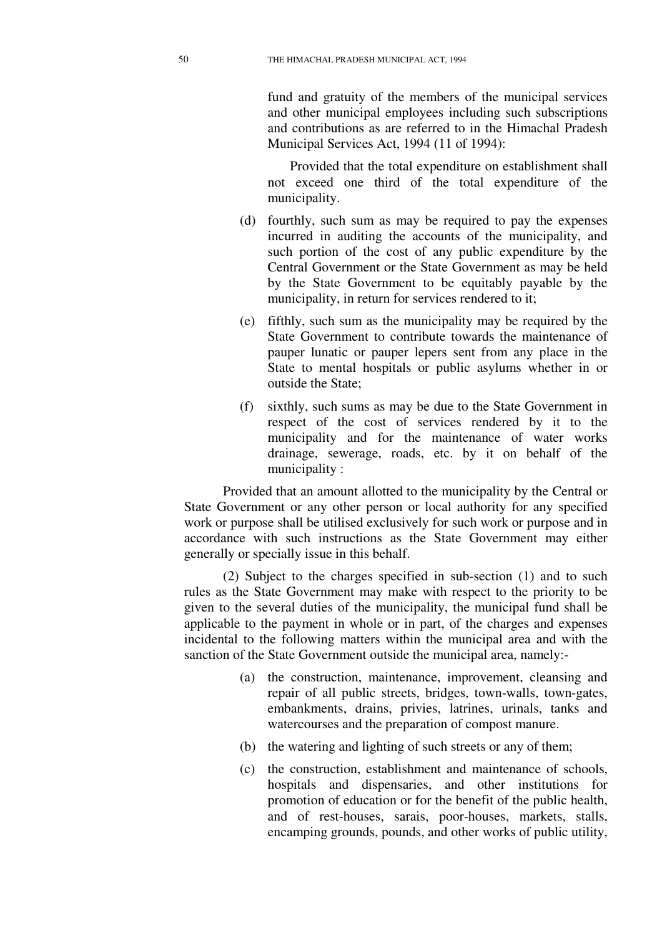fund and gratuity of the members of the municipal services and other municipal employees including such subscriptions and contributions as are referred to in the Himachal Pradesh Municipal Services Act, 1994 (11 of 1994):

Provided that the total expenditure on establishment shall not exceed one third of the total expenditure of the municipality.

- (d) fourthly, such sum as may be required to pay the expenses incurred in auditing the accounts of the municipality, and such portion of the cost of any public expenditure by the Central Government or the State Government as may be held by the State Government to be equitably payable by the municipality, in return for services rendered to it;
- (e) fifthly, such sum as the municipality may be required by the State Government to contribute towards the maintenance of pauper lunatic or pauper lepers sent from any place in the State to mental hospitals or public asylums whether in or outside the State;
- (f) sixthly, such sums as may be due to the State Government in respect of the cost of services rendered by it to the municipality and for the maintenance of water works drainage, sewerage, roads, etc. by it on behalf of the municipality :

Provided that an amount allotted to the municipality by the Central or State Government or any other person or local authority for any specified work or purpose shall be utilised exclusively for such work or purpose and in accordance with such instructions as the State Government may either generally or specially issue in this behalf.

(2) Subject to the charges specified in sub-section (1) and to such rules as the State Government may make with respect to the priority to be given to the several duties of the municipality, the municipal fund shall be applicable to the payment in whole or in part, of the charges and expenses incidental to the following matters within the municipal area and with the sanction of the State Government outside the municipal area, namely:-

- (a) the construction, maintenance, improvement, cleansing and repair of all public streets, bridges, town-walls, town-gates, embankments, drains, privies, latrines, urinals, tanks and watercourses and the preparation of compost manure.
- (b) the watering and lighting of such streets or any of them;
- (c) the construction, establishment and maintenance of schools, hospitals and dispensaries, and other institutions for promotion of education or for the benefit of the public health, and of rest-houses, sarais, poor-houses, markets, stalls, encamping grounds, pounds, and other works of public utility,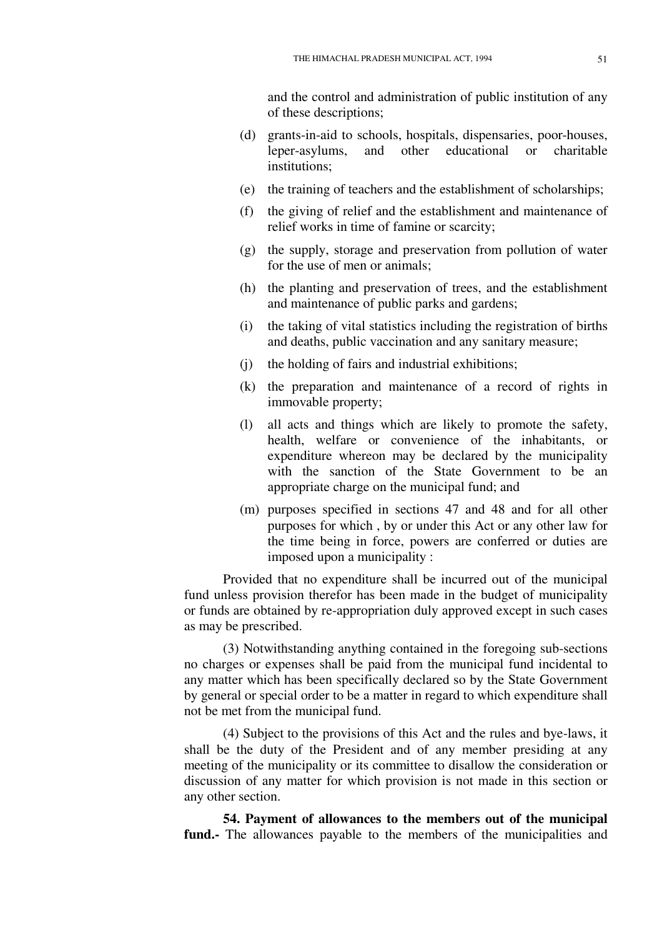and the control and administration of public institution of any of these descriptions;

- (d) grants-in-aid to schools, hospitals, dispensaries, poor-houses, leper-asylums, and other educational or charitable institutions;
- (e) the training of teachers and the establishment of scholarships;
- (f) the giving of relief and the establishment and maintenance of relief works in time of famine or scarcity;
- (g) the supply, storage and preservation from pollution of water for the use of men or animals;
- (h) the planting and preservation of trees, and the establishment and maintenance of public parks and gardens;
- (i) the taking of vital statistics including the registration of births and deaths, public vaccination and any sanitary measure;
- (j) the holding of fairs and industrial exhibitions;
- (k) the preparation and maintenance of a record of rights in immovable property;
- (l) all acts and things which are likely to promote the safety, health, welfare or convenience of the inhabitants, or expenditure whereon may be declared by the municipality with the sanction of the State Government to be an appropriate charge on the municipal fund; and
- (m) purposes specified in sections 47 and 48 and for all other purposes for which , by or under this Act or any other law for the time being in force, powers are conferred or duties are imposed upon a municipality :

Provided that no expenditure shall be incurred out of the municipal fund unless provision therefor has been made in the budget of municipality or funds are obtained by re-appropriation duly approved except in such cases as may be prescribed.

(3) Notwithstanding anything contained in the foregoing sub-sections no charges or expenses shall be paid from the municipal fund incidental to any matter which has been specifically declared so by the State Government by general or special order to be a matter in regard to which expenditure shall not be met from the municipal fund.

(4) Subject to the provisions of this Act and the rules and bye-laws, it shall be the duty of the President and of any member presiding at any meeting of the municipality or its committee to disallow the consideration or discussion of any matter for which provision is not made in this section or any other section.

**54. Payment of allowances to the members out of the municipal fund.-** The allowances payable to the members of the municipalities and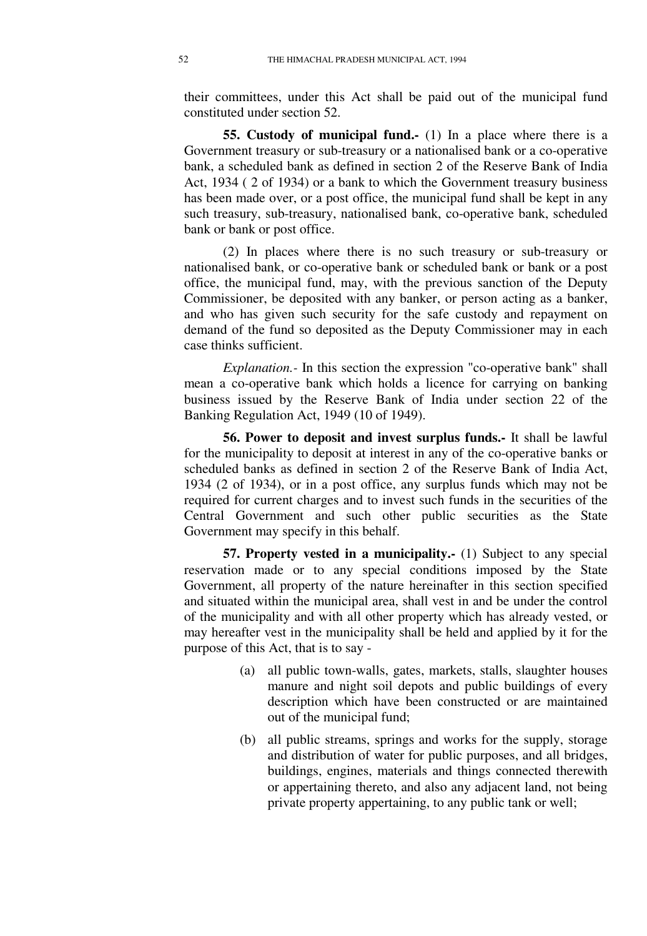their committees, under this Act shall be paid out of the municipal fund constituted under section 52.

**55. Custody of municipal fund.** (1) In a place where there is a Government treasury or sub-treasury or a nationalised bank or a co-operative bank, a scheduled bank as defined in section 2 of the Reserve Bank of India Act, 1934 ( 2 of 1934) or a bank to which the Government treasury business has been made over, or a post office, the municipal fund shall be kept in any such treasury, sub-treasury, nationalised bank, co-operative bank, scheduled bank or bank or post office.

(2) In places where there is no such treasury or sub-treasury or nationalised bank, or co-operative bank or scheduled bank or bank or a post office, the municipal fund, may, with the previous sanction of the Deputy Commissioner, be deposited with any banker, or person acting as a banker, and who has given such security for the safe custody and repayment on demand of the fund so deposited as the Deputy Commissioner may in each case thinks sufficient.

*Explanation.-* In this section the expression "co-operative bank" shall mean a co-operative bank which holds a licence for carrying on banking business issued by the Reserve Bank of India under section 22 of the Banking Regulation Act, 1949 (10 of 1949).

**56. Power to deposit and invest surplus funds.-** It shall be lawful for the municipality to deposit at interest in any of the co-operative banks or scheduled banks as defined in section 2 of the Reserve Bank of India Act, 1934 (2 of 1934), or in a post office, any surplus funds which may not be required for current charges and to invest such funds in the securities of the Central Government and such other public securities as the State Government may specify in this behalf.

**57. Property vested in a municipality.-** (1) Subject to any special reservation made or to any special conditions imposed by the State Government, all property of the nature hereinafter in this section specified and situated within the municipal area, shall vest in and be under the control of the municipality and with all other property which has already vested, or may hereafter vest in the municipality shall be held and applied by it for the purpose of this Act, that is to say -

- (a) all public town-walls, gates, markets, stalls, slaughter houses manure and night soil depots and public buildings of every description which have been constructed or are maintained out of the municipal fund;
- (b) all public streams, springs and works for the supply, storage and distribution of water for public purposes, and all bridges, buildings, engines, materials and things connected therewith or appertaining thereto, and also any adjacent land, not being private property appertaining, to any public tank or well;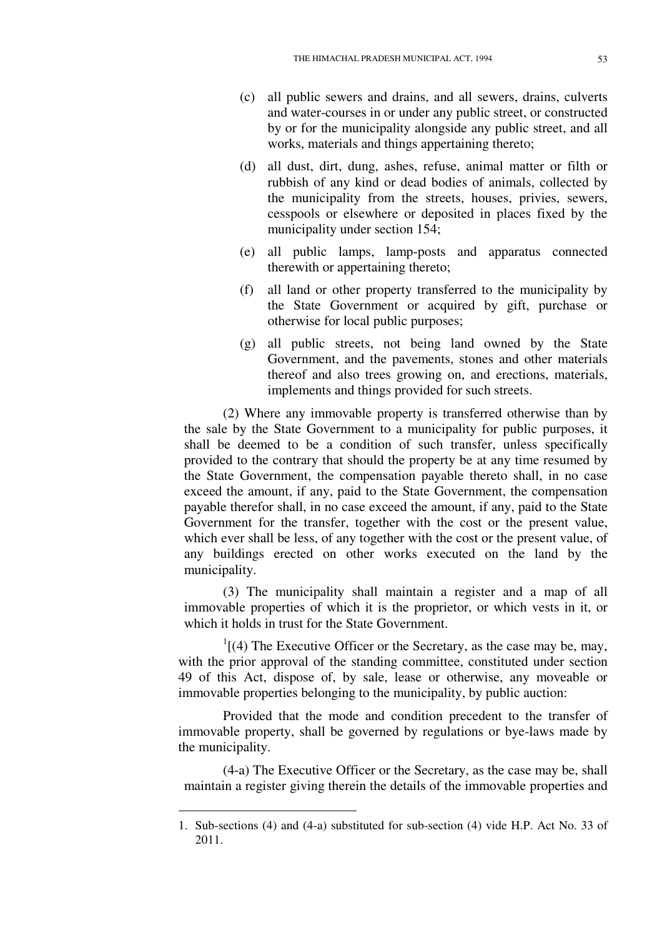- (c) all public sewers and drains, and all sewers, drains, culverts and water-courses in or under any public street, or constructed by or for the municipality alongside any public street, and all works, materials and things appertaining thereto;
- (d) all dust, dirt, dung, ashes, refuse, animal matter or filth or rubbish of any kind or dead bodies of animals, collected by the municipality from the streets, houses, privies, sewers, cesspools or elsewhere or deposited in places fixed by the municipality under section 154;
- (e) all public lamps, lamp-posts and apparatus connected therewith or appertaining thereto;
- (f) all land or other property transferred to the municipality by the State Government or acquired by gift, purchase or otherwise for local public purposes;
- (g) all public streets, not being land owned by the State Government, and the pavements, stones and other materials thereof and also trees growing on, and erections, materials, implements and things provided for such streets.

(2) Where any immovable property is transferred otherwise than by the sale by the State Government to a municipality for public purposes, it shall be deemed to be a condition of such transfer, unless specifically provided to the contrary that should the property be at any time resumed by the State Government, the compensation payable thereto shall, in no case exceed the amount, if any, paid to the State Government, the compensation payable therefor shall, in no case exceed the amount, if any, paid to the State Government for the transfer, together with the cost or the present value, which ever shall be less, of any together with the cost or the present value, of any buildings erected on other works executed on the land by the municipality.

(3) The municipality shall maintain a register and a map of all immovable properties of which it is the proprietor, or which vests in it, or which it holds in trust for the State Government.

 $1[(4)$  The Executive Officer or the Secretary, as the case may be, may, with the prior approval of the standing committee, constituted under section 49 of this Act, dispose of, by sale, lease or otherwise, any moveable or immovable properties belonging to the municipality, by public auction:

Provided that the mode and condition precedent to the transfer of immovable property, shall be governed by regulations or bye-laws made by the municipality.

(4-a) The Executive Officer or the Secretary, as the case may be, shall maintain a register giving therein the details of the immovable properties and

-

<sup>1.</sup> Sub-sections (4) and (4-a) substituted for sub-section (4) vide H.P. Act No. 33 of 2011.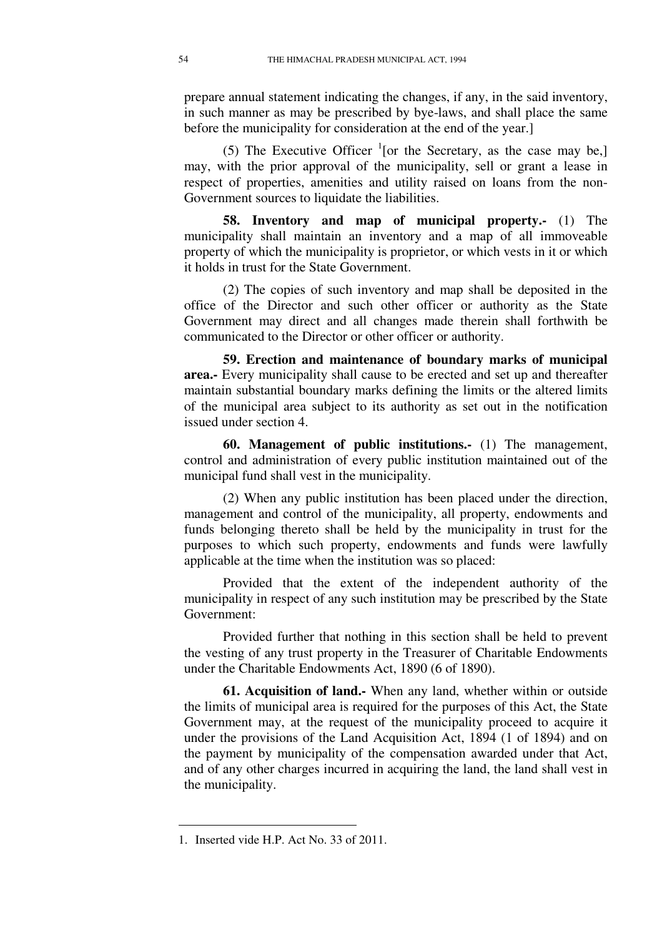prepare annual statement indicating the changes, if any, in the said inventory, in such manner as may be prescribed by bye-laws, and shall place the same before the municipality for consideration at the end of the year.]

(5) The Executive Officer  $\frac{1}{1}$  [or the Secretary, as the case may be,] may, with the prior approval of the municipality, sell or grant a lease in respect of properties, amenities and utility raised on loans from the non-Government sources to liquidate the liabilities.

**58. Inventory and map of municipal property.-** (1) The municipality shall maintain an inventory and a map of all immoveable property of which the municipality is proprietor, or which vests in it or which it holds in trust for the State Government.

(2) The copies of such inventory and map shall be deposited in the office of the Director and such other officer or authority as the State Government may direct and all changes made therein shall forthwith be communicated to the Director or other officer or authority.

**59. Erection and maintenance of boundary marks of municipal area.-** Every municipality shall cause to be erected and set up and thereafter maintain substantial boundary marks defining the limits or the altered limits of the municipal area subject to its authority as set out in the notification issued under section 4.

**60. Management of public institutions.-** (1) The management, control and administration of every public institution maintained out of the municipal fund shall vest in the municipality.

(2) When any public institution has been placed under the direction, management and control of the municipality, all property, endowments and funds belonging thereto shall be held by the municipality in trust for the purposes to which such property, endowments and funds were lawfully applicable at the time when the institution was so placed:

Provided that the extent of the independent authority of the municipality in respect of any such institution may be prescribed by the State Government:

Provided further that nothing in this section shall be held to prevent the vesting of any trust property in the Treasurer of Charitable Endowments under the Charitable Endowments Act, 1890 (6 of 1890).

**61. Acquisition of land.-** When any land, whether within or outside the limits of municipal area is required for the purposes of this Act, the State Government may, at the request of the municipality proceed to acquire it under the provisions of the Land Acquisition Act, 1894 (1 of 1894) and on the payment by municipality of the compensation awarded under that Act, and of any other charges incurred in acquiring the land, the land shall vest in the municipality.

<u>.</u>

<sup>1.</sup> Inserted vide H.P. Act No. 33 of 2011.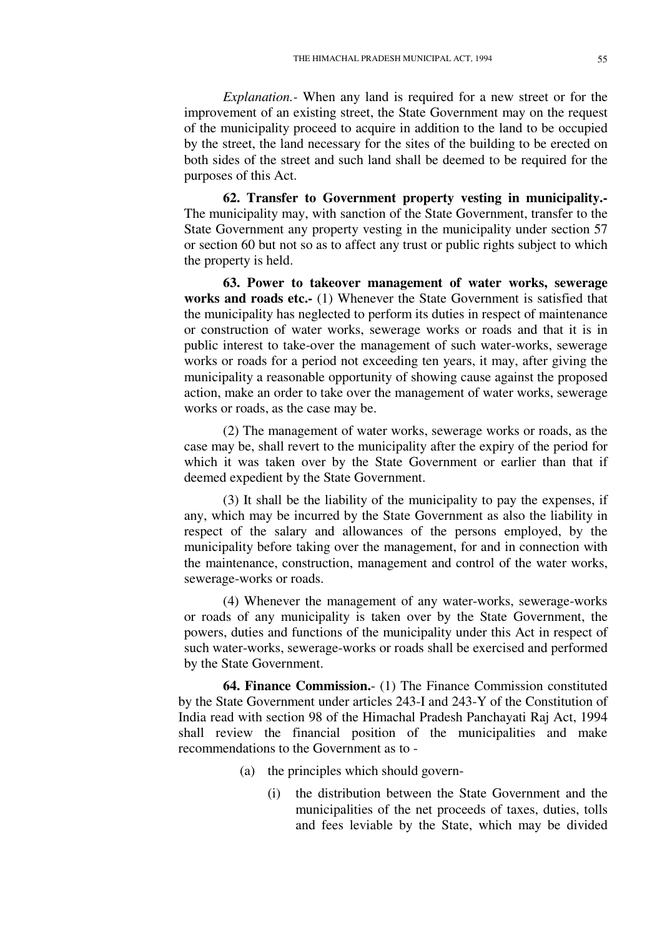*Explanation.-* When any land is required for a new street or for the improvement of an existing street, the State Government may on the request of the municipality proceed to acquire in addition to the land to be occupied by the street, the land necessary for the sites of the building to be erected on both sides of the street and such land shall be deemed to be required for the purposes of this Act.

**62. Transfer to Government property vesting in municipality.-**  The municipality may, with sanction of the State Government, transfer to the State Government any property vesting in the municipality under section 57 or section 60 but not so as to affect any trust or public rights subject to which the property is held.

**63. Power to takeover management of water works, sewerage works and roads etc.-** (1) Whenever the State Government is satisfied that the municipality has neglected to perform its duties in respect of maintenance or construction of water works, sewerage works or roads and that it is in public interest to take-over the management of such water-works, sewerage works or roads for a period not exceeding ten years, it may, after giving the municipality a reasonable opportunity of showing cause against the proposed action, make an order to take over the management of water works, sewerage works or roads, as the case may be.

(2) The management of water works, sewerage works or roads, as the case may be, shall revert to the municipality after the expiry of the period for which it was taken over by the State Government or earlier than that if deemed expedient by the State Government.

(3) It shall be the liability of the municipality to pay the expenses, if any, which may be incurred by the State Government as also the liability in respect of the salary and allowances of the persons employed, by the municipality before taking over the management, for and in connection with the maintenance, construction, management and control of the water works, sewerage-works or roads.

(4) Whenever the management of any water-works, sewerage-works or roads of any municipality is taken over by the State Government, the powers, duties and functions of the municipality under this Act in respect of such water-works, sewerage-works or roads shall be exercised and performed by the State Government.

**64. Finance Commission.**- (1) The Finance Commission constituted by the State Government under articles 243-I and 243-Y of the Constitution of India read with section 98 of the Himachal Pradesh Panchayati Raj Act, 1994 shall review the financial position of the municipalities and make recommendations to the Government as to -

- (a) the principles which should govern-
	- (i) the distribution between the State Government and the municipalities of the net proceeds of taxes, duties, tolls and fees leviable by the State, which may be divided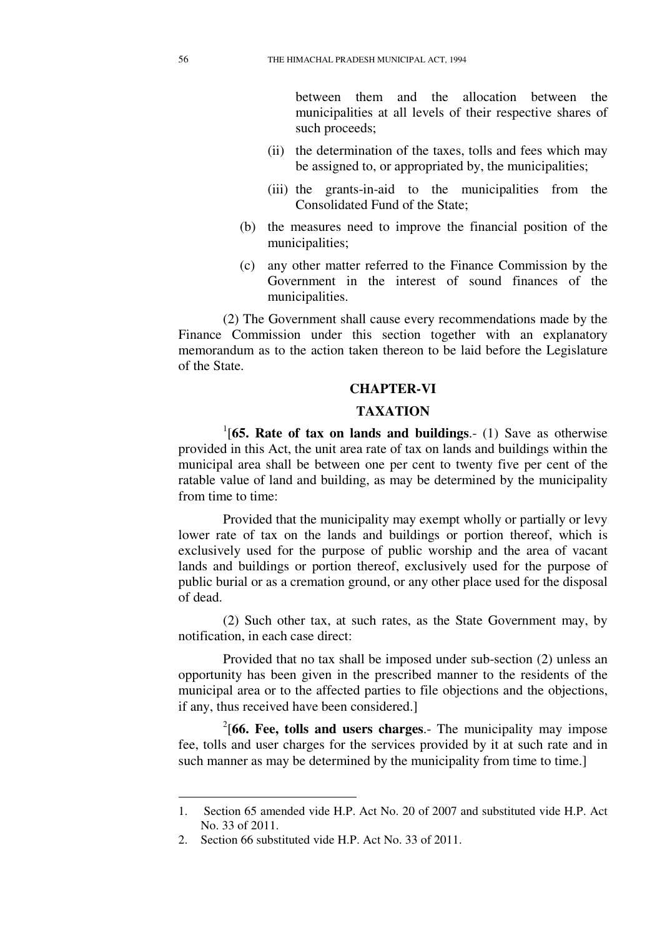between them and the allocation between the municipalities at all levels of their respective shares of such proceeds;

- (ii) the determination of the taxes, tolls and fees which may be assigned to, or appropriated by, the municipalities;
- (iii) the grants-in-aid to the municipalities from the Consolidated Fund of the State;
- (b) the measures need to improve the financial position of the municipalities;
- (c) any other matter referred to the Finance Commission by the Government in the interest of sound finances of the municipalities.

(2) The Government shall cause every recommendations made by the Finance Commission under this section together with an explanatory memorandum as to the action taken thereon to be laid before the Legislature of the State.

### **CHAPTER-VI**

## **TAXATION**

1 [**65. Rate of tax on lands and buildings**.- (1) Save as otherwise provided in this Act, the unit area rate of tax on lands and buildings within the municipal area shall be between one per cent to twenty five per cent of the ratable value of land and building, as may be determined by the municipality from time to time:

Provided that the municipality may exempt wholly or partially or levy lower rate of tax on the lands and buildings or portion thereof, which is exclusively used for the purpose of public worship and the area of vacant lands and buildings or portion thereof, exclusively used for the purpose of public burial or as a cremation ground, or any other place used for the disposal of dead.

(2) Such other tax, at such rates, as the State Government may, by notification, in each case direct:

Provided that no tax shall be imposed under sub-section (2) unless an opportunity has been given in the prescribed manner to the residents of the municipal area or to the affected parties to file objections and the objections, if any, thus received have been considered.]

2 [**66. Fee, tolls and users charges**.- The municipality may impose fee, tolls and user charges for the services provided by it at such rate and in such manner as may be determined by the municipality from time to time.]

<u>.</u>

<sup>1.</sup> Section 65 amended vide H.P. Act No. 20 of 2007 and substituted vide H.P. Act No. 33 of 2011.

<sup>2.</sup> Section 66 substituted vide H.P. Act No. 33 of 2011.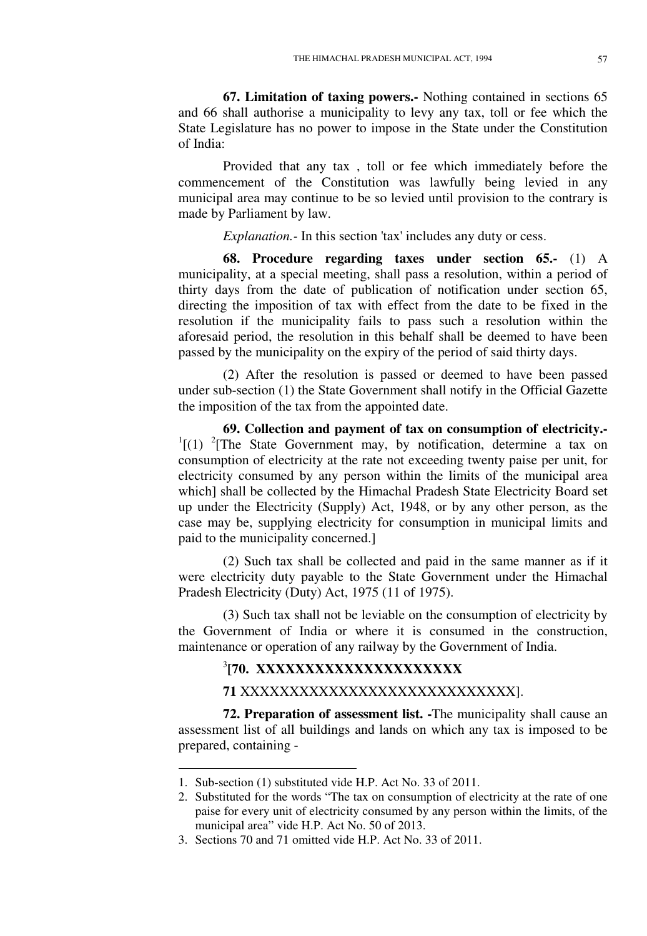**67. Limitation of taxing powers.-** Nothing contained in sections 65 and 66 shall authorise a municipality to levy any tax, toll or fee which the State Legislature has no power to impose in the State under the Constitution of India:

Provided that any tax , toll or fee which immediately before the commencement of the Constitution was lawfully being levied in any municipal area may continue to be so levied until provision to the contrary is made by Parliament by law.

*Explanation.-* In this section 'tax' includes any duty or cess.

**68. Procedure regarding taxes under section 65.-** (1) A municipality, at a special meeting, shall pass a resolution, within a period of thirty days from the date of publication of notification under section 65, directing the imposition of tax with effect from the date to be fixed in the resolution if the municipality fails to pass such a resolution within the aforesaid period, the resolution in this behalf shall be deemed to have been passed by the municipality on the expiry of the period of said thirty days.

(2) After the resolution is passed or deemed to have been passed under sub-section (1) the State Government shall notify in the Official Gazette the imposition of the tax from the appointed date.

**69. Collection and payment of tax on consumption of electricity.-**   $1[(1)$  <sup>2</sup>[The State Government may, by notification, determine a tax on consumption of electricity at the rate not exceeding twenty paise per unit, for electricity consumed by any person within the limits of the municipal area which] shall be collected by the Himachal Pradesh State Electricity Board set up under the Electricity (Supply) Act, 1948, or by any other person, as the case may be, supplying electricity for consumption in municipal limits and paid to the municipality concerned.]

(2) Such tax shall be collected and paid in the same manner as if it were electricity duty payable to the State Government under the Himachal Pradesh Electricity (Duty) Act, 1975 (11 of 1975).

(3) Such tax shall not be leviable on the consumption of electricity by the Government of India or where it is consumed in the construction, maintenance or operation of any railway by the Government of India.

# <sup>3</sup>[70. XXXXXXXXXXXXXXXXXXXX

**71** XXXXXXXXXXXXXXXXXXXXXXXXXXXX].

**72. Preparation of assessment list. -**The municipality shall cause an assessment list of all buildings and lands on which any tax is imposed to be prepared, containing -

-

<sup>1.</sup> Sub-section (1) substituted vide H.P. Act No. 33 of 2011.

<sup>2.</sup> Substituted for the words "The tax on consumption of electricity at the rate of one paise for every unit of electricity consumed by any person within the limits, of the municipal area" vide H.P. Act No. 50 of 2013.

<sup>3.</sup> Sections 70 and 71 omitted vide H.P. Act No. 33 of 2011.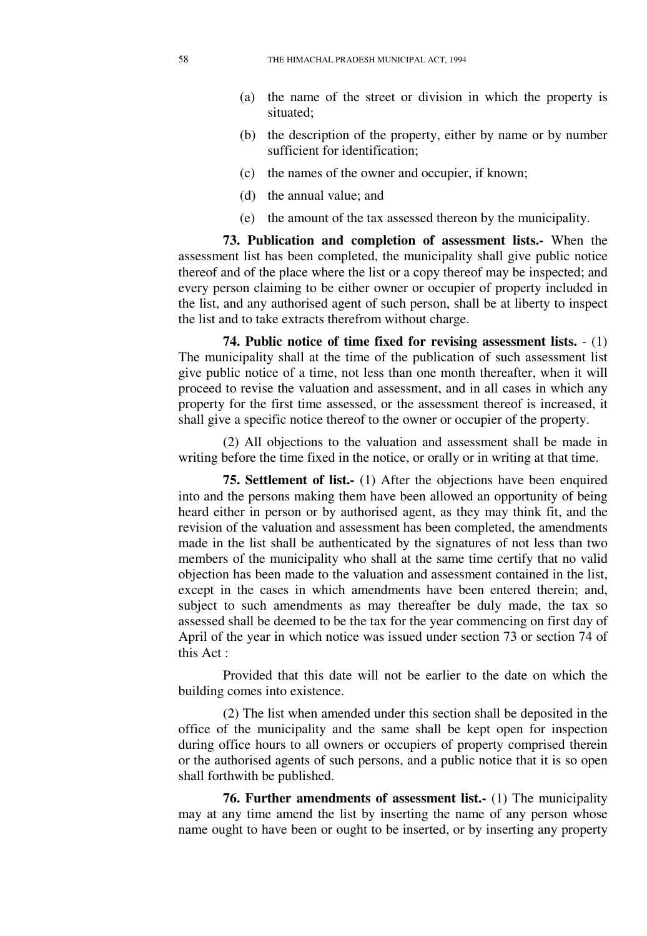- (a) the name of the street or division in which the property is situated;
- (b) the description of the property, either by name or by number sufficient for identification;
- (c) the names of the owner and occupier, if known;
- (d) the annual value; and
- (e) the amount of the tax assessed thereon by the municipality.

**73. Publication and completion of assessment lists.-** When the assessment list has been completed, the municipality shall give public notice thereof and of the place where the list or a copy thereof may be inspected; and every person claiming to be either owner or occupier of property included in the list, and any authorised agent of such person, shall be at liberty to inspect the list and to take extracts therefrom without charge.

**74. Public notice of time fixed for revising assessment lists.** - (1) The municipality shall at the time of the publication of such assessment list give public notice of a time, not less than one month thereafter, when it will proceed to revise the valuation and assessment, and in all cases in which any property for the first time assessed, or the assessment thereof is increased, it shall give a specific notice thereof to the owner or occupier of the property.

(2) All objections to the valuation and assessment shall be made in writing before the time fixed in the notice, or orally or in writing at that time.

**75. Settlement of list.-** (1) After the objections have been enquired into and the persons making them have been allowed an opportunity of being heard either in person or by authorised agent, as they may think fit, and the revision of the valuation and assessment has been completed, the amendments made in the list shall be authenticated by the signatures of not less than two members of the municipality who shall at the same time certify that no valid objection has been made to the valuation and assessment contained in the list, except in the cases in which amendments have been entered therein; and, subject to such amendments as may thereafter be duly made, the tax so assessed shall be deemed to be the tax for the year commencing on first day of April of the year in which notice was issued under section 73 or section 74 of this Act :

Provided that this date will not be earlier to the date on which the building comes into existence.

(2) The list when amended under this section shall be deposited in the office of the municipality and the same shall be kept open for inspection during office hours to all owners or occupiers of property comprised therein or the authorised agents of such persons, and a public notice that it is so open shall forthwith be published.

**76. Further amendments of assessment list.-** (1) The municipality may at any time amend the list by inserting the name of any person whose name ought to have been or ought to be inserted, or by inserting any property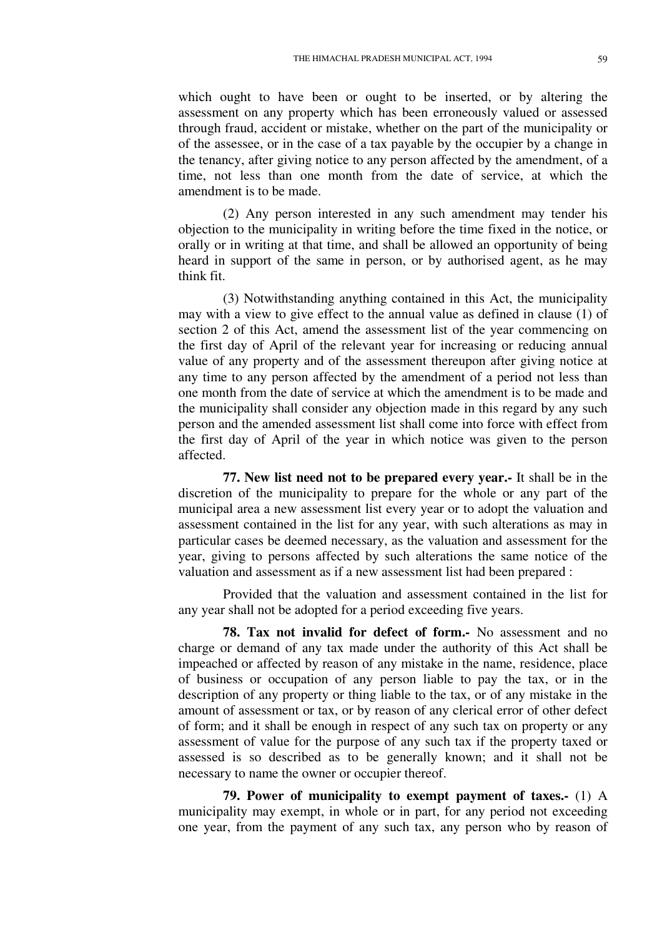which ought to have been or ought to be inserted, or by altering the assessment on any property which has been erroneously valued or assessed through fraud, accident or mistake, whether on the part of the municipality or of the assessee, or in the case of a tax payable by the occupier by a change in the tenancy, after giving notice to any person affected by the amendment, of a time, not less than one month from the date of service, at which the amendment is to be made.

(2) Any person interested in any such amendment may tender his objection to the municipality in writing before the time fixed in the notice, or orally or in writing at that time, and shall be allowed an opportunity of being heard in support of the same in person, or by authorised agent, as he may think fit.

(3) Notwithstanding anything contained in this Act, the municipality may with a view to give effect to the annual value as defined in clause (1) of section 2 of this Act, amend the assessment list of the year commencing on the first day of April of the relevant year for increasing or reducing annual value of any property and of the assessment thereupon after giving notice at any time to any person affected by the amendment of a period not less than one month from the date of service at which the amendment is to be made and the municipality shall consider any objection made in this regard by any such person and the amended assessment list shall come into force with effect from the first day of April of the year in which notice was given to the person affected.

**77. New list need not to be prepared every year.-** It shall be in the discretion of the municipality to prepare for the whole or any part of the municipal area a new assessment list every year or to adopt the valuation and assessment contained in the list for any year, with such alterations as may in particular cases be deemed necessary, as the valuation and assessment for the year, giving to persons affected by such alterations the same notice of the valuation and assessment as if a new assessment list had been prepared :

Provided that the valuation and assessment contained in the list for any year shall not be adopted for a period exceeding five years.

**78. Tax not invalid for defect of form.-** No assessment and no charge or demand of any tax made under the authority of this Act shall be impeached or affected by reason of any mistake in the name, residence, place of business or occupation of any person liable to pay the tax, or in the description of any property or thing liable to the tax, or of any mistake in the amount of assessment or tax, or by reason of any clerical error of other defect of form; and it shall be enough in respect of any such tax on property or any assessment of value for the purpose of any such tax if the property taxed or assessed is so described as to be generally known; and it shall not be necessary to name the owner or occupier thereof.

**79. Power of municipality to exempt payment of taxes.-** (1) A municipality may exempt, in whole or in part, for any period not exceeding one year, from the payment of any such tax, any person who by reason of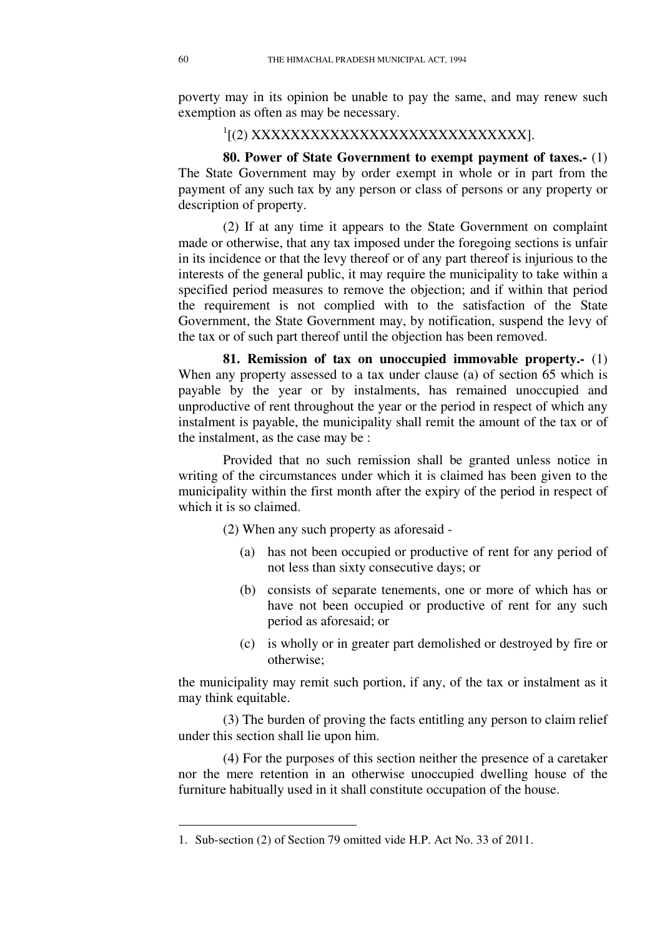poverty may in its opinion be unable to pay the same, and may renew such exemption as often as may be necessary.

# <sup>1</sup>[(2) XXXXXXXXXXXXXXXXXXXXXXXXXXXXXXXXXX

**80. Power of State Government to exempt payment of taxes.-** (1) The State Government may by order exempt in whole or in part from the payment of any such tax by any person or class of persons or any property or description of property.

(2) If at any time it appears to the State Government on complaint made or otherwise, that any tax imposed under the foregoing sections is unfair in its incidence or that the levy thereof or of any part thereof is injurious to the interests of the general public, it may require the municipality to take within a specified period measures to remove the objection; and if within that period the requirement is not complied with to the satisfaction of the State Government, the State Government may, by notification, suspend the levy of the tax or of such part thereof until the objection has been removed.

**81. Remission of tax on unoccupied immovable property.-** (1) When any property assessed to a tax under clause (a) of section 65 which is payable by the year or by instalments, has remained unoccupied and unproductive of rent throughout the year or the period in respect of which any instalment is payable, the municipality shall remit the amount of the tax or of the instalment, as the case may be :

Provided that no such remission shall be granted unless notice in writing of the circumstances under which it is claimed has been given to the municipality within the first month after the expiry of the period in respect of which it is so claimed.

(2) When any such property as aforesaid -

- (a) has not been occupied or productive of rent for any period of not less than sixty consecutive days; or
- (b) consists of separate tenements, one or more of which has or have not been occupied or productive of rent for any such period as aforesaid; or
- (c) is wholly or in greater part demolished or destroyed by fire or otherwise;

the municipality may remit such portion, if any, of the tax or instalment as it may think equitable.

(3) The burden of proving the facts entitling any person to claim relief under this section shall lie upon him.

(4) For the purposes of this section neither the presence of a caretaker nor the mere retention in an otherwise unoccupied dwelling house of the furniture habitually used in it shall constitute occupation of the house.

<u>.</u>

<sup>1.</sup> Sub-section (2) of Section 79 omitted vide H.P. Act No. 33 of 2011.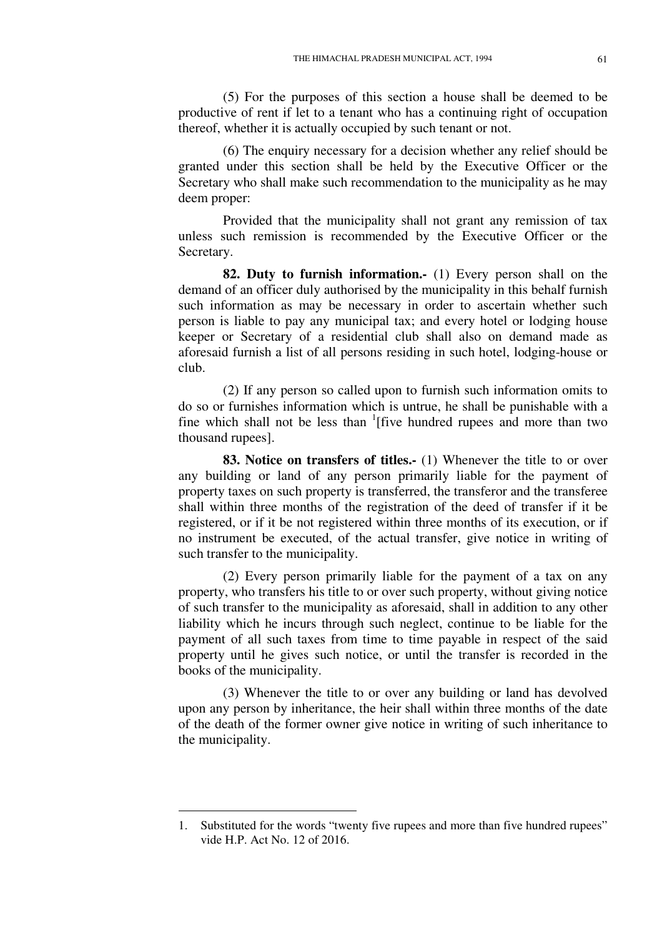(5) For the purposes of this section a house shall be deemed to be productive of rent if let to a tenant who has a continuing right of occupation thereof, whether it is actually occupied by such tenant or not.

(6) The enquiry necessary for a decision whether any relief should be granted under this section shall be held by the Executive Officer or the Secretary who shall make such recommendation to the municipality as he may deem proper:

Provided that the municipality shall not grant any remission of tax unless such remission is recommended by the Executive Officer or the Secretary.

**82. Duty to furnish information.-** (1) Every person shall on the demand of an officer duly authorised by the municipality in this behalf furnish such information as may be necessary in order to ascertain whether such person is liable to pay any municipal tax; and every hotel or lodging house keeper or Secretary of a residential club shall also on demand made as aforesaid furnish a list of all persons residing in such hotel, lodging-house or club.

(2) If any person so called upon to furnish such information omits to do so or furnishes information which is untrue, he shall be punishable with a fine which shall not be less than <sup>1</sup>[five hundred rupees and more than two thousand rupees].

**83. Notice on transfers of titles.-** (1) Whenever the title to or over any building or land of any person primarily liable for the payment of property taxes on such property is transferred, the transferor and the transferee shall within three months of the registration of the deed of transfer if it be registered, or if it be not registered within three months of its execution, or if no instrument be executed, of the actual transfer, give notice in writing of such transfer to the municipality.

(2) Every person primarily liable for the payment of a tax on any property, who transfers his title to or over such property, without giving notice of such transfer to the municipality as aforesaid, shall in addition to any other liability which he incurs through such neglect, continue to be liable for the payment of all such taxes from time to time payable in respect of the said property until he gives such notice, or until the transfer is recorded in the books of the municipality.

(3) Whenever the title to or over any building or land has devolved upon any person by inheritance, the heir shall within three months of the date of the death of the former owner give notice in writing of such inheritance to the municipality.

-

<sup>1.</sup> Substituted for the words "twenty five rupees and more than five hundred rupees" vide H.P. Act No. 12 of 2016.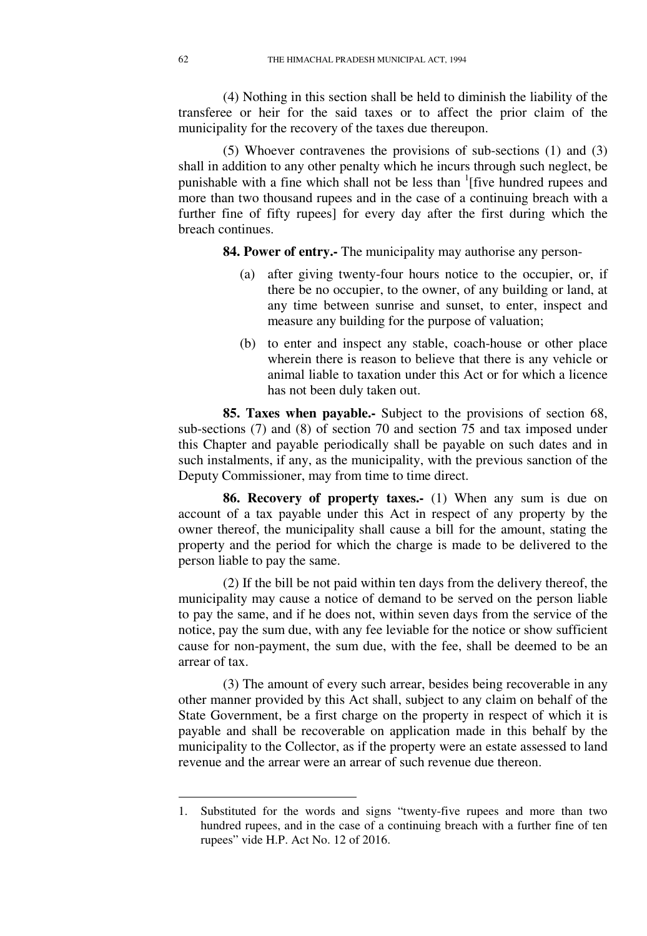(4) Nothing in this section shall be held to diminish the liability of the transferee or heir for the said taxes or to affect the prior claim of the municipality for the recovery of the taxes due thereupon.

(5) Whoever contravenes the provisions of sub-sections (1) and (3) shall in addition to any other penalty which he incurs through such neglect, be punishable with a fine which shall not be less than <sup>1</sup>[five hundred rupees and more than two thousand rupees and in the case of a continuing breach with a further fine of fifty rupees] for every day after the first during which the breach continues.

**84. Power of entry.-** The municipality may authorise any person-

- (a) after giving twenty-four hours notice to the occupier, or, if there be no occupier, to the owner, of any building or land, at any time between sunrise and sunset, to enter, inspect and measure any building for the purpose of valuation;
- (b) to enter and inspect any stable, coach-house or other place wherein there is reason to believe that there is any vehicle or animal liable to taxation under this Act or for which a licence has not been duly taken out.

**85. Taxes when payable.-** Subject to the provisions of section 68, sub-sections (7) and (8) of section 70 and section 75 and tax imposed under this Chapter and payable periodically shall be payable on such dates and in such instalments, if any, as the municipality, with the previous sanction of the Deputy Commissioner, may from time to time direct.

**86. Recovery of property taxes.-** (1) When any sum is due on account of a tax payable under this Act in respect of any property by the owner thereof, the municipality shall cause a bill for the amount, stating the property and the period for which the charge is made to be delivered to the person liable to pay the same.

(2) If the bill be not paid within ten days from the delivery thereof, the municipality may cause a notice of demand to be served on the person liable to pay the same, and if he does not, within seven days from the service of the notice, pay the sum due, with any fee leviable for the notice or show sufficient cause for non-payment, the sum due, with the fee, shall be deemed to be an arrear of tax.

(3) The amount of every such arrear, besides being recoverable in any other manner provided by this Act shall, subject to any claim on behalf of the State Government, be a first charge on the property in respect of which it is payable and shall be recoverable on application made in this behalf by the municipality to the Collector, as if the property were an estate assessed to land revenue and the arrear were an arrear of such revenue due thereon.

<u>.</u>

<sup>1.</sup> Substituted for the words and signs "twenty-five rupees and more than two hundred rupees, and in the case of a continuing breach with a further fine of ten rupees" vide H.P. Act No. 12 of 2016.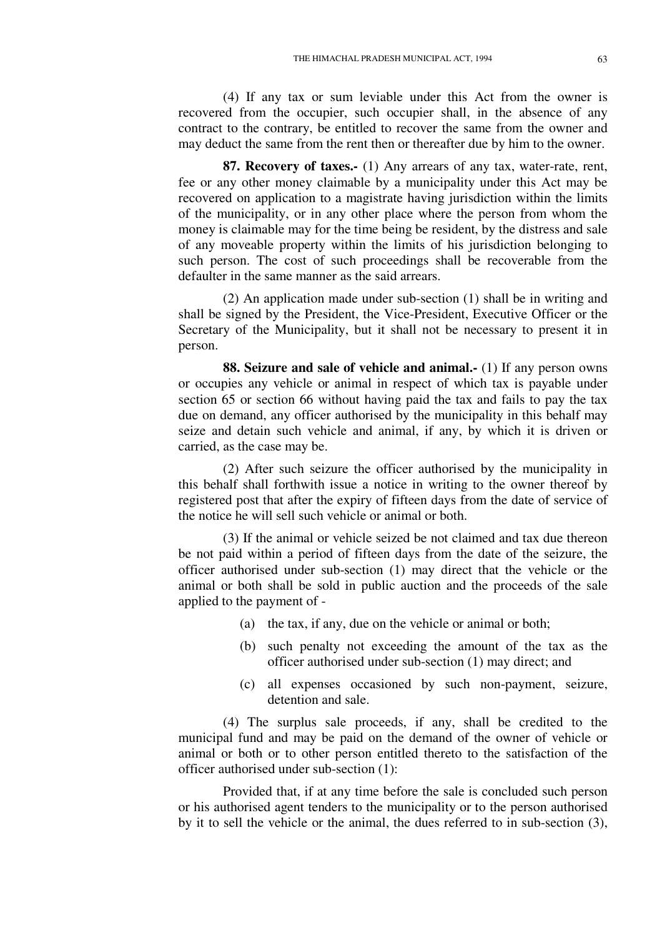(4) If any tax or sum leviable under this Act from the owner is recovered from the occupier, such occupier shall, in the absence of any contract to the contrary, be entitled to recover the same from the owner and may deduct the same from the rent then or thereafter due by him to the owner.

**87. Recovery of taxes.-** (1) Any arrears of any tax, water-rate, rent, fee or any other money claimable by a municipality under this Act may be recovered on application to a magistrate having jurisdiction within the limits of the municipality, or in any other place where the person from whom the money is claimable may for the time being be resident, by the distress and sale of any moveable property within the limits of his jurisdiction belonging to such person. The cost of such proceedings shall be recoverable from the defaulter in the same manner as the said arrears.

(2) An application made under sub-section (1) shall be in writing and shall be signed by the President, the Vice-President, Executive Officer or the Secretary of the Municipality, but it shall not be necessary to present it in person.

**88. Seizure and sale of vehicle and animal.-** (1) If any person owns or occupies any vehicle or animal in respect of which tax is payable under section 65 or section 66 without having paid the tax and fails to pay the tax due on demand, any officer authorised by the municipality in this behalf may seize and detain such vehicle and animal, if any, by which it is driven or carried, as the case may be.

(2) After such seizure the officer authorised by the municipality in this behalf shall forthwith issue a notice in writing to the owner thereof by registered post that after the expiry of fifteen days from the date of service of the notice he will sell such vehicle or animal or both.

(3) If the animal or vehicle seized be not claimed and tax due thereon be not paid within a period of fifteen days from the date of the seizure, the officer authorised under sub-section (1) may direct that the vehicle or the animal or both shall be sold in public auction and the proceeds of the sale applied to the payment of -

- (a) the tax, if any, due on the vehicle or animal or both;
- (b) such penalty not exceeding the amount of the tax as the officer authorised under sub-section (1) may direct; and
- (c) all expenses occasioned by such non-payment, seizure, detention and sale.

(4) The surplus sale proceeds, if any, shall be credited to the municipal fund and may be paid on the demand of the owner of vehicle or animal or both or to other person entitled thereto to the satisfaction of the officer authorised under sub-section (1):

Provided that, if at any time before the sale is concluded such person or his authorised agent tenders to the municipality or to the person authorised by it to sell the vehicle or the animal, the dues referred to in sub-section (3),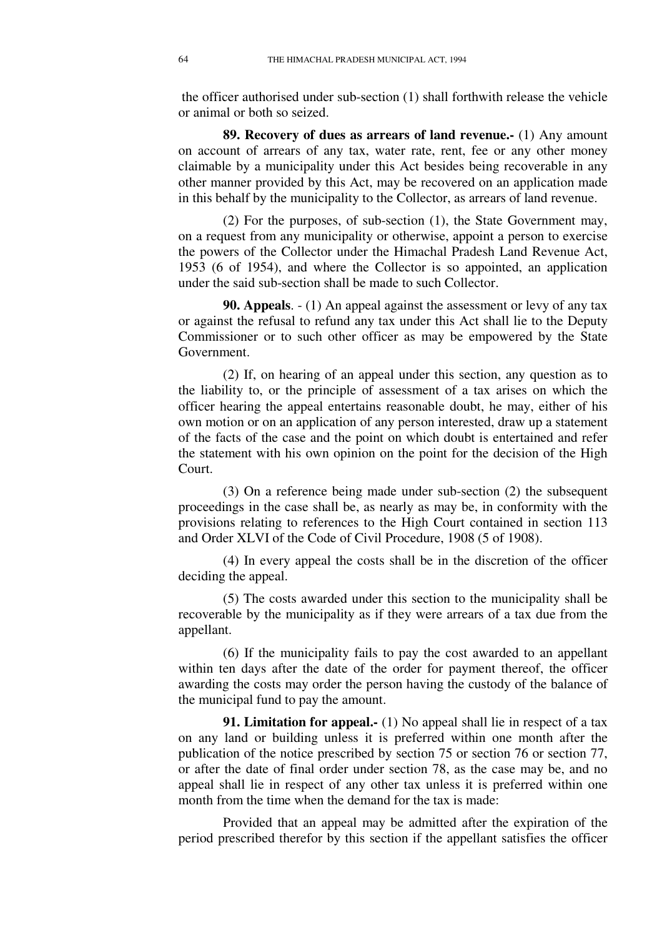the officer authorised under sub-section (1) shall forthwith release the vehicle or animal or both so seized.

**89. Recovery of dues as arrears of land revenue.-** (1) Any amount on account of arrears of any tax, water rate, rent, fee or any other money claimable by a municipality under this Act besides being recoverable in any other manner provided by this Act, may be recovered on an application made in this behalf by the municipality to the Collector, as arrears of land revenue.

(2) For the purposes, of sub-section (1), the State Government may, on a request from any municipality or otherwise, appoint a person to exercise the powers of the Collector under the Himachal Pradesh Land Revenue Act, 1953 (6 of 1954), and where the Collector is so appointed, an application under the said sub-section shall be made to such Collector.

**90. Appeals**. - (1) An appeal against the assessment or levy of any tax or against the refusal to refund any tax under this Act shall lie to the Deputy Commissioner or to such other officer as may be empowered by the State Government.

(2) If, on hearing of an appeal under this section, any question as to the liability to, or the principle of assessment of a tax arises on which the officer hearing the appeal entertains reasonable doubt, he may, either of his own motion or on an application of any person interested, draw up a statement of the facts of the case and the point on which doubt is entertained and refer the statement with his own opinion on the point for the decision of the High Court.

(3) On a reference being made under sub-section (2) the subsequent proceedings in the case shall be, as nearly as may be, in conformity with the provisions relating to references to the High Court contained in section 113 and Order XLVI of the Code of Civil Procedure, 1908 (5 of 1908).

(4) In every appeal the costs shall be in the discretion of the officer deciding the appeal.

(5) The costs awarded under this section to the municipality shall be recoverable by the municipality as if they were arrears of a tax due from the appellant.

(6) If the municipality fails to pay the cost awarded to an appellant within ten days after the date of the order for payment thereof, the officer awarding the costs may order the person having the custody of the balance of the municipal fund to pay the amount.

**91. Limitation for appeal.-** (1) No appeal shall lie in respect of a tax on any land or building unless it is preferred within one month after the publication of the notice prescribed by section 75 or section 76 or section 77, or after the date of final order under section 78, as the case may be, and no appeal shall lie in respect of any other tax unless it is preferred within one month from the time when the demand for the tax is made:

Provided that an appeal may be admitted after the expiration of the period prescribed therefor by this section if the appellant satisfies the officer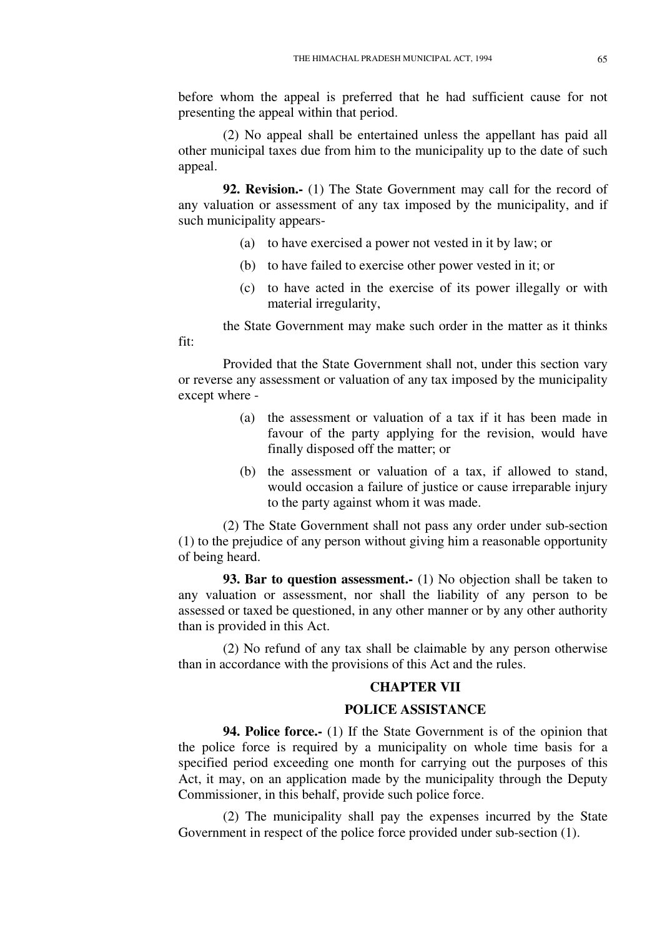before whom the appeal is preferred that he had sufficient cause for not presenting the appeal within that period.

(2) No appeal shall be entertained unless the appellant has paid all other municipal taxes due from him to the municipality up to the date of such appeal.

**92. Revision.-** (1) The State Government may call for the record of any valuation or assessment of any tax imposed by the municipality, and if such municipality appears-

- (a) to have exercised a power not vested in it by law; or
- (b) to have failed to exercise other power vested in it; or
- (c) to have acted in the exercise of its power illegally or with material irregularity,

the State Government may make such order in the matter as it thinks

Provided that the State Government shall not, under this section vary or reverse any assessment or valuation of any tax imposed by the municipality except where -

fit:

- (a) the assessment or valuation of a tax if it has been made in favour of the party applying for the revision, would have finally disposed off the matter; or
- (b) the assessment or valuation of a tax, if allowed to stand, would occasion a failure of justice or cause irreparable injury to the party against whom it was made.

(2) The State Government shall not pass any order under sub-section (1) to the prejudice of any person without giving him a reasonable opportunity of being heard.

**93. Bar to question assessment.** (1) No objection shall be taken to any valuation or assessment, nor shall the liability of any person to be assessed or taxed be questioned, in any other manner or by any other authority than is provided in this Act.

(2) No refund of any tax shall be claimable by any person otherwise than in accordance with the provisions of this Act and the rules.

## **CHAPTER VII**

## **POLICE ASSISTANCE**

**94. Police force.** (1) If the State Government is of the opinion that the police force is required by a municipality on whole time basis for a specified period exceeding one month for carrying out the purposes of this Act, it may, on an application made by the municipality through the Deputy Commissioner, in this behalf, provide such police force.

(2) The municipality shall pay the expenses incurred by the State Government in respect of the police force provided under sub-section (1).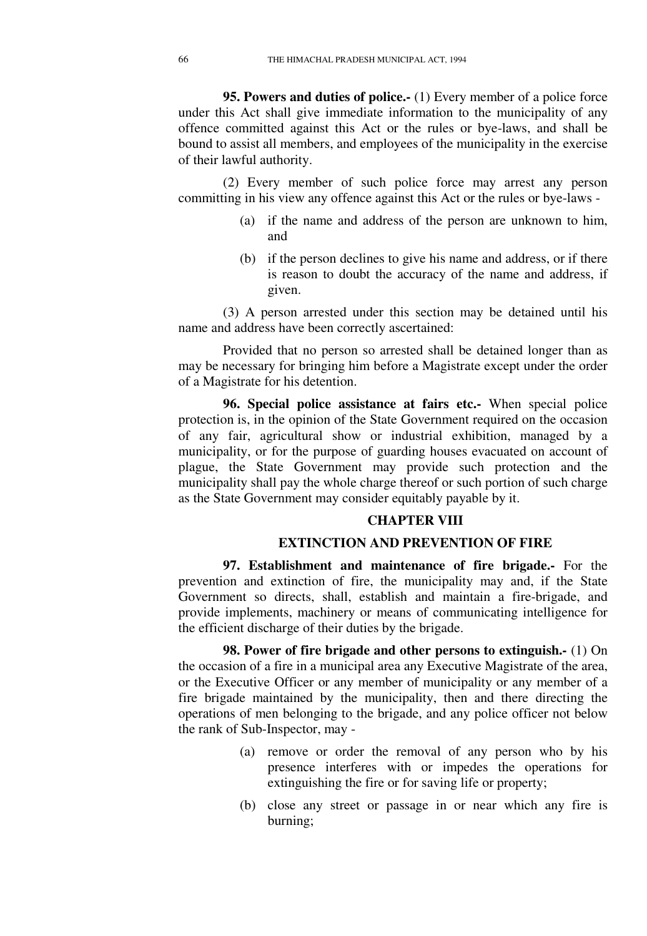**95. Powers and duties of police.-** (1) Every member of a police force under this Act shall give immediate information to the municipality of any offence committed against this Act or the rules or bye-laws, and shall be bound to assist all members, and employees of the municipality in the exercise of their lawful authority.

(2) Every member of such police force may arrest any person committing in his view any offence against this Act or the rules or bye-laws -

- (a) if the name and address of the person are unknown to him, and
- (b) if the person declines to give his name and address, or if there is reason to doubt the accuracy of the name and address, if given.

(3) A person arrested under this section may be detained until his name and address have been correctly ascertained:

Provided that no person so arrested shall be detained longer than as may be necessary for bringing him before a Magistrate except under the order of a Magistrate for his detention.

**96. Special police assistance at fairs etc.-** When special police protection is, in the opinion of the State Government required on the occasion of any fair, agricultural show or industrial exhibition, managed by a municipality, or for the purpose of guarding houses evacuated on account of plague, the State Government may provide such protection and the municipality shall pay the whole charge thereof or such portion of such charge as the State Government may consider equitably payable by it.

#### **CHAPTER VIII**

## **EXTINCTION AND PREVENTION OF FIRE**

**97. Establishment and maintenance of fire brigade.-** For the prevention and extinction of fire, the municipality may and, if the State Government so directs, shall, establish and maintain a fire-brigade, and provide implements, machinery or means of communicating intelligence for the efficient discharge of their duties by the brigade.

**98. Power of fire brigade and other persons to extinguish.-** (1) On the occasion of a fire in a municipal area any Executive Magistrate of the area, or the Executive Officer or any member of municipality or any member of a fire brigade maintained by the municipality, then and there directing the operations of men belonging to the brigade, and any police officer not below the rank of Sub-Inspector, may -

- (a) remove or order the removal of any person who by his presence interferes with or impedes the operations for extinguishing the fire or for saving life or property;
- (b) close any street or passage in or near which any fire is burning;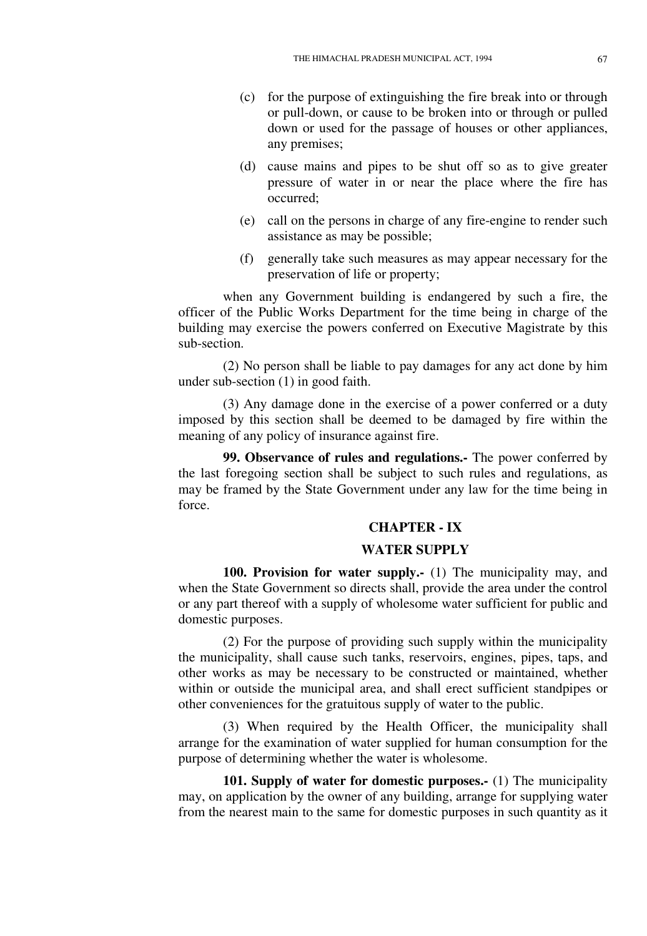- (c) for the purpose of extinguishing the fire break into or through or pull-down, or cause to be broken into or through or pulled down or used for the passage of houses or other appliances, any premises;
- (d) cause mains and pipes to be shut off so as to give greater pressure of water in or near the place where the fire has occurred;
- (e) call on the persons in charge of any fire-engine to render such assistance as may be possible;
- (f) generally take such measures as may appear necessary for the preservation of life or property;

when any Government building is endangered by such a fire, the officer of the Public Works Department for the time being in charge of the building may exercise the powers conferred on Executive Magistrate by this sub-section.

(2) No person shall be liable to pay damages for any act done by him under sub-section (1) in good faith.

(3) Any damage done in the exercise of a power conferred or a duty imposed by this section shall be deemed to be damaged by fire within the meaning of any policy of insurance against fire.

**99. Observance of rules and regulations.-** The power conferred by the last foregoing section shall be subject to such rules and regulations, as may be framed by the State Government under any law for the time being in force.

# **CHAPTER - IX**

#### **WATER SUPPLY**

**100. Provision for water supply.-** (1) The municipality may, and when the State Government so directs shall, provide the area under the control or any part thereof with a supply of wholesome water sufficient for public and domestic purposes.

(2) For the purpose of providing such supply within the municipality the municipality, shall cause such tanks, reservoirs, engines, pipes, taps, and other works as may be necessary to be constructed or maintained, whether within or outside the municipal area, and shall erect sufficient standpipes or other conveniences for the gratuitous supply of water to the public.

(3) When required by the Health Officer, the municipality shall arrange for the examination of water supplied for human consumption for the purpose of determining whether the water is wholesome.

**101. Supply of water for domestic purposes.-** (1) The municipality may, on application by the owner of any building, arrange for supplying water from the nearest main to the same for domestic purposes in such quantity as it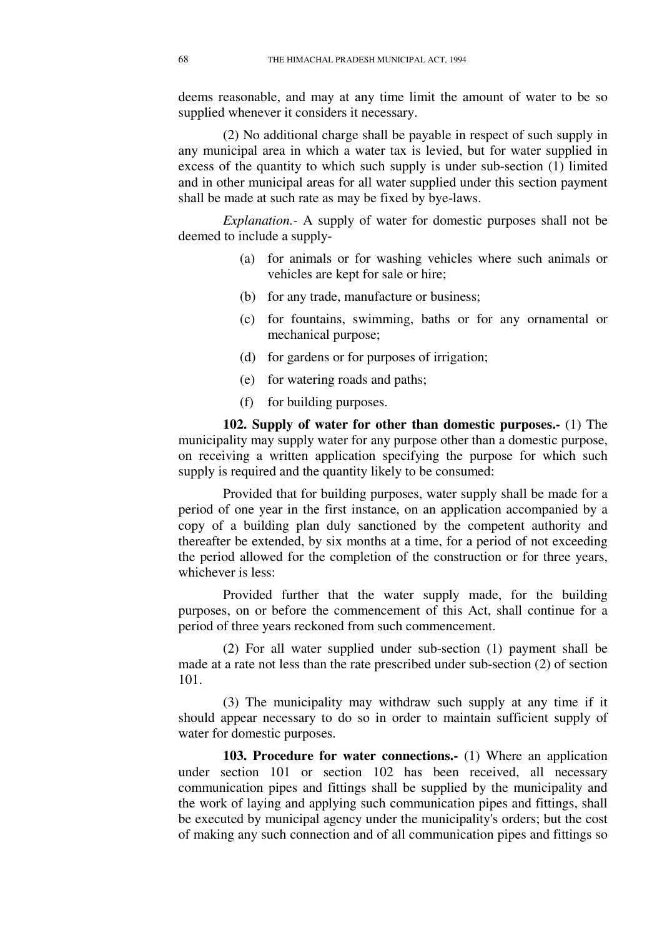deems reasonable, and may at any time limit the amount of water to be so supplied whenever it considers it necessary.

(2) No additional charge shall be payable in respect of such supply in any municipal area in which a water tax is levied, but for water supplied in excess of the quantity to which such supply is under sub-section (1) limited and in other municipal areas for all water supplied under this section payment shall be made at such rate as may be fixed by bye-laws.

*Explanation.-* A supply of water for domestic purposes shall not be deemed to include a supply-

- (a) for animals or for washing vehicles where such animals or vehicles are kept for sale or hire;
- (b) for any trade, manufacture or business;
- (c) for fountains, swimming, baths or for any ornamental or mechanical purpose;
- (d) for gardens or for purposes of irrigation;
- (e) for watering roads and paths;
- (f) for building purposes.

**102. Supply of water for other than domestic purposes.-** (1) The municipality may supply water for any purpose other than a domestic purpose, on receiving a written application specifying the purpose for which such supply is required and the quantity likely to be consumed:

Provided that for building purposes, water supply shall be made for a period of one year in the first instance, on an application accompanied by a copy of a building plan duly sanctioned by the competent authority and thereafter be extended, by six months at a time, for a period of not exceeding the period allowed for the completion of the construction or for three years, whichever is less:

Provided further that the water supply made, for the building purposes, on or before the commencement of this Act, shall continue for a period of three years reckoned from such commencement.

(2) For all water supplied under sub-section (1) payment shall be made at a rate not less than the rate prescribed under sub-section (2) of section 101.

(3) The municipality may withdraw such supply at any time if it should appear necessary to do so in order to maintain sufficient supply of water for domestic purposes.

**103. Procedure for water connections.-** (1) Where an application under section 101 or section 102 has been received, all necessary communication pipes and fittings shall be supplied by the municipality and the work of laying and applying such communication pipes and fittings, shall be executed by municipal agency under the municipality's orders; but the cost of making any such connection and of all communication pipes and fittings so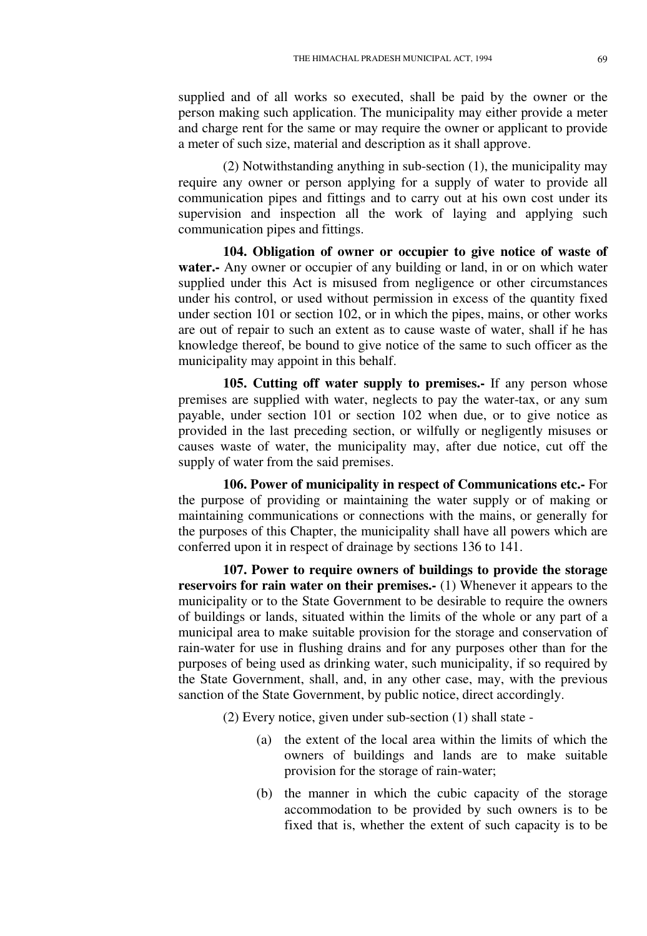supplied and of all works so executed, shall be paid by the owner or the person making such application. The municipality may either provide a meter and charge rent for the same or may require the owner or applicant to provide a meter of such size, material and description as it shall approve.

(2) Notwithstanding anything in sub-section (1), the municipality may require any owner or person applying for a supply of water to provide all communication pipes and fittings and to carry out at his own cost under its supervision and inspection all the work of laying and applying such communication pipes and fittings.

**104. Obligation of owner or occupier to give notice of waste of water.-** Any owner or occupier of any building or land, in or on which water supplied under this Act is misused from negligence or other circumstances under his control, or used without permission in excess of the quantity fixed under section 101 or section 102, or in which the pipes, mains, or other works are out of repair to such an extent as to cause waste of water, shall if he has knowledge thereof, be bound to give notice of the same to such officer as the municipality may appoint in this behalf.

**105. Cutting off water supply to premises.-** If any person whose premises are supplied with water, neglects to pay the water-tax, or any sum payable, under section 101 or section 102 when due, or to give notice as provided in the last preceding section, or wilfully or negligently misuses or causes waste of water, the municipality may, after due notice, cut off the supply of water from the said premises.

**106. Power of municipality in respect of Communications etc.-** For the purpose of providing or maintaining the water supply or of making or maintaining communications or connections with the mains, or generally for the purposes of this Chapter, the municipality shall have all powers which are conferred upon it in respect of drainage by sections 136 to 141.

**107. Power to require owners of buildings to provide the storage reservoirs for rain water on their premises.** (1) Whenever it appears to the municipality or to the State Government to be desirable to require the owners of buildings or lands, situated within the limits of the whole or any part of a municipal area to make suitable provision for the storage and conservation of rain-water for use in flushing drains and for any purposes other than for the purposes of being used as drinking water, such municipality, if so required by the State Government, shall, and, in any other case, may, with the previous sanction of the State Government, by public notice, direct accordingly.

(2) Every notice, given under sub-section (1) shall state -

- (a) the extent of the local area within the limits of which the owners of buildings and lands are to make suitable provision for the storage of rain-water;
- (b) the manner in which the cubic capacity of the storage accommodation to be provided by such owners is to be fixed that is, whether the extent of such capacity is to be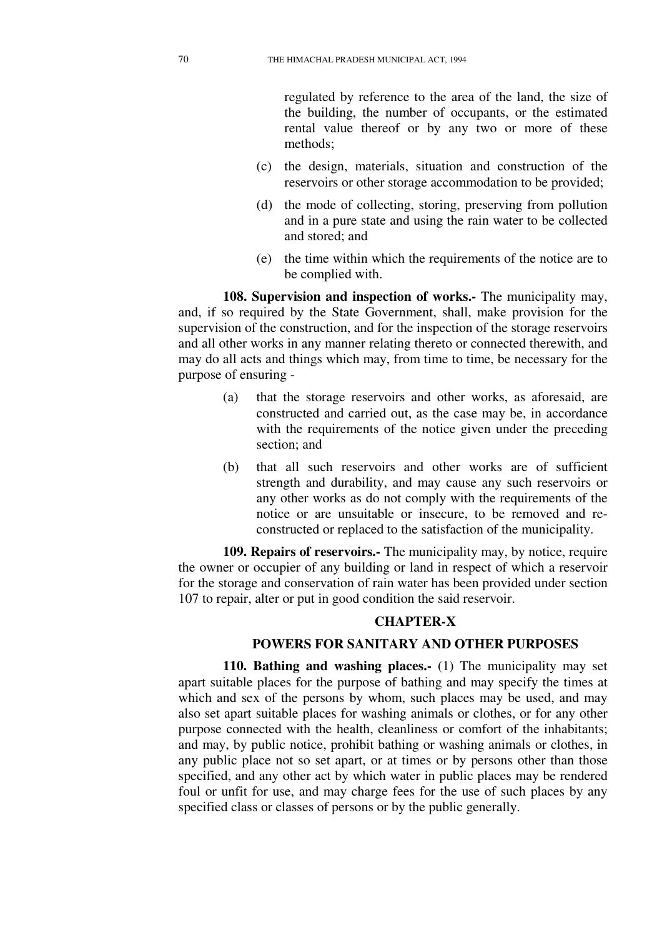regulated by reference to the area of the land, the size of the building, the number of occupants, or the estimated rental value thereof or by any two or more of these methods;

- (c) the design, materials, situation and construction of the reservoirs or other storage accommodation to be provided;
- (d) the mode of collecting, storing, preserving from pollution and in a pure state and using the rain water to be collected and stored; and
- (e) the time within which the requirements of the notice are to be complied with.

**108. Supervision and inspection of works.-** The municipality may, and, if so required by the State Government, shall, make provision for the supervision of the construction, and for the inspection of the storage reservoirs and all other works in any manner relating thereto or connected therewith, and may do all acts and things which may, from time to time, be necessary for the purpose of ensuring -

- (a) that the storage reservoirs and other works, as aforesaid, are constructed and carried out, as the case may be, in accordance with the requirements of the notice given under the preceding section; and
- (b) that all such reservoirs and other works are of sufficient strength and durability, and may cause any such reservoirs or any other works as do not comply with the requirements of the notice or are unsuitable or insecure, to be removed and reconstructed or replaced to the satisfaction of the municipality.

**109. Repairs of reservoirs.-** The municipality may, by notice, require the owner or occupier of any building or land in respect of which a reservoir for the storage and conservation of rain water has been provided under section 107 to repair, alter or put in good condition the said reservoir.

### **CHAPTER-X**

#### **POWERS FOR SANITARY AND OTHER PURPOSES**

**110. Bathing and washing places.-** (1) The municipality may set apart suitable places for the purpose of bathing and may specify the times at which and sex of the persons by whom, such places may be used, and may also set apart suitable places for washing animals or clothes, or for any other purpose connected with the health, cleanliness or comfort of the inhabitants; and may, by public notice, prohibit bathing or washing animals or clothes, in any public place not so set apart, or at times or by persons other than those specified, and any other act by which water in public places may be rendered foul or unfit for use, and may charge fees for the use of such places by any specified class or classes of persons or by the public generally.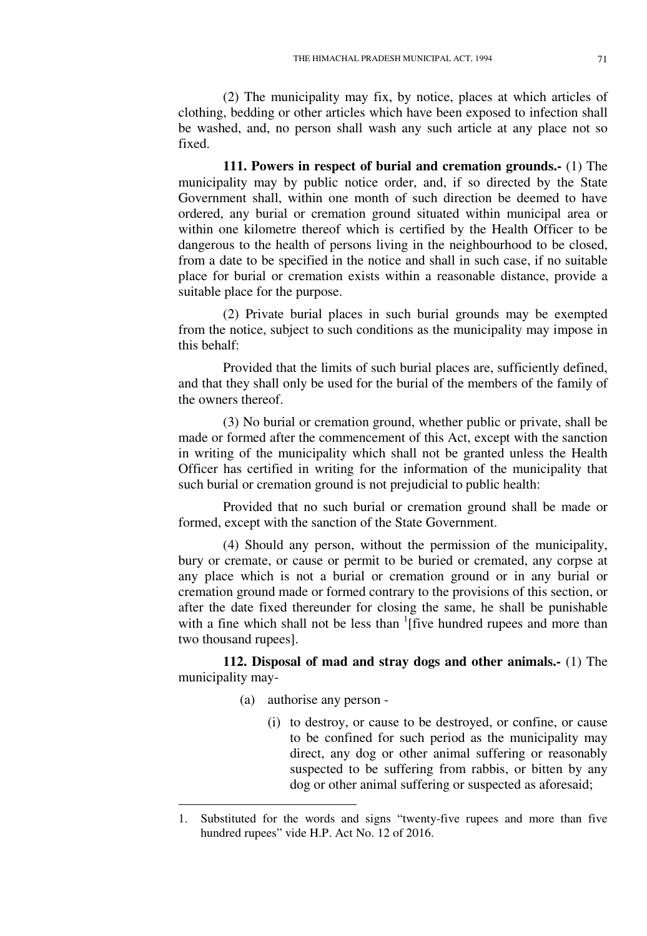(2) The municipality may fix, by notice, places at which articles of clothing, bedding or other articles which have been exposed to infection shall be washed, and, no person shall wash any such article at any place not so fixed.

**111. Powers in respect of burial and cremation grounds.-** (1) The municipality may by public notice order, and, if so directed by the State Government shall, within one month of such direction be deemed to have ordered, any burial or cremation ground situated within municipal area or within one kilometre thereof which is certified by the Health Officer to be dangerous to the health of persons living in the neighbourhood to be closed, from a date to be specified in the notice and shall in such case, if no suitable place for burial or cremation exists within a reasonable distance, provide a suitable place for the purpose.

(2) Private burial places in such burial grounds may be exempted from the notice, subject to such conditions as the municipality may impose in this behalf:

Provided that the limits of such burial places are, sufficiently defined, and that they shall only be used for the burial of the members of the family of the owners thereof.

(3) No burial or cremation ground, whether public or private, shall be made or formed after the commencement of this Act, except with the sanction in writing of the municipality which shall not be granted unless the Health Officer has certified in writing for the information of the municipality that such burial or cremation ground is not prejudicial to public health:

Provided that no such burial or cremation ground shall be made or formed, except with the sanction of the State Government.

(4) Should any person, without the permission of the municipality, bury or cremate, or cause or permit to be buried or cremated, any corpse at any place which is not a burial or cremation ground or in any burial or cremation ground made or formed contrary to the provisions of this section, or after the date fixed thereunder for closing the same, he shall be punishable with a fine which shall not be less than  $\frac{1}{1}$  five hundred rupees and more than two thousand rupees].

**112. Disposal of mad and stray dogs and other animals.-** (1) The municipality may-

(a) authorise any person -

<u>.</u>

(i) to destroy, or cause to be destroyed, or confine, or cause to be confined for such period as the municipality may direct, any dog or other animal suffering or reasonably suspected to be suffering from rabbis, or bitten by any dog or other animal suffering or suspected as aforesaid;

<sup>1.</sup> Substituted for the words and signs "twenty-five rupees and more than five hundred rupees" vide H.P. Act No. 12 of 2016.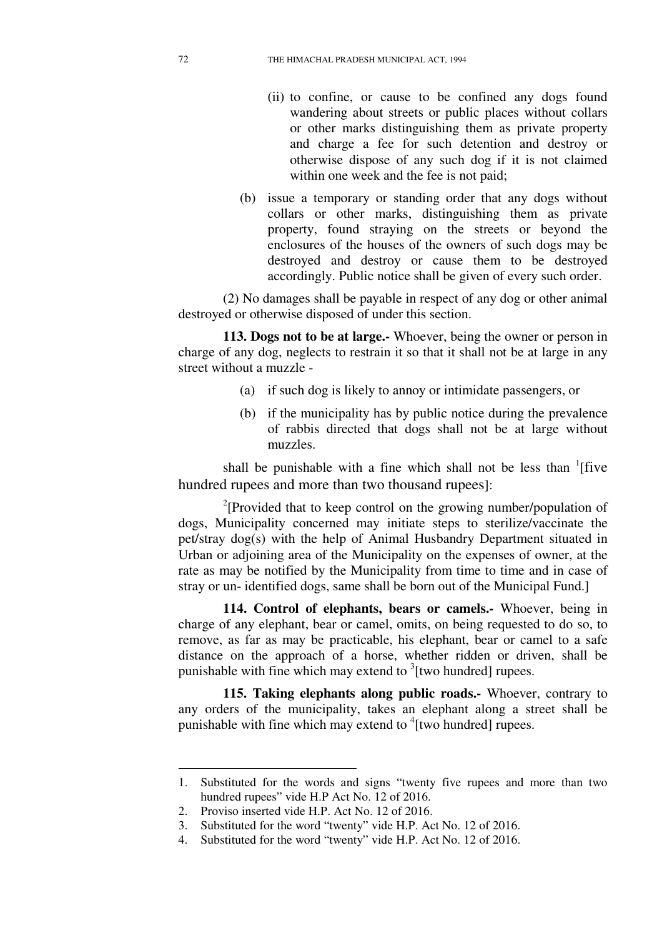- (ii) to confine, or cause to be confined any dogs found wandering about streets or public places without collars or other marks distinguishing them as private property and charge a fee for such detention and destroy or otherwise dispose of any such dog if it is not claimed within one week and the fee is not paid;
- (b) issue a temporary or standing order that any dogs without collars or other marks, distinguishing them as private property, found straying on the streets or beyond the enclosures of the houses of the owners of such dogs may be destroyed and destroy or cause them to be destroyed accordingly. Public notice shall be given of every such order.

(2) No damages shall be payable in respect of any dog or other animal destroyed or otherwise disposed of under this section.

**113. Dogs not to be at large.-** Whoever, being the owner or person in charge of any dog, neglects to restrain it so that it shall not be at large in any street without a muzzle -

- (a) if such dog is likely to annoy or intimidate passengers, or
- (b) if the municipality has by public notice during the prevalence of rabbis directed that dogs shall not be at large without muzzles.

shall be punishable with a fine which shall not be less than  ${}^{1}$ [five hundred rupees and more than two thousand rupees]:

<sup>2</sup>[Provided that to keep control on the growing number/population of dogs, Municipality concerned may initiate steps to sterilize/vaccinate the pet/stray dog(s) with the help of Animal Husbandry Department situated in Urban or adjoining area of the Municipality on the expenses of owner, at the rate as may be notified by the Municipality from time to time and in case of stray or un- identified dogs, same shall be born out of the Municipal Fund.]

**114. Control of elephants, bears or camels.-** Whoever, being in charge of any elephant, bear or camel, omits, on being requested to do so, to remove, as far as may be practicable, his elephant, bear or camel to a safe distance on the approach of a horse, whether ridden or driven, shall be punishable with fine which may extend to  $3$ [two hundred] rupees.

**115. Taking elephants along public roads.-** Whoever, contrary to any orders of the municipality, takes an elephant along a street shall be punishable with fine which may extend to <sup>4</sup>[two hundred] rupees.

-

<sup>1.</sup> Substituted for the words and signs "twenty five rupees and more than two hundred rupees" vide H.P Act No. 12 of 2016.

<sup>2.</sup> Proviso inserted vide H.P. Act No. 12 of 2016.

<sup>3.</sup> Substituted for the word "twenty" vide H.P. Act No. 12 of 2016.

<sup>4.</sup> Substituted for the word "twenty" vide H.P. Act No. 12 of 2016.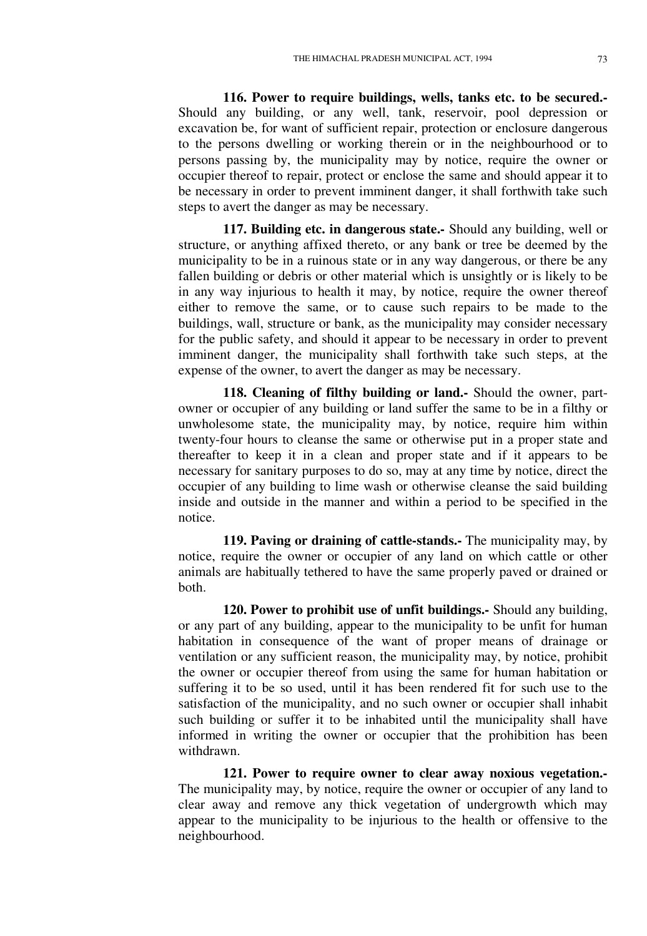**116. Power to require buildings, wells, tanks etc. to be secured.-**  Should any building, or any well, tank, reservoir, pool depression or excavation be, for want of sufficient repair, protection or enclosure dangerous to the persons dwelling or working therein or in the neighbourhood or to persons passing by, the municipality may by notice, require the owner or occupier thereof to repair, protect or enclose the same and should appear it to be necessary in order to prevent imminent danger, it shall forthwith take such steps to avert the danger as may be necessary.

**117. Building etc. in dangerous state.-** Should any building, well or structure, or anything affixed thereto, or any bank or tree be deemed by the municipality to be in a ruinous state or in any way dangerous, or there be any fallen building or debris or other material which is unsightly or is likely to be in any way injurious to health it may, by notice, require the owner thereof either to remove the same, or to cause such repairs to be made to the buildings, wall, structure or bank, as the municipality may consider necessary for the public safety, and should it appear to be necessary in order to prevent imminent danger, the municipality shall forthwith take such steps, at the expense of the owner, to avert the danger as may be necessary.

**118. Cleaning of filthy building or land.-** Should the owner, partowner or occupier of any building or land suffer the same to be in a filthy or unwholesome state, the municipality may, by notice, require him within twenty-four hours to cleanse the same or otherwise put in a proper state and thereafter to keep it in a clean and proper state and if it appears to be necessary for sanitary purposes to do so, may at any time by notice, direct the occupier of any building to lime wash or otherwise cleanse the said building inside and outside in the manner and within a period to be specified in the notice.

**119. Paving or draining of cattle-stands.-** The municipality may, by notice, require the owner or occupier of any land on which cattle or other animals are habitually tethered to have the same properly paved or drained or both.

**120. Power to prohibit use of unfit buildings.-** Should any building, or any part of any building, appear to the municipality to be unfit for human habitation in consequence of the want of proper means of drainage or ventilation or any sufficient reason, the municipality may, by notice, prohibit the owner or occupier thereof from using the same for human habitation or suffering it to be so used, until it has been rendered fit for such use to the satisfaction of the municipality, and no such owner or occupier shall inhabit such building or suffer it to be inhabited until the municipality shall have informed in writing the owner or occupier that the prohibition has been withdrawn.

**121. Power to require owner to clear away noxious vegetation.-**  The municipality may, by notice, require the owner or occupier of any land to clear away and remove any thick vegetation of undergrowth which may appear to the municipality to be injurious to the health or offensive to the neighbourhood.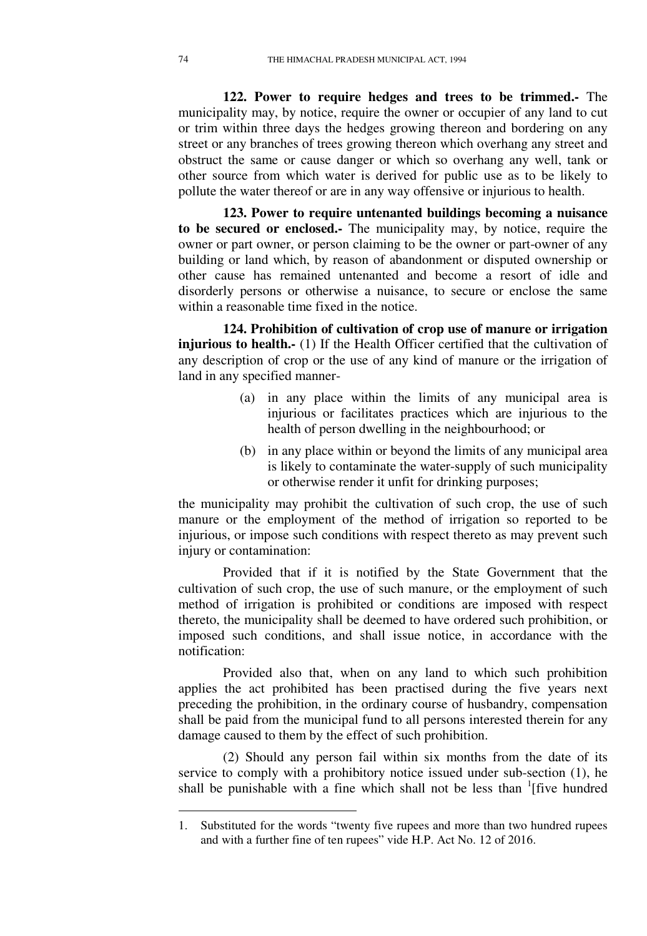**122. Power to require hedges and trees to be trimmed.-** The municipality may, by notice, require the owner or occupier of any land to cut or trim within three days the hedges growing thereon and bordering on any street or any branches of trees growing thereon which overhang any street and obstruct the same or cause danger or which so overhang any well, tank or other source from which water is derived for public use as to be likely to pollute the water thereof or are in any way offensive or injurious to health.

**123. Power to require untenanted buildings becoming a nuisance to be secured or enclosed.-** The municipality may, by notice, require the owner or part owner, or person claiming to be the owner or part-owner of any building or land which, by reason of abandonment or disputed ownership or other cause has remained untenanted and become a resort of idle and disorderly persons or otherwise a nuisance, to secure or enclose the same within a reasonable time fixed in the notice.

**124. Prohibition of cultivation of crop use of manure or irrigation injurious to health.-** (1) If the Health Officer certified that the cultivation of any description of crop or the use of any kind of manure or the irrigation of land in any specified manner-

- (a) in any place within the limits of any municipal area is injurious or facilitates practices which are injurious to the health of person dwelling in the neighbourhood; or
- (b) in any place within or beyond the limits of any municipal area is likely to contaminate the water-supply of such municipality or otherwise render it unfit for drinking purposes;

the municipality may prohibit the cultivation of such crop, the use of such manure or the employment of the method of irrigation so reported to be injurious, or impose such conditions with respect thereto as may prevent such injury or contamination:

Provided that if it is notified by the State Government that the cultivation of such crop, the use of such manure, or the employment of such method of irrigation is prohibited or conditions are imposed with respect thereto, the municipality shall be deemed to have ordered such prohibition, or imposed such conditions, and shall issue notice, in accordance with the notification:

Provided also that, when on any land to which such prohibition applies the act prohibited has been practised during the five years next preceding the prohibition, in the ordinary course of husbandry, compensation shall be paid from the municipal fund to all persons interested therein for any damage caused to them by the effect of such prohibition.

(2) Should any person fail within six months from the date of its service to comply with a prohibitory notice issued under sub-section (1), he shall be punishable with a fine which shall not be less than  $\frac{1}{1}$  five hundred

<sup>1.</sup> Substituted for the words "twenty five rupees and more than two hundred rupees and with a further fine of ten rupees" vide H.P. Act No. 12 of 2016.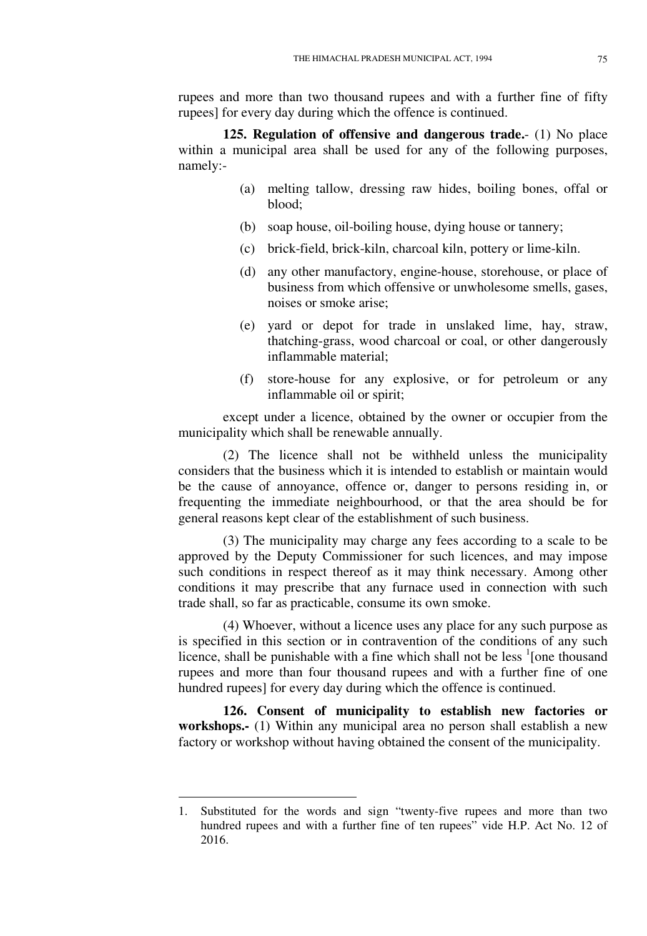rupees and more than two thousand rupees and with a further fine of fifty rupees] for every day during which the offence is continued.

**125. Regulation of offensive and dangerous trade.**- (1) No place within a municipal area shall be used for any of the following purposes, namely:-

- (a) melting tallow, dressing raw hides, boiling bones, offal or blood;
- (b) soap house, oil-boiling house, dying house or tannery;
- (c) brick-field, brick-kiln, charcoal kiln, pottery or lime-kiln.
- (d) any other manufactory, engine-house, storehouse, or place of business from which offensive or unwholesome smells, gases, noises or smoke arise;
- (e) yard or depot for trade in unslaked lime, hay, straw, thatching-grass, wood charcoal or coal, or other dangerously inflammable material;
- (f) store-house for any explosive, or for petroleum or any inflammable oil or spirit;

except under a licence, obtained by the owner or occupier from the municipality which shall be renewable annually.

(2) The licence shall not be withheld unless the municipality considers that the business which it is intended to establish or maintain would be the cause of annoyance, offence or, danger to persons residing in, or frequenting the immediate neighbourhood, or that the area should be for general reasons kept clear of the establishment of such business.

(3) The municipality may charge any fees according to a scale to be approved by the Deputy Commissioner for such licences, and may impose such conditions in respect thereof as it may think necessary. Among other conditions it may prescribe that any furnace used in connection with such trade shall, so far as practicable, consume its own smoke.

(4) Whoever, without a licence uses any place for any such purpose as is specified in this section or in contravention of the conditions of any such licence, shall be punishable with a fine which shall not be less  $\frac{1}{2}$  [one thousand rupees and more than four thousand rupees and with a further fine of one hundred rupees] for every day during which the offence is continued.

**126. Consent of municipality to establish new factories or workshops.-** (1) Within any municipal area no person shall establish a new factory or workshop without having obtained the consent of the municipality.

<u>.</u>

<sup>1.</sup> Substituted for the words and sign "twenty-five rupees and more than two hundred rupees and with a further fine of ten rupees" vide H.P. Act No. 12 of 2016.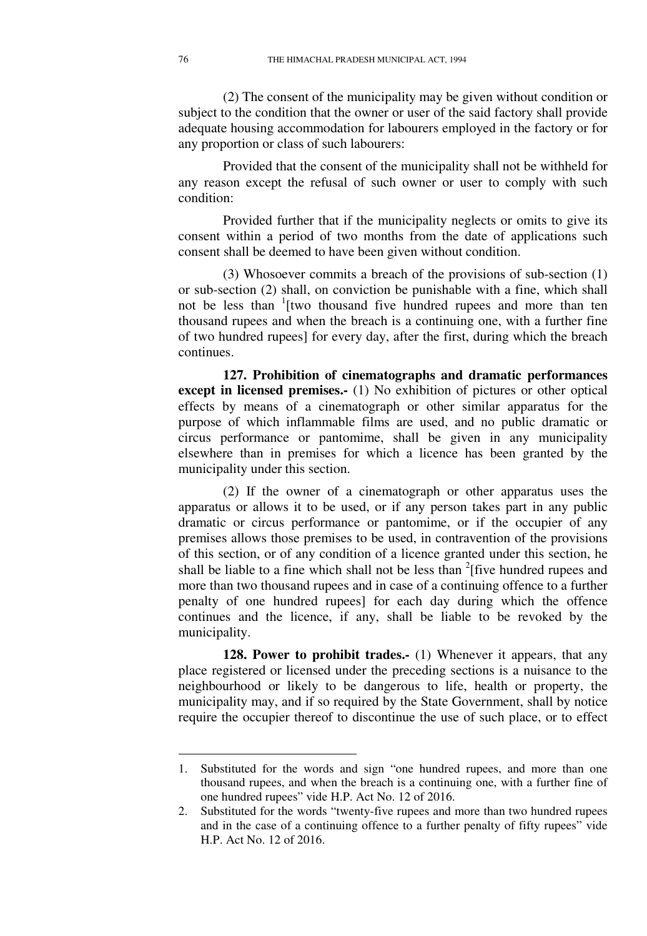(2) The consent of the municipality may be given without condition or subject to the condition that the owner or user of the said factory shall provide adequate housing accommodation for labourers employed in the factory or for any proportion or class of such labourers:

Provided that the consent of the municipality shall not be withheld for any reason except the refusal of such owner or user to comply with such condition:

Provided further that if the municipality neglects or omits to give its consent within a period of two months from the date of applications such consent shall be deemed to have been given without condition.

(3) Whosoever commits a breach of the provisions of sub-section (1) or sub-section (2) shall, on conviction be punishable with a fine, which shall not be less than <sup>1</sup>[two thousand five hundred rupees and more than ten thousand rupees and when the breach is a continuing one, with a further fine of two hundred rupees] for every day, after the first, during which the breach continues.

**127. Prohibition of cinematographs and dramatic performances except in licensed premises.-** (1) No exhibition of pictures or other optical effects by means of a cinematograph or other similar apparatus for the purpose of which inflammable films are used, and no public dramatic or circus performance or pantomime, shall be given in any municipality elsewhere than in premises for which a licence has been granted by the municipality under this section.

(2) If the owner of a cinematograph or other apparatus uses the apparatus or allows it to be used, or if any person takes part in any public dramatic or circus performance or pantomime, or if the occupier of any premises allows those premises to be used, in contravention of the provisions of this section, or of any condition of a licence granted under this section, he shall be liable to a fine which shall not be less than  $2$ [five hundred rupees and more than two thousand rupees and in case of a continuing offence to a further penalty of one hundred rupees] for each day during which the offence continues and the licence, if any, shall be liable to be revoked by the municipality.

**128. Power to prohibit trades.-** (1) Whenever it appears, that any place registered or licensed under the preceding sections is a nuisance to the neighbourhood or likely to be dangerous to life, health or property, the municipality may, and if so required by the State Government, shall by notice require the occupier thereof to discontinue the use of such place, or to effect

<sup>1.</sup> Substituted for the words and sign "one hundred rupees, and more than one thousand rupees, and when the breach is a continuing one, with a further fine of one hundred rupees" vide H.P. Act No. 12 of 2016.

<sup>2.</sup> Substituted for the words "twenty-five rupees and more than two hundred rupees and in the case of a continuing offence to a further penalty of fifty rupees" vide H.P. Act No. 12 of 2016.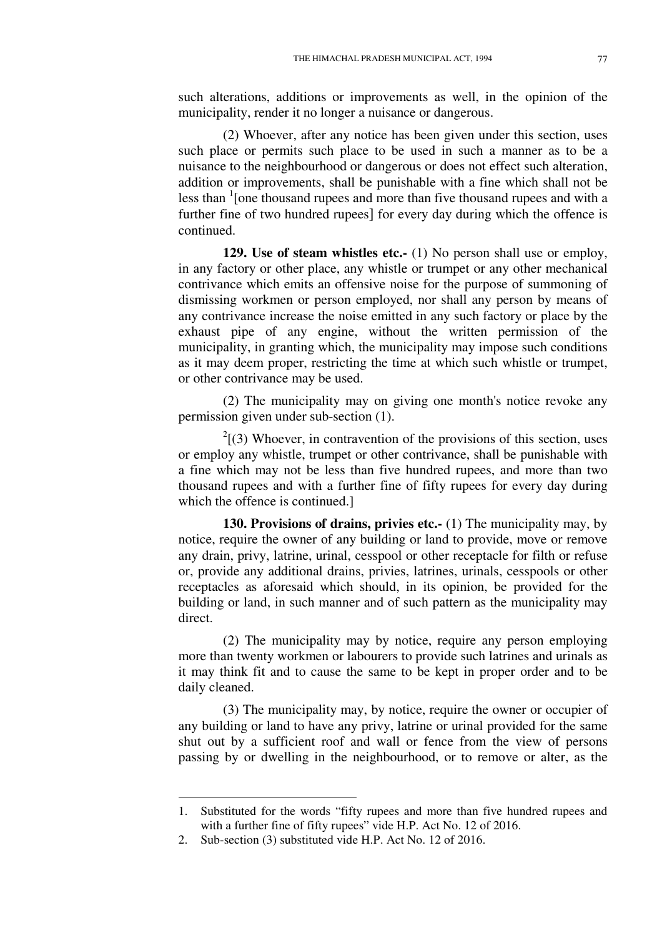such alterations, additions or improvements as well, in the opinion of the municipality, render it no longer a nuisance or dangerous.

(2) Whoever, after any notice has been given under this section, uses such place or permits such place to be used in such a manner as to be a nuisance to the neighbourhood or dangerous or does not effect such alteration, addition or improvements, shall be punishable with a fine which shall not be less than <sup>1</sup> [one thousand rupees and more than five thousand rupees and with a further fine of two hundred rupees] for every day during which the offence is continued.

**129. Use of steam whistles etc.-** (1) No person shall use or employ, in any factory or other place, any whistle or trumpet or any other mechanical contrivance which emits an offensive noise for the purpose of summoning of dismissing workmen or person employed, nor shall any person by means of any contrivance increase the noise emitted in any such factory or place by the exhaust pipe of any engine, without the written permission of the municipality, in granting which, the municipality may impose such conditions as it may deem proper, restricting the time at which such whistle or trumpet, or other contrivance may be used.

(2) The municipality may on giving one month's notice revoke any permission given under sub-section (1).

 $2^{2}$ [(3) Whoever, in contravention of the provisions of this section, uses or employ any whistle, trumpet or other contrivance, shall be punishable with a fine which may not be less than five hundred rupees, and more than two thousand rupees and with a further fine of fifty rupees for every day during which the offence is continued.]

**130. Provisions of drains, privies etc.-** (1) The municipality may, by notice, require the owner of any building or land to provide, move or remove any drain, privy, latrine, urinal, cesspool or other receptacle for filth or refuse or, provide any additional drains, privies, latrines, urinals, cesspools or other receptacles as aforesaid which should, in its opinion, be provided for the building or land, in such manner and of such pattern as the municipality may direct.

(2) The municipality may by notice, require any person employing more than twenty workmen or labourers to provide such latrines and urinals as it may think fit and to cause the same to be kept in proper order and to be daily cleaned.

(3) The municipality may, by notice, require the owner or occupier of any building or land to have any privy, latrine or urinal provided for the same shut out by a sufficient roof and wall or fence from the view of persons passing by or dwelling in the neighbourhood, or to remove or alter, as the

<u>.</u>

<sup>1.</sup> Substituted for the words "fifty rupees and more than five hundred rupees and with a further fine of fifty rupees" vide H.P. Act No. 12 of 2016.

<sup>2.</sup> Sub-section (3) substituted vide H.P. Act No. 12 of 2016.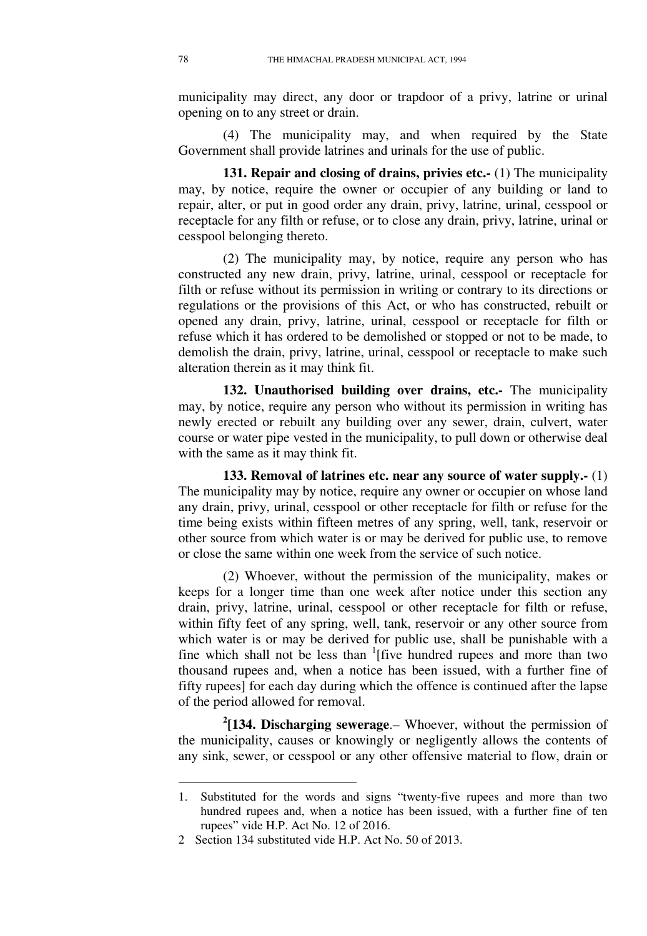municipality may direct, any door or trapdoor of a privy, latrine or urinal opening on to any street or drain.

(4) The municipality may, and when required by the State Government shall provide latrines and urinals for the use of public.

**131. Repair and closing of drains, privies etc.-** (1) The municipality may, by notice, require the owner or occupier of any building or land to repair, alter, or put in good order any drain, privy, latrine, urinal, cesspool or receptacle for any filth or refuse, or to close any drain, privy, latrine, urinal or cesspool belonging thereto.

(2) The municipality may, by notice, require any person who has constructed any new drain, privy, latrine, urinal, cesspool or receptacle for filth or refuse without its permission in writing or contrary to its directions or regulations or the provisions of this Act, or who has constructed, rebuilt or opened any drain, privy, latrine, urinal, cesspool or receptacle for filth or refuse which it has ordered to be demolished or stopped or not to be made, to demolish the drain, privy, latrine, urinal, cesspool or receptacle to make such alteration therein as it may think fit.

**132. Unauthorised building over drains, etc.-** The municipality may, by notice, require any person who without its permission in writing has newly erected or rebuilt any building over any sewer, drain, culvert, water course or water pipe vested in the municipality, to pull down or otherwise deal with the same as it may think fit.

**133. Removal of latrines etc. near any source of water supply.-** (1) The municipality may by notice, require any owner or occupier on whose land any drain, privy, urinal, cesspool or other receptacle for filth or refuse for the time being exists within fifteen metres of any spring, well, tank, reservoir or other source from which water is or may be derived for public use, to remove or close the same within one week from the service of such notice.

(2) Whoever, without the permission of the municipality, makes or keeps for a longer time than one week after notice under this section any drain, privy, latrine, urinal, cesspool or other receptacle for filth or refuse, within fifty feet of any spring, well, tank, reservoir or any other source from which water is or may be derived for public use, shall be punishable with a fine which shall not be less than <sup>1</sup>[five hundred rupees and more than two thousand rupees and, when a notice has been issued, with a further fine of fifty rupees] for each day during which the offence is continued after the lapse of the period allowed for removal.

**2 [134. Discharging sewerage**.– Whoever, without the permission of the municipality, causes or knowingly or negligently allows the contents of any sink, sewer, or cesspool or any other offensive material to flow, drain or

<sup>1.</sup> Substituted for the words and signs "twenty-five rupees and more than two hundred rupees and, when a notice has been issued, with a further fine of ten rupees" vide H.P. Act No. 12 of 2016.

<sup>2</sup> Section 134 substituted vide H.P. Act No. 50 of 2013.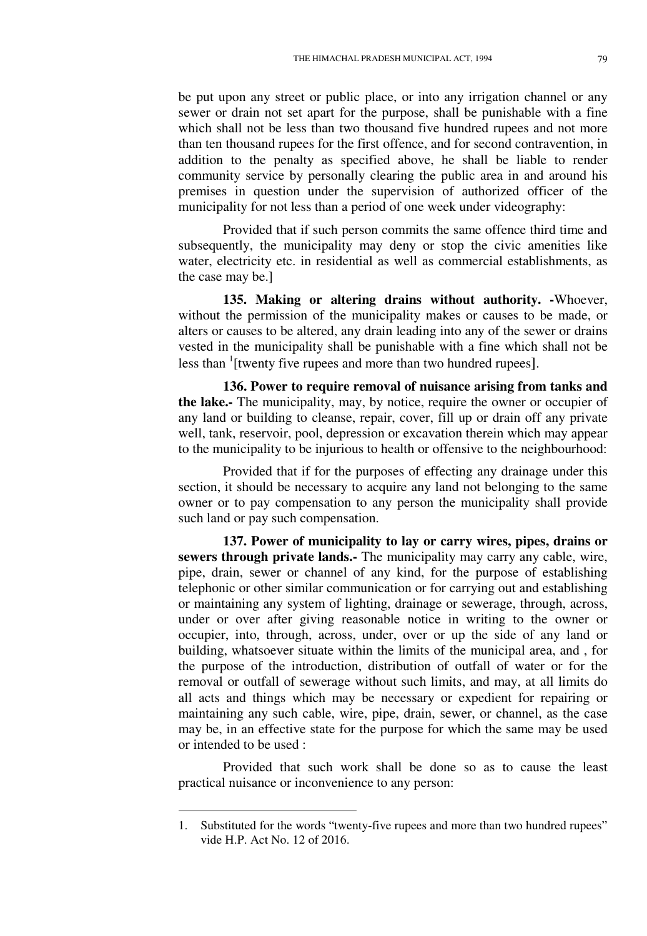be put upon any street or public place, or into any irrigation channel or any sewer or drain not set apart for the purpose, shall be punishable with a fine which shall not be less than two thousand five hundred rupees and not more than ten thousand rupees for the first offence, and for second contravention, in addition to the penalty as specified above, he shall be liable to render community service by personally clearing the public area in and around his premises in question under the supervision of authorized officer of the municipality for not less than a period of one week under videography:

Provided that if such person commits the same offence third time and subsequently, the municipality may deny or stop the civic amenities like water, electricity etc. in residential as well as commercial establishments, as the case may be.]

**135. Making or altering drains without authority. -**Whoever, without the permission of the municipality makes or causes to be made, or alters or causes to be altered, any drain leading into any of the sewer or drains vested in the municipality shall be punishable with a fine which shall not be less than <sup>1</sup>[twenty five rupees and more than two hundred rupees].

**136. Power to require removal of nuisance arising from tanks and the lake.-** The municipality, may, by notice, require the owner or occupier of any land or building to cleanse, repair, cover, fill up or drain off any private well, tank, reservoir, pool, depression or excavation therein which may appear to the municipality to be injurious to health or offensive to the neighbourhood:

Provided that if for the purposes of effecting any drainage under this section, it should be necessary to acquire any land not belonging to the same owner or to pay compensation to any person the municipality shall provide such land or pay such compensation.

**137. Power of municipality to lay or carry wires, pipes, drains or sewers through private lands.-** The municipality may carry any cable, wire, pipe, drain, sewer or channel of any kind, for the purpose of establishing telephonic or other similar communication or for carrying out and establishing or maintaining any system of lighting, drainage or sewerage, through, across, under or over after giving reasonable notice in writing to the owner or occupier, into, through, across, under, over or up the side of any land or building, whatsoever situate within the limits of the municipal area, and , for the purpose of the introduction, distribution of outfall of water or for the removal or outfall of sewerage without such limits, and may, at all limits do all acts and things which may be necessary or expedient for repairing or maintaining any such cable, wire, pipe, drain, sewer, or channel, as the case may be, in an effective state for the purpose for which the same may be used or intended to be used :

Provided that such work shall be done so as to cause the least practical nuisance or inconvenience to any person:

<sup>1.</sup> Substituted for the words "twenty-five rupees and more than two hundred rupees" vide H.P. Act No. 12 of 2016.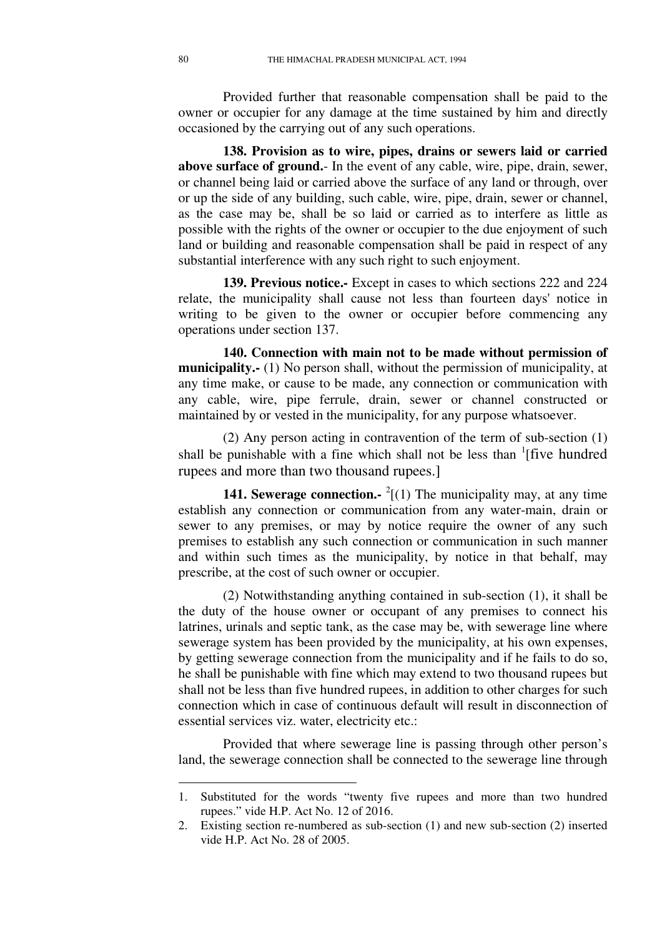Provided further that reasonable compensation shall be paid to the owner or occupier for any damage at the time sustained by him and directly occasioned by the carrying out of any such operations.

**138. Provision as to wire, pipes, drains or sewers laid or carried above surface of ground.**- In the event of any cable, wire, pipe, drain, sewer, or channel being laid or carried above the surface of any land or through, over or up the side of any building, such cable, wire, pipe, drain, sewer or channel, as the case may be, shall be so laid or carried as to interfere as little as possible with the rights of the owner or occupier to the due enjoyment of such land or building and reasonable compensation shall be paid in respect of any substantial interference with any such right to such enjoyment.

**139. Previous notice.-** Except in cases to which sections 222 and 224 relate, the municipality shall cause not less than fourteen days' notice in writing to be given to the owner or occupier before commencing any operations under section 137.

**140. Connection with main not to be made without permission of municipality.-** (1) No person shall, without the permission of municipality, at any time make, or cause to be made, any connection or communication with any cable, wire, pipe ferrule, drain, sewer or channel constructed or maintained by or vested in the municipality, for any purpose whatsoever.

(2) Any person acting in contravention of the term of sub-section (1) shall be punishable with a fine which shall not be less than  $\frac{1}{1}$  five hundred rupees and more than two thousand rupees.]

**141. Sewerage connection.**  $^{2}$ [(1) The municipality may, at any time establish any connection or communication from any water-main, drain or sewer to any premises, or may by notice require the owner of any such premises to establish any such connection or communication in such manner and within such times as the municipality, by notice in that behalf, may prescribe, at the cost of such owner or occupier.

(2) Notwithstanding anything contained in sub-section (1), it shall be the duty of the house owner or occupant of any premises to connect his latrines, urinals and septic tank, as the case may be, with sewerage line where sewerage system has been provided by the municipality, at his own expenses, by getting sewerage connection from the municipality and if he fails to do so, he shall be punishable with fine which may extend to two thousand rupees but shall not be less than five hundred rupees, in addition to other charges for such connection which in case of continuous default will result in disconnection of essential services viz. water, electricity etc.:

Provided that where sewerage line is passing through other person's land, the sewerage connection shall be connected to the sewerage line through

<sup>1.</sup> Substituted for the words "twenty five rupees and more than two hundred rupees." vide H.P. Act No. 12 of 2016.

<sup>2.</sup> Existing section re-numbered as sub-section (1) and new sub-section (2) inserted vide H.P. Act No. 28 of 2005.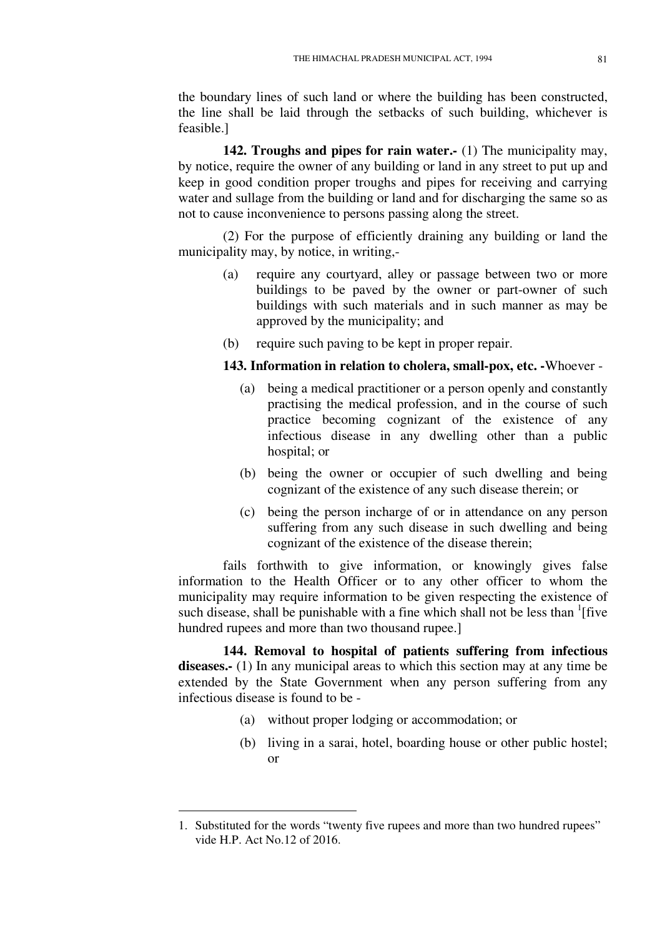the boundary lines of such land or where the building has been constructed, the line shall be laid through the setbacks of such building, whichever is feasible.]

**142. Troughs and pipes for rain water.-** (1) The municipality may, by notice, require the owner of any building or land in any street to put up and keep in good condition proper troughs and pipes for receiving and carrying water and sullage from the building or land and for discharging the same so as not to cause inconvenience to persons passing along the street.

(2) For the purpose of efficiently draining any building or land the municipality may, by notice, in writing,-

- (a) require any courtyard, alley or passage between two or more buildings to be paved by the owner or part-owner of such buildings with such materials and in such manner as may be approved by the municipality; and
- (b) require such paving to be kept in proper repair.

## **143. Information in relation to cholera, small-pox, etc. -**Whoever -

- (a) being a medical practitioner or a person openly and constantly practising the medical profession, and in the course of such practice becoming cognizant of the existence of any infectious disease in any dwelling other than a public hospital; or
- (b) being the owner or occupier of such dwelling and being cognizant of the existence of any such disease therein; or
- (c) being the person incharge of or in attendance on any person suffering from any such disease in such dwelling and being cognizant of the existence of the disease therein;

fails forthwith to give information, or knowingly gives false information to the Health Officer or to any other officer to whom the municipality may require information to be given respecting the existence of such disease, shall be punishable with a fine which shall not be less than  $\frac{1}{1}$  five hundred rupees and more than two thousand rupee.]

**144. Removal to hospital of patients suffering from infectious**  diseases.- (1) In any municipal areas to which this section may at any time be extended by the State Government when any person suffering from any infectious disease is found to be -

- (a) without proper lodging or accommodation; or
- (b) living in a sarai, hotel, boarding house or other public hostel; or

<sup>1.</sup> Substituted for the words "twenty five rupees and more than two hundred rupees" vide H.P. Act No.12 of 2016.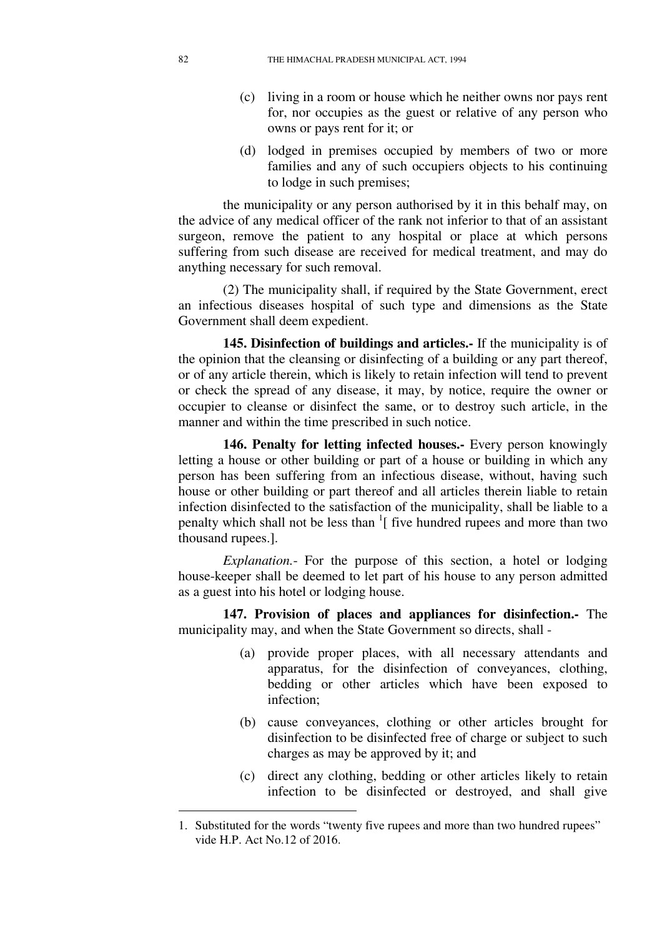- (c) living in a room or house which he neither owns nor pays rent for, nor occupies as the guest or relative of any person who owns or pays rent for it; or
- (d) lodged in premises occupied by members of two or more families and any of such occupiers objects to his continuing to lodge in such premises;

the municipality or any person authorised by it in this behalf may, on the advice of any medical officer of the rank not inferior to that of an assistant surgeon, remove the patient to any hospital or place at which persons suffering from such disease are received for medical treatment, and may do anything necessary for such removal.

(2) The municipality shall, if required by the State Government, erect an infectious diseases hospital of such type and dimensions as the State Government shall deem expedient.

**145. Disinfection of buildings and articles.-** If the municipality is of the opinion that the cleansing or disinfecting of a building or any part thereof, or of any article therein, which is likely to retain infection will tend to prevent or check the spread of any disease, it may, by notice, require the owner or occupier to cleanse or disinfect the same, or to destroy such article, in the manner and within the time prescribed in such notice.

**146. Penalty for letting infected houses.-** Every person knowingly letting a house or other building or part of a house or building in which any person has been suffering from an infectious disease, without, having such house or other building or part thereof and all articles therein liable to retain infection disinfected to the satisfaction of the municipality, shall be liable to a penalty which shall not be less than <sup>1</sup>[ five hundred rupees and more than two thousand rupees.].

*Explanation.*- For the purpose of this section, a hotel or lodging house-keeper shall be deemed to let part of his house to any person admitted as a guest into his hotel or lodging house.

**147. Provision of places and appliances for disinfection.-** The municipality may, and when the State Government so directs, shall -

- (a) provide proper places, with all necessary attendants and apparatus, for the disinfection of conveyances, clothing, bedding or other articles which have been exposed to infection;
- (b) cause conveyances, clothing or other articles brought for disinfection to be disinfected free of charge or subject to such charges as may be approved by it; and
- (c) direct any clothing, bedding or other articles likely to retain infection to be disinfected or destroyed, and shall give

<sup>1.</sup> Substituted for the words "twenty five rupees and more than two hundred rupees" vide H.P. Act No.12 of 2016.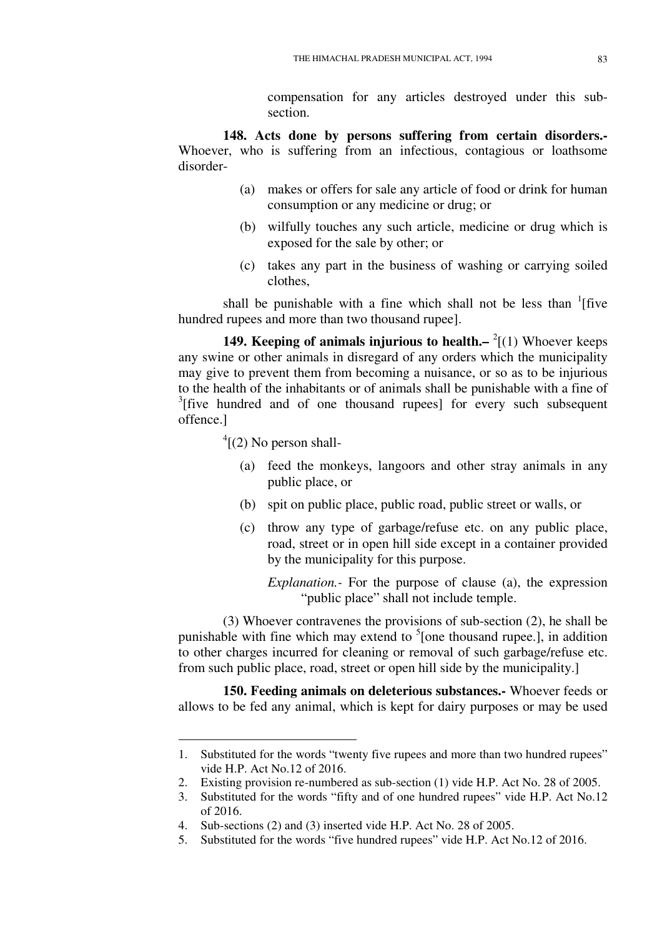compensation for any articles destroyed under this subsection.

**148. Acts done by persons suffering from certain disorders.-** Whoever, who is suffering from an infectious, contagious or loathsome disorder-

- (a) makes or offers for sale any article of food or drink for human consumption or any medicine or drug; or
- (b) wilfully touches any such article, medicine or drug which is exposed for the sale by other; or
- (c) takes any part in the business of washing or carrying soiled clothes,

shall be punishable with a fine which shall not be less than  $\frac{1}{1}$  five hundred rupees and more than two thousand rupee].

**149. Keeping of animals injurious to health.** - <sup>2</sup>[(1) Whoever keeps any swine or other animals in disregard of any orders which the municipality may give to prevent them from becoming a nuisance, or so as to be injurious to the health of the inhabitants or of animals shall be punishable with a fine of <sup>3</sup>[five hundred and of one thousand rupees] for every such subsequent offence.]

 $\rm ^{4}$ [(2) No person shall-

<u>.</u>

- (a) feed the monkeys, langoors and other stray animals in any public place, or
- (b) spit on public place, public road, public street or walls, or
- (c) throw any type of garbage/refuse etc. on any public place, road, street or in open hill side except in a container provided by the municipality for this purpose.

*Explanation.-* For the purpose of clause (a), the expression "public place" shall not include temple.

(3) Whoever contravenes the provisions of sub-section (2), he shall be punishable with fine which may extend to  $5$ [one thousand rupee.], in addition to other charges incurred for cleaning or removal of such garbage/refuse etc. from such public place, road, street or open hill side by the municipality.]

**150. Feeding animals on deleterious substances.-** Whoever feeds or allows to be fed any animal, which is kept for dairy purposes or may be used

<sup>1.</sup> Substituted for the words "twenty five rupees and more than two hundred rupees" vide H.P. Act No.12 of 2016.

<sup>2.</sup> Existing provision re-numbered as sub-section (1) vide H.P. Act No. 28 of 2005.

<sup>3.</sup> Substituted for the words "fifty and of one hundred rupees" vide H.P. Act No.12 of 2016.

<sup>4.</sup> Sub-sections (2) and (3) inserted vide H.P. Act No. 28 of 2005.

<sup>5.</sup> Substituted for the words "five hundred rupees" vide H.P. Act No.12 of 2016.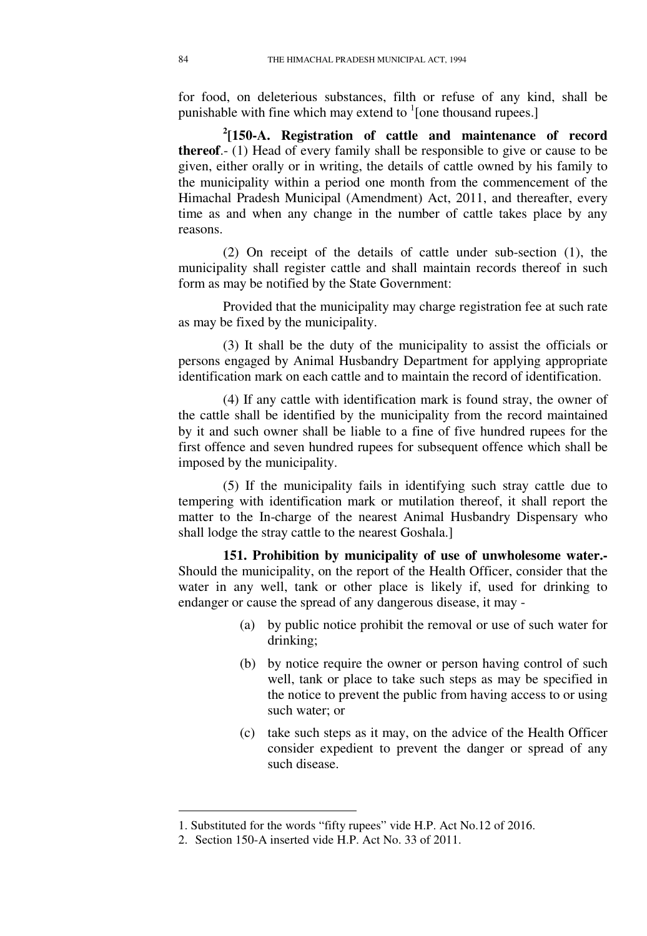for food, on deleterious substances, filth or refuse of any kind, shall be punishable with fine which may extend to  $\frac{1}{2}$  [one thousand rupees.]

**2 [150-A. Registration of cattle and maintenance of record thereof**.- (1) Head of every family shall be responsible to give or cause to be given, either orally or in writing, the details of cattle owned by his family to the municipality within a period one month from the commencement of the Himachal Pradesh Municipal (Amendment) Act, 2011, and thereafter, every time as and when any change in the number of cattle takes place by any reasons.

(2) On receipt of the details of cattle under sub-section (1), the municipality shall register cattle and shall maintain records thereof in such form as may be notified by the State Government:

Provided that the municipality may charge registration fee at such rate as may be fixed by the municipality.

(3) It shall be the duty of the municipality to assist the officials or persons engaged by Animal Husbandry Department for applying appropriate identification mark on each cattle and to maintain the record of identification.

(4) If any cattle with identification mark is found stray, the owner of the cattle shall be identified by the municipality from the record maintained by it and such owner shall be liable to a fine of five hundred rupees for the first offence and seven hundred rupees for subsequent offence which shall be imposed by the municipality.

(5) If the municipality fails in identifying such stray cattle due to tempering with identification mark or mutilation thereof, it shall report the matter to the In-charge of the nearest Animal Husbandry Dispensary who shall lodge the stray cattle to the nearest Goshala.]

**151. Prohibition by municipality of use of unwholesome water.-**  Should the municipality, on the report of the Health Officer, consider that the water in any well, tank or other place is likely if, used for drinking to endanger or cause the spread of any dangerous disease, it may -

- (a) by public notice prohibit the removal or use of such water for drinking;
- (b) by notice require the owner or person having control of such well, tank or place to take such steps as may be specified in the notice to prevent the public from having access to or using such water; or
- (c) take such steps as it may, on the advice of the Health Officer consider expedient to prevent the danger or spread of any such disease.

<sup>1.</sup> Substituted for the words "fifty rupees" vide H.P. Act No.12 of 2016.

<sup>2.</sup> Section 150-A inserted vide H.P. Act No. 33 of 2011.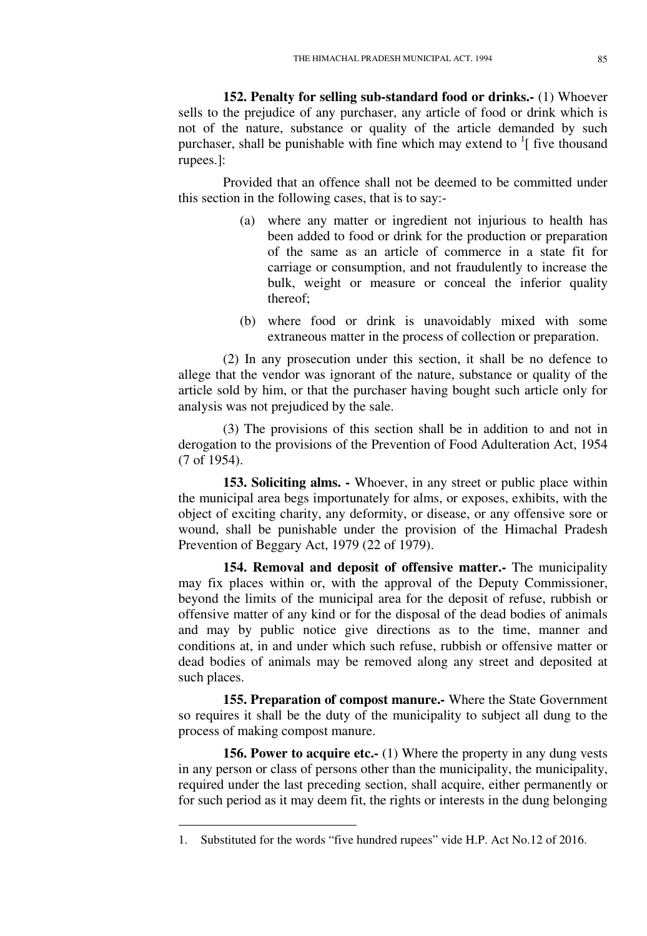**152. Penalty for selling sub-standard food or drinks.-** (1) Whoever sells to the prejudice of any purchaser, any article of food or drink which is not of the nature, substance or quality of the article demanded by such purchaser, shall be punishable with fine which may extend to  $\frac{1}{1}$  five thousand rupees.]:

Provided that an offence shall not be deemed to be committed under this section in the following cases, that is to say:-

- (a) where any matter or ingredient not injurious to health has been added to food or drink for the production or preparation of the same as an article of commerce in a state fit for carriage or consumption, and not fraudulently to increase the bulk, weight or measure or conceal the inferior quality thereof;
- (b) where food or drink is unavoidably mixed with some extraneous matter in the process of collection or preparation.

(2) In any prosecution under this section, it shall be no defence to allege that the vendor was ignorant of the nature, substance or quality of the article sold by him, or that the purchaser having bought such article only for analysis was not prejudiced by the sale.

(3) The provisions of this section shall be in addition to and not in derogation to the provisions of the Prevention of Food Adulteration Act, 1954 (7 of 1954).

**153. Soliciting alms. -** Whoever, in any street or public place within the municipal area begs importunately for alms, or exposes, exhibits, with the object of exciting charity, any deformity, or disease, or any offensive sore or wound, shall be punishable under the provision of the Himachal Pradesh Prevention of Beggary Act, 1979 (22 of 1979).

**154. Removal and deposit of offensive matter.-** The municipality may fix places within or, with the approval of the Deputy Commissioner, beyond the limits of the municipal area for the deposit of refuse, rubbish or offensive matter of any kind or for the disposal of the dead bodies of animals and may by public notice give directions as to the time, manner and conditions at, in and under which such refuse, rubbish or offensive matter or dead bodies of animals may be removed along any street and deposited at such places.

**155. Preparation of compost manure.-** Where the State Government so requires it shall be the duty of the municipality to subject all dung to the process of making compost manure.

**156. Power to acquire etc.-** (1) Where the property in any dung vests in any person or class of persons other than the municipality, the municipality, required under the last preceding section, shall acquire, either permanently or for such period as it may deem fit, the rights or interests in the dung belonging

<u>.</u>

<sup>1.</sup> Substituted for the words "five hundred rupees" vide H.P. Act No.12 of 2016.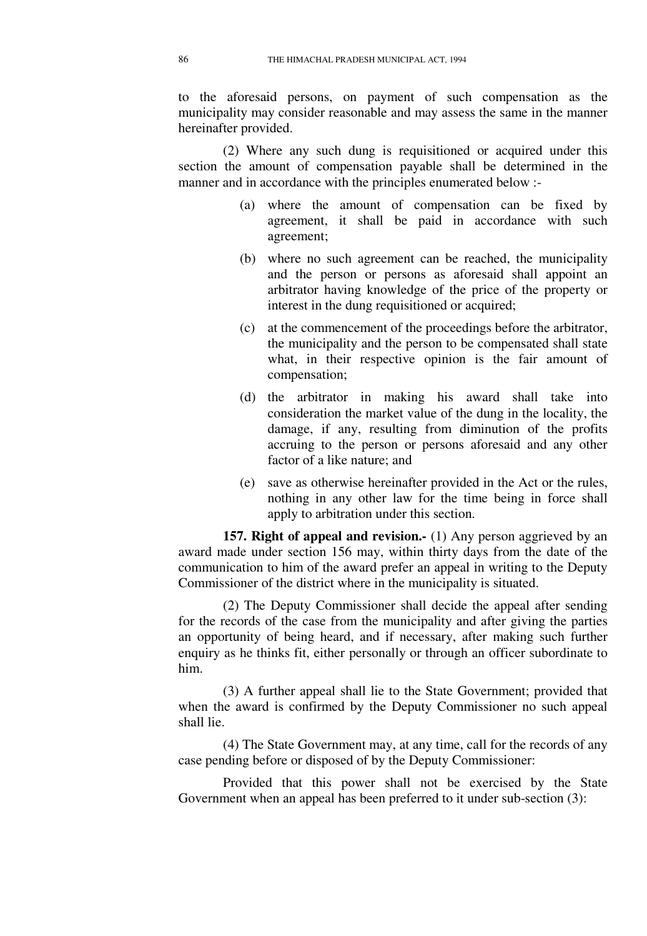to the aforesaid persons, on payment of such compensation as the municipality may consider reasonable and may assess the same in the manner hereinafter provided.

(2) Where any such dung is requisitioned or acquired under this section the amount of compensation payable shall be determined in the manner and in accordance with the principles enumerated below :-

- (a) where the amount of compensation can be fixed by agreement, it shall be paid in accordance with such agreement;
- (b) where no such agreement can be reached, the municipality and the person or persons as aforesaid shall appoint an arbitrator having knowledge of the price of the property or interest in the dung requisitioned or acquired;
- (c) at the commencement of the proceedings before the arbitrator, the municipality and the person to be compensated shall state what, in their respective opinion is the fair amount of compensation;
- (d) the arbitrator in making his award shall take into consideration the market value of the dung in the locality, the damage, if any, resulting from diminution of the profits accruing to the person or persons aforesaid and any other factor of a like nature; and
- (e) save as otherwise hereinafter provided in the Act or the rules, nothing in any other law for the time being in force shall apply to arbitration under this section.

**157. Right of appeal and revision.** (1) Any person aggrieved by an award made under section 156 may, within thirty days from the date of the communication to him of the award prefer an appeal in writing to the Deputy Commissioner of the district where in the municipality is situated.

(2) The Deputy Commissioner shall decide the appeal after sending for the records of the case from the municipality and after giving the parties an opportunity of being heard, and if necessary, after making such further enquiry as he thinks fit, either personally or through an officer subordinate to him.

(3) A further appeal shall lie to the State Government; provided that when the award is confirmed by the Deputy Commissioner no such appeal shall lie.

(4) The State Government may, at any time, call for the records of any case pending before or disposed of by the Deputy Commissioner:

Provided that this power shall not be exercised by the State Government when an appeal has been preferred to it under sub-section (3):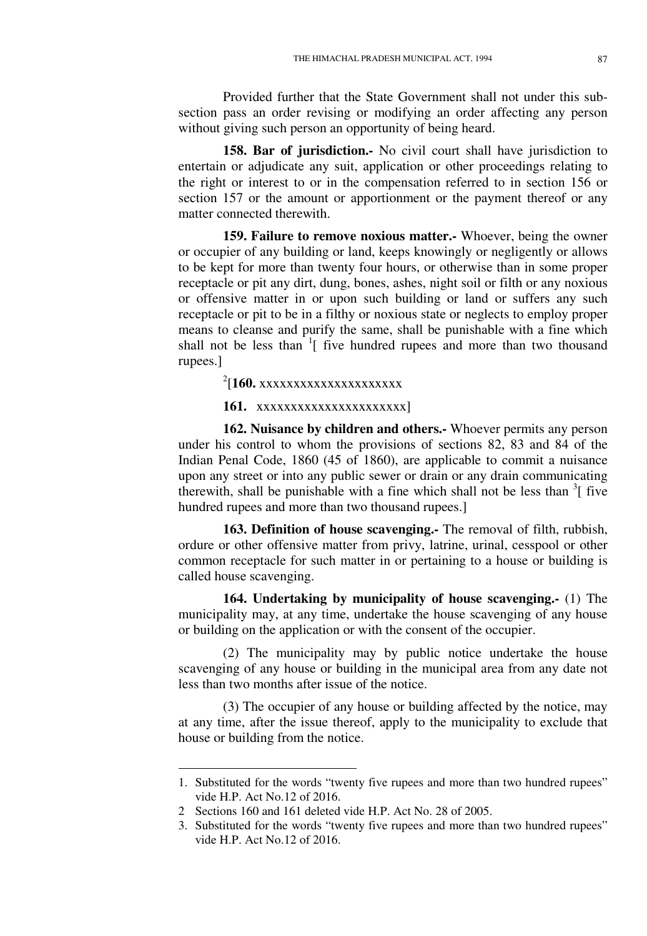Provided further that the State Government shall not under this subsection pass an order revising or modifying an order affecting any person without giving such person an opportunity of being heard.

**158. Bar of jurisdiction.-** No civil court shall have jurisdiction to entertain or adjudicate any suit, application or other proceedings relating to the right or interest to or in the compensation referred to in section 156 or section 157 or the amount or apportionment or the payment thereof or any matter connected therewith.

**159. Failure to remove noxious matter.-** Whoever, being the owner or occupier of any building or land, keeps knowingly or negligently or allows to be kept for more than twenty four hours, or otherwise than in some proper receptacle or pit any dirt, dung, bones, ashes, night soil or filth or any noxious or offensive matter in or upon such building or land or suffers any such receptacle or pit to be in a filthy or noxious state or neglects to employ proper means to cleanse and purify the same, shall be punishable with a fine which shall not be less than <sup>1</sup>[ five hundred rupees and more than two thousand rupees.]

<sup>2</sup>[160. xxxxxxxxxxxxxxxxxxxx

## **161.** xxxxxxxxxxxxxxxxxxxxxx]

**162. Nuisance by children and others.-** Whoever permits any person under his control to whom the provisions of sections 82, 83 and 84 of the Indian Penal Code, 1860 (45 of 1860), are applicable to commit a nuisance upon any street or into any public sewer or drain or any drain communicating therewith, shall be punishable with a fine which shall not be less than  $3$ [ five hundred rupees and more than two thousand rupees.]

**163. Definition of house scavenging.-** The removal of filth, rubbish, ordure or other offensive matter from privy, latrine, urinal, cesspool or other common receptacle for such matter in or pertaining to a house or building is called house scavenging.

**164. Undertaking by municipality of house scavenging.-** (1) The municipality may, at any time, undertake the house scavenging of any house or building on the application or with the consent of the occupier.

(2) The municipality may by public notice undertake the house scavenging of any house or building in the municipal area from any date not less than two months after issue of the notice.

(3) The occupier of any house or building affected by the notice, may at any time, after the issue thereof, apply to the municipality to exclude that house or building from the notice.

<sup>1.</sup> Substituted for the words "twenty five rupees and more than two hundred rupees" vide H.P. Act No.12 of 2016.

<sup>2</sup> Sections 160 and 161 deleted vide H.P. Act No. 28 of 2005.

<sup>3.</sup> Substituted for the words "twenty five rupees and more than two hundred rupees" vide H.P. Act No.12 of 2016.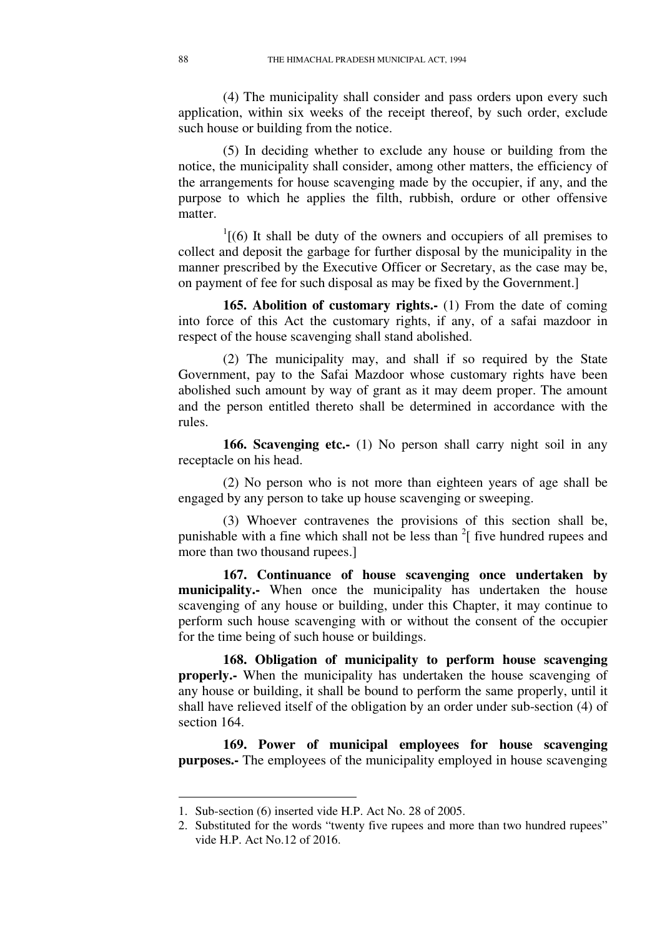(4) The municipality shall consider and pass orders upon every such application, within six weeks of the receipt thereof, by such order, exclude such house or building from the notice.

(5) In deciding whether to exclude any house or building from the notice, the municipality shall consider, among other matters, the efficiency of the arrangements for house scavenging made by the occupier, if any, and the purpose to which he applies the filth, rubbish, ordure or other offensive matter.

 $1(6)$  It shall be duty of the owners and occupiers of all premises to collect and deposit the garbage for further disposal by the municipality in the manner prescribed by the Executive Officer or Secretary, as the case may be, on payment of fee for such disposal as may be fixed by the Government.]

**165. Abolition of customary rights.-** (1) From the date of coming into force of this Act the customary rights, if any, of a safai mazdoor in respect of the house scavenging shall stand abolished.

(2) The municipality may, and shall if so required by the State Government, pay to the Safai Mazdoor whose customary rights have been abolished such amount by way of grant as it may deem proper. The amount and the person entitled thereto shall be determined in accordance with the rules.

**166. Scavenging etc.-** (1) No person shall carry night soil in any receptacle on his head.

(2) No person who is not more than eighteen years of age shall be engaged by any person to take up house scavenging or sweeping.

(3) Whoever contravenes the provisions of this section shall be, punishable with a fine which shall not be less than  $2 \int$  five hundred rupees and more than two thousand rupees.]

**167. Continuance of house scavenging once undertaken by municipality.-** When once the municipality has undertaken the house scavenging of any house or building, under this Chapter, it may continue to perform such house scavenging with or without the consent of the occupier for the time being of such house or buildings.

**168. Obligation of municipality to perform house scavenging properly.-** When the municipality has undertaken the house scavenging of any house or building, it shall be bound to perform the same properly, until it shall have relieved itself of the obligation by an order under sub-section (4) of section 164

**169. Power of municipal employees for house scavenging purposes.-** The employees of the municipality employed in house scavenging

<u>.</u>

<sup>1.</sup> Sub-section (6) inserted vide H.P. Act No. 28 of 2005.

<sup>2.</sup> Substituted for the words "twenty five rupees and more than two hundred rupees" vide H.P. Act No.12 of 2016.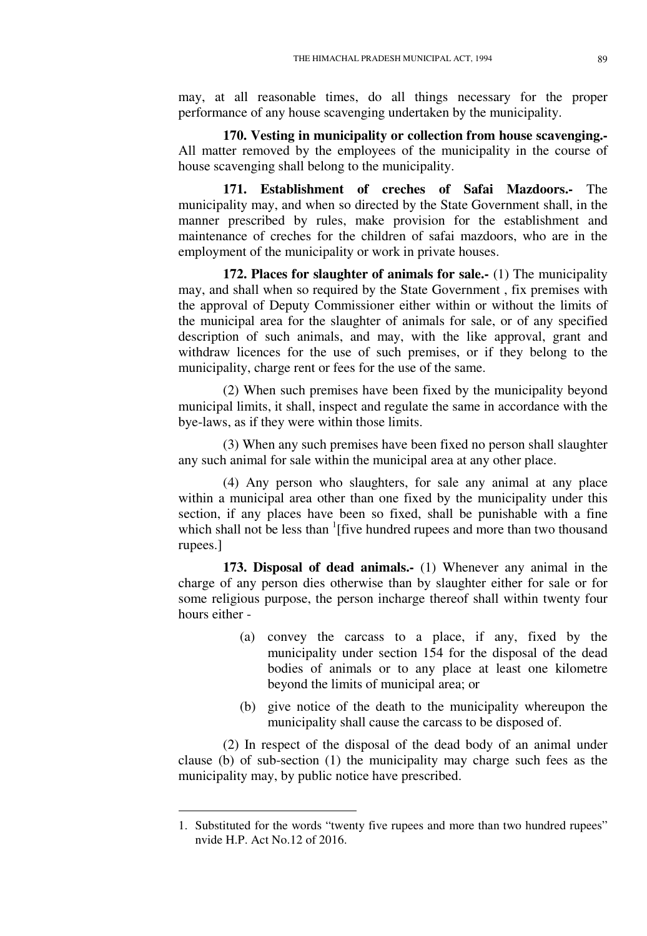may, at all reasonable times, do all things necessary for the proper performance of any house scavenging undertaken by the municipality.

**170. Vesting in municipality or collection from house scavenging.-**  All matter removed by the employees of the municipality in the course of house scavenging shall belong to the municipality.

**171. Establishment of creches of Safai Mazdoors.-** The municipality may, and when so directed by the State Government shall, in the manner prescribed by rules, make provision for the establishment and maintenance of creches for the children of safai mazdoors, who are in the employment of the municipality or work in private houses.

**172. Places for slaughter of animals for sale.-** (1) The municipality may, and shall when so required by the State Government , fix premises with the approval of Deputy Commissioner either within or without the limits of the municipal area for the slaughter of animals for sale, or of any specified description of such animals, and may, with the like approval, grant and withdraw licences for the use of such premises, or if they belong to the municipality, charge rent or fees for the use of the same.

(2) When such premises have been fixed by the municipality beyond municipal limits, it shall, inspect and regulate the same in accordance with the bye-laws, as if they were within those limits.

(3) When any such premises have been fixed no person shall slaughter any such animal for sale within the municipal area at any other place.

(4) Any person who slaughters, for sale any animal at any place within a municipal area other than one fixed by the municipality under this section, if any places have been so fixed, shall be punishable with a fine which shall not be less than  $\frac{1}{1}$  five hundred rupees and more than two thousand rupees.]

**173. Disposal of dead animals.-** (1) Whenever any animal in the charge of any person dies otherwise than by slaughter either for sale or for some religious purpose, the person incharge thereof shall within twenty four hours either -

- (a) convey the carcass to a place, if any, fixed by the municipality under section 154 for the disposal of the dead bodies of animals or to any place at least one kilometre beyond the limits of municipal area; or
- (b) give notice of the death to the municipality whereupon the municipality shall cause the carcass to be disposed of.

(2) In respect of the disposal of the dead body of an animal under clause (b) of sub-section (1) the municipality may charge such fees as the municipality may, by public notice have prescribed.

<sup>1.</sup> Substituted for the words "twenty five rupees and more than two hundred rupees" nvide H.P. Act No.12 of 2016.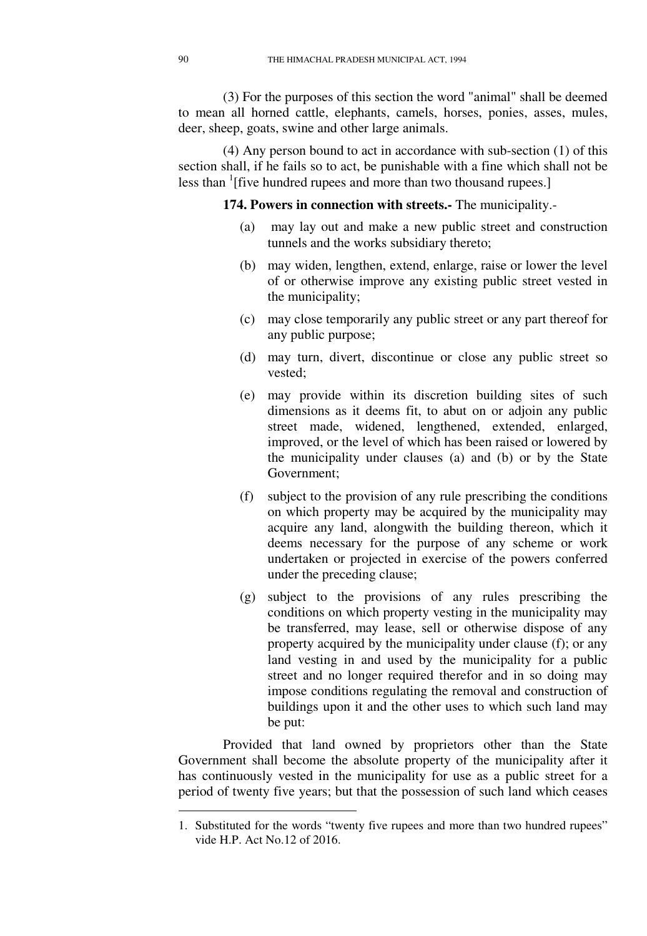(3) For the purposes of this section the word "animal" shall be deemed to mean all horned cattle, elephants, camels, horses, ponies, asses, mules, deer, sheep, goats, swine and other large animals.

(4) Any person bound to act in accordance with sub-section (1) of this section shall, if he fails so to act, be punishable with a fine which shall not be less than <sup>1</sup>[five hundred rupees and more than two thousand rupees.]

**174. Powers in connection with streets.-** The municipality.-

- (a) may lay out and make a new public street and construction tunnels and the works subsidiary thereto;
- (b) may widen, lengthen, extend, enlarge, raise or lower the level of or otherwise improve any existing public street vested in the municipality;
- (c) may close temporarily any public street or any part thereof for any public purpose;
- (d) may turn, divert, discontinue or close any public street so vested;
- (e) may provide within its discretion building sites of such dimensions as it deems fit, to abut on or adjoin any public street made, widened, lengthened, extended, enlarged, improved, or the level of which has been raised or lowered by the municipality under clauses (a) and (b) or by the State Government;
- (f) subject to the provision of any rule prescribing the conditions on which property may be acquired by the municipality may acquire any land, alongwith the building thereon, which it deems necessary for the purpose of any scheme or work undertaken or projected in exercise of the powers conferred under the preceding clause;
- (g) subject to the provisions of any rules prescribing the conditions on which property vesting in the municipality may be transferred, may lease, sell or otherwise dispose of any property acquired by the municipality under clause (f); or any land vesting in and used by the municipality for a public street and no longer required therefor and in so doing may impose conditions regulating the removal and construction of buildings upon it and the other uses to which such land may be put:

Provided that land owned by proprietors other than the State Government shall become the absolute property of the municipality after it has continuously vested in the municipality for use as a public street for a period of twenty five years; but that the possession of such land which ceases

<sup>1.</sup> Substituted for the words "twenty five rupees and more than two hundred rupees" vide H.P. Act No.12 of 2016.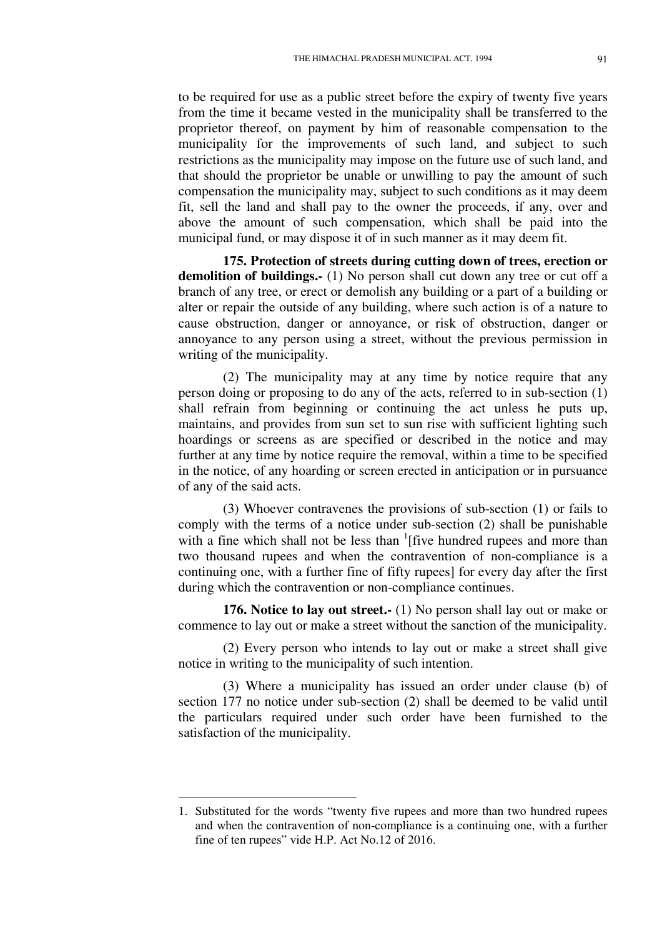to be required for use as a public street before the expiry of twenty five years from the time it became vested in the municipality shall be transferred to the proprietor thereof, on payment by him of reasonable compensation to the municipality for the improvements of such land, and subject to such restrictions as the municipality may impose on the future use of such land, and that should the proprietor be unable or unwilling to pay the amount of such compensation the municipality may, subject to such conditions as it may deem fit, sell the land and shall pay to the owner the proceeds, if any, over and above the amount of such compensation, which shall be paid into the municipal fund, or may dispose it of in such manner as it may deem fit.

**175. Protection of streets during cutting down of trees, erection or**  demolition of buildings.- (1) No person shall cut down any tree or cut off a branch of any tree, or erect or demolish any building or a part of a building or alter or repair the outside of any building, where such action is of a nature to cause obstruction, danger or annoyance, or risk of obstruction, danger or annoyance to any person using a street, without the previous permission in writing of the municipality.

(2) The municipality may at any time by notice require that any person doing or proposing to do any of the acts, referred to in sub-section (1) shall refrain from beginning or continuing the act unless he puts up, maintains, and provides from sun set to sun rise with sufficient lighting such hoardings or screens as are specified or described in the notice and may further at any time by notice require the removal, within a time to be specified in the notice, of any hoarding or screen erected in anticipation or in pursuance of any of the said acts.

(3) Whoever contravenes the provisions of sub-section (1) or fails to comply with the terms of a notice under sub-section (2) shall be punishable with a fine which shall not be less than  $\frac{1}{1}$  five hundred rupees and more than two thousand rupees and when the contravention of non-compliance is a continuing one, with a further fine of fifty rupees] for every day after the first during which the contravention or non-compliance continues.

**176. Notice to lay out street.-** (1) No person shall lay out or make or commence to lay out or make a street without the sanction of the municipality.

(2) Every person who intends to lay out or make a street shall give notice in writing to the municipality of such intention.

(3) Where a municipality has issued an order under clause (b) of section 177 no notice under sub-section (2) shall be deemed to be valid until the particulars required under such order have been furnished to the satisfaction of the municipality.

<u>.</u>

<sup>1.</sup> Substituted for the words "twenty five rupees and more than two hundred rupees and when the contravention of non-compliance is a continuing one, with a further fine of ten rupees" vide H.P. Act No.12 of 2016.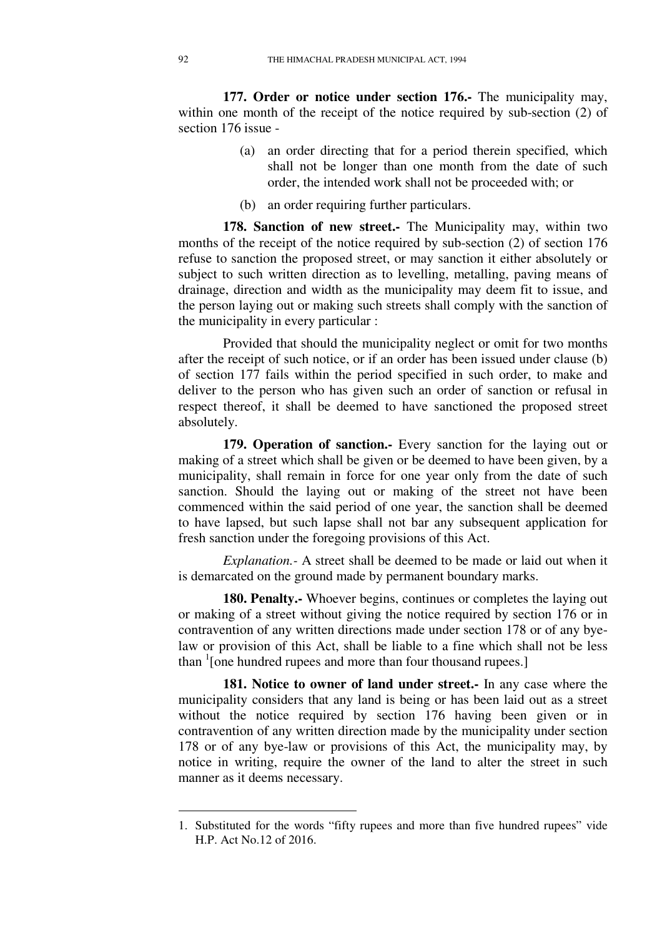**177. Order or notice under section 176.-** The municipality may, within one month of the receipt of the notice required by sub-section (2) of section 176 issue -

- (a) an order directing that for a period therein specified, which shall not be longer than one month from the date of such order, the intended work shall not be proceeded with; or
- (b) an order requiring further particulars.

**178. Sanction of new street.-** The Municipality may, within two months of the receipt of the notice required by sub-section (2) of section 176 refuse to sanction the proposed street, or may sanction it either absolutely or subject to such written direction as to levelling, metalling, paving means of drainage, direction and width as the municipality may deem fit to issue, and the person laying out or making such streets shall comply with the sanction of the municipality in every particular :

Provided that should the municipality neglect or omit for two months after the receipt of such notice, or if an order has been issued under clause (b) of section 177 fails within the period specified in such order, to make and deliver to the person who has given such an order of sanction or refusal in respect thereof, it shall be deemed to have sanctioned the proposed street absolutely.

**179. Operation of sanction.-** Every sanction for the laying out or making of a street which shall be given or be deemed to have been given, by a municipality, shall remain in force for one year only from the date of such sanction. Should the laying out or making of the street not have been commenced within the said period of one year, the sanction shall be deemed to have lapsed, but such lapse shall not bar any subsequent application for fresh sanction under the foregoing provisions of this Act.

*Explanation.-* A street shall be deemed to be made or laid out when it is demarcated on the ground made by permanent boundary marks.

**180. Penalty.** Whoever begins, continues or completes the laying out or making of a street without giving the notice required by section 176 or in contravention of any written directions made under section 178 or of any byelaw or provision of this Act, shall be liable to a fine which shall not be less than <sup>1</sup>[one hundred rupees and more than four thousand rupees.]

**181. Notice to owner of land under street.-** In any case where the municipality considers that any land is being or has been laid out as a street without the notice required by section 176 having been given or in contravention of any written direction made by the municipality under section 178 or of any bye-law or provisions of this Act, the municipality may, by notice in writing, require the owner of the land to alter the street in such manner as it deems necessary.

<sup>1.</sup> Substituted for the words "fifty rupees and more than five hundred rupees" vide H.P. Act No.12 of 2016.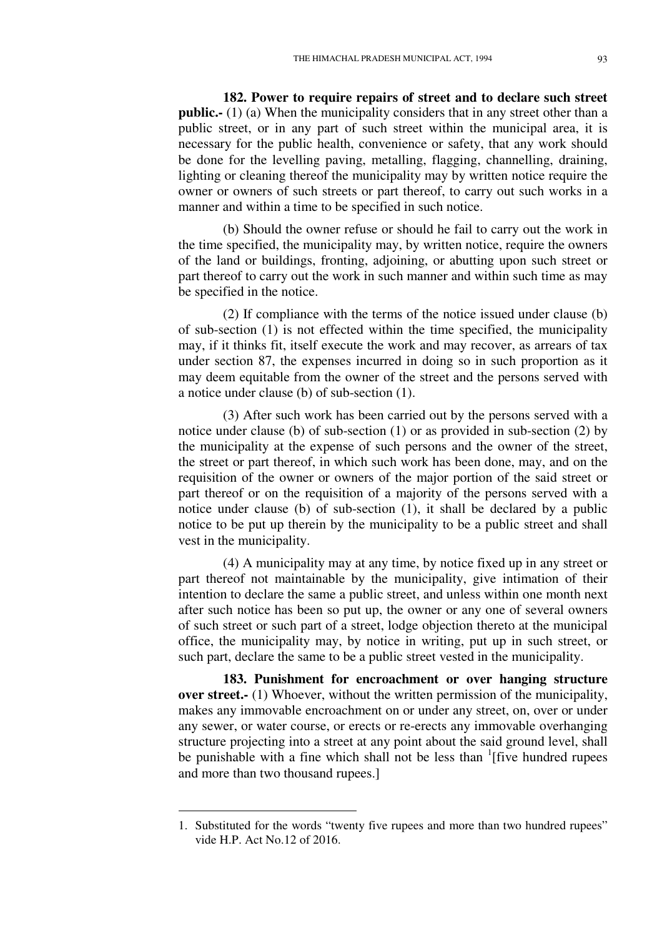**182. Power to require repairs of street and to declare such street public.-** (1) (a) When the municipality considers that in any street other than a public street, or in any part of such street within the municipal area, it is necessary for the public health, convenience or safety, that any work should be done for the levelling paving, metalling, flagging, channelling, draining, lighting or cleaning thereof the municipality may by written notice require the owner or owners of such streets or part thereof, to carry out such works in a manner and within a time to be specified in such notice.

(b) Should the owner refuse or should he fail to carry out the work in the time specified, the municipality may, by written notice, require the owners of the land or buildings, fronting, adjoining, or abutting upon such street or part thereof to carry out the work in such manner and within such time as may be specified in the notice.

(2) If compliance with the terms of the notice issued under clause (b) of sub-section (1) is not effected within the time specified, the municipality may, if it thinks fit, itself execute the work and may recover, as arrears of tax under section 87, the expenses incurred in doing so in such proportion as it may deem equitable from the owner of the street and the persons served with a notice under clause (b) of sub-section (1).

(3) After such work has been carried out by the persons served with a notice under clause (b) of sub-section (1) or as provided in sub-section (2) by the municipality at the expense of such persons and the owner of the street, the street or part thereof, in which such work has been done, may, and on the requisition of the owner or owners of the major portion of the said street or part thereof or on the requisition of a majority of the persons served with a notice under clause (b) of sub-section (1), it shall be declared by a public notice to be put up therein by the municipality to be a public street and shall vest in the municipality.

(4) A municipality may at any time, by notice fixed up in any street or part thereof not maintainable by the municipality, give intimation of their intention to declare the same a public street, and unless within one month next after such notice has been so put up, the owner or any one of several owners of such street or such part of a street, lodge objection thereto at the municipal office, the municipality may, by notice in writing, put up in such street, or such part, declare the same to be a public street vested in the municipality.

**183. Punishment for encroachment or over hanging structure over street.** (1) Whoever, without the written permission of the municipality, makes any immovable encroachment on or under any street, on, over or under any sewer, or water course, or erects or re-erects any immovable overhanging structure projecting into a street at any point about the said ground level, shall be punishable with a fine which shall not be less than <sup>1</sup>[five hundred rupees and more than two thousand rupees.]

<sup>1.</sup> Substituted for the words "twenty five rupees and more than two hundred rupees" vide H.P. Act No.12 of 2016.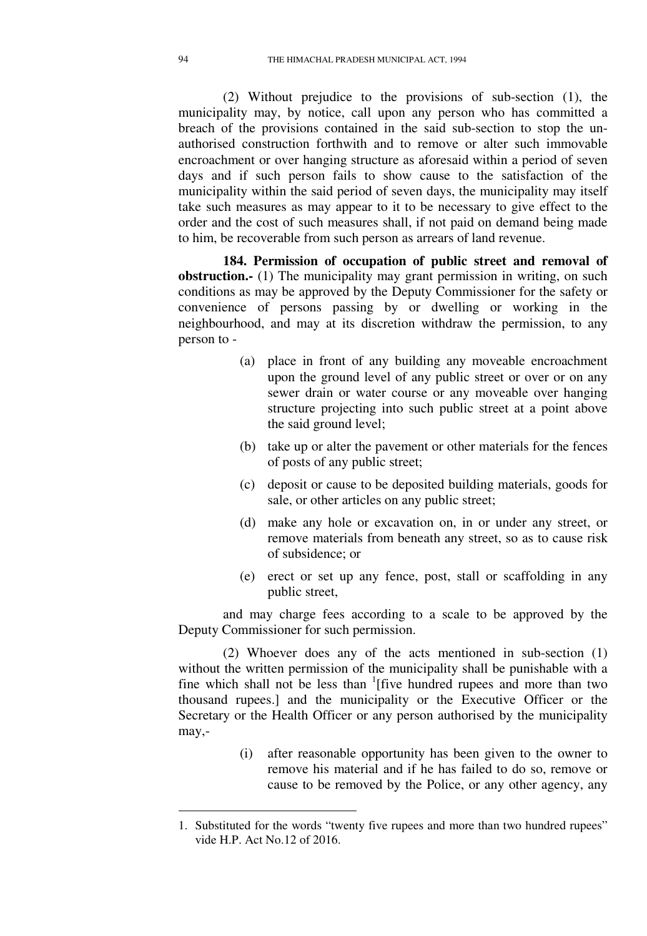(2) Without prejudice to the provisions of sub-section (1), the municipality may, by notice, call upon any person who has committed a breach of the provisions contained in the said sub-section to stop the unauthorised construction forthwith and to remove or alter such immovable encroachment or over hanging structure as aforesaid within a period of seven days and if such person fails to show cause to the satisfaction of the municipality within the said period of seven days, the municipality may itself take such measures as may appear to it to be necessary to give effect to the order and the cost of such measures shall, if not paid on demand being made to him, be recoverable from such person as arrears of land revenue.

**184. Permission of occupation of public street and removal of obstruction.** (1) The municipality may grant permission in writing, on such conditions as may be approved by the Deputy Commissioner for the safety or convenience of persons passing by or dwelling or working in the neighbourhood, and may at its discretion withdraw the permission, to any person to -

- (a) place in front of any building any moveable encroachment upon the ground level of any public street or over or on any sewer drain or water course or any moveable over hanging structure projecting into such public street at a point above the said ground level;
- (b) take up or alter the pavement or other materials for the fences of posts of any public street;
- (c) deposit or cause to be deposited building materials, goods for sale, or other articles on any public street;
- (d) make any hole or excavation on, in or under any street, or remove materials from beneath any street, so as to cause risk of subsidence; or
- (e) erect or set up any fence, post, stall or scaffolding in any public street,

and may charge fees according to a scale to be approved by the Deputy Commissioner for such permission.

(2) Whoever does any of the acts mentioned in sub-section (1) without the written permission of the municipality shall be punishable with a fine which shall not be less than <sup>1</sup>[five hundred rupees and more than two thousand rupees.] and the municipality or the Executive Officer or the Secretary or the Health Officer or any person authorised by the municipality may,-

> (i) after reasonable opportunity has been given to the owner to remove his material and if he has failed to do so, remove or cause to be removed by the Police, or any other agency, any

<sup>1.</sup> Substituted for the words "twenty five rupees and more than two hundred rupees" vide H.P. Act No.12 of 2016.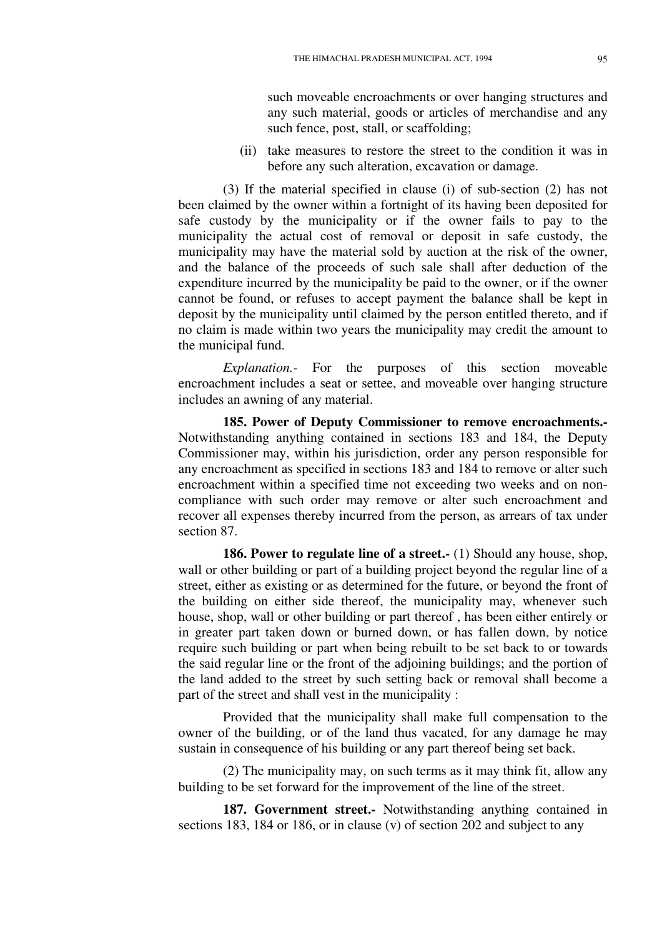such moveable encroachments or over hanging structures and any such material, goods or articles of merchandise and any such fence, post, stall, or scaffolding;

(ii) take measures to restore the street to the condition it was in before any such alteration, excavation or damage.

(3) If the material specified in clause (i) of sub-section (2) has not been claimed by the owner within a fortnight of its having been deposited for safe custody by the municipality or if the owner fails to pay to the municipality the actual cost of removal or deposit in safe custody, the municipality may have the material sold by auction at the risk of the owner, and the balance of the proceeds of such sale shall after deduction of the expenditure incurred by the municipality be paid to the owner, or if the owner cannot be found, or refuses to accept payment the balance shall be kept in deposit by the municipality until claimed by the person entitled thereto, and if no claim is made within two years the municipality may credit the amount to the municipal fund.

*Explanation.-* For the purposes of this section moveable encroachment includes a seat or settee, and moveable over hanging structure includes an awning of any material.

**185. Power of Deputy Commissioner to remove encroachments.-**  Notwithstanding anything contained in sections 183 and 184, the Deputy Commissioner may, within his jurisdiction, order any person responsible for any encroachment as specified in sections 183 and 184 to remove or alter such encroachment within a specified time not exceeding two weeks and on noncompliance with such order may remove or alter such encroachment and recover all expenses thereby incurred from the person, as arrears of tax under section 87.

**186. Power to regulate line of a street.** (1) Should any house, shop, wall or other building or part of a building project beyond the regular line of a street, either as existing or as determined for the future, or beyond the front of the building on either side thereof, the municipality may, whenever such house, shop, wall or other building or part thereof , has been either entirely or in greater part taken down or burned down, or has fallen down, by notice require such building or part when being rebuilt to be set back to or towards the said regular line or the front of the adjoining buildings; and the portion of the land added to the street by such setting back or removal shall become a part of the street and shall vest in the municipality :

Provided that the municipality shall make full compensation to the owner of the building, or of the land thus vacated, for any damage he may sustain in consequence of his building or any part thereof being set back.

(2) The municipality may, on such terms as it may think fit, allow any building to be set forward for the improvement of the line of the street.

**187. Government street.-** Notwithstanding anything contained in sections 183, 184 or 186, or in clause (v) of section 202 and subject to any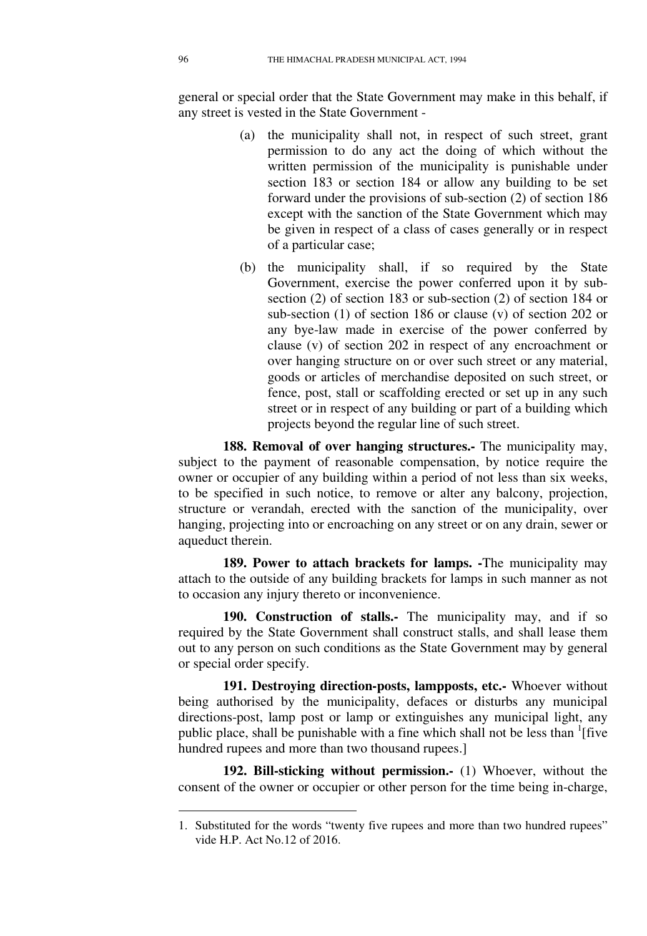general or special order that the State Government may make in this behalf, if any street is vested in the State Government -

- (a) the municipality shall not, in respect of such street, grant permission to do any act the doing of which without the written permission of the municipality is punishable under section 183 or section 184 or allow any building to be set forward under the provisions of sub-section (2) of section 186 except with the sanction of the State Government which may be given in respect of a class of cases generally or in respect of a particular case;
- (b) the municipality shall, if so required by the State Government, exercise the power conferred upon it by subsection (2) of section 183 or sub-section (2) of section 184 or sub-section (1) of section 186 or clause (v) of section 202 or any bye-law made in exercise of the power conferred by clause (v) of section 202 in respect of any encroachment or over hanging structure on or over such street or any material, goods or articles of merchandise deposited on such street, or fence, post, stall or scaffolding erected or set up in any such street or in respect of any building or part of a building which projects beyond the regular line of such street.

**188. Removal of over hanging structures.-** The municipality may, subject to the payment of reasonable compensation, by notice require the owner or occupier of any building within a period of not less than six weeks, to be specified in such notice, to remove or alter any balcony, projection, structure or verandah, erected with the sanction of the municipality, over hanging, projecting into or encroaching on any street or on any drain, sewer or aqueduct therein.

**189. Power to attach brackets for lamps. -**The municipality may attach to the outside of any building brackets for lamps in such manner as not to occasion any injury thereto or inconvenience.

**190. Construction of stalls.-** The municipality may, and if so required by the State Government shall construct stalls, and shall lease them out to any person on such conditions as the State Government may by general or special order specify.

**191. Destroying direction-posts, lampposts, etc.-** Whoever without being authorised by the municipality, defaces or disturbs any municipal directions-post, lamp post or lamp or extinguishes any municipal light, any public place, shall be punishable with a fine which shall not be less than <sup>1</sup>[five hundred rupees and more than two thousand rupees.]

**192. Bill-sticking without permission.-** (1) Whoever, without the consent of the owner or occupier or other person for the time being in-charge,

<sup>1.</sup> Substituted for the words "twenty five rupees and more than two hundred rupees" vide H.P. Act No.12 of 2016.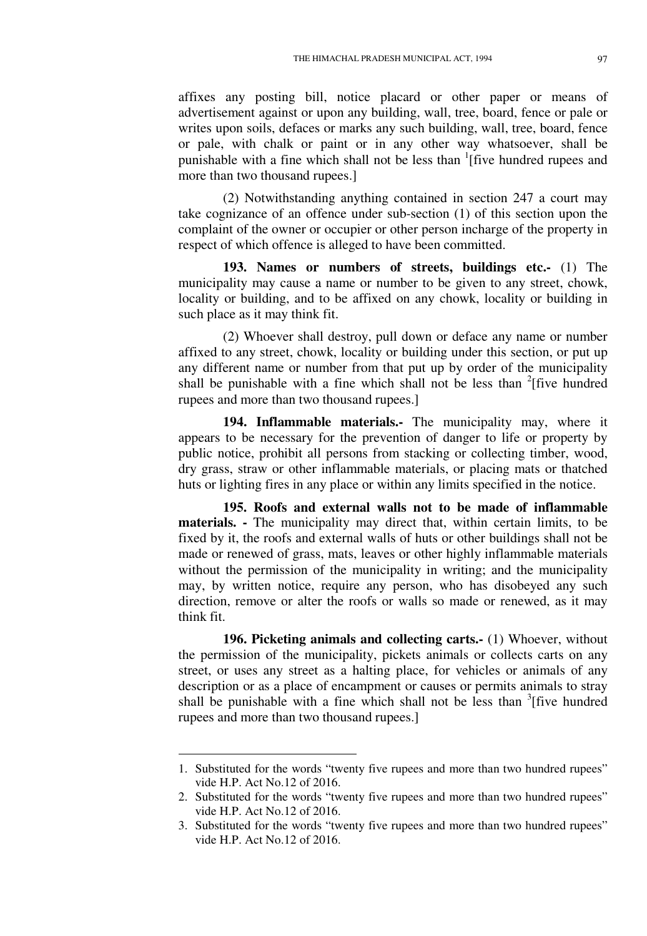affixes any posting bill, notice placard or other paper or means of advertisement against or upon any building, wall, tree, board, fence or pale or writes upon soils, defaces or marks any such building, wall, tree, board, fence or pale, with chalk or paint or in any other way whatsoever, shall be punishable with a fine which shall not be less than  $\frac{1}{1}$  five hundred rupees and more than two thousand rupees.]

(2) Notwithstanding anything contained in section 247 a court may take cognizance of an offence under sub-section (1) of this section upon the complaint of the owner or occupier or other person incharge of the property in respect of which offence is alleged to have been committed.

**193. Names or numbers of streets, buildings etc.-** (1) The municipality may cause a name or number to be given to any street, chowk, locality or building, and to be affixed on any chowk, locality or building in such place as it may think fit.

(2) Whoever shall destroy, pull down or deface any name or number affixed to any street, chowk, locality or building under this section, or put up any different name or number from that put up by order of the municipality shall be punishable with a fine which shall not be less than  $2$ [five hundred rupees and more than two thousand rupees.]

**194. Inflammable materials.-** The municipality may, where it appears to be necessary for the prevention of danger to life or property by public notice, prohibit all persons from stacking or collecting timber, wood, dry grass, straw or other inflammable materials, or placing mats or thatched huts or lighting fires in any place or within any limits specified in the notice.

**195. Roofs and external walls not to be made of inflammable materials. -** The municipality may direct that, within certain limits, to be fixed by it, the roofs and external walls of huts or other buildings shall not be made or renewed of grass, mats, leaves or other highly inflammable materials without the permission of the municipality in writing; and the municipality may, by written notice, require any person, who has disobeyed any such direction, remove or alter the roofs or walls so made or renewed, as it may think fit.

**196. Picketing animals and collecting carts.-** (1) Whoever, without the permission of the municipality, pickets animals or collects carts on any street, or uses any street as a halting place, for vehicles or animals of any description or as a place of encampment or causes or permits animals to stray shall be punishable with a fine which shall not be less than  $\frac{3}{1}$  five hundred rupees and more than two thousand rupees.]

<sup>1.</sup> Substituted for the words "twenty five rupees and more than two hundred rupees" vide H.P. Act No.12 of 2016.

<sup>2.</sup> Substituted for the words "twenty five rupees and more than two hundred rupees" vide H.P. Act No.12 of 2016.

<sup>3.</sup> Substituted for the words "twenty five rupees and more than two hundred rupees" vide H.P. Act No.12 of 2016.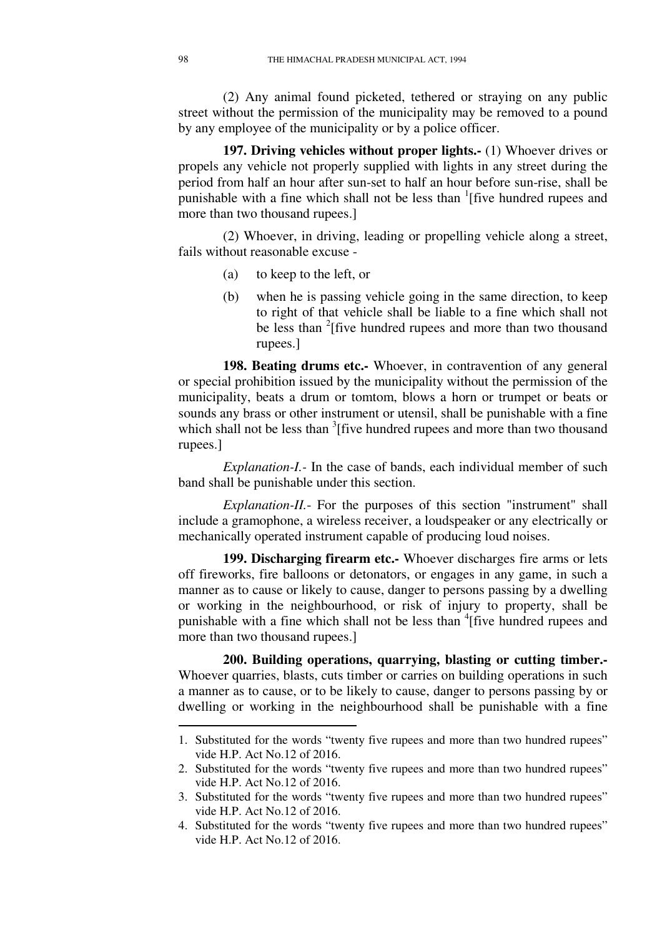(2) Any animal found picketed, tethered or straying on any public street without the permission of the municipality may be removed to a pound by any employee of the municipality or by a police officer.

**197. Driving vehicles without proper lights.-** (1) Whoever drives or propels any vehicle not properly supplied with lights in any street during the period from half an hour after sun-set to half an hour before sun-rise, shall be punishable with a fine which shall not be less than  $\frac{1}{1}$  five hundred rupees and more than two thousand rupees.]

(2) Whoever, in driving, leading or propelling vehicle along a street, fails without reasonable excuse -

- (a) to keep to the left, or
- (b) when he is passing vehicle going in the same direction, to keep to right of that vehicle shall be liable to a fine which shall not be less than <sup>2</sup>[five hundred rupees and more than two thousand rupees.]

**198. Beating drums etc.-** Whoever, in contravention of any general or special prohibition issued by the municipality without the permission of the municipality, beats a drum or tomtom, blows a horn or trumpet or beats or sounds any brass or other instrument or utensil, shall be punishable with a fine which shall not be less than  $3$ [five hundred rupees and more than two thousand rupees.]

*Explanation-I.-* In the case of bands, each individual member of such band shall be punishable under this section.

*Explanation-II.*- For the purposes of this section "instrument" shall include a gramophone, a wireless receiver, a loudspeaker or any electrically or mechanically operated instrument capable of producing loud noises.

**199. Discharging firearm etc.-** Whoever discharges fire arms or lets off fireworks, fire balloons or detonators, or engages in any game, in such a manner as to cause or likely to cause, danger to persons passing by a dwelling or working in the neighbourhood, or risk of injury to property, shall be punishable with a fine which shall not be less than <sup>4</sup> [five hundred rupees and more than two thousand rupees.]

**200. Building operations, quarrying, blasting or cutting timber.-**  Whoever quarries, blasts, cuts timber or carries on building operations in such a manner as to cause, or to be likely to cause, danger to persons passing by or dwelling or working in the neighbourhood shall be punishable with a fine

<sup>1.</sup> Substituted for the words "twenty five rupees and more than two hundred rupees" vide H.P. Act No.12 of 2016.

<sup>2.</sup> Substituted for the words "twenty five rupees and more than two hundred rupees" vide H.P. Act No.12 of 2016.

<sup>3.</sup> Substituted for the words "twenty five rupees and more than two hundred rupees" vide H.P. Act No.12 of 2016.

<sup>4.</sup> Substituted for the words "twenty five rupees and more than two hundred rupees" vide H.P. Act No.12 of 2016.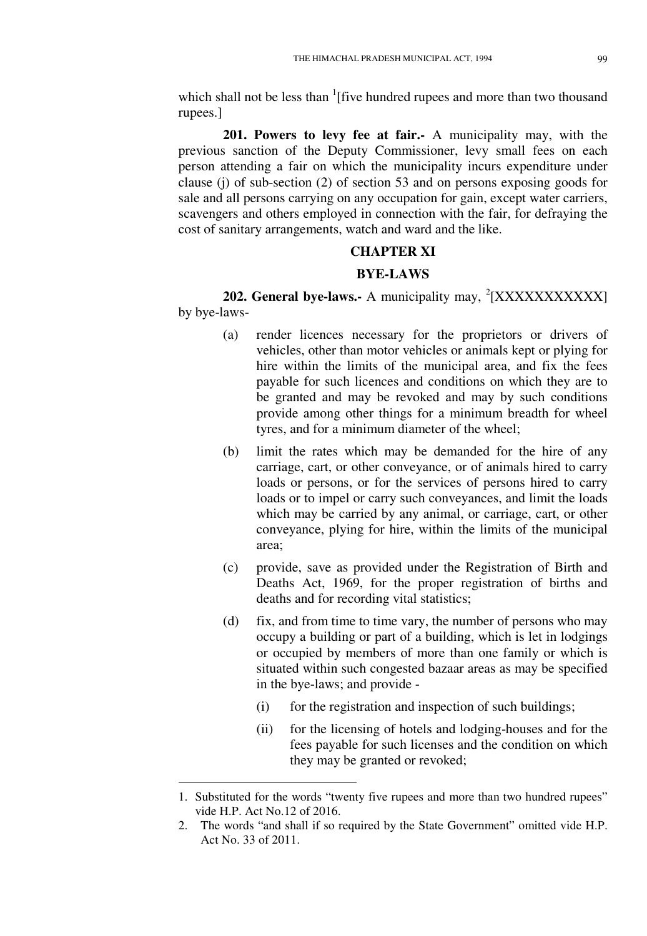which shall not be less than  $\frac{1}{1}$  five hundred rupees and more than two thousand rupees.]

**201. Powers to levy fee at fair.-** A municipality may, with the previous sanction of the Deputy Commissioner, levy small fees on each person attending a fair on which the municipality incurs expenditure under clause (j) of sub-section (2) of section 53 and on persons exposing goods for sale and all persons carrying on any occupation for gain, except water carriers, scavengers and others employed in connection with the fair, for defraying the cost of sanitary arrangements, watch and ward and the like.

## **CHAPTER XI**

## **BYE-LAWS**

**202. General bye-laws.-** A municipality may, <sup>2</sup>[XXXXXXXXXXX] by bye-laws-

- (a) render licences necessary for the proprietors or drivers of vehicles, other than motor vehicles or animals kept or plying for hire within the limits of the municipal area, and fix the fees payable for such licences and conditions on which they are to be granted and may be revoked and may by such conditions provide among other things for a minimum breadth for wheel tyres, and for a minimum diameter of the wheel;
- (b) limit the rates which may be demanded for the hire of any carriage, cart, or other conveyance, or of animals hired to carry loads or persons, or for the services of persons hired to carry loads or to impel or carry such conveyances, and limit the loads which may be carried by any animal, or carriage, cart, or other conveyance, plying for hire, within the limits of the municipal area;
- (c) provide, save as provided under the Registration of Birth and Deaths Act, 1969, for the proper registration of births and deaths and for recording vital statistics;
- (d) fix, and from time to time vary, the number of persons who may occupy a building or part of a building, which is let in lodgings or occupied by members of more than one family or which is situated within such congested bazaar areas as may be specified in the bye-laws; and provide -
	- (i) for the registration and inspection of such buildings;
	- (ii) for the licensing of hotels and lodging-houses and for the fees payable for such licenses and the condition on which they may be granted or revoked;

<sup>1.</sup> Substituted for the words "twenty five rupees and more than two hundred rupees" vide H.P. Act No.12 of 2016.

<sup>2.</sup> The words "and shall if so required by the State Government" omitted vide H.P. Act No. 33 of 2011.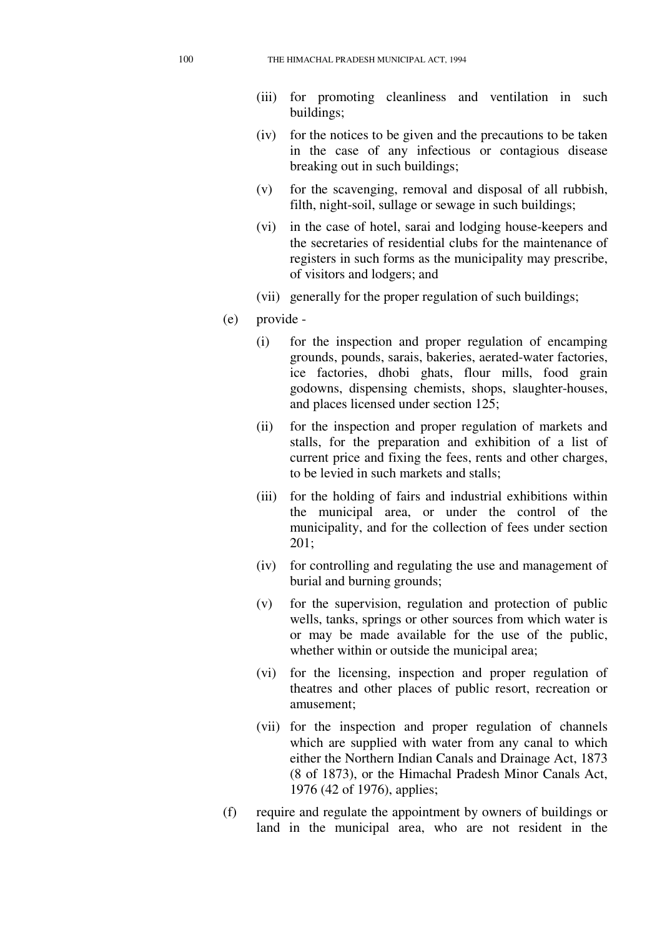- (iii) for promoting cleanliness and ventilation in such buildings;
- (iv) for the notices to be given and the precautions to be taken in the case of any infectious or contagious disease breaking out in such buildings;
- (v) for the scavenging, removal and disposal of all rubbish, filth, night-soil, sullage or sewage in such buildings;
- (vi) in the case of hotel, sarai and lodging house-keepers and the secretaries of residential clubs for the maintenance of registers in such forms as the municipality may prescribe, of visitors and lodgers; and
- (vii) generally for the proper regulation of such buildings;
- (e) provide
	- (i) for the inspection and proper regulation of encamping grounds, pounds, sarais, bakeries, aerated-water factories, ice factories, dhobi ghats, flour mills, food grain godowns, dispensing chemists, shops, slaughter-houses, and places licensed under section 125;
	- (ii) for the inspection and proper regulation of markets and stalls, for the preparation and exhibition of a list of current price and fixing the fees, rents and other charges, to be levied in such markets and stalls;
	- (iii) for the holding of fairs and industrial exhibitions within the municipal area, or under the control of the municipality, and for the collection of fees under section 201;
	- (iv) for controlling and regulating the use and management of burial and burning grounds;
	- (v) for the supervision, regulation and protection of public wells, tanks, springs or other sources from which water is or may be made available for the use of the public, whether within or outside the municipal area;
	- (vi) for the licensing, inspection and proper regulation of theatres and other places of public resort, recreation or amusement;
	- (vii) for the inspection and proper regulation of channels which are supplied with water from any canal to which either the Northern Indian Canals and Drainage Act, 1873 (8 of 1873), or the Himachal Pradesh Minor Canals Act, 1976 (42 of 1976), applies;
- (f) require and regulate the appointment by owners of buildings or land in the municipal area, who are not resident in the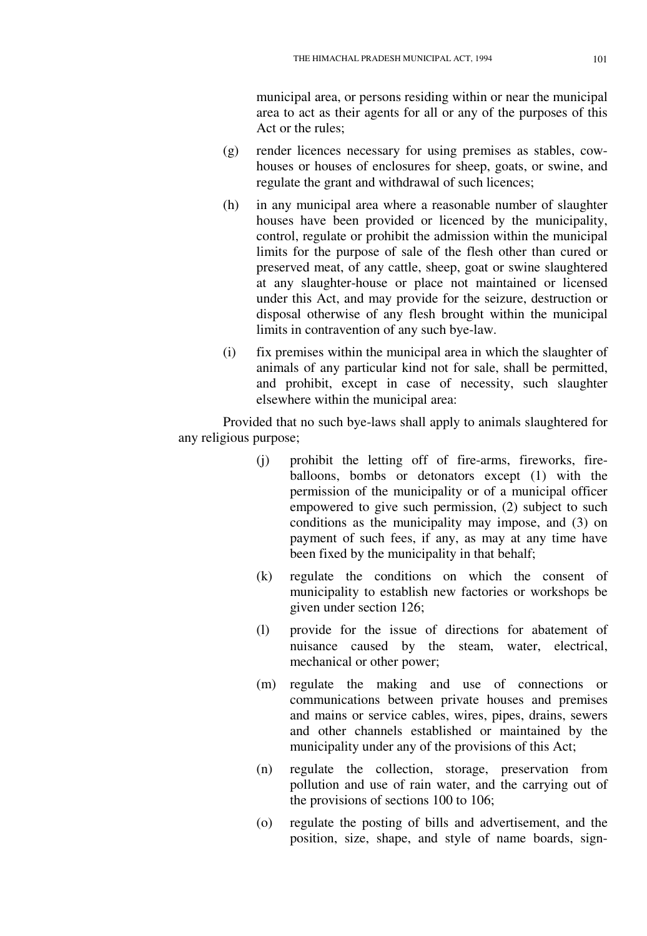municipal area, or persons residing within or near the municipal area to act as their agents for all or any of the purposes of this Act or the rules;

- (g) render licences necessary for using premises as stables, cowhouses or houses of enclosures for sheep, goats, or swine, and regulate the grant and withdrawal of such licences;
- (h) in any municipal area where a reasonable number of slaughter houses have been provided or licenced by the municipality, control, regulate or prohibit the admission within the municipal limits for the purpose of sale of the flesh other than cured or preserved meat, of any cattle, sheep, goat or swine slaughtered at any slaughter-house or place not maintained or licensed under this Act, and may provide for the seizure, destruction or disposal otherwise of any flesh brought within the municipal limits in contravention of any such bye-law.
- (i) fix premises within the municipal area in which the slaughter of animals of any particular kind not for sale, shall be permitted, and prohibit, except in case of necessity, such slaughter elsewhere within the municipal area:

Provided that no such bye-laws shall apply to animals slaughtered for any religious purpose;

- (j) prohibit the letting off of fire-arms, fireworks, fireballoons, bombs or detonators except (1) with the permission of the municipality or of a municipal officer empowered to give such permission, (2) subject to such conditions as the municipality may impose, and (3) on payment of such fees, if any, as may at any time have been fixed by the municipality in that behalf;
- (k) regulate the conditions on which the consent of municipality to establish new factories or workshops be given under section 126;
- (l) provide for the issue of directions for abatement of nuisance caused by the steam, water, electrical, mechanical or other power;
- (m) regulate the making and use of connections or communications between private houses and premises and mains or service cables, wires, pipes, drains, sewers and other channels established or maintained by the municipality under any of the provisions of this Act;
- (n) regulate the collection, storage, preservation from pollution and use of rain water, and the carrying out of the provisions of sections 100 to 106;
- (o) regulate the posting of bills and advertisement, and the position, size, shape, and style of name boards, sign-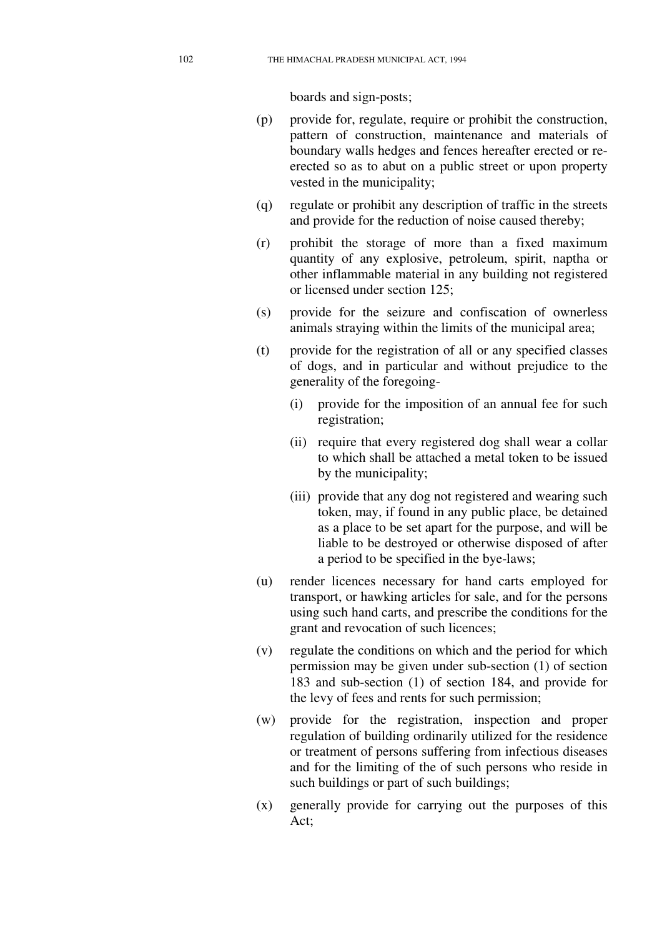boards and sign-posts;

- (p) provide for, regulate, require or prohibit the construction, pattern of construction, maintenance and materials of boundary walls hedges and fences hereafter erected or reerected so as to abut on a public street or upon property vested in the municipality;
- (q) regulate or prohibit any description of traffic in the streets and provide for the reduction of noise caused thereby;
- (r) prohibit the storage of more than a fixed maximum quantity of any explosive, petroleum, spirit, naptha or other inflammable material in any building not registered or licensed under section 125;
- (s) provide for the seizure and confiscation of ownerless animals straying within the limits of the municipal area;
- (t) provide for the registration of all or any specified classes of dogs, and in particular and without prejudice to the generality of the foregoing-
	- (i) provide for the imposition of an annual fee for such registration;
	- (ii) require that every registered dog shall wear a collar to which shall be attached a metal token to be issued by the municipality;
	- (iii) provide that any dog not registered and wearing such token, may, if found in any public place, be detained as a place to be set apart for the purpose, and will be liable to be destroyed or otherwise disposed of after a period to be specified in the bye-laws;
- (u) render licences necessary for hand carts employed for transport, or hawking articles for sale, and for the persons using such hand carts, and prescribe the conditions for the grant and revocation of such licences;
- (v) regulate the conditions on which and the period for which permission may be given under sub-section (1) of section 183 and sub-section (1) of section 184, and provide for the levy of fees and rents for such permission;
- (w) provide for the registration, inspection and proper regulation of building ordinarily utilized for the residence or treatment of persons suffering from infectious diseases and for the limiting of the of such persons who reside in such buildings or part of such buildings;
- (x) generally provide for carrying out the purposes of this Act;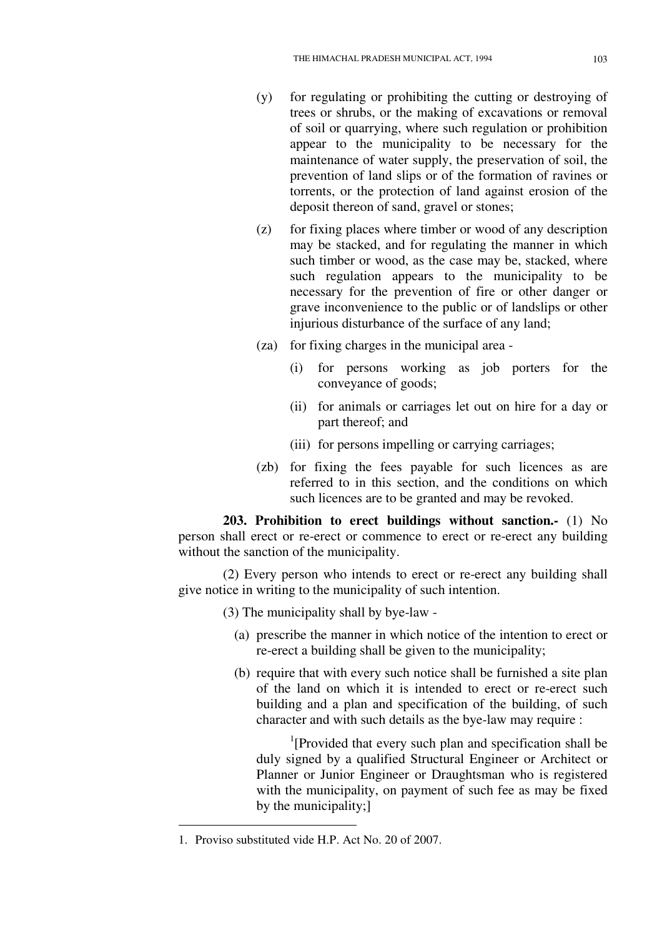- (y) for regulating or prohibiting the cutting or destroying of trees or shrubs, or the making of excavations or removal of soil or quarrying, where such regulation or prohibition appear to the municipality to be necessary for the maintenance of water supply, the preservation of soil, the prevention of land slips or of the formation of ravines or torrents, or the protection of land against erosion of the deposit thereon of sand, gravel or stones;
- (z) for fixing places where timber or wood of any description may be stacked, and for regulating the manner in which such timber or wood, as the case may be, stacked, where such regulation appears to the municipality to be necessary for the prevention of fire or other danger or grave inconvenience to the public or of landslips or other injurious disturbance of the surface of any land;
- (za) for fixing charges in the municipal area
	- (i) for persons working as job porters for the conveyance of goods;
	- (ii) for animals or carriages let out on hire for a day or part thereof; and
	- (iii) for persons impelling or carrying carriages;
- (zb) for fixing the fees payable for such licences as are referred to in this section, and the conditions on which such licences are to be granted and may be revoked.

**203. Prohibition to erect buildings without sanction.-** (1) No person shall erect or re-erect or commence to erect or re-erect any building without the sanction of the municipality.

(2) Every person who intends to erect or re-erect any building shall give notice in writing to the municipality of such intention.

(3) The municipality shall by bye-law -

- (a) prescribe the manner in which notice of the intention to erect or re-erect a building shall be given to the municipality;
- (b) require that with every such notice shall be furnished a site plan of the land on which it is intended to erect or re-erect such building and a plan and specification of the building, of such character and with such details as the bye-law may require :

<sup>1</sup>[Provided that every such plan and specification shall be duly signed by a qualified Structural Engineer or Architect or Planner or Junior Engineer or Draughtsman who is registered with the municipality, on payment of such fee as may be fixed by the municipality;]

 $\overline{a}$ 

<sup>1.</sup> Proviso substituted vide H.P. Act No. 20 of 2007.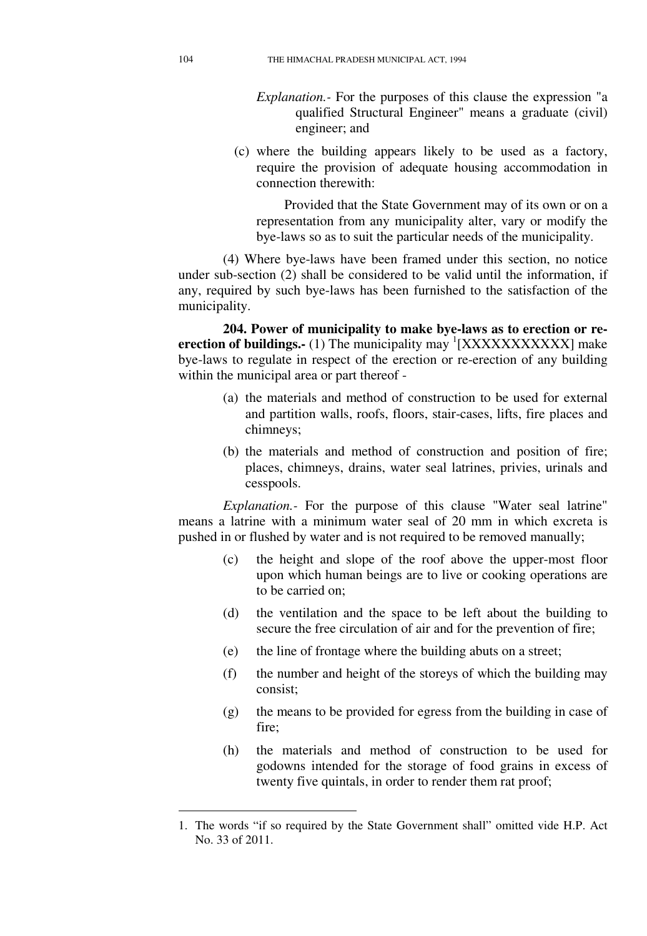- *Explanation.-* For the purposes of this clause the expression "a qualified Structural Engineer" means a graduate (civil) engineer; and
- (c) where the building appears likely to be used as a factory, require the provision of adequate housing accommodation in connection therewith:

Provided that the State Government may of its own or on a representation from any municipality alter, vary or modify the bye-laws so as to suit the particular needs of the municipality.

(4) Where bye-laws have been framed under this section, no notice under sub-section (2) shall be considered to be valid until the information, if any, required by such bye-laws has been furnished to the satisfaction of the municipality.

**204. Power of municipality to make bye-laws as to erection or re**erection of buildings.- (1) The municipality may <sup>1</sup>[XXXXXXXXXXXX] make bye-laws to regulate in respect of the erection or re-erection of any building within the municipal area or part thereof -

- (a) the materials and method of construction to be used for external and partition walls, roofs, floors, stair-cases, lifts, fire places and chimneys;
- (b) the materials and method of construction and position of fire; places, chimneys, drains, water seal latrines, privies, urinals and cesspools.

*Explanation.-* For the purpose of this clause "Water seal latrine" means a latrine with a minimum water seal of 20 mm in which excreta is pushed in or flushed by water and is not required to be removed manually;

- (c) the height and slope of the roof above the upper-most floor upon which human beings are to live or cooking operations are to be carried on;
- (d) the ventilation and the space to be left about the building to secure the free circulation of air and for the prevention of fire;
- (e) the line of frontage where the building abuts on a street;
- (f) the number and height of the storeys of which the building may consist;
- (g) the means to be provided for egress from the building in case of fire;
- (h) the materials and method of construction to be used for godowns intended for the storage of food grains in excess of twenty five quintals, in order to render them rat proof;

<sup>1.</sup> The words "if so required by the State Government shall" omitted vide H.P. Act No. 33 of 2011.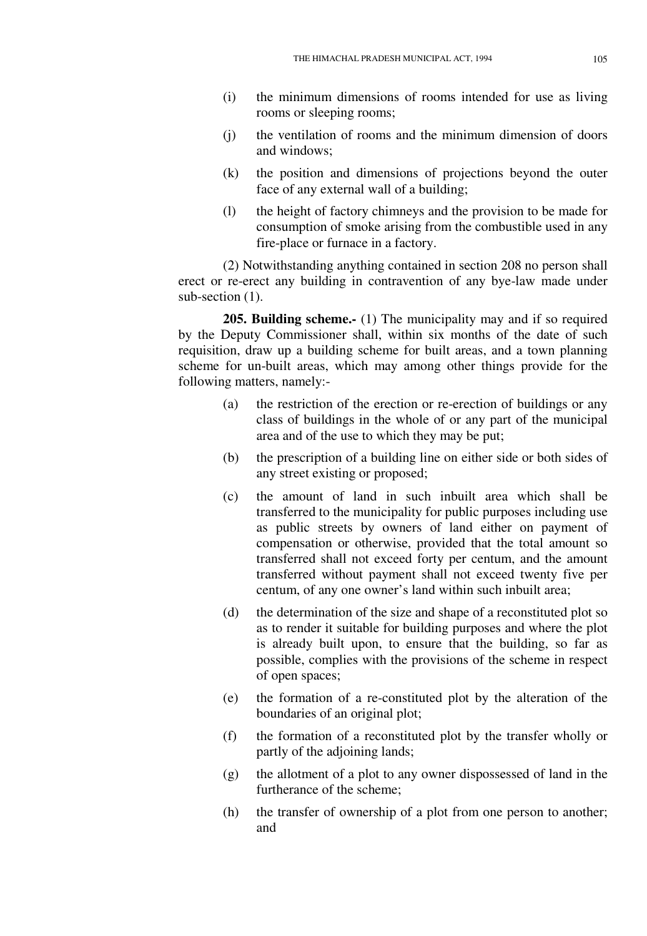- (i) the minimum dimensions of rooms intended for use as living rooms or sleeping rooms;
- (j) the ventilation of rooms and the minimum dimension of doors and windows;
- (k) the position and dimensions of projections beyond the outer face of any external wall of a building;
- (l) the height of factory chimneys and the provision to be made for consumption of smoke arising from the combustible used in any fire-place or furnace in a factory.

(2) Notwithstanding anything contained in section 208 no person shall erect or re-erect any building in contravention of any bye-law made under sub-section  $(1)$ .

**205. Building scheme.-** (1) The municipality may and if so required by the Deputy Commissioner shall, within six months of the date of such requisition, draw up a building scheme for built areas, and a town planning scheme for un-built areas, which may among other things provide for the following matters, namely:-

- (a) the restriction of the erection or re-erection of buildings or any class of buildings in the whole of or any part of the municipal area and of the use to which they may be put;
- (b) the prescription of a building line on either side or both sides of any street existing or proposed;
- (c) the amount of land in such inbuilt area which shall be transferred to the municipality for public purposes including use as public streets by owners of land either on payment of compensation or otherwise, provided that the total amount so transferred shall not exceed forty per centum, and the amount transferred without payment shall not exceed twenty five per centum, of any one owner's land within such inbuilt area;
- (d) the determination of the size and shape of a reconstituted plot so as to render it suitable for building purposes and where the plot is already built upon, to ensure that the building, so far as possible, complies with the provisions of the scheme in respect of open spaces;
- (e) the formation of a re-constituted plot by the alteration of the boundaries of an original plot;
- (f) the formation of a reconstituted plot by the transfer wholly or partly of the adjoining lands;
- (g) the allotment of a plot to any owner dispossessed of land in the furtherance of the scheme;
- (h) the transfer of ownership of a plot from one person to another; and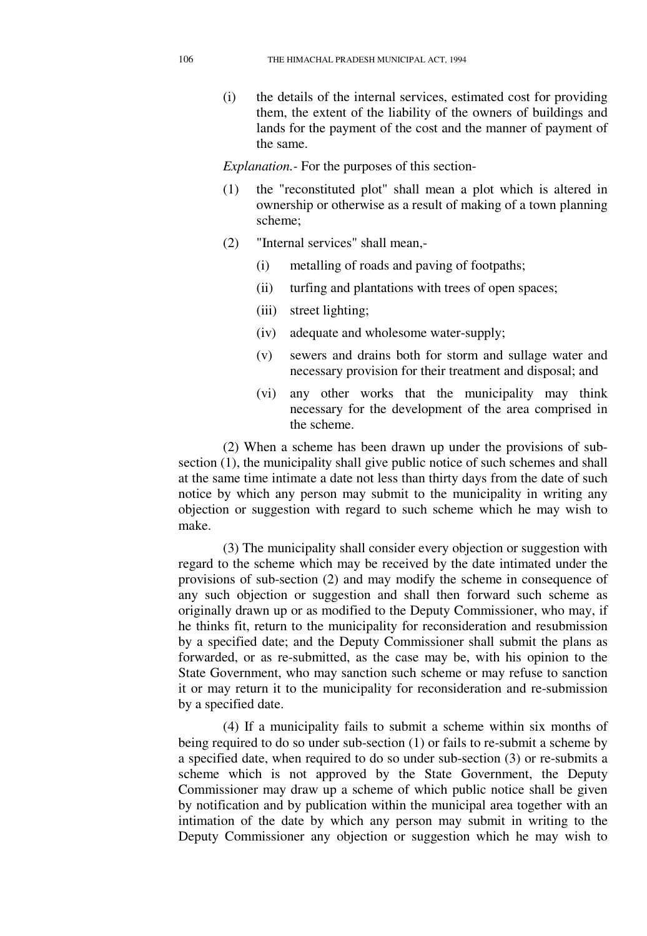(i) the details of the internal services, estimated cost for providing them, the extent of the liability of the owners of buildings and lands for the payment of the cost and the manner of payment of the same.

*Explanation.-* For the purposes of this section-

- (1) the "reconstituted plot" shall mean a plot which is altered in ownership or otherwise as a result of making of a town planning scheme;
- (2) "Internal services" shall mean,-
	- (i) metalling of roads and paving of footpaths;
	- (ii) turfing and plantations with trees of open spaces;
	- (iii) street lighting;
	- (iv) adequate and wholesome water-supply;
	- (v) sewers and drains both for storm and sullage water and necessary provision for their treatment and disposal; and
	- (vi) any other works that the municipality may think necessary for the development of the area comprised in the scheme.

(2) When a scheme has been drawn up under the provisions of subsection (1), the municipality shall give public notice of such schemes and shall at the same time intimate a date not less than thirty days from the date of such notice by which any person may submit to the municipality in writing any objection or suggestion with regard to such scheme which he may wish to make.

(3) The municipality shall consider every objection or suggestion with regard to the scheme which may be received by the date intimated under the provisions of sub-section (2) and may modify the scheme in consequence of any such objection or suggestion and shall then forward such scheme as originally drawn up or as modified to the Deputy Commissioner, who may, if he thinks fit, return to the municipality for reconsideration and resubmission by a specified date; and the Deputy Commissioner shall submit the plans as forwarded, or as re-submitted, as the case may be, with his opinion to the State Government, who may sanction such scheme or may refuse to sanction it or may return it to the municipality for reconsideration and re-submission by a specified date.

(4) If a municipality fails to submit a scheme within six months of being required to do so under sub-section (1) or fails to re-submit a scheme by a specified date, when required to do so under sub-section (3) or re-submits a scheme which is not approved by the State Government, the Deputy Commissioner may draw up a scheme of which public notice shall be given by notification and by publication within the municipal area together with an intimation of the date by which any person may submit in writing to the Deputy Commissioner any objection or suggestion which he may wish to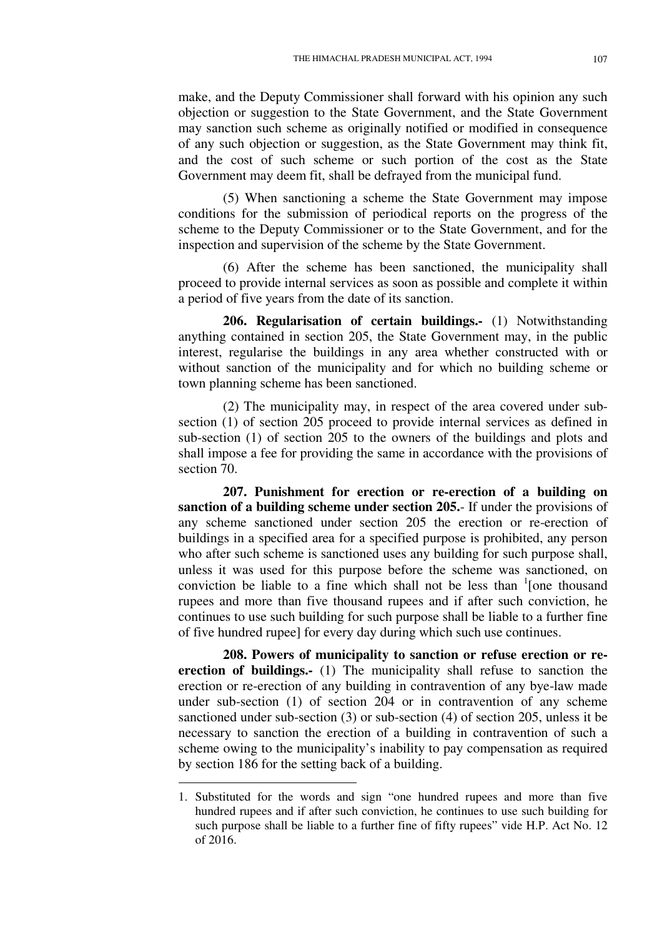make, and the Deputy Commissioner shall forward with his opinion any such objection or suggestion to the State Government, and the State Government may sanction such scheme as originally notified or modified in consequence of any such objection or suggestion, as the State Government may think fit, and the cost of such scheme or such portion of the cost as the State Government may deem fit, shall be defrayed from the municipal fund.

(5) When sanctioning a scheme the State Government may impose conditions for the submission of periodical reports on the progress of the scheme to the Deputy Commissioner or to the State Government, and for the inspection and supervision of the scheme by the State Government.

(6) After the scheme has been sanctioned, the municipality shall proceed to provide internal services as soon as possible and complete it within a period of five years from the date of its sanction.

**206. Regularisation of certain buildings.-** (1) Notwithstanding anything contained in section 205, the State Government may, in the public interest, regularise the buildings in any area whether constructed with or without sanction of the municipality and for which no building scheme or town planning scheme has been sanctioned.

(2) The municipality may, in respect of the area covered under subsection (1) of section 205 proceed to provide internal services as defined in sub-section (1) of section 205 to the owners of the buildings and plots and shall impose a fee for providing the same in accordance with the provisions of section 70.

**207. Punishment for erection or re-erection of a building on sanction of a building scheme under section 205.**- If under the provisions of any scheme sanctioned under section 205 the erection or re-erection of buildings in a specified area for a specified purpose is prohibited, any person who after such scheme is sanctioned uses any building for such purpose shall, unless it was used for this purpose before the scheme was sanctioned, on conviction be liable to a fine which shall not be less than  $\frac{1}{2}$  [one thousand rupees and more than five thousand rupees and if after such conviction, he continues to use such building for such purpose shall be liable to a further fine of five hundred rupee] for every day during which such use continues.

**208. Powers of municipality to sanction or refuse erection or reerection of buildings.-** (1) The municipality shall refuse to sanction the erection or re-erection of any building in contravention of any bye-law made under sub-section (1) of section 204 or in contravention of any scheme sanctioned under sub-section (3) or sub-section (4) of section 205, unless it be necessary to sanction the erection of a building in contravention of such a scheme owing to the municipality's inability to pay compensation as required by section 186 for the setting back of a building.

<sup>1.</sup> Substituted for the words and sign "one hundred rupees and more than five hundred rupees and if after such conviction, he continues to use such building for such purpose shall be liable to a further fine of fifty rupees" vide H.P. Act No. 12 of 2016.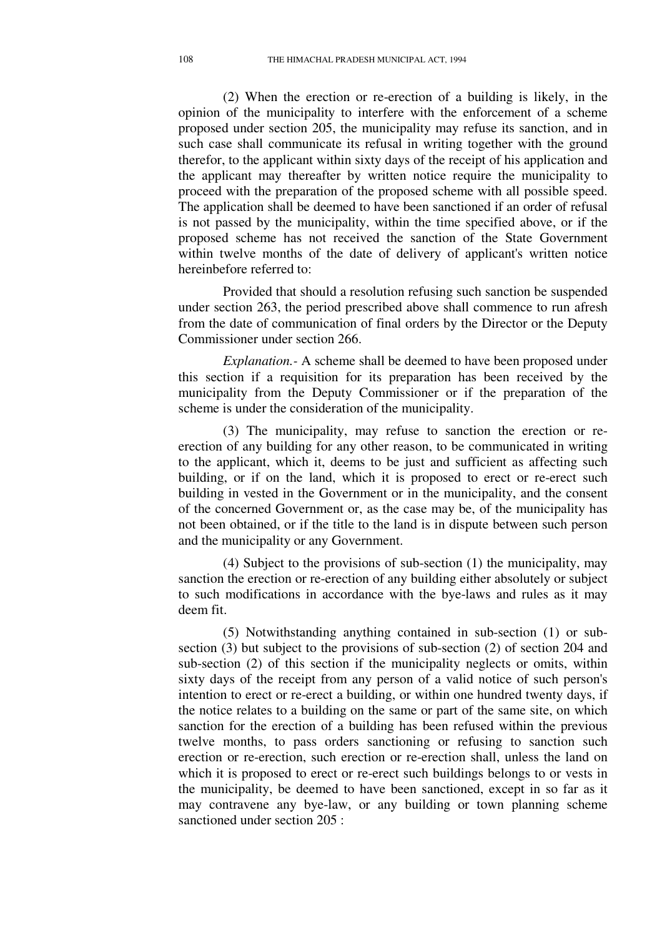(2) When the erection or re-erection of a building is likely, in the opinion of the municipality to interfere with the enforcement of a scheme proposed under section 205, the municipality may refuse its sanction, and in such case shall communicate its refusal in writing together with the ground therefor, to the applicant within sixty days of the receipt of his application and the applicant may thereafter by written notice require the municipality to proceed with the preparation of the proposed scheme with all possible speed. The application shall be deemed to have been sanctioned if an order of refusal is not passed by the municipality, within the time specified above, or if the proposed scheme has not received the sanction of the State Government within twelve months of the date of delivery of applicant's written notice hereinbefore referred to:

Provided that should a resolution refusing such sanction be suspended under section 263, the period prescribed above shall commence to run afresh from the date of communication of final orders by the Director or the Deputy Commissioner under section 266.

*Explanation.-* A scheme shall be deemed to have been proposed under this section if a requisition for its preparation has been received by the municipality from the Deputy Commissioner or if the preparation of the scheme is under the consideration of the municipality.

(3) The municipality, may refuse to sanction the erection or reerection of any building for any other reason, to be communicated in writing to the applicant, which it, deems to be just and sufficient as affecting such building, or if on the land, which it is proposed to erect or re-erect such building in vested in the Government or in the municipality, and the consent of the concerned Government or, as the case may be, of the municipality has not been obtained, or if the title to the land is in dispute between such person and the municipality or any Government.

(4) Subject to the provisions of sub-section (1) the municipality, may sanction the erection or re-erection of any building either absolutely or subject to such modifications in accordance with the bye-laws and rules as it may deem fit.

(5) Notwithstanding anything contained in sub-section (1) or subsection (3) but subject to the provisions of sub-section (2) of section 204 and sub-section (2) of this section if the municipality neglects or omits, within sixty days of the receipt from any person of a valid notice of such person's intention to erect or re-erect a building, or within one hundred twenty days, if the notice relates to a building on the same or part of the same site, on which sanction for the erection of a building has been refused within the previous twelve months, to pass orders sanctioning or refusing to sanction such erection or re-erection, such erection or re-erection shall, unless the land on which it is proposed to erect or re-erect such buildings belongs to or vests in the municipality, be deemed to have been sanctioned, except in so far as it may contravene any bye-law, or any building or town planning scheme sanctioned under section 205 :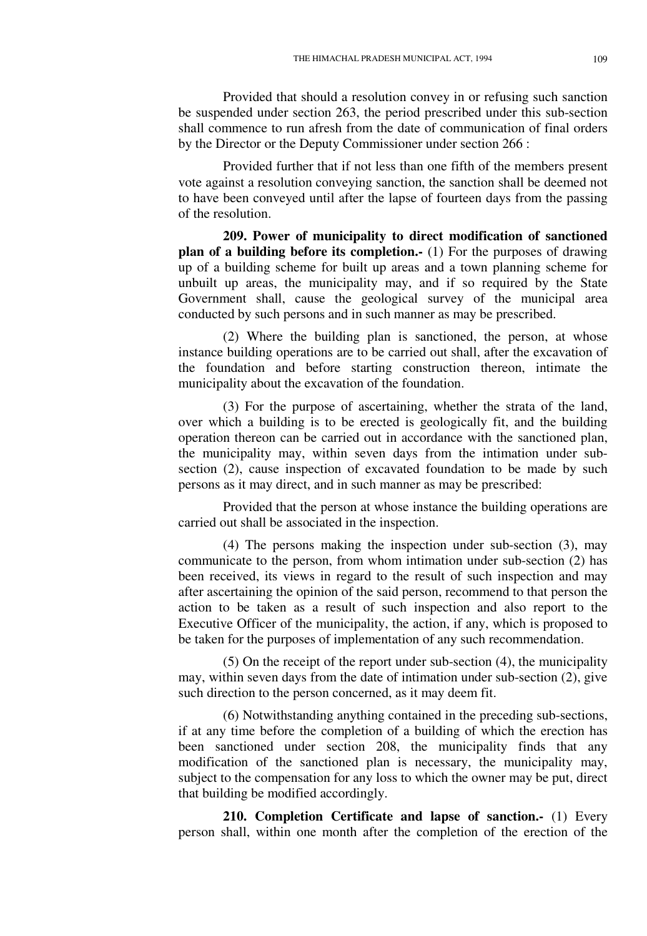Provided that should a resolution convey in or refusing such sanction be suspended under section 263, the period prescribed under this sub-section shall commence to run afresh from the date of communication of final orders by the Director or the Deputy Commissioner under section 266 :

Provided further that if not less than one fifth of the members present vote against a resolution conveying sanction, the sanction shall be deemed not to have been conveyed until after the lapse of fourteen days from the passing of the resolution.

**209. Power of municipality to direct modification of sanctioned plan of a building before its completion.-** (1) For the purposes of drawing up of a building scheme for built up areas and a town planning scheme for unbuilt up areas, the municipality may, and if so required by the State Government shall, cause the geological survey of the municipal area conducted by such persons and in such manner as may be prescribed.

(2) Where the building plan is sanctioned, the person, at whose instance building operations are to be carried out shall, after the excavation of the foundation and before starting construction thereon, intimate the municipality about the excavation of the foundation.

(3) For the purpose of ascertaining, whether the strata of the land, over which a building is to be erected is geologically fit, and the building operation thereon can be carried out in accordance with the sanctioned plan, the municipality may, within seven days from the intimation under subsection (2), cause inspection of excavated foundation to be made by such persons as it may direct, and in such manner as may be prescribed:

Provided that the person at whose instance the building operations are carried out shall be associated in the inspection.

(4) The persons making the inspection under sub-section (3), may communicate to the person, from whom intimation under sub-section (2) has been received, its views in regard to the result of such inspection and may after ascertaining the opinion of the said person, recommend to that person the action to be taken as a result of such inspection and also report to the Executive Officer of the municipality, the action, if any, which is proposed to be taken for the purposes of implementation of any such recommendation.

(5) On the receipt of the report under sub-section (4), the municipality may, within seven days from the date of intimation under sub-section (2), give such direction to the person concerned, as it may deem fit.

(6) Notwithstanding anything contained in the preceding sub-sections, if at any time before the completion of a building of which the erection has been sanctioned under section 208, the municipality finds that any modification of the sanctioned plan is necessary, the municipality may, subject to the compensation for any loss to which the owner may be put, direct that building be modified accordingly.

**210. Completion Certificate and lapse of sanction.-** (1) Every person shall, within one month after the completion of the erection of the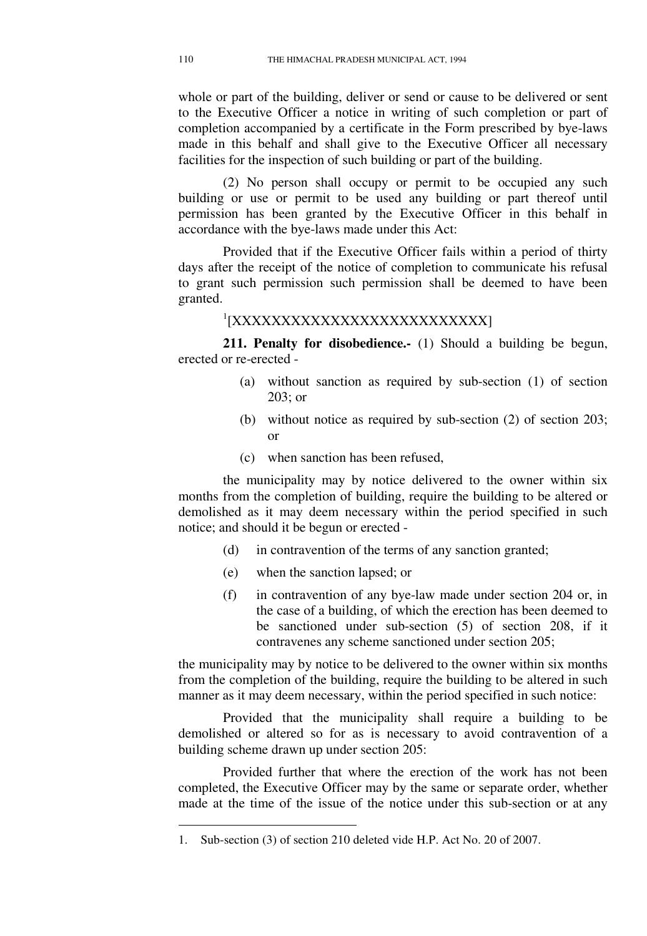whole or part of the building, deliver or send or cause to be delivered or sent to the Executive Officer a notice in writing of such completion or part of completion accompanied by a certificate in the Form prescribed by bye-laws made in this behalf and shall give to the Executive Officer all necessary facilities for the inspection of such building or part of the building.

(2) No person shall occupy or permit to be occupied any such building or use or permit to be used any building or part thereof until permission has been granted by the Executive Officer in this behalf in accordance with the bye-laws made under this Act:

Provided that if the Executive Officer fails within a period of thirty days after the receipt of the notice of completion to communicate his refusal to grant such permission such permission shall be deemed to have been granted.

1 [XXXXXXXXXXXXXXXXXXXXXXXXXX]

**211. Penalty for disobedience.-** (1) Should a building be begun, erected or re-erected -

- (a) without sanction as required by sub-section (1) of section 203; or
- (b) without notice as required by sub-section (2) of section 203; or
- (c) when sanction has been refused,

the municipality may by notice delivered to the owner within six months from the completion of building, require the building to be altered or demolished as it may deem necessary within the period specified in such notice; and should it be begun or erected -

- (d) in contravention of the terms of any sanction granted;
- (e) when the sanction lapsed; or
- (f) in contravention of any bye-law made under section 204 or, in the case of a building, of which the erection has been deemed to be sanctioned under sub-section (5) of section 208, if it contravenes any scheme sanctioned under section 205;

the municipality may by notice to be delivered to the owner within six months from the completion of the building, require the building to be altered in such manner as it may deem necessary, within the period specified in such notice:

Provided that the municipality shall require a building to be demolished or altered so for as is necessary to avoid contravention of a building scheme drawn up under section 205:

Provided further that where the erection of the work has not been completed, the Executive Officer may by the same or separate order, whether made at the time of the issue of the notice under this sub-section or at any

<sup>1.</sup> Sub-section (3) of section 210 deleted vide H.P. Act No. 20 of 2007.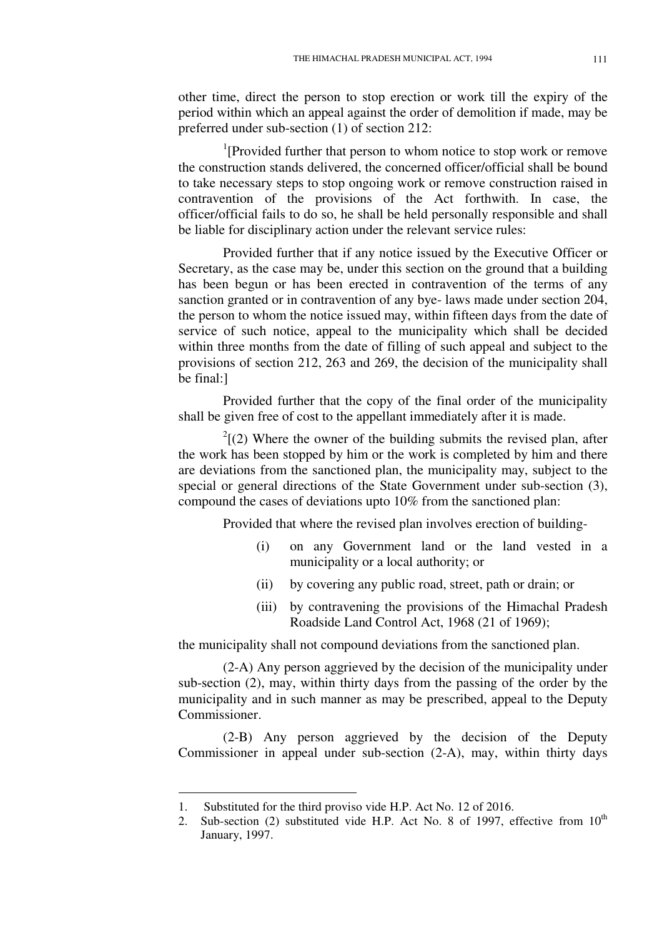other time, direct the person to stop erection or work till the expiry of the period within which an appeal against the order of demolition if made, may be preferred under sub-section (1) of section 212:

<sup>1</sup>[Provided further that person to whom notice to stop work or remove the construction stands delivered, the concerned officer/official shall be bound to take necessary steps to stop ongoing work or remove construction raised in contravention of the provisions of the Act forthwith. In case, the officer/official fails to do so, he shall be held personally responsible and shall be liable for disciplinary action under the relevant service rules:

Provided further that if any notice issued by the Executive Officer or Secretary, as the case may be, under this section on the ground that a building has been begun or has been erected in contravention of the terms of any sanction granted or in contravention of any bye- laws made under section 204, the person to whom the notice issued may, within fifteen days from the date of service of such notice, appeal to the municipality which shall be decided within three months from the date of filling of such appeal and subject to the provisions of section 212, 263 and 269, the decision of the municipality shall be final:]

Provided further that the copy of the final order of the municipality shall be given free of cost to the appellant immediately after it is made.

 $2^{2}$ [(2) Where the owner of the building submits the revised plan, after the work has been stopped by him or the work is completed by him and there are deviations from the sanctioned plan, the municipality may, subject to the special or general directions of the State Government under sub-section (3), compound the cases of deviations upto 10% from the sanctioned plan:

Provided that where the revised plan involves erection of building-

- (i) on any Government land or the land vested in a municipality or a local authority; or
- (ii) by covering any public road, street, path or drain; or
- (iii) by contravening the provisions of the Himachal Pradesh Roadside Land Control Act, 1968 (21 of 1969);

the municipality shall not compound deviations from the sanctioned plan.

(2-A) Any person aggrieved by the decision of the municipality under sub-section (2), may, within thirty days from the passing of the order by the municipality and in such manner as may be prescribed, appeal to the Deputy Commissioner.

(2-B) Any person aggrieved by the decision of the Deputy Commissioner in appeal under sub-section (2-A), may, within thirty days

<sup>1.</sup> Substituted for the third proviso vide H.P. Act No. 12 of 2016.

<sup>2.</sup> Sub-section (2) substituted vide H.P. Act No. 8 of 1997, effective from  $10<sup>th</sup>$ January, 1997.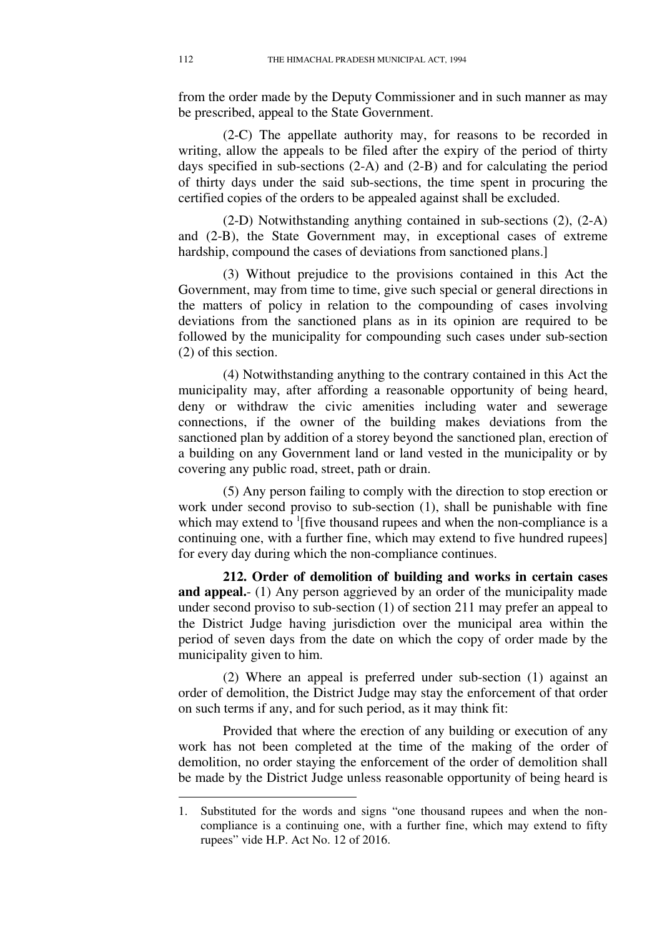from the order made by the Deputy Commissioner and in such manner as may be prescribed, appeal to the State Government.

(2-C) The appellate authority may, for reasons to be recorded in writing, allow the appeals to be filed after the expiry of the period of thirty days specified in sub-sections (2-A) and (2-B) and for calculating the period of thirty days under the said sub-sections, the time spent in procuring the certified copies of the orders to be appealed against shall be excluded.

(2-D) Notwithstanding anything contained in sub-sections (2), (2-A) and (2-B), the State Government may, in exceptional cases of extreme hardship, compound the cases of deviations from sanctioned plans.

(3) Without prejudice to the provisions contained in this Act the Government, may from time to time, give such special or general directions in the matters of policy in relation to the compounding of cases involving deviations from the sanctioned plans as in its opinion are required to be followed by the municipality for compounding such cases under sub-section (2) of this section.

(4) Notwithstanding anything to the contrary contained in this Act the municipality may, after affording a reasonable opportunity of being heard, deny or withdraw the civic amenities including water and sewerage connections, if the owner of the building makes deviations from the sanctioned plan by addition of a storey beyond the sanctioned plan, erection of a building on any Government land or land vested in the municipality or by covering any public road, street, path or drain.

(5) Any person failing to comply with the direction to stop erection or work under second proviso to sub-section (1), shall be punishable with fine which may extend to  ${}^{1}$ [five thousand rupees and when the non-compliance is a continuing one, with a further fine, which may extend to five hundred rupees] for every day during which the non-compliance continues.

**212. Order of demolition of building and works in certain cases and appeal.**- (1) Any person aggrieved by an order of the municipality made under second proviso to sub-section (1) of section 211 may prefer an appeal to the District Judge having jurisdiction over the municipal area within the period of seven days from the date on which the copy of order made by the municipality given to him.

(2) Where an appeal is preferred under sub-section (1) against an order of demolition, the District Judge may stay the enforcement of that order on such terms if any, and for such period, as it may think fit:

Provided that where the erection of any building or execution of any work has not been completed at the time of the making of the order of demolition, no order staying the enforcement of the order of demolition shall be made by the District Judge unless reasonable opportunity of being heard is

<sup>1.</sup> Substituted for the words and signs "one thousand rupees and when the noncompliance is a continuing one, with a further fine, which may extend to fifty rupees" vide H.P. Act No. 12 of 2016.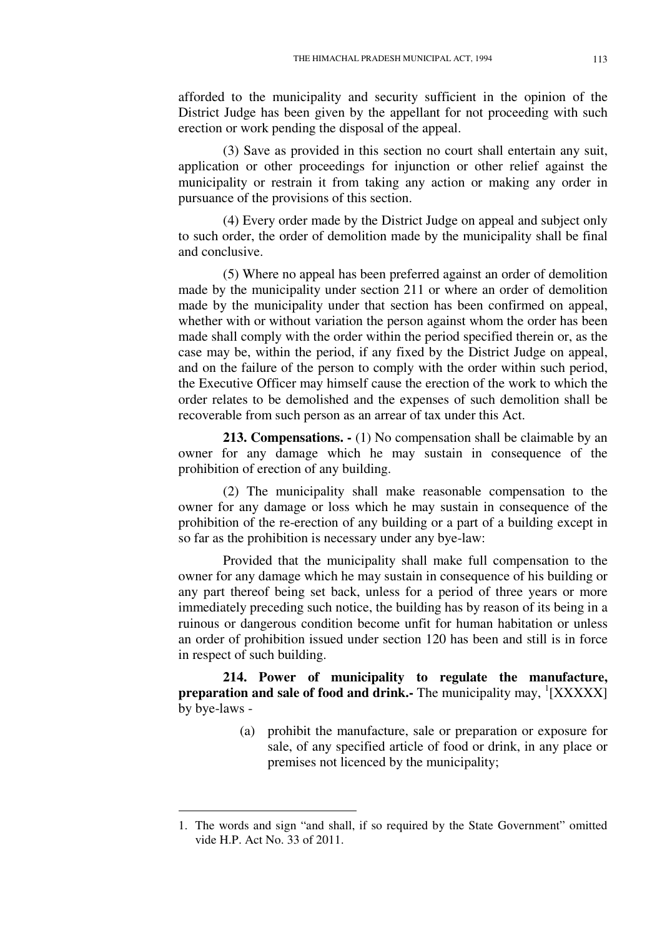afforded to the municipality and security sufficient in the opinion of the District Judge has been given by the appellant for not proceeding with such erection or work pending the disposal of the appeal.

(3) Save as provided in this section no court shall entertain any suit, application or other proceedings for injunction or other relief against the municipality or restrain it from taking any action or making any order in pursuance of the provisions of this section.

(4) Every order made by the District Judge on appeal and subject only to such order, the order of demolition made by the municipality shall be final and conclusive.

(5) Where no appeal has been preferred against an order of demolition made by the municipality under section 211 or where an order of demolition made by the municipality under that section has been confirmed on appeal, whether with or without variation the person against whom the order has been made shall comply with the order within the period specified therein or, as the case may be, within the period, if any fixed by the District Judge on appeal, and on the failure of the person to comply with the order within such period, the Executive Officer may himself cause the erection of the work to which the order relates to be demolished and the expenses of such demolition shall be recoverable from such person as an arrear of tax under this Act.

**213. Compensations.**  $\cdot$  **(1) No compensation shall be claimable by an** owner for any damage which he may sustain in consequence of the prohibition of erection of any building.

(2) The municipality shall make reasonable compensation to the owner for any damage or loss which he may sustain in consequence of the prohibition of the re-erection of any building or a part of a building except in so far as the prohibition is necessary under any bye-law:

Provided that the municipality shall make full compensation to the owner for any damage which he may sustain in consequence of his building or any part thereof being set back, unless for a period of three years or more immediately preceding such notice, the building has by reason of its being in a ruinous or dangerous condition become unfit for human habitation or unless an order of prohibition issued under section 120 has been and still is in force in respect of such building.

**214. Power of municipality to regulate the manufacture,**  preparation and sale of food and drink. The municipality may, <sup>1</sup>[XXXXX] by bye-laws -

> (a) prohibit the manufacture, sale or preparation or exposure for sale, of any specified article of food or drink, in any place or premises not licenced by the municipality;

<sup>1.</sup> The words and sign "and shall, if so required by the State Government" omitted vide H.P. Act No. 33 of 2011.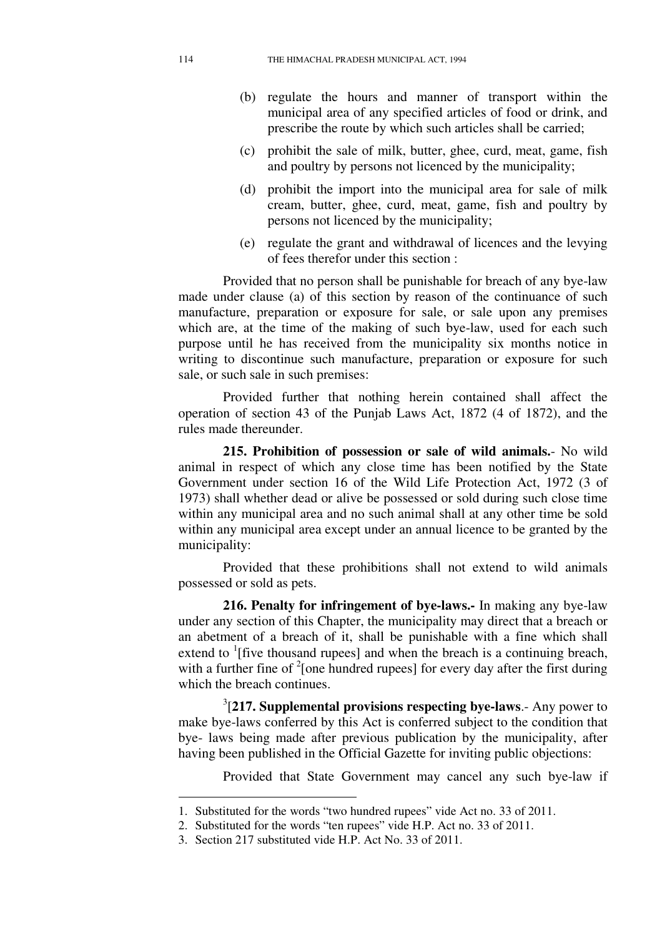- (b) regulate the hours and manner of transport within the municipal area of any specified articles of food or drink, and prescribe the route by which such articles shall be carried;
- (c) prohibit the sale of milk, butter, ghee, curd, meat, game, fish and poultry by persons not licenced by the municipality;
- (d) prohibit the import into the municipal area for sale of milk cream, butter, ghee, curd, meat, game, fish and poultry by persons not licenced by the municipality;
- (e) regulate the grant and withdrawal of licences and the levying of fees therefor under this section :

Provided that no person shall be punishable for breach of any bye-law made under clause (a) of this section by reason of the continuance of such manufacture, preparation or exposure for sale, or sale upon any premises which are, at the time of the making of such bye-law, used for each such purpose until he has received from the municipality six months notice in writing to discontinue such manufacture, preparation or exposure for such sale, or such sale in such premises:

Provided further that nothing herein contained shall affect the operation of section 43 of the Punjab Laws Act, 1872 (4 of 1872), and the rules made thereunder.

**215. Prohibition of possession or sale of wild animals.**- No wild animal in respect of which any close time has been notified by the State Government under section 16 of the Wild Life Protection Act, 1972 (3 of 1973) shall whether dead or alive be possessed or sold during such close time within any municipal area and no such animal shall at any other time be sold within any municipal area except under an annual licence to be granted by the municipality:

Provided that these prohibitions shall not extend to wild animals possessed or sold as pets.

**216. Penalty for infringement of bye-laws.-** In making any bye-law under any section of this Chapter, the municipality may direct that a breach or an abetment of a breach of it, shall be punishable with a fine which shall extend to  ${}^{1}$ [five thousand rupees] and when the breach is a continuing breach, with a further fine of  $2$ [one hundred rupees] for every day after the first during which the breach continues.

3 [**217. Supplemental provisions respecting bye-laws**.- Any power to make bye-laws conferred by this Act is conferred subject to the condition that bye- laws being made after previous publication by the municipality, after having been published in the Official Gazette for inviting public objections:

Provided that State Government may cancel any such bye-law if

<sup>1.</sup> Substituted for the words "two hundred rupees" vide Act no. 33 of 2011.

<sup>2.</sup> Substituted for the words "ten rupees" vide H.P. Act no. 33 of 2011.

<sup>3.</sup> Section 217 substituted vide H.P. Act No. 33 of 2011.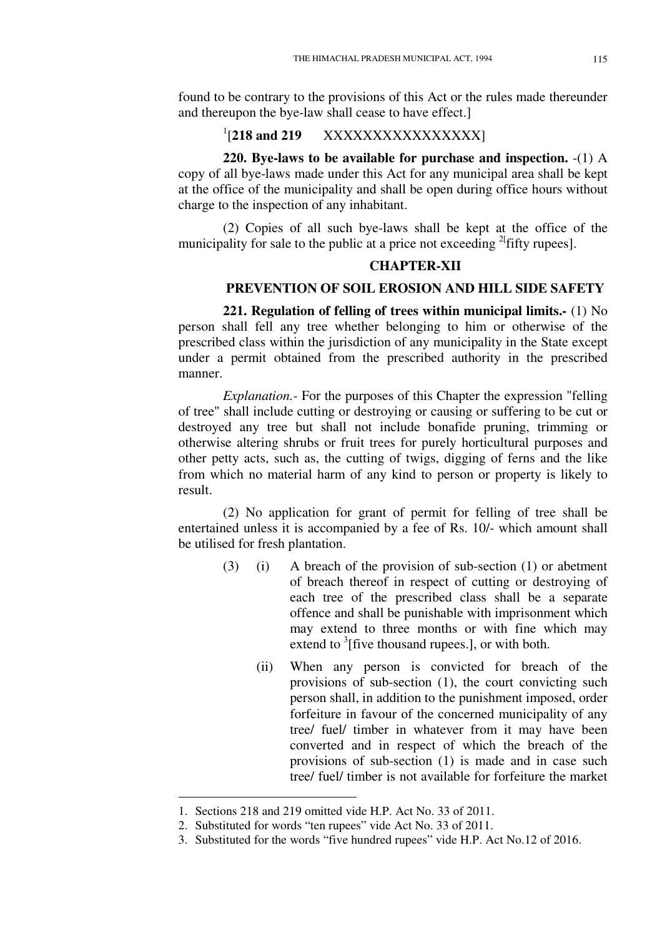found to be contrary to the provisions of this Act or the rules made thereunder and thereupon the bye-law shall cease to have effect.]

#### $1$ [218 and 219 [**218 and 219** XXXXXXXXXXXXXXXX]

**220. Bye-laws to be available for purchase and inspection.** -(1) A copy of all bye-laws made under this Act for any municipal area shall be kept at the office of the municipality and shall be open during office hours without charge to the inspection of any inhabitant.

(2) Copies of all such bye-laws shall be kept at the office of the municipality for sale to the public at a price not exceeding  $^{2}$  fifty rupees].

# **CHAPTER-XII**

# **PREVENTION OF SOIL EROSION AND HILL SIDE SAFETY**

**221. Regulation of felling of trees within municipal limits.-** (1) No person shall fell any tree whether belonging to him or otherwise of the prescribed class within the jurisdiction of any municipality in the State except under a permit obtained from the prescribed authority in the prescribed manner.

*Explanation.-* For the purposes of this Chapter the expression "felling of tree" shall include cutting or destroying or causing or suffering to be cut or destroyed any tree but shall not include bonafide pruning, trimming or otherwise altering shrubs or fruit trees for purely horticultural purposes and other petty acts, such as, the cutting of twigs, digging of ferns and the like from which no material harm of any kind to person or property is likely to result.

(2) No application for grant of permit for felling of tree shall be entertained unless it is accompanied by a fee of Rs. 10/- which amount shall be utilised for fresh plantation.

- (3) (i) A breach of the provision of sub-section (1) or abetment of breach thereof in respect of cutting or destroying of each tree of the prescribed class shall be a separate offence and shall be punishable with imprisonment which may extend to three months or with fine which may extend to  $\frac{3}{7}$  [five thousand rupees.], or with both.
	- (ii) When any person is convicted for breach of the provisions of sub-section (1), the court convicting such person shall, in addition to the punishment imposed, order forfeiture in favour of the concerned municipality of any tree/ fuel/ timber in whatever from it may have been converted and in respect of which the breach of the provisions of sub-section (1) is made and in case such tree/ fuel/ timber is not available for forfeiture the market

<sup>1.</sup> Sections 218 and 219 omitted vide H.P. Act No. 33 of 2011.

<sup>2.</sup> Substituted for words "ten rupees" vide Act No. 33 of 2011.

<sup>3.</sup> Substituted for the words "five hundred rupees" vide H.P. Act No.12 of 2016.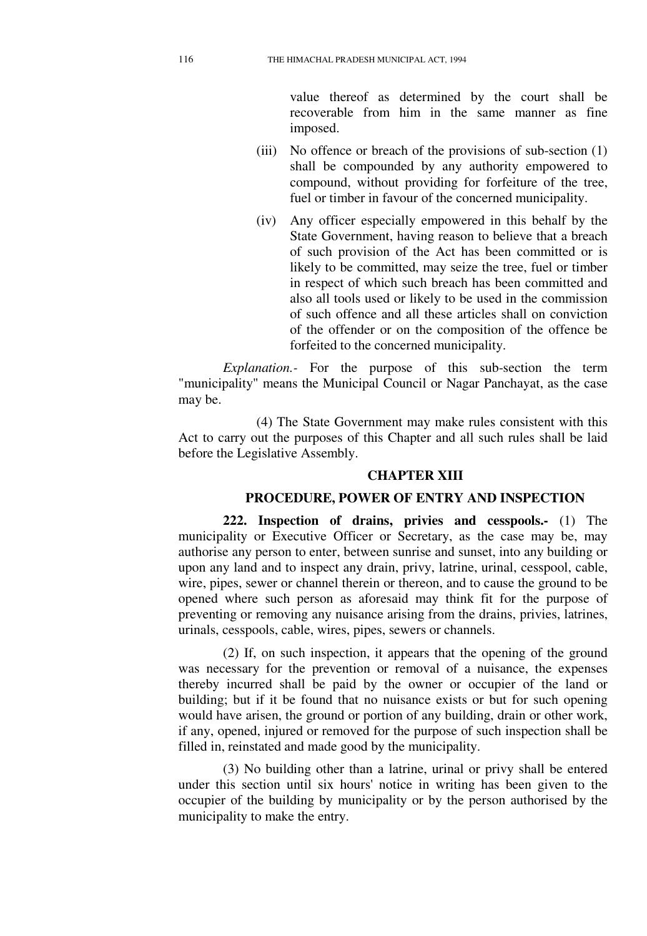value thereof as determined by the court shall be recoverable from him in the same manner as fine imposed.

- (iii) No offence or breach of the provisions of sub-section (1) shall be compounded by any authority empowered to compound, without providing for forfeiture of the tree, fuel or timber in favour of the concerned municipality.
- (iv) Any officer especially empowered in this behalf by the State Government, having reason to believe that a breach of such provision of the Act has been committed or is likely to be committed, may seize the tree, fuel or timber in respect of which such breach has been committed and also all tools used or likely to be used in the commission of such offence and all these articles shall on conviction of the offender or on the composition of the offence be forfeited to the concerned municipality.

*Explanation.-* For the purpose of this sub-section the term "municipality" means the Municipal Council or Nagar Panchayat, as the case may be.

(4) The State Government may make rules consistent with this Act to carry out the purposes of this Chapter and all such rules shall be laid before the Legislative Assembly.

## **CHAPTER XIII**

#### **PROCEDURE, POWER OF ENTRY AND INSPECTION**

**222. Inspection of drains, privies and cesspools.-** (1) The municipality or Executive Officer or Secretary, as the case may be, may authorise any person to enter, between sunrise and sunset, into any building or upon any land and to inspect any drain, privy, latrine, urinal, cesspool, cable, wire, pipes, sewer or channel therein or thereon, and to cause the ground to be opened where such person as aforesaid may think fit for the purpose of preventing or removing any nuisance arising from the drains, privies, latrines, urinals, cesspools, cable, wires, pipes, sewers or channels.

(2) If, on such inspection, it appears that the opening of the ground was necessary for the prevention or removal of a nuisance, the expenses thereby incurred shall be paid by the owner or occupier of the land or building; but if it be found that no nuisance exists or but for such opening would have arisen, the ground or portion of any building, drain or other work, if any, opened, injured or removed for the purpose of such inspection shall be filled in, reinstated and made good by the municipality.

(3) No building other than a latrine, urinal or privy shall be entered under this section until six hours' notice in writing has been given to the occupier of the building by municipality or by the person authorised by the municipality to make the entry.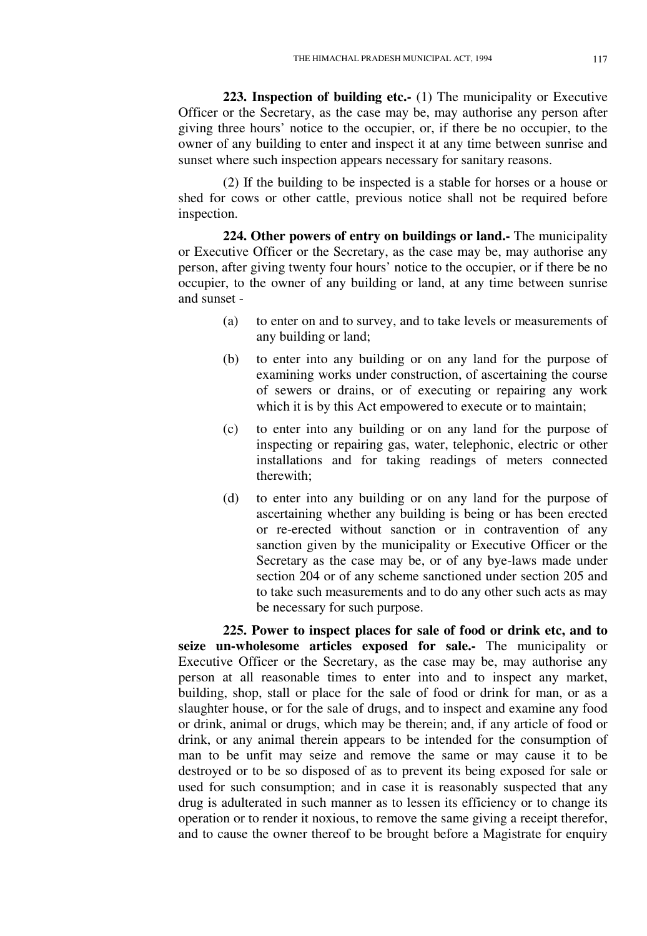**223. Inspection of building etc.-** (1) The municipality or Executive Officer or the Secretary, as the case may be, may authorise any person after giving three hours' notice to the occupier, or, if there be no occupier, to the owner of any building to enter and inspect it at any time between sunrise and sunset where such inspection appears necessary for sanitary reasons.

(2) If the building to be inspected is a stable for horses or a house or shed for cows or other cattle, previous notice shall not be required before inspection.

**224. Other powers of entry on buildings or land.-** The municipality or Executive Officer or the Secretary, as the case may be, may authorise any person, after giving twenty four hours' notice to the occupier, or if there be no occupier, to the owner of any building or land, at any time between sunrise and sunset -

- (a) to enter on and to survey, and to take levels or measurements of any building or land;
- (b) to enter into any building or on any land for the purpose of examining works under construction, of ascertaining the course of sewers or drains, or of executing or repairing any work which it is by this Act empowered to execute or to maintain;
- (c) to enter into any building or on any land for the purpose of inspecting or repairing gas, water, telephonic, electric or other installations and for taking readings of meters connected therewith;
- (d) to enter into any building or on any land for the purpose of ascertaining whether any building is being or has been erected or re-erected without sanction or in contravention of any sanction given by the municipality or Executive Officer or the Secretary as the case may be, or of any bye-laws made under section 204 or of any scheme sanctioned under section 205 and to take such measurements and to do any other such acts as may be necessary for such purpose.

**225. Power to inspect places for sale of food or drink etc, and to seize un-wholesome articles exposed for sale.-** The municipality or Executive Officer or the Secretary, as the case may be, may authorise any person at all reasonable times to enter into and to inspect any market, building, shop, stall or place for the sale of food or drink for man, or as a slaughter house, or for the sale of drugs, and to inspect and examine any food or drink, animal or drugs, which may be therein; and, if any article of food or drink, or any animal therein appears to be intended for the consumption of man to be unfit may seize and remove the same or may cause it to be destroyed or to be so disposed of as to prevent its being exposed for sale or used for such consumption; and in case it is reasonably suspected that any drug is adulterated in such manner as to lessen its efficiency or to change its operation or to render it noxious, to remove the same giving a receipt therefor, and to cause the owner thereof to be brought before a Magistrate for enquiry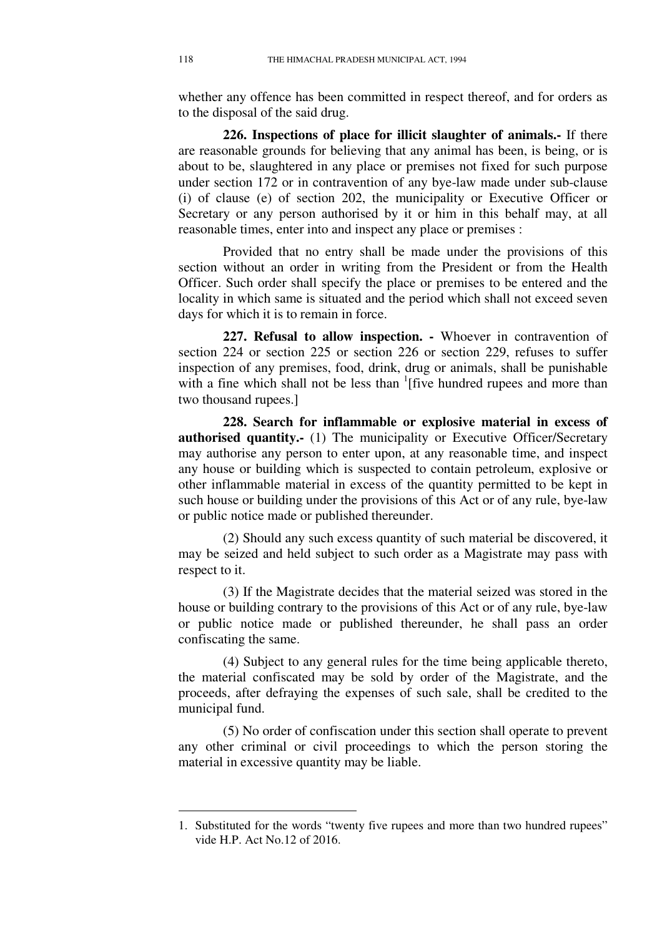whether any offence has been committed in respect thereof, and for orders as to the disposal of the said drug.

**226. Inspections of place for illicit slaughter of animals.-** If there are reasonable grounds for believing that any animal has been, is being, or is about to be, slaughtered in any place or premises not fixed for such purpose under section 172 or in contravention of any bye-law made under sub-clause (i) of clause (e) of section 202, the municipality or Executive Officer or Secretary or any person authorised by it or him in this behalf may, at all reasonable times, enter into and inspect any place or premises :

Provided that no entry shall be made under the provisions of this section without an order in writing from the President or from the Health Officer. Such order shall specify the place or premises to be entered and the locality in which same is situated and the period which shall not exceed seven days for which it is to remain in force.

**227. Refusal to allow inspection. -** Whoever in contravention of section 224 or section 225 or section 226 or section 229, refuses to suffer inspection of any premises, food, drink, drug or animals, shall be punishable with a fine which shall not be less than  $\frac{1}{1}$  [five hundred rupees and more than two thousand rupees.]

**228. Search for inflammable or explosive material in excess of authorised quantity.** (1) The municipality or Executive Officer/Secretary may authorise any person to enter upon, at any reasonable time, and inspect any house or building which is suspected to contain petroleum, explosive or other inflammable material in excess of the quantity permitted to be kept in such house or building under the provisions of this Act or of any rule, bye-law or public notice made or published thereunder.

(2) Should any such excess quantity of such material be discovered, it may be seized and held subject to such order as a Magistrate may pass with respect to it.

(3) If the Magistrate decides that the material seized was stored in the house or building contrary to the provisions of this Act or of any rule, bye-law or public notice made or published thereunder, he shall pass an order confiscating the same.

(4) Subject to any general rules for the time being applicable thereto, the material confiscated may be sold by order of the Magistrate, and the proceeds, after defraying the expenses of such sale, shall be credited to the municipal fund.

(5) No order of confiscation under this section shall operate to prevent any other criminal or civil proceedings to which the person storing the material in excessive quantity may be liable.

<sup>1.</sup> Substituted for the words "twenty five rupees and more than two hundred rupees" vide H.P. Act No.12 of 2016.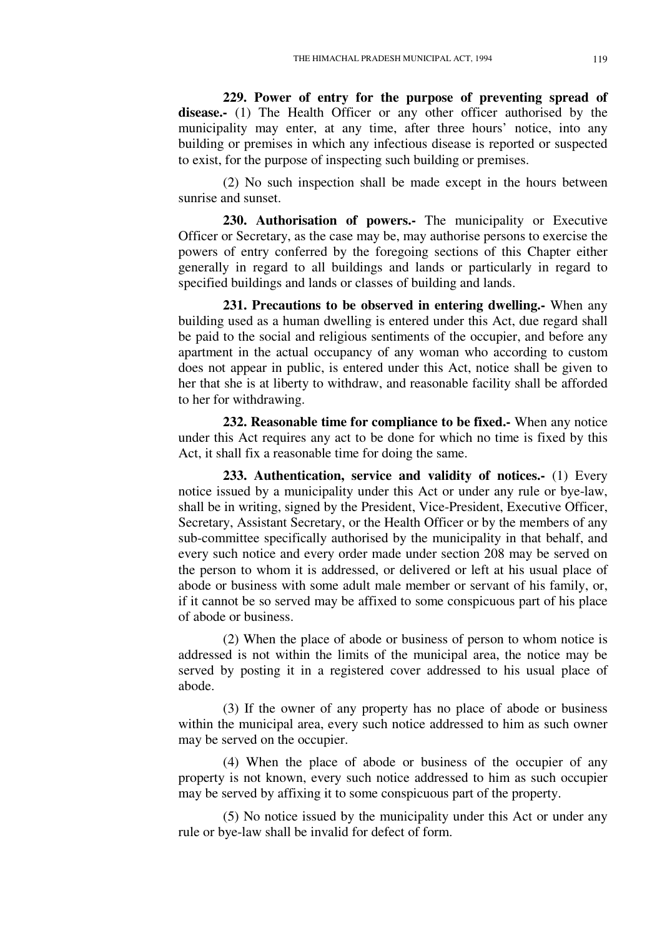**229. Power of entry for the purpose of preventing spread of disease.-** (1) The Health Officer or any other officer authorised by the municipality may enter, at any time, after three hours' notice, into any building or premises in which any infectious disease is reported or suspected to exist, for the purpose of inspecting such building or premises.

(2) No such inspection shall be made except in the hours between sunrise and sunset.

**230. Authorisation of powers.-** The municipality or Executive Officer or Secretary, as the case may be, may authorise persons to exercise the powers of entry conferred by the foregoing sections of this Chapter either generally in regard to all buildings and lands or particularly in regard to specified buildings and lands or classes of building and lands.

**231. Precautions to be observed in entering dwelling.-** When any building used as a human dwelling is entered under this Act, due regard shall be paid to the social and religious sentiments of the occupier, and before any apartment in the actual occupancy of any woman who according to custom does not appear in public, is entered under this Act, notice shall be given to her that she is at liberty to withdraw, and reasonable facility shall be afforded to her for withdrawing.

**232. Reasonable time for compliance to be fixed.-** When any notice under this Act requires any act to be done for which no time is fixed by this Act, it shall fix a reasonable time for doing the same.

**233. Authentication, service and validity of notices.-** (1) Every notice issued by a municipality under this Act or under any rule or bye-law, shall be in writing, signed by the President, Vice-President, Executive Officer, Secretary, Assistant Secretary, or the Health Officer or by the members of any sub-committee specifically authorised by the municipality in that behalf, and every such notice and every order made under section 208 may be served on the person to whom it is addressed, or delivered or left at his usual place of abode or business with some adult male member or servant of his family, or, if it cannot be so served may be affixed to some conspicuous part of his place of abode or business.

(2) When the place of abode or business of person to whom notice is addressed is not within the limits of the municipal area, the notice may be served by posting it in a registered cover addressed to his usual place of abode.

(3) If the owner of any property has no place of abode or business within the municipal area, every such notice addressed to him as such owner may be served on the occupier.

(4) When the place of abode or business of the occupier of any property is not known, every such notice addressed to him as such occupier may be served by affixing it to some conspicuous part of the property.

(5) No notice issued by the municipality under this Act or under any rule or bye-law shall be invalid for defect of form.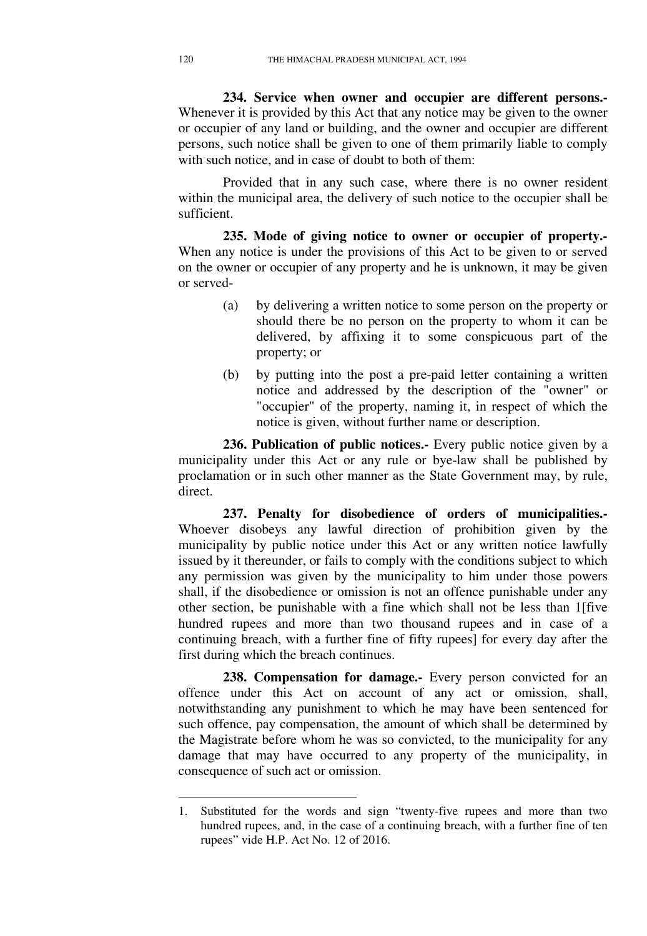**234. Service when owner and occupier are different persons.-**  Whenever it is provided by this Act that any notice may be given to the owner or occupier of any land or building, and the owner and occupier are different persons, such notice shall be given to one of them primarily liable to comply with such notice, and in case of doubt to both of them:

Provided that in any such case, where there is no owner resident within the municipal area, the delivery of such notice to the occupier shall be sufficient.

**235. Mode of giving notice to owner or occupier of property.-**  When any notice is under the provisions of this Act to be given to or served on the owner or occupier of any property and he is unknown, it may be given or served-

- (a) by delivering a written notice to some person on the property or should there be no person on the property to whom it can be delivered, by affixing it to some conspicuous part of the property; or
- (b) by putting into the post a pre-paid letter containing a written notice and addressed by the description of the "owner" or "occupier" of the property, naming it, in respect of which the notice is given, without further name or description.

**236. Publication of public notices.-** Every public notice given by a municipality under this Act or any rule or bye-law shall be published by proclamation or in such other manner as the State Government may, by rule, direct.

**237. Penalty for disobedience of orders of municipalities.-**  Whoever disobeys any lawful direction of prohibition given by the municipality by public notice under this Act or any written notice lawfully issued by it thereunder, or fails to comply with the conditions subject to which any permission was given by the municipality to him under those powers shall, if the disobedience or omission is not an offence punishable under any other section, be punishable with a fine which shall not be less than 1[five hundred rupees and more than two thousand rupees and in case of a continuing breach, with a further fine of fifty rupees] for every day after the first during which the breach continues.

**238. Compensation for damage.-** Every person convicted for an offence under this Act on account of any act or omission, shall, notwithstanding any punishment to which he may have been sentenced for such offence, pay compensation, the amount of which shall be determined by the Magistrate before whom he was so convicted, to the municipality for any damage that may have occurred to any property of the municipality, in consequence of such act or omission.

<sup>1.</sup> Substituted for the words and sign "twenty-five rupees and more than two hundred rupees, and, in the case of a continuing breach, with a further fine of ten rupees" vide H.P. Act No. 12 of 2016.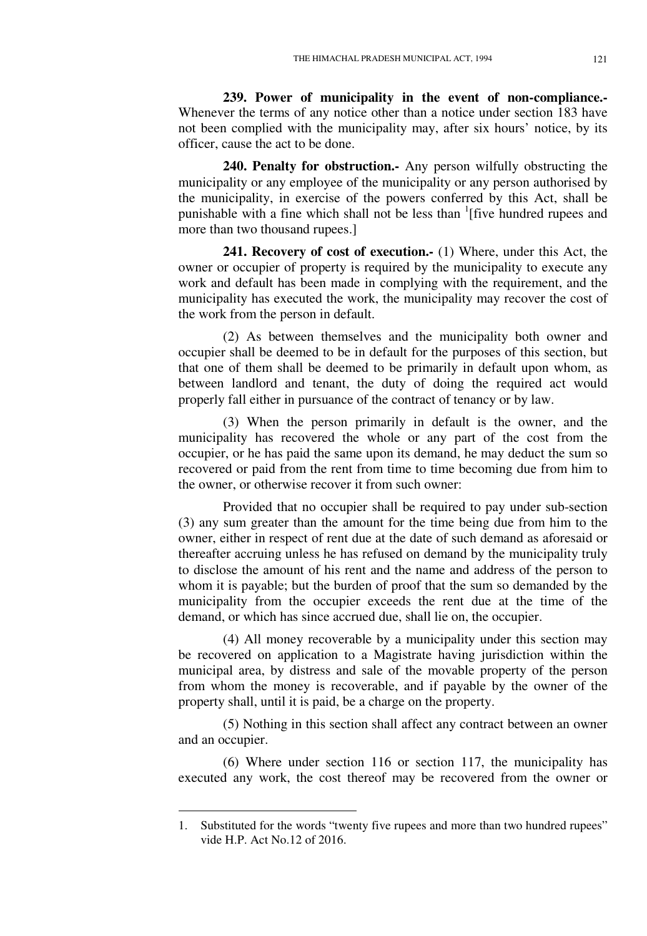**239. Power of municipality in the event of non-compliance.-** Whenever the terms of any notice other than a notice under section 183 have not been complied with the municipality may, after six hours' notice, by its officer, cause the act to be done.

**240. Penalty for obstruction.-** Any person wilfully obstructing the municipality or any employee of the municipality or any person authorised by the municipality, in exercise of the powers conferred by this Act, shall be punishable with a fine which shall not be less than <sup>1</sup>[five hundred rupees and more than two thousand rupees.]

**241. Recovery of cost of execution.-** (1) Where, under this Act, the owner or occupier of property is required by the municipality to execute any work and default has been made in complying with the requirement, and the municipality has executed the work, the municipality may recover the cost of the work from the person in default.

(2) As between themselves and the municipality both owner and occupier shall be deemed to be in default for the purposes of this section, but that one of them shall be deemed to be primarily in default upon whom, as between landlord and tenant, the duty of doing the required act would properly fall either in pursuance of the contract of tenancy or by law.

(3) When the person primarily in default is the owner, and the municipality has recovered the whole or any part of the cost from the occupier, or he has paid the same upon its demand, he may deduct the sum so recovered or paid from the rent from time to time becoming due from him to the owner, or otherwise recover it from such owner:

Provided that no occupier shall be required to pay under sub-section (3) any sum greater than the amount for the time being due from him to the owner, either in respect of rent due at the date of such demand as aforesaid or thereafter accruing unless he has refused on demand by the municipality truly to disclose the amount of his rent and the name and address of the person to whom it is payable; but the burden of proof that the sum so demanded by the municipality from the occupier exceeds the rent due at the time of the demand, or which has since accrued due, shall lie on, the occupier.

(4) All money recoverable by a municipality under this section may be recovered on application to a Magistrate having jurisdiction within the municipal area, by distress and sale of the movable property of the person from whom the money is recoverable, and if payable by the owner of the property shall, until it is paid, be a charge on the property.

(5) Nothing in this section shall affect any contract between an owner and an occupier.

(6) Where under section 116 or section 117, the municipality has executed any work, the cost thereof may be recovered from the owner or

<sup>1.</sup> Substituted for the words "twenty five rupees and more than two hundred rupees" vide H.P. Act No.12 of 2016.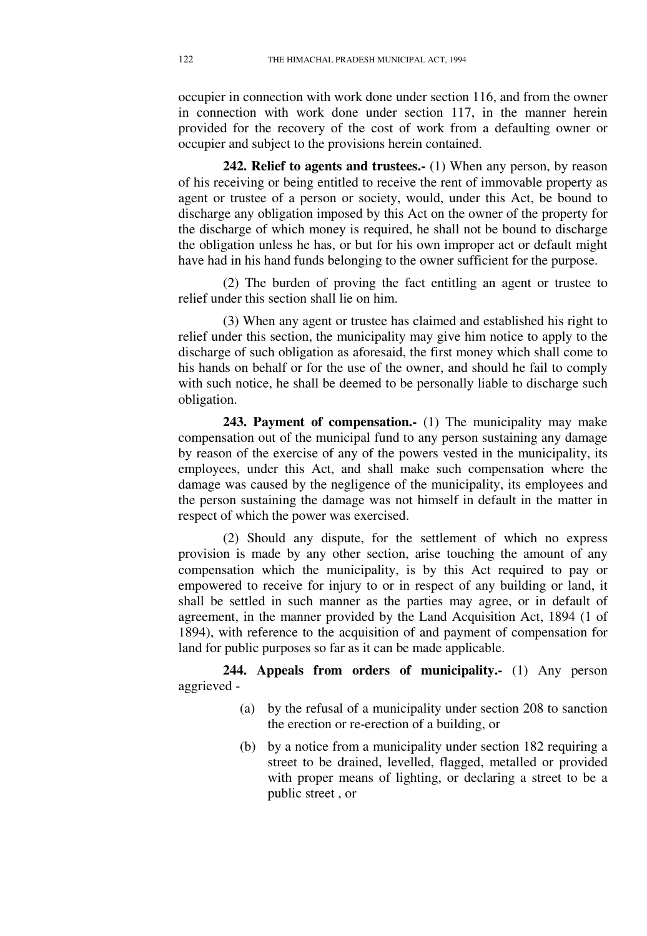occupier in connection with work done under section 116, and from the owner in connection with work done under section 117, in the manner herein provided for the recovery of the cost of work from a defaulting owner or occupier and subject to the provisions herein contained.

**242. Relief to agents and trustees.-** (1) When any person, by reason of his receiving or being entitled to receive the rent of immovable property as agent or trustee of a person or society, would, under this Act, be bound to discharge any obligation imposed by this Act on the owner of the property for the discharge of which money is required, he shall not be bound to discharge the obligation unless he has, or but for his own improper act or default might have had in his hand funds belonging to the owner sufficient for the purpose.

(2) The burden of proving the fact entitling an agent or trustee to relief under this section shall lie on him.

(3) When any agent or trustee has claimed and established his right to relief under this section, the municipality may give him notice to apply to the discharge of such obligation as aforesaid, the first money which shall come to his hands on behalf or for the use of the owner, and should he fail to comply with such notice, he shall be deemed to be personally liable to discharge such obligation.

**243. Payment of compensation.-** (1) The municipality may make compensation out of the municipal fund to any person sustaining any damage by reason of the exercise of any of the powers vested in the municipality, its employees, under this Act, and shall make such compensation where the damage was caused by the negligence of the municipality, its employees and the person sustaining the damage was not himself in default in the matter in respect of which the power was exercised.

(2) Should any dispute, for the settlement of which no express provision is made by any other section, arise touching the amount of any compensation which the municipality, is by this Act required to pay or empowered to receive for injury to or in respect of any building or land, it shall be settled in such manner as the parties may agree, or in default of agreement, in the manner provided by the Land Acquisition Act, 1894 (1 of 1894), with reference to the acquisition of and payment of compensation for land for public purposes so far as it can be made applicable.

**244. Appeals from orders of municipality.-** (1) Any person aggrieved -

- (a) by the refusal of a municipality under section 208 to sanction the erection or re-erection of a building, or
- (b) by a notice from a municipality under section 182 requiring a street to be drained, levelled, flagged, metalled or provided with proper means of lighting, or declaring a street to be a public street , or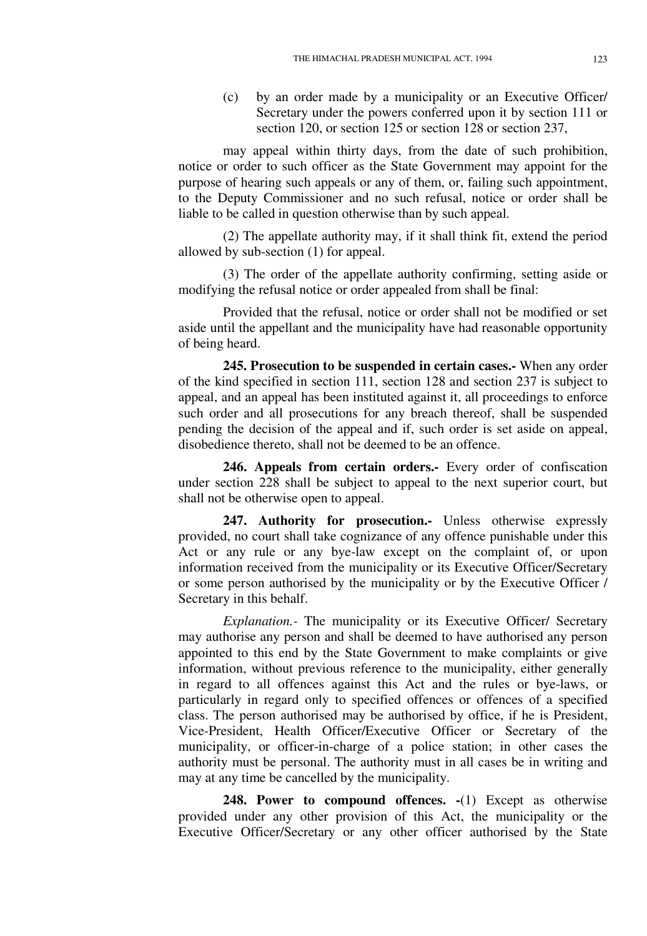(c) by an order made by a municipality or an Executive Officer/ Secretary under the powers conferred upon it by section 111 or section 120, or section 125 or section 128 or section 237,

may appeal within thirty days, from the date of such prohibition, notice or order to such officer as the State Government may appoint for the purpose of hearing such appeals or any of them, or, failing such appointment, to the Deputy Commissioner and no such refusal, notice or order shall be liable to be called in question otherwise than by such appeal.

(2) The appellate authority may, if it shall think fit, extend the period allowed by sub-section (1) for appeal.

(3) The order of the appellate authority confirming, setting aside or modifying the refusal notice or order appealed from shall be final:

Provided that the refusal, notice or order shall not be modified or set aside until the appellant and the municipality have had reasonable opportunity of being heard.

**245. Prosecution to be suspended in certain cases.-** When any order of the kind specified in section 111, section 128 and section 237 is subject to appeal, and an appeal has been instituted against it, all proceedings to enforce such order and all prosecutions for any breach thereof, shall be suspended pending the decision of the appeal and if, such order is set aside on appeal, disobedience thereto, shall not be deemed to be an offence.

**246. Appeals from certain orders.-** Every order of confiscation under section 228 shall be subject to appeal to the next superior court, but shall not be otherwise open to appeal.

247. Authority for prosecution.- Unless otherwise expressly provided, no court shall take cognizance of any offence punishable under this Act or any rule or any bye-law except on the complaint of, or upon information received from the municipality or its Executive Officer/Secretary or some person authorised by the municipality or by the Executive Officer / Secretary in this behalf.

*Explanation.-* The municipality or its Executive Officer/ Secretary may authorise any person and shall be deemed to have authorised any person appointed to this end by the State Government to make complaints or give information, without previous reference to the municipality, either generally in regard to all offences against this Act and the rules or bye-laws, or particularly in regard only to specified offences or offences of a specified class. The person authorised may be authorised by office, if he is President, Vice-President, Health Officer/Executive Officer or Secretary of the municipality, or officer-in-charge of a police station; in other cases the authority must be personal. The authority must in all cases be in writing and may at any time be cancelled by the municipality.

**248. Power to compound offences. -**(1) Except as otherwise provided under any other provision of this Act, the municipality or the Executive Officer/Secretary or any other officer authorised by the State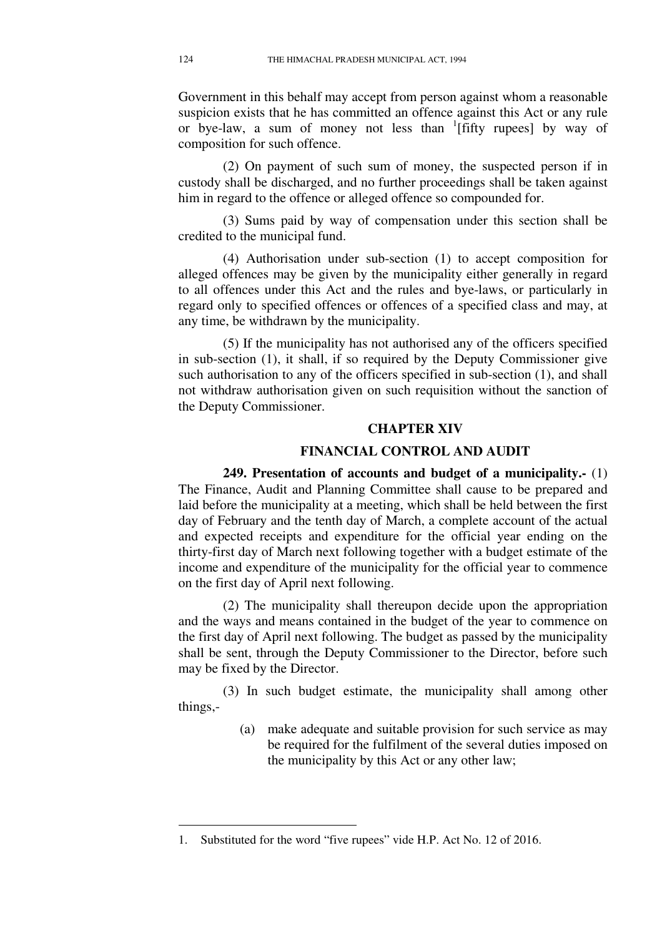Government in this behalf may accept from person against whom a reasonable suspicion exists that he has committed an offence against this Act or any rule or bye-law, a sum of money not less than <sup>1</sup>[fifty rupees] by way of composition for such offence.

(2) On payment of such sum of money, the suspected person if in custody shall be discharged, and no further proceedings shall be taken against him in regard to the offence or alleged offence so compounded for.

(3) Sums paid by way of compensation under this section shall be credited to the municipal fund.

(4) Authorisation under sub-section (1) to accept composition for alleged offences may be given by the municipality either generally in regard to all offences under this Act and the rules and bye-laws, or particularly in regard only to specified offences or offences of a specified class and may, at any time, be withdrawn by the municipality.

(5) If the municipality has not authorised any of the officers specified in sub-section (1), it shall, if so required by the Deputy Commissioner give such authorisation to any of the officers specified in sub-section (1), and shall not withdraw authorisation given on such requisition without the sanction of the Deputy Commissioner.

## **CHAPTER XIV**

# **FINANCIAL CONTROL AND AUDIT**

**249. Presentation of accounts and budget of a municipality.-** (1) The Finance, Audit and Planning Committee shall cause to be prepared and laid before the municipality at a meeting, which shall be held between the first day of February and the tenth day of March, a complete account of the actual and expected receipts and expenditure for the official year ending on the thirty-first day of March next following together with a budget estimate of the income and expenditure of the municipality for the official year to commence on the first day of April next following.

(2) The municipality shall thereupon decide upon the appropriation and the ways and means contained in the budget of the year to commence on the first day of April next following. The budget as passed by the municipality shall be sent, through the Deputy Commissioner to the Director, before such may be fixed by the Director.

(3) In such budget estimate, the municipality shall among other things,-

> (a) make adequate and suitable provision for such service as may be required for the fulfilment of the several duties imposed on the municipality by this Act or any other law;

<sup>1.</sup> Substituted for the word "five rupees" vide H.P. Act No. 12 of 2016.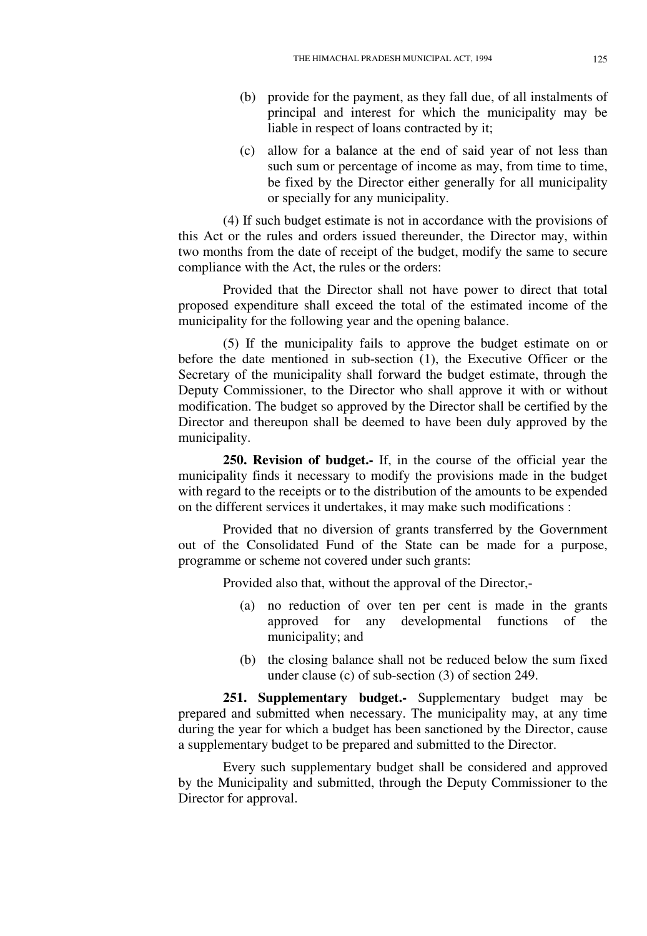- (b) provide for the payment, as they fall due, of all instalments of principal and interest for which the municipality may be liable in respect of loans contracted by it;
- (c) allow for a balance at the end of said year of not less than such sum or percentage of income as may, from time to time, be fixed by the Director either generally for all municipality or specially for any municipality.

(4) If such budget estimate is not in accordance with the provisions of this Act or the rules and orders issued thereunder, the Director may, within two months from the date of receipt of the budget, modify the same to secure compliance with the Act, the rules or the orders:

Provided that the Director shall not have power to direct that total proposed expenditure shall exceed the total of the estimated income of the municipality for the following year and the opening balance.

(5) If the municipality fails to approve the budget estimate on or before the date mentioned in sub-section (1), the Executive Officer or the Secretary of the municipality shall forward the budget estimate, through the Deputy Commissioner, to the Director who shall approve it with or without modification. The budget so approved by the Director shall be certified by the Director and thereupon shall be deemed to have been duly approved by the municipality.

**250. Revision of budget.-** If, in the course of the official year the municipality finds it necessary to modify the provisions made in the budget with regard to the receipts or to the distribution of the amounts to be expended on the different services it undertakes, it may make such modifications :

Provided that no diversion of grants transferred by the Government out of the Consolidated Fund of the State can be made for a purpose, programme or scheme not covered under such grants:

Provided also that, without the approval of the Director,-

- (a) no reduction of over ten per cent is made in the grants approved for any developmental functions of the municipality; and
- (b) the closing balance shall not be reduced below the sum fixed under clause (c) of sub-section (3) of section 249.

**251. Supplementary budget.-** Supplementary budget may be prepared and submitted when necessary. The municipality may, at any time during the year for which a budget has been sanctioned by the Director, cause a supplementary budget to be prepared and submitted to the Director.

Every such supplementary budget shall be considered and approved by the Municipality and submitted, through the Deputy Commissioner to the Director for approval.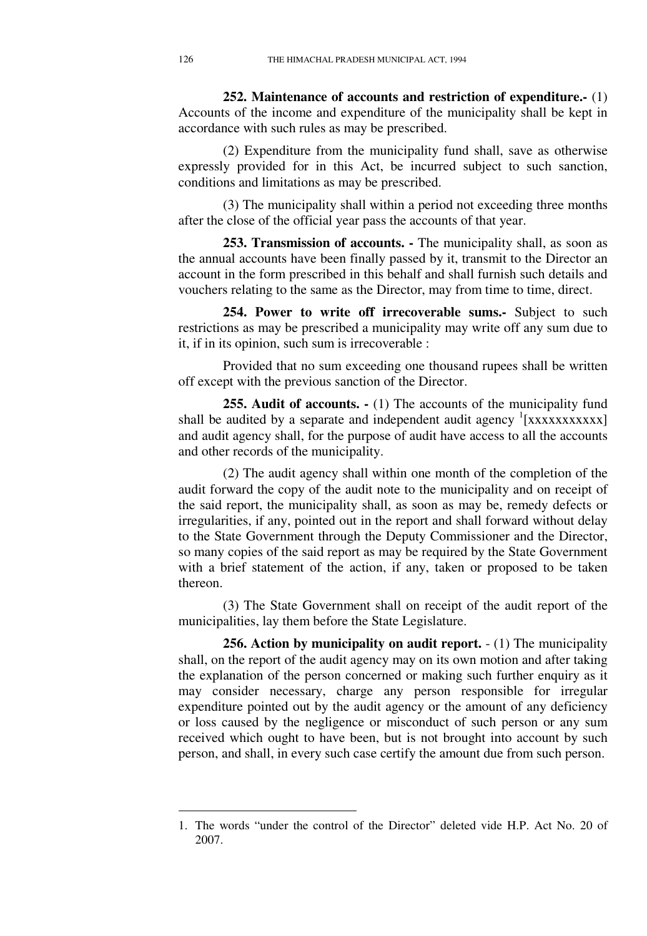**252. Maintenance of accounts and restriction of expenditure.-** (1) Accounts of the income and expenditure of the municipality shall be kept in accordance with such rules as may be prescribed.

(2) Expenditure from the municipality fund shall, save as otherwise expressly provided for in this Act, be incurred subject to such sanction, conditions and limitations as may be prescribed.

(3) The municipality shall within a period not exceeding three months after the close of the official year pass the accounts of that year.

**253. Transmission of accounts. -** The municipality shall, as soon as the annual accounts have been finally passed by it, transmit to the Director an account in the form prescribed in this behalf and shall furnish such details and vouchers relating to the same as the Director, may from time to time, direct.

**254. Power to write off irrecoverable sums.-** Subject to such restrictions as may be prescribed a municipality may write off any sum due to it, if in its opinion, such sum is irrecoverable :

Provided that no sum exceeding one thousand rupees shall be written off except with the previous sanction of the Director.

**255. Audit of accounts.**  $\cdot$  (1) The accounts of the municipality fund shall be audited by a separate and independent audit agency <sup>1</sup>[xxxxxxxxxxx] and audit agency shall, for the purpose of audit have access to all the accounts and other records of the municipality.

(2) The audit agency shall within one month of the completion of the audit forward the copy of the audit note to the municipality and on receipt of the said report, the municipality shall, as soon as may be, remedy defects or irregularities, if any, pointed out in the report and shall forward without delay to the State Government through the Deputy Commissioner and the Director, so many copies of the said report as may be required by the State Government with a brief statement of the action, if any, taken or proposed to be taken thereon.

(3) The State Government shall on receipt of the audit report of the municipalities, lay them before the State Legislature.

**256. Action by municipality on audit report.**  $- (1)$  The municipality shall, on the report of the audit agency may on its own motion and after taking the explanation of the person concerned or making such further enquiry as it may consider necessary, charge any person responsible for irregular expenditure pointed out by the audit agency or the amount of any deficiency or loss caused by the negligence or misconduct of such person or any sum received which ought to have been, but is not brought into account by such person, and shall, in every such case certify the amount due from such person.

<sup>1.</sup> The words "under the control of the Director" deleted vide H.P. Act No. 20 of 2007.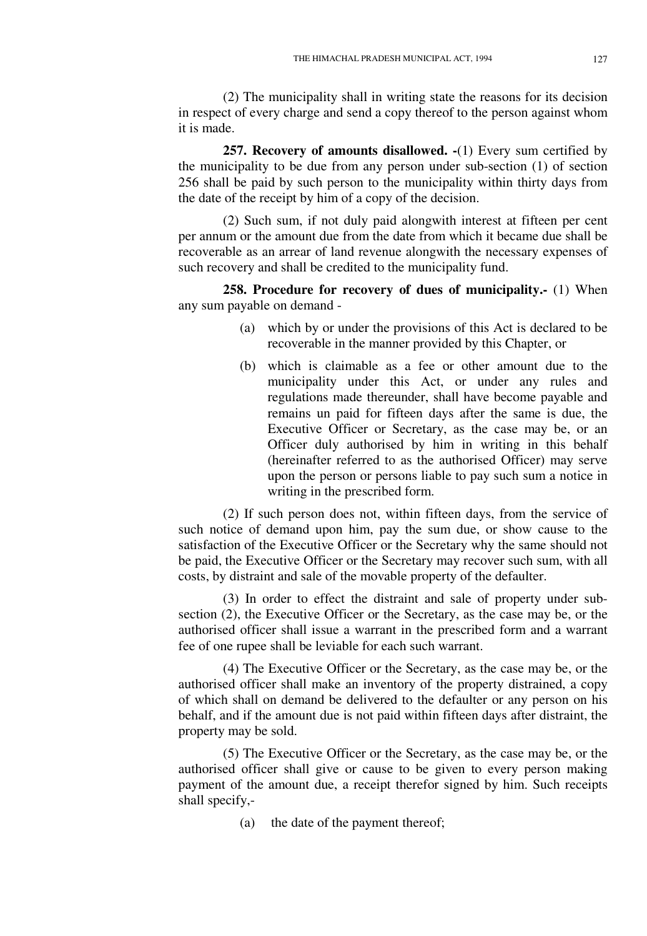(2) The municipality shall in writing state the reasons for its decision in respect of every charge and send a copy thereof to the person against whom it is made.

**257. Recovery of amounts disallowed. -**(1) Every sum certified by the municipality to be due from any person under sub-section (1) of section 256 shall be paid by such person to the municipality within thirty days from the date of the receipt by him of a copy of the decision.

(2) Such sum, if not duly paid alongwith interest at fifteen per cent per annum or the amount due from the date from which it became due shall be recoverable as an arrear of land revenue alongwith the necessary expenses of such recovery and shall be credited to the municipality fund.

**258. Procedure for recovery of dues of municipality.-** (1) When any sum payable on demand -

- (a) which by or under the provisions of this Act is declared to be recoverable in the manner provided by this Chapter, or
- (b) which is claimable as a fee or other amount due to the municipality under this Act, or under any rules and regulations made thereunder, shall have become payable and remains un paid for fifteen days after the same is due, the Executive Officer or Secretary, as the case may be, or an Officer duly authorised by him in writing in this behalf (hereinafter referred to as the authorised Officer) may serve upon the person or persons liable to pay such sum a notice in writing in the prescribed form.

(2) If such person does not, within fifteen days, from the service of such notice of demand upon him, pay the sum due, or show cause to the satisfaction of the Executive Officer or the Secretary why the same should not be paid, the Executive Officer or the Secretary may recover such sum, with all costs, by distraint and sale of the movable property of the defaulter.

(3) In order to effect the distraint and sale of property under subsection (2), the Executive Officer or the Secretary, as the case may be, or the authorised officer shall issue a warrant in the prescribed form and a warrant fee of one rupee shall be leviable for each such warrant.

(4) The Executive Officer or the Secretary, as the case may be, or the authorised officer shall make an inventory of the property distrained, a copy of which shall on demand be delivered to the defaulter or any person on his behalf, and if the amount due is not paid within fifteen days after distraint, the property may be sold.

(5) The Executive Officer or the Secretary, as the case may be, or the authorised officer shall give or cause to be given to every person making payment of the amount due, a receipt therefor signed by him. Such receipts shall specify,-

(a) the date of the payment thereof;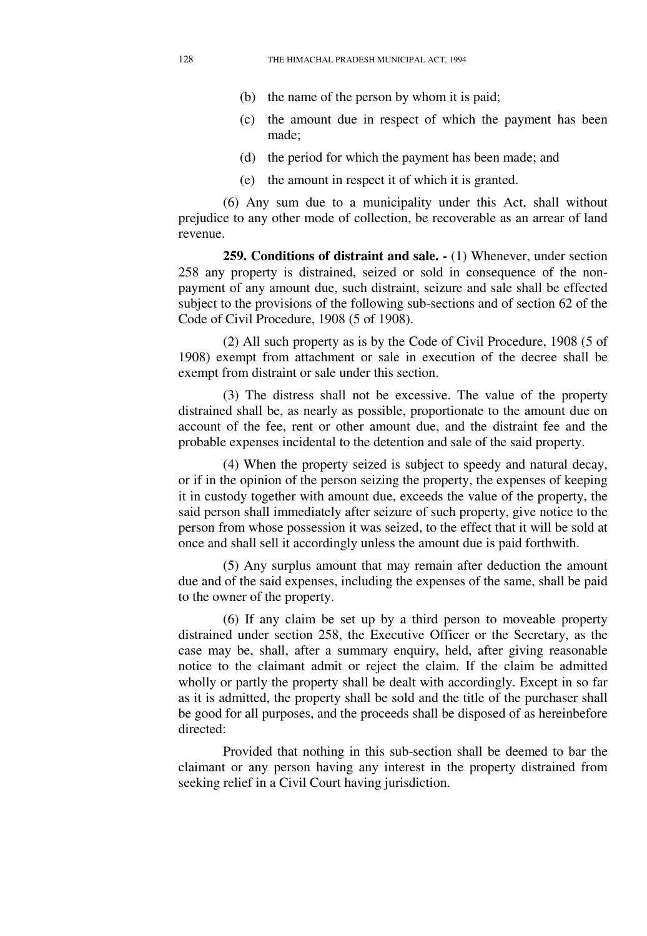- (b) the name of the person by whom it is paid;
- (c) the amount due in respect of which the payment has been made;
- (d) the period for which the payment has been made; and
- (e) the amount in respect it of which it is granted.

(6) Any sum due to a municipality under this Act, shall without prejudice to any other mode of collection, be recoverable as an arrear of land revenue.

**259. Conditions of distraint and sale. -** (1) Whenever, under section 258 any property is distrained, seized or sold in consequence of the nonpayment of any amount due, such distraint, seizure and sale shall be effected subject to the provisions of the following sub-sections and of section 62 of the Code of Civil Procedure, 1908 (5 of 1908).

(2) All such property as is by the Code of Civil Procedure, 1908 (5 of 1908) exempt from attachment or sale in execution of the decree shall be exempt from distraint or sale under this section.

(3) The distress shall not be excessive. The value of the property distrained shall be, as nearly as possible, proportionate to the amount due on account of the fee, rent or other amount due, and the distraint fee and the probable expenses incidental to the detention and sale of the said property.

(4) When the property seized is subject to speedy and natural decay, or if in the opinion of the person seizing the property, the expenses of keeping it in custody together with amount due, exceeds the value of the property, the said person shall immediately after seizure of such property, give notice to the person from whose possession it was seized, to the effect that it will be sold at once and shall sell it accordingly unless the amount due is paid forthwith.

(5) Any surplus amount that may remain after deduction the amount due and of the said expenses, including the expenses of the same, shall be paid to the owner of the property.

(6) If any claim be set up by a third person to moveable property distrained under section 258, the Executive Officer or the Secretary, as the case may be, shall, after a summary enquiry, held, after giving reasonable notice to the claimant admit or reject the claim. If the claim be admitted wholly or partly the property shall be dealt with accordingly. Except in so far as it is admitted, the property shall be sold and the title of the purchaser shall be good for all purposes, and the proceeds shall be disposed of as hereinbefore directed:

Provided that nothing in this sub-section shall be deemed to bar the claimant or any person having any interest in the property distrained from seeking relief in a Civil Court having jurisdiction.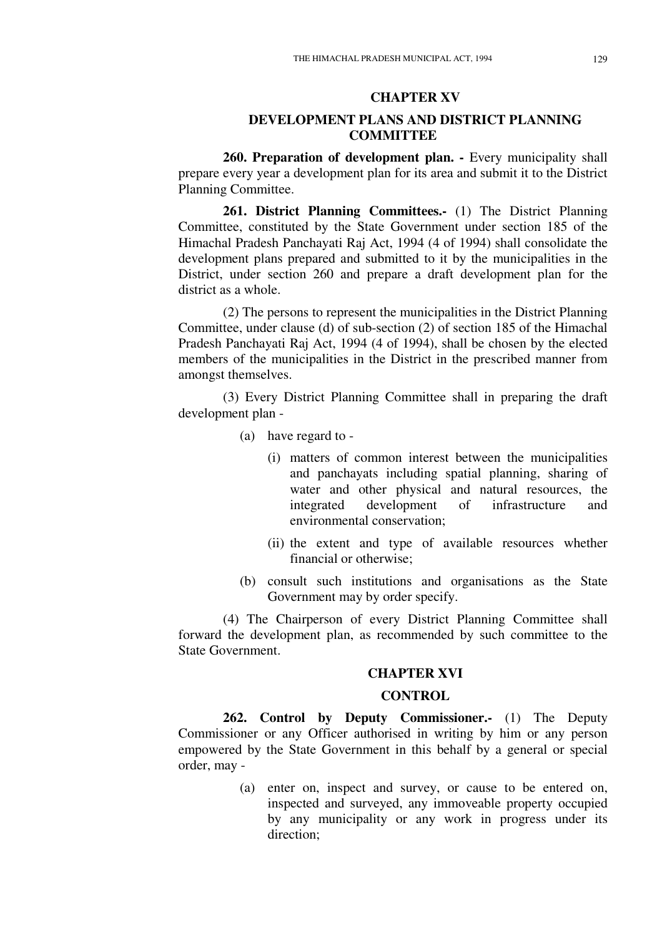## **CHAPTER XV**

## **DEVELOPMENT PLANS AND DISTRICT PLANNING COMMITTEE**

**260. Preparation of development plan. -** Every municipality shall prepare every year a development plan for its area and submit it to the District Planning Committee.

**261. District Planning Committees.-** (1) The District Planning Committee, constituted by the State Government under section 185 of the Himachal Pradesh Panchayati Raj Act, 1994 (4 of 1994) shall consolidate the development plans prepared and submitted to it by the municipalities in the District, under section 260 and prepare a draft development plan for the district as a whole.

(2) The persons to represent the municipalities in the District Planning Committee, under clause (d) of sub-section (2) of section 185 of the Himachal Pradesh Panchayati Raj Act, 1994 (4 of 1994), shall be chosen by the elected members of the municipalities in the District in the prescribed manner from amongst themselves.

(3) Every District Planning Committee shall in preparing the draft development plan -

- (a) have regard to
	- (i) matters of common interest between the municipalities and panchayats including spatial planning, sharing of water and other physical and natural resources, the integrated development of infrastructure and integrated development of infrastructure and environmental conservation;
	- (ii) the extent and type of available resources whether financial or otherwise;
- (b) consult such institutions and organisations as the State Government may by order specify.

(4) The Chairperson of every District Planning Committee shall forward the development plan, as recommended by such committee to the State Government.

### **CHAPTER XVI**

### **CONTROL**

**262. Control by Deputy Commissioner.-** (1) The Deputy Commissioner or any Officer authorised in writing by him or any person empowered by the State Government in this behalf by a general or special order, may -

> (a) enter on, inspect and survey, or cause to be entered on, inspected and surveyed, any immoveable property occupied by any municipality or any work in progress under its direction;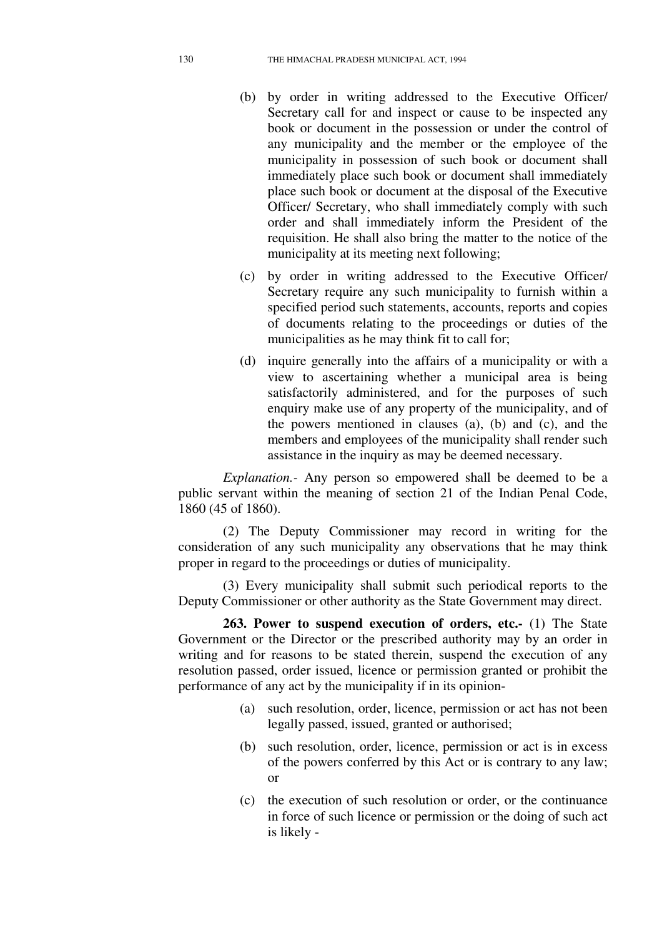- (b) by order in writing addressed to the Executive Officer/ Secretary call for and inspect or cause to be inspected any book or document in the possession or under the control of any municipality and the member or the employee of the municipality in possession of such book or document shall immediately place such book or document shall immediately place such book or document at the disposal of the Executive Officer/ Secretary, who shall immediately comply with such order and shall immediately inform the President of the requisition. He shall also bring the matter to the notice of the municipality at its meeting next following;
- (c) by order in writing addressed to the Executive Officer/ Secretary require any such municipality to furnish within a specified period such statements, accounts, reports and copies of documents relating to the proceedings or duties of the municipalities as he may think fit to call for;
- (d) inquire generally into the affairs of a municipality or with a view to ascertaining whether a municipal area is being satisfactorily administered, and for the purposes of such enquiry make use of any property of the municipality, and of the powers mentioned in clauses (a), (b) and (c), and the members and employees of the municipality shall render such assistance in the inquiry as may be deemed necessary.

*Explanation.-* Any person so empowered shall be deemed to be a public servant within the meaning of section 21 of the Indian Penal Code, 1860 (45 of 1860).

(2) The Deputy Commissioner may record in writing for the consideration of any such municipality any observations that he may think proper in regard to the proceedings or duties of municipality.

(3) Every municipality shall submit such periodical reports to the Deputy Commissioner or other authority as the State Government may direct.

**263. Power to suspend execution of orders, etc.-** (1) The State Government or the Director or the prescribed authority may by an order in writing and for reasons to be stated therein, suspend the execution of any resolution passed, order issued, licence or permission granted or prohibit the performance of any act by the municipality if in its opinion-

- (a) such resolution, order, licence, permission or act has not been legally passed, issued, granted or authorised;
- (b) such resolution, order, licence, permission or act is in excess of the powers conferred by this Act or is contrary to any law; or
- (c) the execution of such resolution or order, or the continuance in force of such licence or permission or the doing of such act is likely -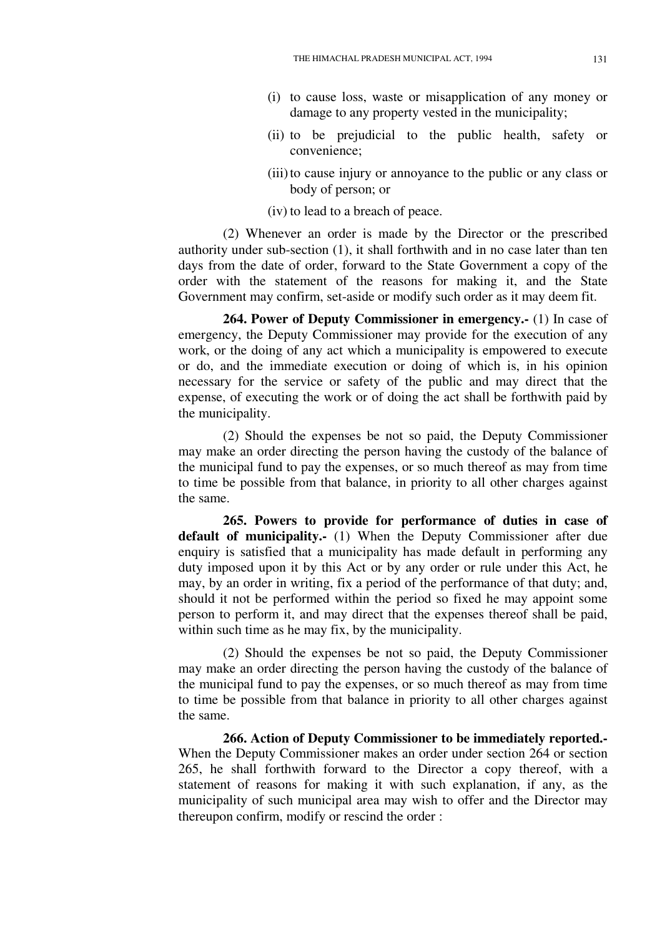- (i) to cause loss, waste or misapplication of any money or damage to any property vested in the municipality;
- (ii) to be prejudicial to the public health, safety or convenience;
- (iii) to cause injury or annoyance to the public or any class or body of person; or
- (iv) to lead to a breach of peace.

(2) Whenever an order is made by the Director or the prescribed authority under sub-section (1), it shall forthwith and in no case later than ten days from the date of order, forward to the State Government a copy of the order with the statement of the reasons for making it, and the State Government may confirm, set-aside or modify such order as it may deem fit.

**264. Power of Deputy Commissioner in emergency.-** (1) In case of emergency, the Deputy Commissioner may provide for the execution of any work, or the doing of any act which a municipality is empowered to execute or do, and the immediate execution or doing of which is, in his opinion necessary for the service or safety of the public and may direct that the expense, of executing the work or of doing the act shall be forthwith paid by the municipality.

(2) Should the expenses be not so paid, the Deputy Commissioner may make an order directing the person having the custody of the balance of the municipal fund to pay the expenses, or so much thereof as may from time to time be possible from that balance, in priority to all other charges against the same.

**265. Powers to provide for performance of duties in case of default of municipality.-** (1) When the Deputy Commissioner after due enquiry is satisfied that a municipality has made default in performing any duty imposed upon it by this Act or by any order or rule under this Act, he may, by an order in writing, fix a period of the performance of that duty; and, should it not be performed within the period so fixed he may appoint some person to perform it, and may direct that the expenses thereof shall be paid, within such time as he may fix, by the municipality.

(2) Should the expenses be not so paid, the Deputy Commissioner may make an order directing the person having the custody of the balance of the municipal fund to pay the expenses, or so much thereof as may from time to time be possible from that balance in priority to all other charges against the same.

**266. Action of Deputy Commissioner to be immediately reported.-**  When the Deputy Commissioner makes an order under section 264 or section 265, he shall forthwith forward to the Director a copy thereof, with a statement of reasons for making it with such explanation, if any, as the municipality of such municipal area may wish to offer and the Director may thereupon confirm, modify or rescind the order :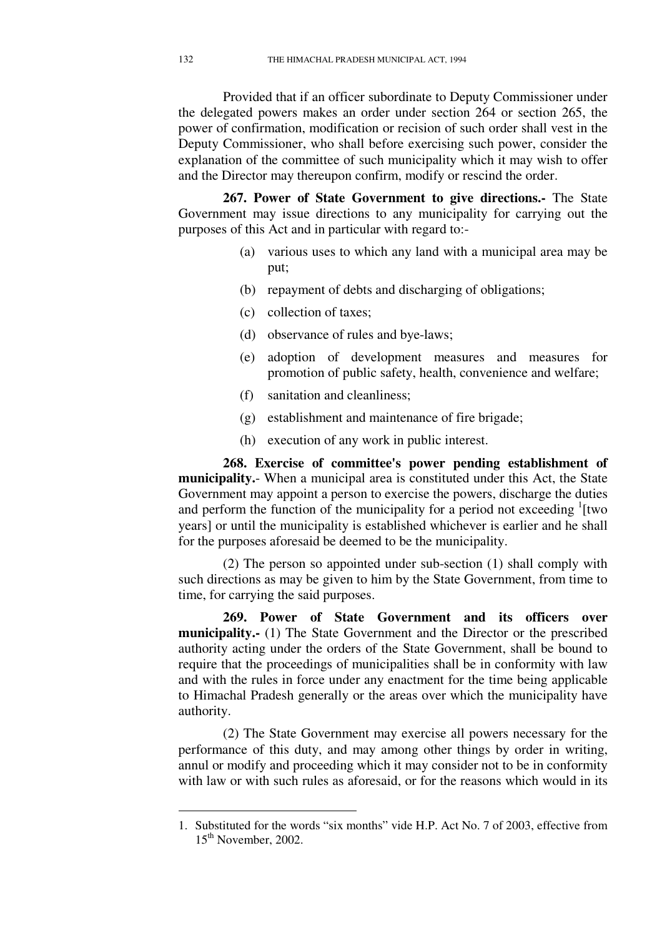Provided that if an officer subordinate to Deputy Commissioner under the delegated powers makes an order under section 264 or section 265, the power of confirmation, modification or recision of such order shall vest in the Deputy Commissioner, who shall before exercising such power, consider the explanation of the committee of such municipality which it may wish to offer and the Director may thereupon confirm, modify or rescind the order.

**267. Power of State Government to give directions.-** The State Government may issue directions to any municipality for carrying out the purposes of this Act and in particular with regard to:-

- (a) various uses to which any land with a municipal area may be put;
- (b) repayment of debts and discharging of obligations;
- (c) collection of taxes;
- (d) observance of rules and bye-laws;
- (e) adoption of development measures and measures for promotion of public safety, health, convenience and welfare;
- (f) sanitation and cleanliness;
- (g) establishment and maintenance of fire brigade;
- (h) execution of any work in public interest.

**268. Exercise of committee's power pending establishment of municipality.**- When a municipal area is constituted under this Act, the State Government may appoint a person to exercise the powers, discharge the duties and perform the function of the municipality for a period not exceeding  $\frac{1}{1}$  [two years] or until the municipality is established whichever is earlier and he shall for the purposes aforesaid be deemed to be the municipality.

(2) The person so appointed under sub-section (1) shall comply with such directions as may be given to him by the State Government, from time to time, for carrying the said purposes.

**269. Power of State Government and its officers over municipality.-** (1) The State Government and the Director or the prescribed authority acting under the orders of the State Government, shall be bound to require that the proceedings of municipalities shall be in conformity with law and with the rules in force under any enactment for the time being applicable to Himachal Pradesh generally or the areas over which the municipality have authority.

(2) The State Government may exercise all powers necessary for the performance of this duty, and may among other things by order in writing, annul or modify and proceeding which it may consider not to be in conformity with law or with such rules as aforesaid, or for the reasons which would in its

<sup>1.</sup> Substituted for the words "six months" vide H.P. Act No. 7 of 2003, effective from 15<sup>th</sup> November, 2002.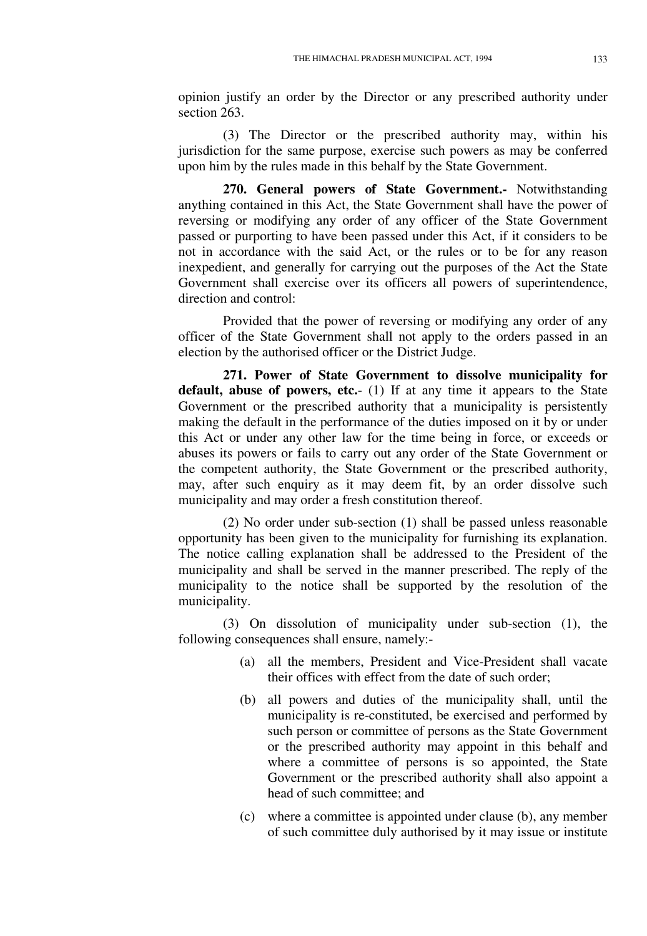opinion justify an order by the Director or any prescribed authority under section 263.

(3) The Director or the prescribed authority may, within his jurisdiction for the same purpose, exercise such powers as may be conferred upon him by the rules made in this behalf by the State Government.

**270. General powers of State Government.-** Notwithstanding anything contained in this Act, the State Government shall have the power of reversing or modifying any order of any officer of the State Government passed or purporting to have been passed under this Act, if it considers to be not in accordance with the said Act, or the rules or to be for any reason inexpedient, and generally for carrying out the purposes of the Act the State Government shall exercise over its officers all powers of superintendence, direction and control:

Provided that the power of reversing or modifying any order of any officer of the State Government shall not apply to the orders passed in an election by the authorised officer or the District Judge.

**271. Power of State Government to dissolve municipality for default, abuse of powers, etc.**- (1) If at any time it appears to the State Government or the prescribed authority that a municipality is persistently making the default in the performance of the duties imposed on it by or under this Act or under any other law for the time being in force, or exceeds or abuses its powers or fails to carry out any order of the State Government or the competent authority, the State Government or the prescribed authority, may, after such enquiry as it may deem fit, by an order dissolve such municipality and may order a fresh constitution thereof.

(2) No order under sub-section (1) shall be passed unless reasonable opportunity has been given to the municipality for furnishing its explanation. The notice calling explanation shall be addressed to the President of the municipality and shall be served in the manner prescribed. The reply of the municipality to the notice shall be supported by the resolution of the municipality.

(3) On dissolution of municipality under sub-section (1), the following consequences shall ensure, namely:-

- (a) all the members, President and Vice-President shall vacate their offices with effect from the date of such order;
- (b) all powers and duties of the municipality shall, until the municipality is re-constituted, be exercised and performed by such person or committee of persons as the State Government or the prescribed authority may appoint in this behalf and where a committee of persons is so appointed, the State Government or the prescribed authority shall also appoint a head of such committee; and
- (c) where a committee is appointed under clause (b), any member of such committee duly authorised by it may issue or institute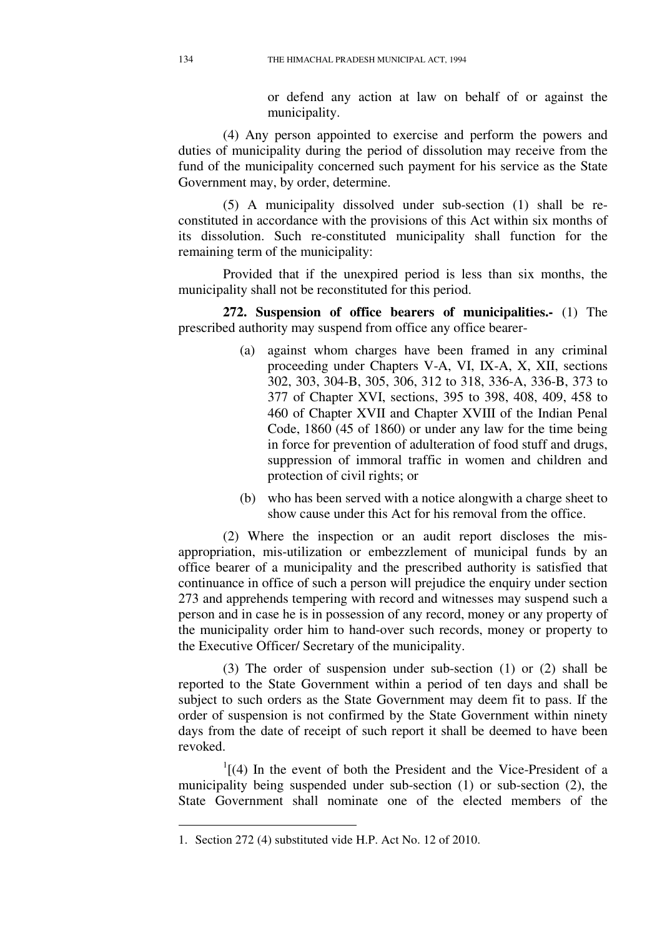or defend any action at law on behalf of or against the municipality.

(4) Any person appointed to exercise and perform the powers and duties of municipality during the period of dissolution may receive from the fund of the municipality concerned such payment for his service as the State Government may, by order, determine.

(5) A municipality dissolved under sub-section (1) shall be reconstituted in accordance with the provisions of this Act within six months of its dissolution. Such re-constituted municipality shall function for the remaining term of the municipality:

Provided that if the unexpired period is less than six months, the municipality shall not be reconstituted for this period.

**272. Suspension of office bearers of municipalities.-** (1) The prescribed authority may suspend from office any office bearer-

- (a) against whom charges have been framed in any criminal proceeding under Chapters V-A, VI, IX-A, X, XII, sections 302, 303, 304-B, 305, 306, 312 to 318, 336-A, 336-B, 373 to 377 of Chapter XVI, sections, 395 to 398, 408, 409, 458 to 460 of Chapter XVII and Chapter XVIII of the Indian Penal Code, 1860 (45 of 1860) or under any law for the time being in force for prevention of adulteration of food stuff and drugs, suppression of immoral traffic in women and children and protection of civil rights; or
- (b) who has been served with a notice alongwith a charge sheet to show cause under this Act for his removal from the office.

(2) Where the inspection or an audit report discloses the misappropriation, mis-utilization or embezzlement of municipal funds by an office bearer of a municipality and the prescribed authority is satisfied that continuance in office of such a person will prejudice the enquiry under section 273 and apprehends tempering with record and witnesses may suspend such a person and in case he is in possession of any record, money or any property of the municipality order him to hand-over such records, money or property to the Executive Officer/ Secretary of the municipality.

(3) The order of suspension under sub-section (1) or (2) shall be reported to the State Government within a period of ten days and shall be subject to such orders as the State Government may deem fit to pass. If the order of suspension is not confirmed by the State Government within ninety days from the date of receipt of such report it shall be deemed to have been revoked.

 $<sup>1</sup>$ [(4) In the event of both the President and the Vice-President of a</sup> municipality being suspended under sub-section (1) or sub-section (2), the State Government shall nominate one of the elected members of the

<sup>1.</sup> Section 272 (4) substituted vide H.P. Act No. 12 of 2010.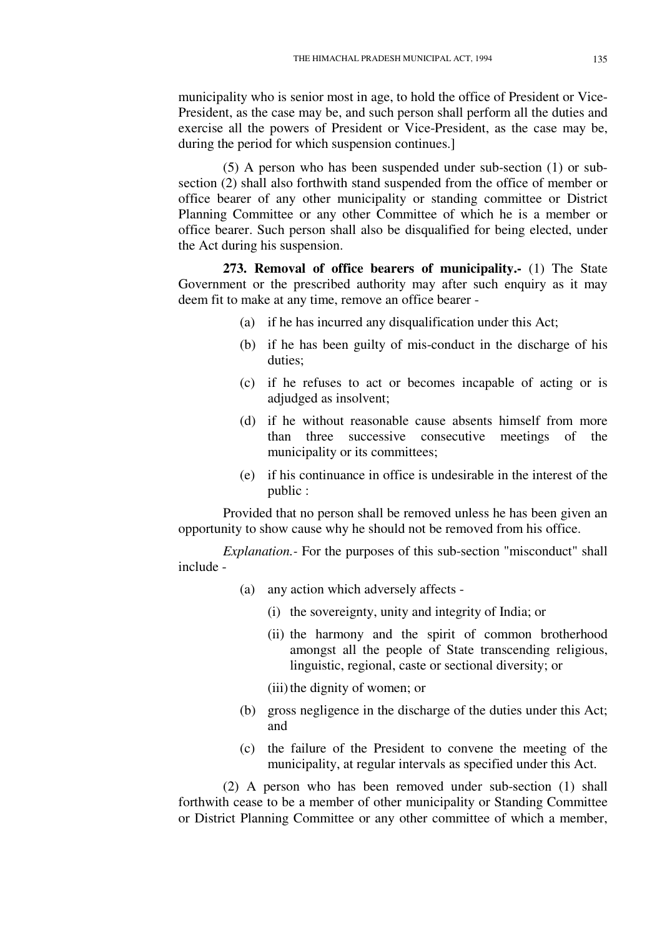municipality who is senior most in age, to hold the office of President or Vice-President, as the case may be, and such person shall perform all the duties and exercise all the powers of President or Vice-President, as the case may be, during the period for which suspension continues.]

(5) A person who has been suspended under sub-section (1) or subsection (2) shall also forthwith stand suspended from the office of member or office bearer of any other municipality or standing committee or District Planning Committee or any other Committee of which he is a member or office bearer. Such person shall also be disqualified for being elected, under the Act during his suspension.

**273. Removal of office bearers of municipality.-** (1) The State Government or the prescribed authority may after such enquiry as it may deem fit to make at any time, remove an office bearer -

- (a) if he has incurred any disqualification under this Act;
- (b) if he has been guilty of mis-conduct in the discharge of his duties;
- (c) if he refuses to act or becomes incapable of acting or is adjudged as insolvent;
- (d) if he without reasonable cause absents himself from more than three successive consecutive meetings of the municipality or its committees;
- (e) if his continuance in office is undesirable in the interest of the public :

Provided that no person shall be removed unless he has been given an opportunity to show cause why he should not be removed from his office.

*Explanation.-* For the purposes of this sub-section "misconduct" shall include -

- (a) any action which adversely affects
	- (i) the sovereignty, unity and integrity of India; or
	- (ii) the harmony and the spirit of common brotherhood amongst all the people of State transcending religious, linguistic, regional, caste or sectional diversity; or
	- (iii) the dignity of women; or
- (b) gross negligence in the discharge of the duties under this Act; and
- (c) the failure of the President to convene the meeting of the municipality, at regular intervals as specified under this Act.

(2) A person who has been removed under sub-section (1) shall forthwith cease to be a member of other municipality or Standing Committee or District Planning Committee or any other committee of which a member,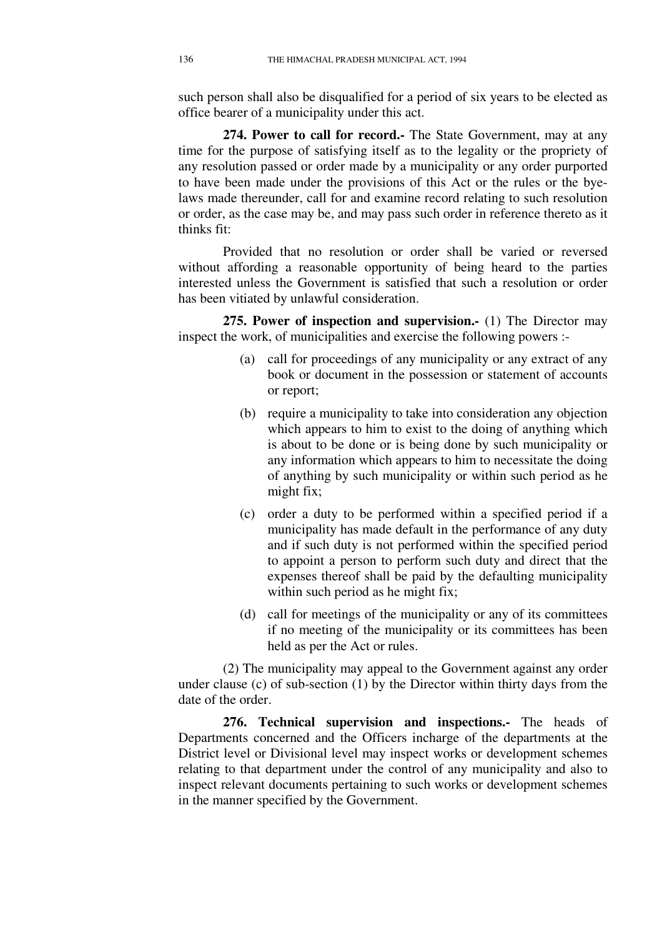such person shall also be disqualified for a period of six years to be elected as office bearer of a municipality under this act.

**274. Power to call for record.-** The State Government, may at any time for the purpose of satisfying itself as to the legality or the propriety of any resolution passed or order made by a municipality or any order purported to have been made under the provisions of this Act or the rules or the byelaws made thereunder, call for and examine record relating to such resolution or order, as the case may be, and may pass such order in reference thereto as it thinks fit:

Provided that no resolution or order shall be varied or reversed without affording a reasonable opportunity of being heard to the parties interested unless the Government is satisfied that such a resolution or order has been vitiated by unlawful consideration.

**275. Power of inspection and supervision.-** (1) The Director may inspect the work, of municipalities and exercise the following powers :-

- (a) call for proceedings of any municipality or any extract of any book or document in the possession or statement of accounts or report;
- (b) require a municipality to take into consideration any objection which appears to him to exist to the doing of anything which is about to be done or is being done by such municipality or any information which appears to him to necessitate the doing of anything by such municipality or within such period as he might fix;
- (c) order a duty to be performed within a specified period if a municipality has made default in the performance of any duty and if such duty is not performed within the specified period to appoint a person to perform such duty and direct that the expenses thereof shall be paid by the defaulting municipality within such period as he might fix;
- (d) call for meetings of the municipality or any of its committees if no meeting of the municipality or its committees has been held as per the Act or rules.

(2) The municipality may appeal to the Government against any order under clause (c) of sub-section (1) by the Director within thirty days from the date of the order.

**276. Technical supervision and inspections.-** The heads of Departments concerned and the Officers incharge of the departments at the District level or Divisional level may inspect works or development schemes relating to that department under the control of any municipality and also to inspect relevant documents pertaining to such works or development schemes in the manner specified by the Government.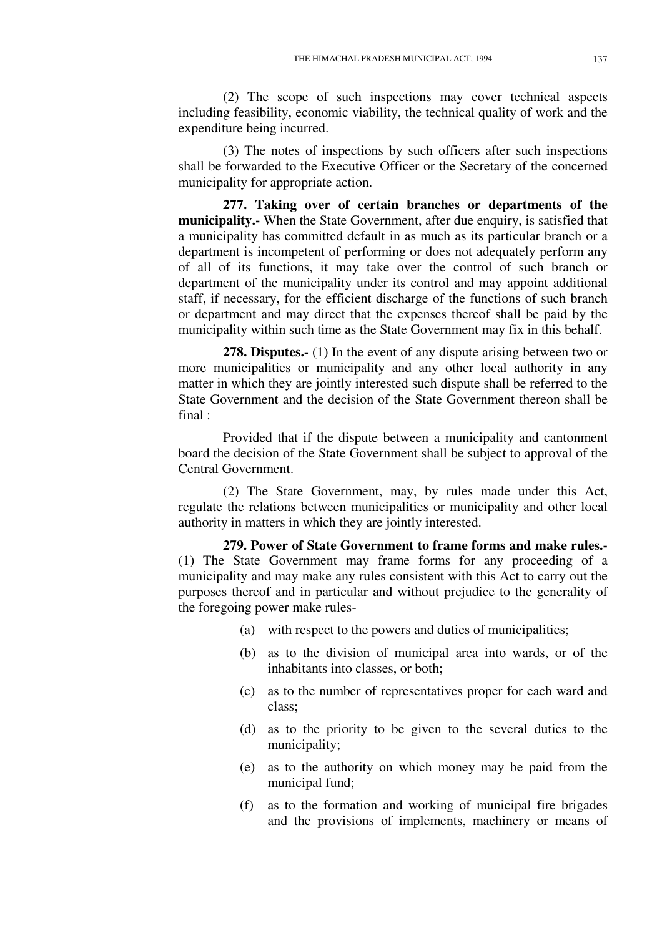(2) The scope of such inspections may cover technical aspects including feasibility, economic viability, the technical quality of work and the expenditure being incurred.

(3) The notes of inspections by such officers after such inspections shall be forwarded to the Executive Officer or the Secretary of the concerned municipality for appropriate action.

**277. Taking over of certain branches or departments of the municipality.-** When the State Government, after due enquiry, is satisfied that a municipality has committed default in as much as its particular branch or a department is incompetent of performing or does not adequately perform any of all of its functions, it may take over the control of such branch or department of the municipality under its control and may appoint additional staff, if necessary, for the efficient discharge of the functions of such branch or department and may direct that the expenses thereof shall be paid by the municipality within such time as the State Government may fix in this behalf.

**278. Disputes.-** (1) In the event of any dispute arising between two or more municipalities or municipality and any other local authority in any matter in which they are jointly interested such dispute shall be referred to the State Government and the decision of the State Government thereon shall be final :

Provided that if the dispute between a municipality and cantonment board the decision of the State Government shall be subject to approval of the Central Government.

(2) The State Government, may, by rules made under this Act, regulate the relations between municipalities or municipality and other local authority in matters in which they are jointly interested.

**279. Power of State Government to frame forms and make rules.-**  (1) The State Government may frame forms for any proceeding of a municipality and may make any rules consistent with this Act to carry out the purposes thereof and in particular and without prejudice to the generality of the foregoing power make rules-

- (a) with respect to the powers and duties of municipalities;
- (b) as to the division of municipal area into wards, or of the inhabitants into classes, or both;
- (c) as to the number of representatives proper for each ward and class;
- (d) as to the priority to be given to the several duties to the municipality;
- (e) as to the authority on which money may be paid from the municipal fund;
- (f) as to the formation and working of municipal fire brigades and the provisions of implements, machinery or means of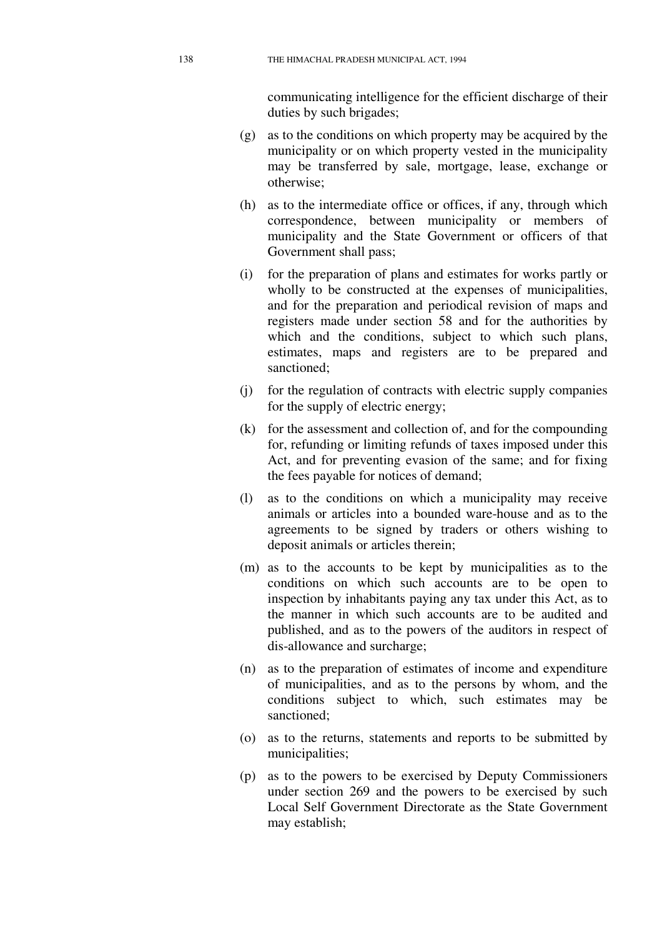communicating intelligence for the efficient discharge of their duties by such brigades;

- (g) as to the conditions on which property may be acquired by the municipality or on which property vested in the municipality may be transferred by sale, mortgage, lease, exchange or otherwise;
- (h) as to the intermediate office or offices, if any, through which correspondence, between municipality or members of municipality and the State Government or officers of that Government shall pass;
- (i) for the preparation of plans and estimates for works partly or wholly to be constructed at the expenses of municipalities, and for the preparation and periodical revision of maps and registers made under section 58 and for the authorities by which and the conditions, subject to which such plans, estimates, maps and registers are to be prepared and sanctioned;
- (j) for the regulation of contracts with electric supply companies for the supply of electric energy;
- (k) for the assessment and collection of, and for the compounding for, refunding or limiting refunds of taxes imposed under this Act, and for preventing evasion of the same; and for fixing the fees payable for notices of demand;
- (l) as to the conditions on which a municipality may receive animals or articles into a bounded ware-house and as to the agreements to be signed by traders or others wishing to deposit animals or articles therein;
- (m) as to the accounts to be kept by municipalities as to the conditions on which such accounts are to be open to inspection by inhabitants paying any tax under this Act, as to the manner in which such accounts are to be audited and published, and as to the powers of the auditors in respect of dis-allowance and surcharge;
- (n) as to the preparation of estimates of income and expenditure of municipalities, and as to the persons by whom, and the conditions subject to which, such estimates may be sanctioned;
- (o) as to the returns, statements and reports to be submitted by municipalities;
- (p) as to the powers to be exercised by Deputy Commissioners under section 269 and the powers to be exercised by such Local Self Government Directorate as the State Government may establish;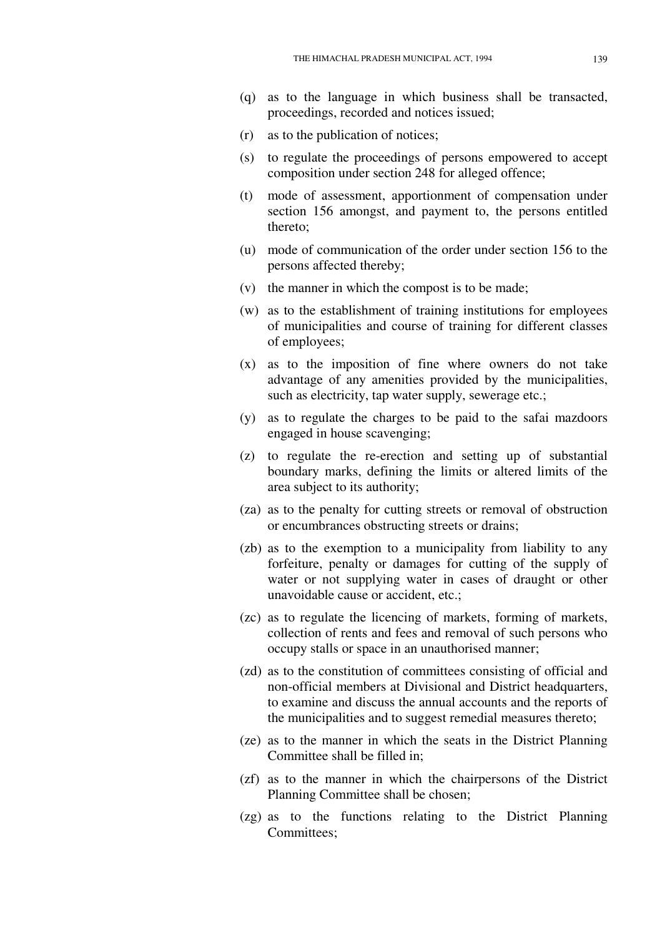- (q) as to the language in which business shall be transacted, proceedings, recorded and notices issued;
- (r) as to the publication of notices;
- (s) to regulate the proceedings of persons empowered to accept composition under section 248 for alleged offence;
- (t) mode of assessment, apportionment of compensation under section 156 amongst, and payment to, the persons entitled thereto;
- (u) mode of communication of the order under section 156 to the persons affected thereby;
- (v) the manner in which the compost is to be made;
- (w) as to the establishment of training institutions for employees of municipalities and course of training for different classes of employees;
- (x) as to the imposition of fine where owners do not take advantage of any amenities provided by the municipalities, such as electricity, tap water supply, sewerage etc.;
- (y) as to regulate the charges to be paid to the safai mazdoors engaged in house scavenging;
- (z) to regulate the re-erection and setting up of substantial boundary marks, defining the limits or altered limits of the area subject to its authority;
- (za) as to the penalty for cutting streets or removal of obstruction or encumbrances obstructing streets or drains;
- (zb) as to the exemption to a municipality from liability to any forfeiture, penalty or damages for cutting of the supply of water or not supplying water in cases of draught or other unavoidable cause or accident, etc.;
- (zc) as to regulate the licencing of markets, forming of markets, collection of rents and fees and removal of such persons who occupy stalls or space in an unauthorised manner;
- (zd) as to the constitution of committees consisting of official and non-official members at Divisional and District headquarters, to examine and discuss the annual accounts and the reports of the municipalities and to suggest remedial measures thereto;
- (ze) as to the manner in which the seats in the District Planning Committee shall be filled in;
- (zf) as to the manner in which the chairpersons of the District Planning Committee shall be chosen;
- (zg) as to the functions relating to the District Planning Committees;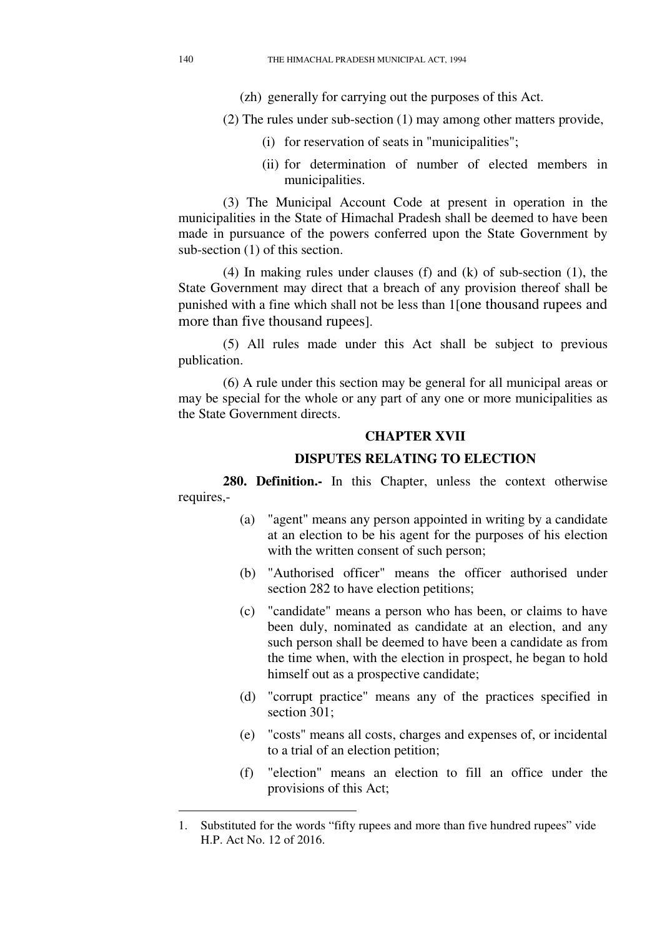- (zh) generally for carrying out the purposes of this Act.
- (2) The rules under sub-section (1) may among other matters provide,
	- (i) for reservation of seats in "municipalities";
	- (ii) for determination of number of elected members in municipalities.

(3) The Municipal Account Code at present in operation in the municipalities in the State of Himachal Pradesh shall be deemed to have been made in pursuance of the powers conferred upon the State Government by sub-section (1) of this section.

(4) In making rules under clauses (f) and (k) of sub-section (1), the State Government may direct that a breach of any provision thereof shall be punished with a fine which shall not be less than 1[one thousand rupees and more than five thousand rupees].

(5) All rules made under this Act shall be subject to previous publication.

(6) A rule under this section may be general for all municipal areas or may be special for the whole or any part of any one or more municipalities as the State Government directs.

## **CHAPTER XVII**

## **DISPUTES RELATING TO ELECTION**

**280. Definition.-** In this Chapter, unless the context otherwise requires,-

- (a) "agent" means any person appointed in writing by a candidate at an election to be his agent for the purposes of his election with the written consent of such person;
- (b) "Authorised officer" means the officer authorised under section 282 to have election petitions;
- (c) "candidate" means a person who has been, or claims to have been duly, nominated as candidate at an election, and any such person shall be deemed to have been a candidate as from the time when, with the election in prospect, he began to hold himself out as a prospective candidate;
- (d) "corrupt practice" means any of the practices specified in section 301;
- (e) "costs" means all costs, charges and expenses of, or incidental to a trial of an election petition;
- (f) "election" means an election to fill an office under the provisions of this Act;

<sup>1.</sup> Substituted for the words "fifty rupees and more than five hundred rupees" vide H.P. Act No. 12 of 2016.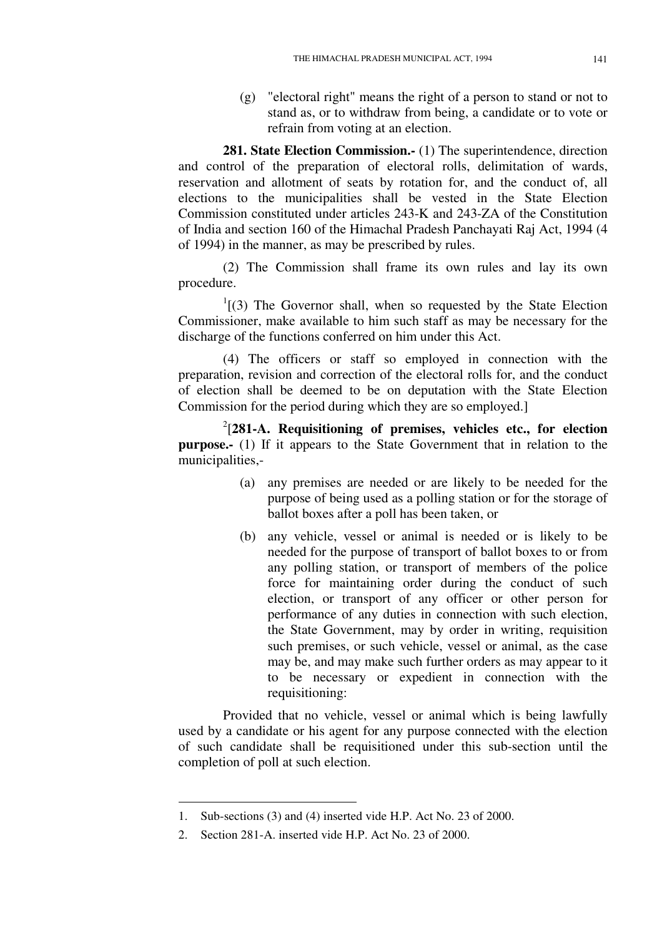(g) "electoral right" means the right of a person to stand or not to stand as, or to withdraw from being, a candidate or to vote or refrain from voting at an election.

**281. State Election Commission.-** (1) The superintendence, direction and control of the preparation of electoral rolls, delimitation of wards, reservation and allotment of seats by rotation for, and the conduct of, all elections to the municipalities shall be vested in the State Election Commission constituted under articles 243-K and 243-ZA of the Constitution of India and section 160 of the Himachal Pradesh Panchayati Raj Act, 1994 (4 of 1994) in the manner, as may be prescribed by rules.

(2) The Commission shall frame its own rules and lay its own procedure.

 $1$ [(3) The Governor shall, when so requested by the State Election Commissioner, make available to him such staff as may be necessary for the discharge of the functions conferred on him under this Act.

(4) The officers or staff so employed in connection with the preparation, revision and correction of the electoral rolls for, and the conduct of election shall be deemed to be on deputation with the State Election Commission for the period during which they are so employed.]

2 [**281-A. Requisitioning of premises, vehicles etc., for election purpose.-** (1) If it appears to the State Government that in relation to the municipalities,-

- (a) any premises are needed or are likely to be needed for the purpose of being used as a polling station or for the storage of ballot boxes after a poll has been taken, or
- (b) any vehicle, vessel or animal is needed or is likely to be needed for the purpose of transport of ballot boxes to or from any polling station, or transport of members of the police force for maintaining order during the conduct of such election, or transport of any officer or other person for performance of any duties in connection with such election, the State Government, may by order in writing, requisition such premises, or such vehicle, vessel or animal, as the case may be, and may make such further orders as may appear to it to be necessary or expedient in connection with the requisitioning:

Provided that no vehicle, vessel or animal which is being lawfully used by a candidate or his agent for any purpose connected with the election of such candidate shall be requisitioned under this sub-section until the completion of poll at such election.

<sup>1.</sup> Sub-sections (3) and (4) inserted vide H.P. Act No. 23 of 2000.

<sup>2.</sup> Section 281-A. inserted vide H.P. Act No. 23 of 2000.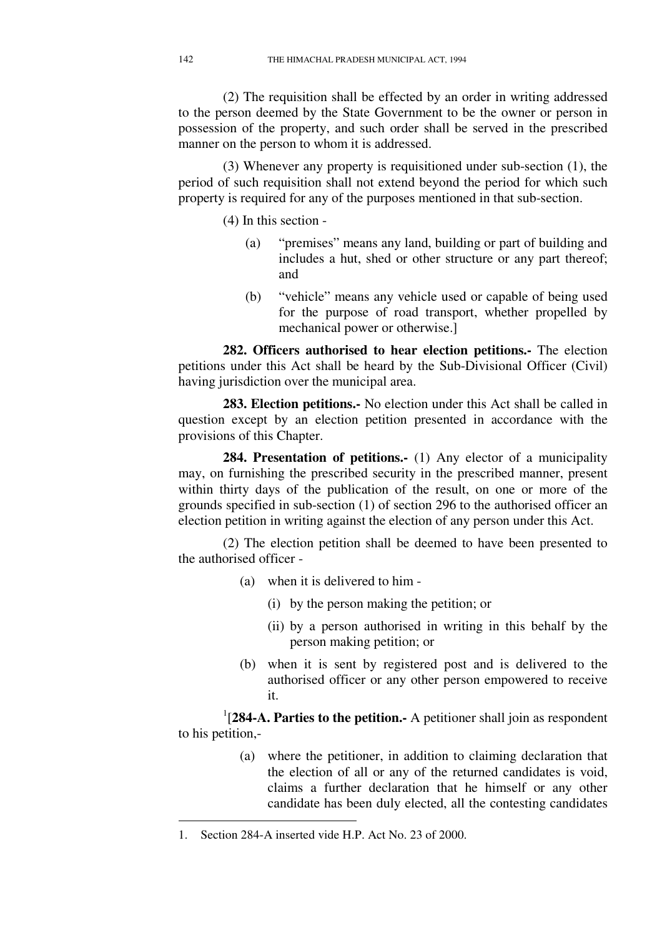(2) The requisition shall be effected by an order in writing addressed to the person deemed by the State Government to be the owner or person in possession of the property, and such order shall be served in the prescribed manner on the person to whom it is addressed.

(3) Whenever any property is requisitioned under sub-section (1), the period of such requisition shall not extend beyond the period for which such property is required for any of the purposes mentioned in that sub-section.

(4) In this section -

- (a) "premises" means any land, building or part of building and includes a hut, shed or other structure or any part thereof; and
- (b) "vehicle" means any vehicle used or capable of being used for the purpose of road transport, whether propelled by mechanical power or otherwise.]

**282. Officers authorised to hear election petitions.-** The election petitions under this Act shall be heard by the Sub-Divisional Officer (Civil) having jurisdiction over the municipal area.

**283. Election petitions.-** No election under this Act shall be called in question except by an election petition presented in accordance with the provisions of this Chapter.

**284. Presentation of petitions.-** (1) Any elector of a municipality may, on furnishing the prescribed security in the prescribed manner, present within thirty days of the publication of the result, on one or more of the grounds specified in sub-section (1) of section 296 to the authorised officer an election petition in writing against the election of any person under this Act.

(2) The election petition shall be deemed to have been presented to the authorised officer -

- (a) when it is delivered to him
	- (i) by the person making the petition; or
	- (ii) by a person authorised in writing in this behalf by the person making petition; or
- (b) when it is sent by registered post and is delivered to the authorised officer or any other person empowered to receive it.

<sup>1</sup>[284-A. Parties to the petition.- A petitioner shall join as respondent to his petition,-

> (a) where the petitioner, in addition to claiming declaration that the election of all or any of the returned candidates is void, claims a further declaration that he himself or any other candidate has been duly elected, all the contesting candidates

<sup>1.</sup> Section 284-A inserted vide H.P. Act No. 23 of 2000.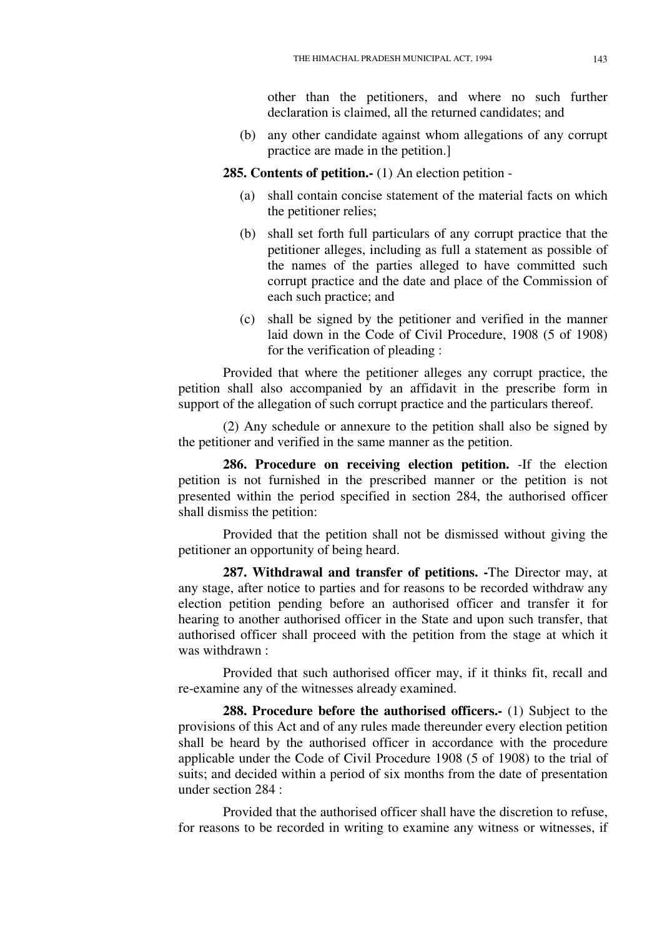other than the petitioners, and where no such further declaration is claimed, all the returned candidates; and

(b) any other candidate against whom allegations of any corrupt practice are made in the petition.]

**285. Contents of petition.-** (1) An election petition -

- (a) shall contain concise statement of the material facts on which the petitioner relies;
- (b) shall set forth full particulars of any corrupt practice that the petitioner alleges, including as full a statement as possible of the names of the parties alleged to have committed such corrupt practice and the date and place of the Commission of each such practice; and
- (c) shall be signed by the petitioner and verified in the manner laid down in the Code of Civil Procedure, 1908 (5 of 1908) for the verification of pleading :

Provided that where the petitioner alleges any corrupt practice, the petition shall also accompanied by an affidavit in the prescribe form in support of the allegation of such corrupt practice and the particulars thereof.

(2) Any schedule or annexure to the petition shall also be signed by the petitioner and verified in the same manner as the petition.

**286. Procedure on receiving election petition.** -If the election petition is not furnished in the prescribed manner or the petition is not presented within the period specified in section 284, the authorised officer shall dismiss the petition:

Provided that the petition shall not be dismissed without giving the petitioner an opportunity of being heard.

**287. Withdrawal and transfer of petitions. -**The Director may, at any stage, after notice to parties and for reasons to be recorded withdraw any election petition pending before an authorised officer and transfer it for hearing to another authorised officer in the State and upon such transfer, that authorised officer shall proceed with the petition from the stage at which it was withdrawn :

Provided that such authorised officer may, if it thinks fit, recall and re-examine any of the witnesses already examined.

**288. Procedure before the authorised officers.-** (1) Subject to the provisions of this Act and of any rules made thereunder every election petition shall be heard by the authorised officer in accordance with the procedure applicable under the Code of Civil Procedure 1908 (5 of 1908) to the trial of suits; and decided within a period of six months from the date of presentation under section 284 :

Provided that the authorised officer shall have the discretion to refuse, for reasons to be recorded in writing to examine any witness or witnesses, if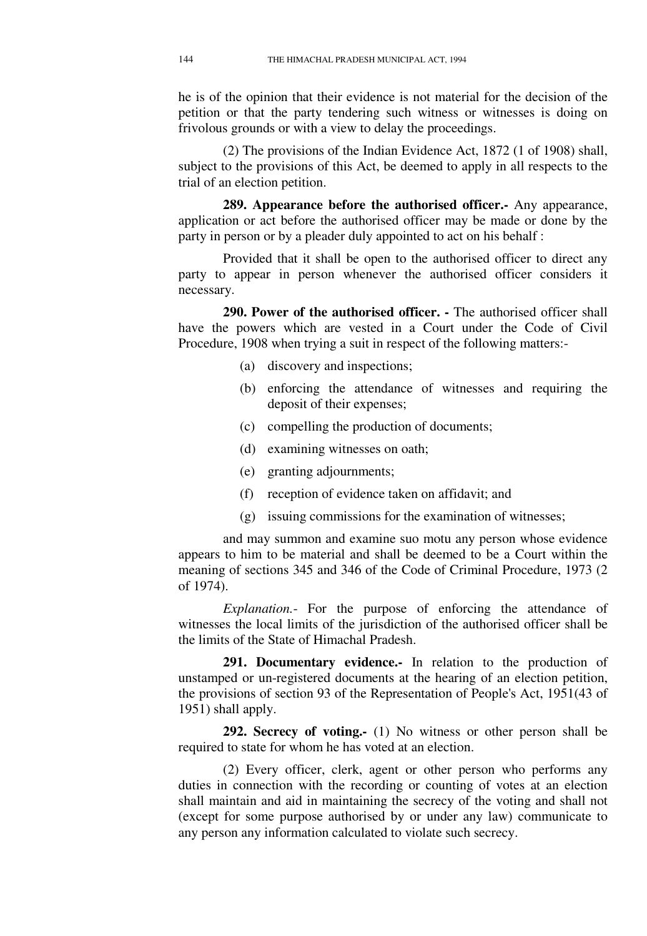he is of the opinion that their evidence is not material for the decision of the petition or that the party tendering such witness or witnesses is doing on frivolous grounds or with a view to delay the proceedings.

(2) The provisions of the Indian Evidence Act, 1872 (1 of 1908) shall, subject to the provisions of this Act, be deemed to apply in all respects to the trial of an election petition.

**289. Appearance before the authorised officer.-** Any appearance, application or act before the authorised officer may be made or done by the party in person or by a pleader duly appointed to act on his behalf :

Provided that it shall be open to the authorised officer to direct any party to appear in person whenever the authorised officer considers it necessary.

**290. Power of the authorised officer. -** The authorised officer shall have the powers which are vested in a Court under the Code of Civil Procedure, 1908 when trying a suit in respect of the following matters:-

- (a) discovery and inspections;
- (b) enforcing the attendance of witnesses and requiring the deposit of their expenses;
- (c) compelling the production of documents;
- (d) examining witnesses on oath;
- (e) granting adjournments;
- (f) reception of evidence taken on affidavit; and
- (g) issuing commissions for the examination of witnesses;

and may summon and examine suo motu any person whose evidence appears to him to be material and shall be deemed to be a Court within the meaning of sections 345 and 346 of the Code of Criminal Procedure, 1973 (2 of 1974).

*Explanation.*- For the purpose of enforcing the attendance of witnesses the local limits of the jurisdiction of the authorised officer shall be the limits of the State of Himachal Pradesh.

291. Documentary evidence.- In relation to the production of unstamped or un-registered documents at the hearing of an election petition, the provisions of section 93 of the Representation of People's Act, 1951(43 of 1951) shall apply.

**292. Secrecy of voting.-** (1) No witness or other person shall be required to state for whom he has voted at an election.

(2) Every officer, clerk, agent or other person who performs any duties in connection with the recording or counting of votes at an election shall maintain and aid in maintaining the secrecy of the voting and shall not (except for some purpose authorised by or under any law) communicate to any person any information calculated to violate such secrecy.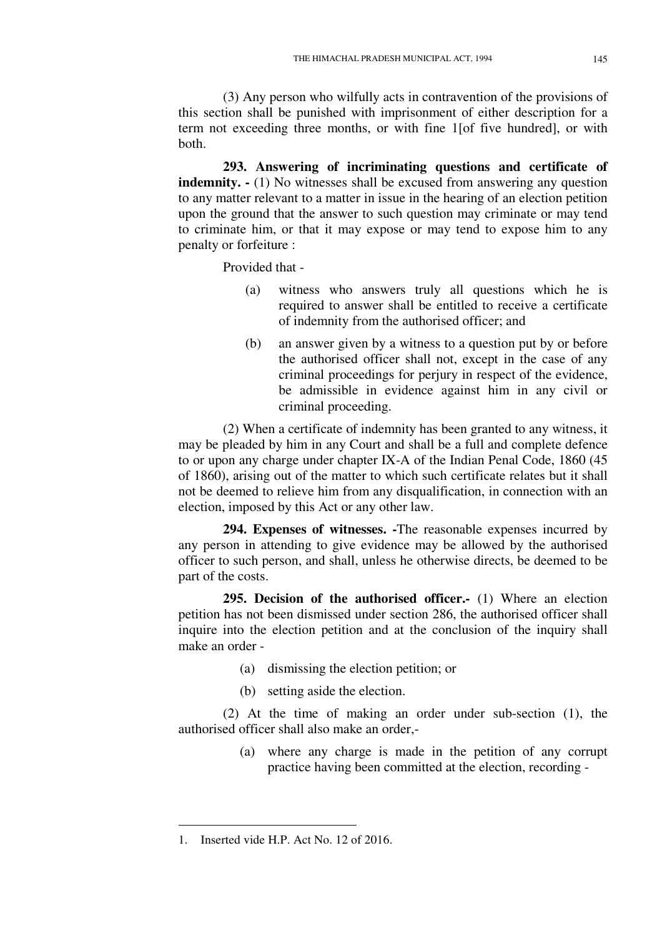(3) Any person who wilfully acts in contravention of the provisions of this section shall be punished with imprisonment of either description for a term not exceeding three months, or with fine 1[of five hundred], or with both.

**293. Answering of incriminating questions and certificate of indemnity.**  $\cdot$  (1) No witnesses shall be excused from answering any question to any matter relevant to a matter in issue in the hearing of an election petition upon the ground that the answer to such question may criminate or may tend to criminate him, or that it may expose or may tend to expose him to any penalty or forfeiture :

Provided that -

- (a) witness who answers truly all questions which he is required to answer shall be entitled to receive a certificate of indemnity from the authorised officer; and
- (b) an answer given by a witness to a question put by or before the authorised officer shall not, except in the case of any criminal proceedings for perjury in respect of the evidence, be admissible in evidence against him in any civil or criminal proceeding.

(2) When a certificate of indemnity has been granted to any witness, it may be pleaded by him in any Court and shall be a full and complete defence to or upon any charge under chapter IX-A of the Indian Penal Code, 1860 (45 of 1860), arising out of the matter to which such certificate relates but it shall not be deemed to relieve him from any disqualification, in connection with an election, imposed by this Act or any other law.

**294. Expenses of witnesses. -**The reasonable expenses incurred by any person in attending to give evidence may be allowed by the authorised officer to such person, and shall, unless he otherwise directs, be deemed to be part of the costs.

**295. Decision of the authorised officer.-** (1) Where an election petition has not been dismissed under section 286, the authorised officer shall inquire into the election petition and at the conclusion of the inquiry shall make an order -

- (a) dismissing the election petition; or
- (b) setting aside the election.

(2) At the time of making an order under sub-section (1), the authorised officer shall also make an order,-

> (a) where any charge is made in the petition of any corrupt practice having been committed at the election, recording -

<u>.</u>

<sup>1.</sup> Inserted vide H.P. Act No. 12 of 2016.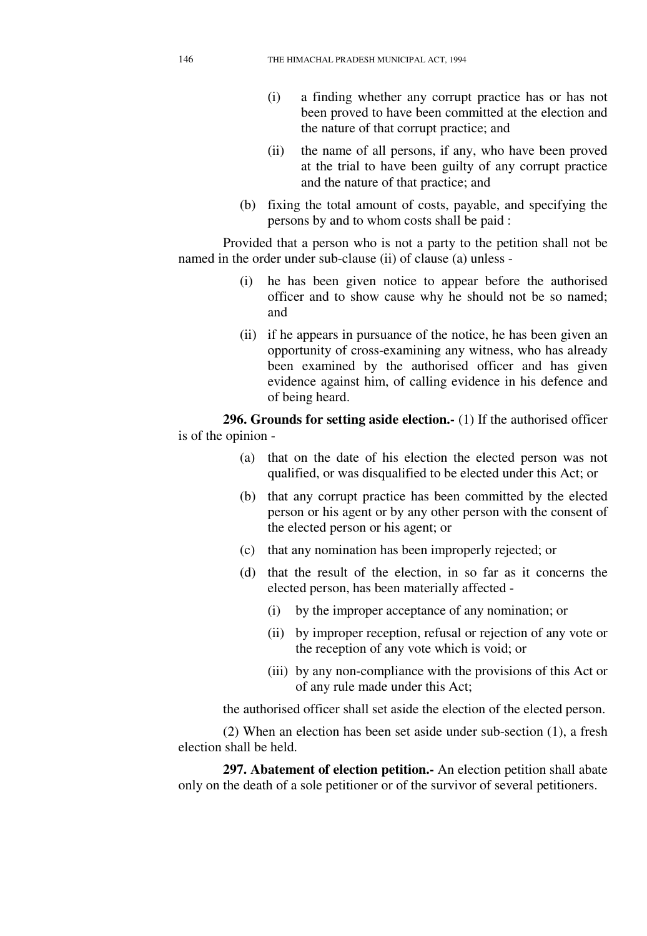- (i) a finding whether any corrupt practice has or has not been proved to have been committed at the election and the nature of that corrupt practice; and
- (ii) the name of all persons, if any, who have been proved at the trial to have been guilty of any corrupt practice and the nature of that practice; and
- (b) fixing the total amount of costs, payable, and specifying the persons by and to whom costs shall be paid :

Provided that a person who is not a party to the petition shall not be named in the order under sub-clause (ii) of clause (a) unless -

- (i) he has been given notice to appear before the authorised officer and to show cause why he should not be so named; and
- (ii) if he appears in pursuance of the notice, he has been given an opportunity of cross-examining any witness, who has already been examined by the authorised officer and has given evidence against him, of calling evidence in his defence and of being heard.

**296. Grounds for setting aside election.-** (1) If the authorised officer is of the opinion -

- (a) that on the date of his election the elected person was not qualified, or was disqualified to be elected under this Act; or
- (b) that any corrupt practice has been committed by the elected person or his agent or by any other person with the consent of the elected person or his agent; or
- (c) that any nomination has been improperly rejected; or
- (d) that the result of the election, in so far as it concerns the elected person, has been materially affected -
	- (i) by the improper acceptance of any nomination; or
	- (ii) by improper reception, refusal or rejection of any vote or the reception of any vote which is void; or
	- (iii) by any non-compliance with the provisions of this Act or of any rule made under this Act;

the authorised officer shall set aside the election of the elected person.

(2) When an election has been set aside under sub-section (1), a fresh election shall be held.

**297. Abatement of election petition.-** An election petition shall abate only on the death of a sole petitioner or of the survivor of several petitioners.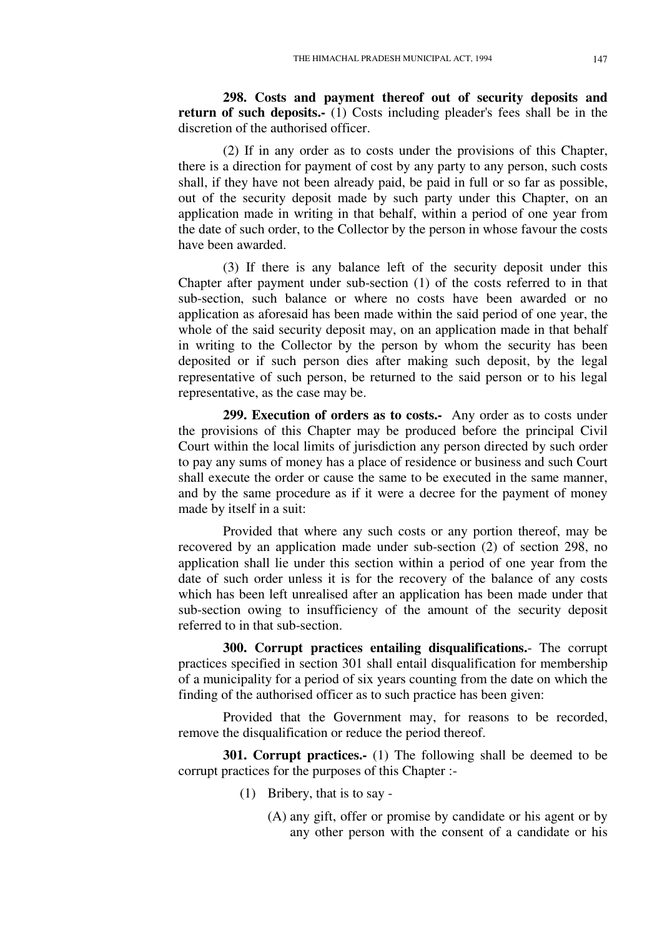**298. Costs and payment thereof out of security deposits and return of such deposits.** (1) Costs including pleader's fees shall be in the discretion of the authorised officer.

(2) If in any order as to costs under the provisions of this Chapter, there is a direction for payment of cost by any party to any person, such costs shall, if they have not been already paid, be paid in full or so far as possible, out of the security deposit made by such party under this Chapter, on an application made in writing in that behalf, within a period of one year from the date of such order, to the Collector by the person in whose favour the costs have been awarded.

(3) If there is any balance left of the security deposit under this Chapter after payment under sub-section (1) of the costs referred to in that sub-section, such balance or where no costs have been awarded or no application as aforesaid has been made within the said period of one year, the whole of the said security deposit may, on an application made in that behalf in writing to the Collector by the person by whom the security has been deposited or if such person dies after making such deposit, by the legal representative of such person, be returned to the said person or to his legal representative, as the case may be.

**299. Execution of orders as to costs.-** Any order as to costs under the provisions of this Chapter may be produced before the principal Civil Court within the local limits of jurisdiction any person directed by such order to pay any sums of money has a place of residence or business and such Court shall execute the order or cause the same to be executed in the same manner, and by the same procedure as if it were a decree for the payment of money made by itself in a suit:

Provided that where any such costs or any portion thereof, may be recovered by an application made under sub-section (2) of section 298, no application shall lie under this section within a period of one year from the date of such order unless it is for the recovery of the balance of any costs which has been left unrealised after an application has been made under that sub-section owing to insufficiency of the amount of the security deposit referred to in that sub-section.

**300. Corrupt practices entailing disqualifications.**- The corrupt practices specified in section 301 shall entail disqualification for membership of a municipality for a period of six years counting from the date on which the finding of the authorised officer as to such practice has been given:

Provided that the Government may, for reasons to be recorded, remove the disqualification or reduce the period thereof.

**301. Corrupt practices.-** (1) The following shall be deemed to be corrupt practices for the purposes of this Chapter :-

- (1) Bribery, that is to say
	- (A) any gift, offer or promise by candidate or his agent or by any other person with the consent of a candidate or his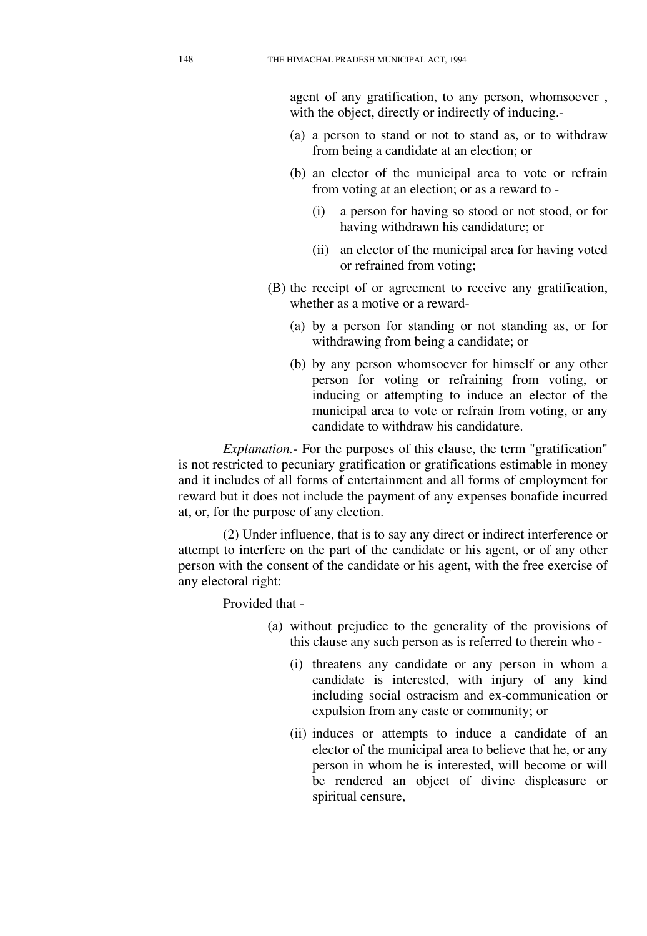agent of any gratification, to any person, whomsoever , with the object, directly or indirectly of inducing.-

- (a) a person to stand or not to stand as, or to withdraw from being a candidate at an election; or
- (b) an elector of the municipal area to vote or refrain from voting at an election; or as a reward to -
	- (i) a person for having so stood or not stood, or for having withdrawn his candidature; or
	- (ii) an elector of the municipal area for having voted or refrained from voting;
- (B) the receipt of or agreement to receive any gratification, whether as a motive or a reward-
	- (a) by a person for standing or not standing as, or for withdrawing from being a candidate; or
	- (b) by any person whomsoever for himself or any other person for voting or refraining from voting, or inducing or attempting to induce an elector of the municipal area to vote or refrain from voting, or any candidate to withdraw his candidature.

*Explanation.-* For the purposes of this clause, the term "gratification" is not restricted to pecuniary gratification or gratifications estimable in money and it includes of all forms of entertainment and all forms of employment for reward but it does not include the payment of any expenses bonafide incurred at, or, for the purpose of any election.

(2) Under influence, that is to say any direct or indirect interference or attempt to interfere on the part of the candidate or his agent, or of any other person with the consent of the candidate or his agent, with the free exercise of any electoral right:

Provided that -

- (a) without prejudice to the generality of the provisions of this clause any such person as is referred to therein who -
	- (i) threatens any candidate or any person in whom a candidate is interested, with injury of any kind including social ostracism and ex-communication or expulsion from any caste or community; or
	- (ii) induces or attempts to induce a candidate of an elector of the municipal area to believe that he, or any person in whom he is interested, will become or will be rendered an object of divine displeasure or spiritual censure,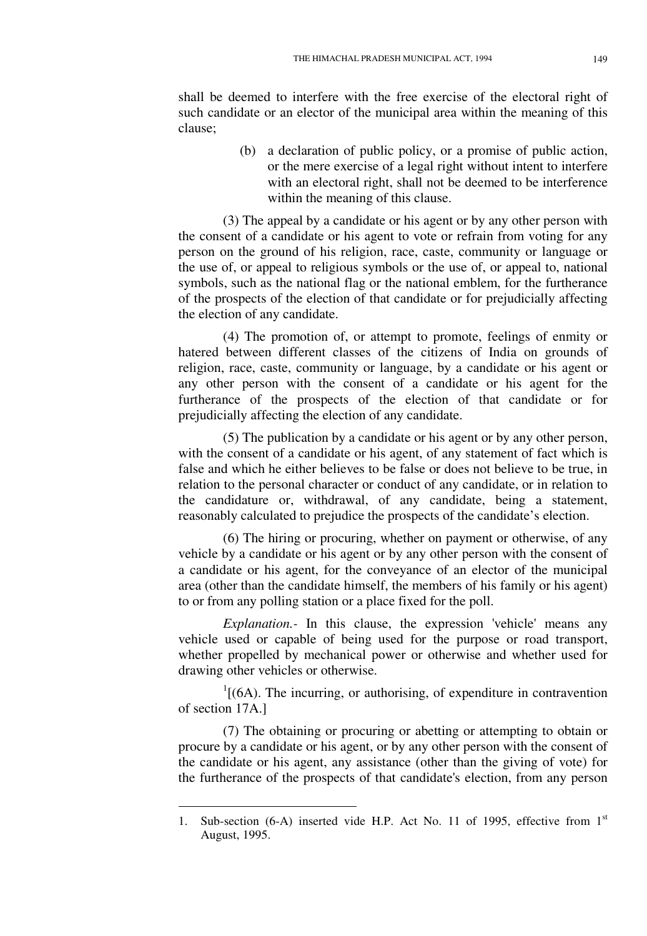shall be deemed to interfere with the free exercise of the electoral right of such candidate or an elector of the municipal area within the meaning of this clause;

> (b) a declaration of public policy, or a promise of public action, or the mere exercise of a legal right without intent to interfere with an electoral right, shall not be deemed to be interference within the meaning of this clause.

(3) The appeal by a candidate or his agent or by any other person with the consent of a candidate or his agent to vote or refrain from voting for any person on the ground of his religion, race, caste, community or language or the use of, or appeal to religious symbols or the use of, or appeal to, national symbols, such as the national flag or the national emblem, for the furtherance of the prospects of the election of that candidate or for prejudicially affecting the election of any candidate.

(4) The promotion of, or attempt to promote, feelings of enmity or hatered between different classes of the citizens of India on grounds of religion, race, caste, community or language, by a candidate or his agent or any other person with the consent of a candidate or his agent for the furtherance of the prospects of the election of that candidate or for prejudicially affecting the election of any candidate.

(5) The publication by a candidate or his agent or by any other person, with the consent of a candidate or his agent, of any statement of fact which is false and which he either believes to be false or does not believe to be true, in relation to the personal character or conduct of any candidate, or in relation to the candidature or, withdrawal, of any candidate, being a statement, reasonably calculated to prejudice the prospects of the candidate's election.

(6) The hiring or procuring, whether on payment or otherwise, of any vehicle by a candidate or his agent or by any other person with the consent of a candidate or his agent, for the conveyance of an elector of the municipal area (other than the candidate himself, the members of his family or his agent) to or from any polling station or a place fixed for the poll.

*Explanation.-* In this clause, the expression 'vehicle' means any vehicle used or capable of being used for the purpose or road transport, whether propelled by mechanical power or otherwise and whether used for drawing other vehicles or otherwise.

 $<sup>1</sup>$ [(6A). The incurring, or authorising, of expenditure in contravention</sup> of section 17A.]

(7) The obtaining or procuring or abetting or attempting to obtain or procure by a candidate or his agent, or by any other person with the consent of the candidate or his agent, any assistance (other than the giving of vote) for the furtherance of the prospects of that candidate's election, from any person

-

<sup>1.</sup> Sub-section (6-A) inserted vide H.P. Act No. 11 of 1995, effective from 1<sup>st</sup> August, 1995.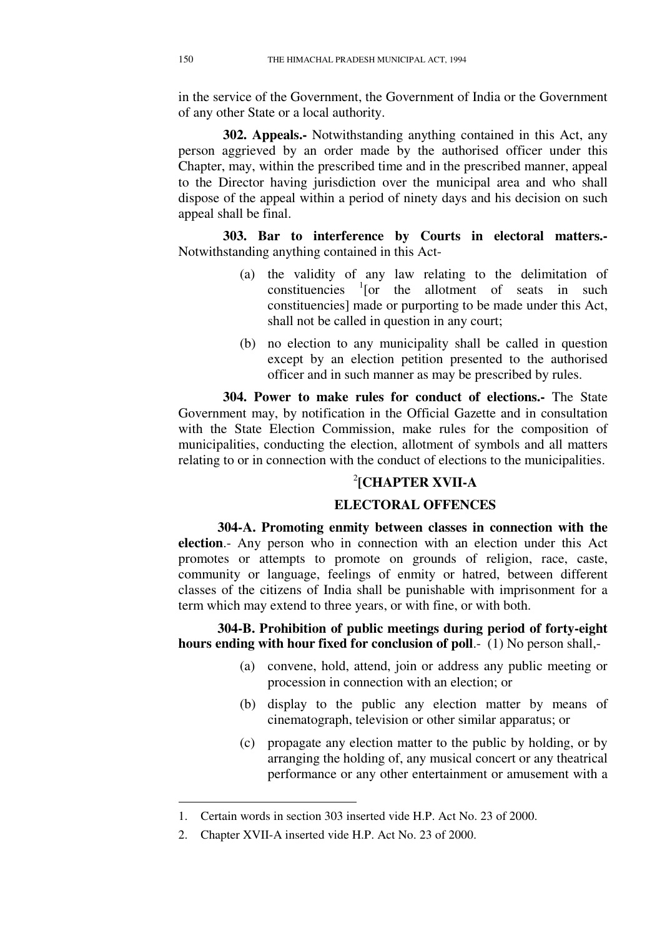in the service of the Government, the Government of India or the Government of any other State or a local authority.

**302. Appeals.-** Notwithstanding anything contained in this Act, any person aggrieved by an order made by the authorised officer under this Chapter, may, within the prescribed time and in the prescribed manner, appeal to the Director having jurisdiction over the municipal area and who shall dispose of the appeal within a period of ninety days and his decision on such appeal shall be final.

**303. Bar to interference by Courts in electoral matters.-**  Notwithstanding anything contained in this Act-

- (a) the validity of any law relating to the delimitation of constituencies  $\frac{1}{1}$  [or the allotment of seats in such constituencies] made or purporting to be made under this Act, shall not be called in question in any court;
- (b) no election to any municipality shall be called in question except by an election petition presented to the authorised officer and in such manner as may be prescribed by rules.

**304. Power to make rules for conduct of elections.-** The State Government may, by notification in the Official Gazette and in consultation with the State Election Commission, make rules for the composition of municipalities, conducting the election, allotment of symbols and all matters relating to or in connection with the conduct of elections to the municipalities.

## 2 **[CHAPTER XVII-A**

#### **ELECTORAL OFFENCES**

**304-A. Promoting enmity between classes in connection with the election**.- Any person who in connection with an election under this Act promotes or attempts to promote on grounds of religion, race, caste, community or language, feelings of enmity or hatred, between different classes of the citizens of India shall be punishable with imprisonment for a term which may extend to three years, or with fine, or with both.

**304-B. Prohibition of public meetings during period of forty-eight hours ending with hour fixed for conclusion of poll**.- (1) No person shall,-

- (a) convene, hold, attend, join or address any public meeting or procession in connection with an election; or
- (b) display to the public any election matter by means of cinematograph, television or other similar apparatus; or
- (c) propagate any election matter to the public by holding, or by arranging the holding of, any musical concert or any theatrical performance or any other entertainment or amusement with a

-

<sup>1.</sup> Certain words in section 303 inserted vide H.P. Act No. 23 of 2000.

<sup>2.</sup> Chapter XVII-A inserted vide H.P. Act No. 23 of 2000.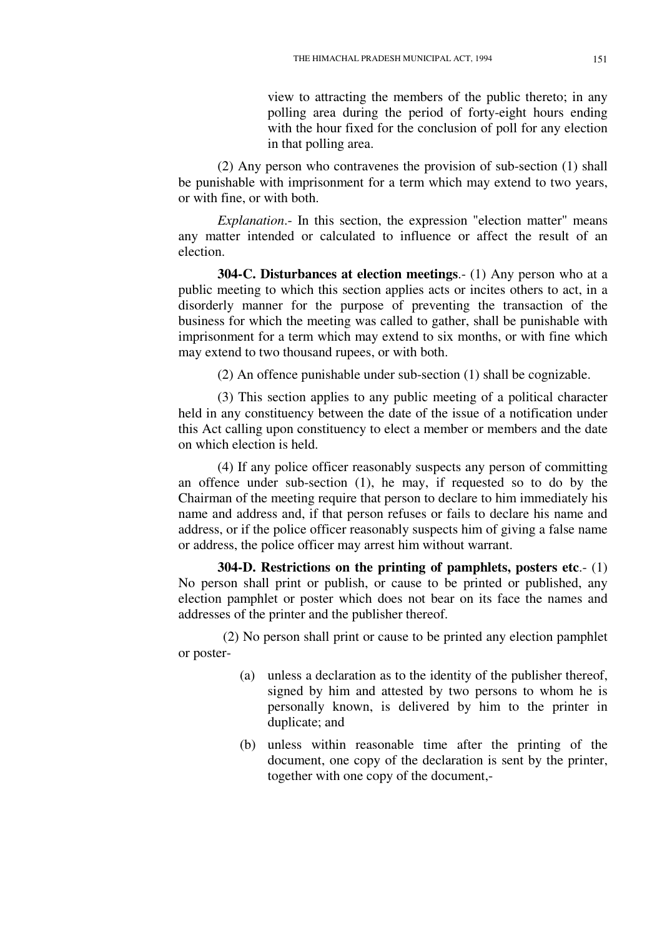view to attracting the members of the public thereto; in any polling area during the period of forty-eight hours ending with the hour fixed for the conclusion of poll for any election in that polling area.

(2) Any person who contravenes the provision of sub-section (1) shall be punishable with imprisonment for a term which may extend to two years, or with fine, or with both.

*Explanation*.- In this section, the expression "election matter" means any matter intended or calculated to influence or affect the result of an election.

**304-C. Disturbances at election meetings**.- (1) Any person who at a public meeting to which this section applies acts or incites others to act, in a disorderly manner for the purpose of preventing the transaction of the business for which the meeting was called to gather, shall be punishable with imprisonment for a term which may extend to six months, or with fine which may extend to two thousand rupees, or with both.

(2) An offence punishable under sub-section (1) shall be cognizable.

(3) This section applies to any public meeting of a political character held in any constituency between the date of the issue of a notification under this Act calling upon constituency to elect a member or members and the date on which election is held.

(4) If any police officer reasonably suspects any person of committing an offence under sub-section (1), he may, if requested so to do by the Chairman of the meeting require that person to declare to him immediately his name and address and, if that person refuses or fails to declare his name and address, or if the police officer reasonably suspects him of giving a false name or address, the police officer may arrest him without warrant.

**304-D. Restrictions on the printing of pamphlets, posters etc**.- (1) No person shall print or publish, or cause to be printed or published, any election pamphlet or poster which does not bear on its face the names and addresses of the printer and the publisher thereof.

(2) No person shall print or cause to be printed any election pamphlet or poster-

- (a) unless a declaration as to the identity of the publisher thereof, signed by him and attested by two persons to whom he is personally known, is delivered by him to the printer in duplicate; and
- (b) unless within reasonable time after the printing of the document, one copy of the declaration is sent by the printer, together with one copy of the document,-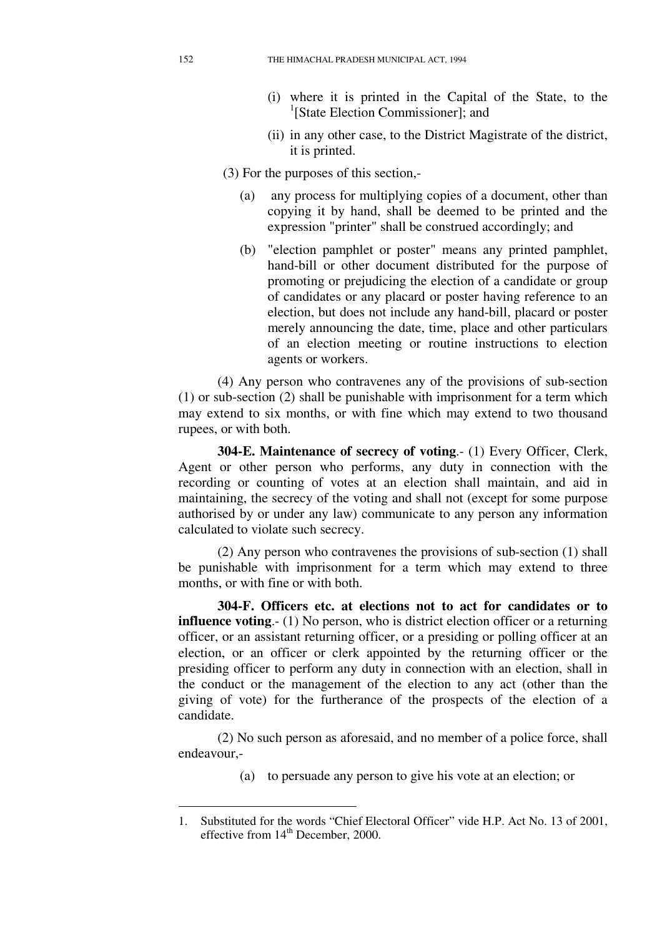- (i) where it is printed in the Capital of the State, to the <sup>1</sup>[State Election Commissioner]; and
- (ii) in any other case, to the District Magistrate of the district, it is printed.

(3) For the purposes of this section,-

- (a) any process for multiplying copies of a document, other than copying it by hand, shall be deemed to be printed and the expression "printer" shall be construed accordingly; and
- (b) "election pamphlet or poster" means any printed pamphlet, hand-bill or other document distributed for the purpose of promoting or prejudicing the election of a candidate or group of candidates or any placard or poster having reference to an election, but does not include any hand-bill, placard or poster merely announcing the date, time, place and other particulars of an election meeting or routine instructions to election agents or workers.

(4) Any person who contravenes any of the provisions of sub-section (1) or sub-section (2) shall be punishable with imprisonment for a term which may extend to six months, or with fine which may extend to two thousand rupees, or with both.

**304-E. Maintenance of secrecy of voting**.- (1) Every Officer, Clerk, Agent or other person who performs, any duty in connection with the recording or counting of votes at an election shall maintain, and aid in maintaining, the secrecy of the voting and shall not (except for some purpose authorised by or under any law) communicate to any person any information calculated to violate such secrecy.

(2) Any person who contravenes the provisions of sub-section (1) shall be punishable with imprisonment for a term which may extend to three months, or with fine or with both.

**304-F. Officers etc. at elections not to act for candidates or to influence voting.**- (1) No person, who is district election officer or a returning officer, or an assistant returning officer, or a presiding or polling officer at an election, or an officer or clerk appointed by the returning officer or the presiding officer to perform any duty in connection with an election, shall in the conduct or the management of the election to any act (other than the giving of vote) for the furtherance of the prospects of the election of a candidate.

(2) No such person as aforesaid, and no member of a police force, shall endeavour,-

(a) to persuade any person to give his vote at an election; or

-

<sup>1.</sup> Substituted for the words "Chief Electoral Officer" vide H.P. Act No. 13 of 2001, effective from  $14<sup>th</sup>$  December, 2000.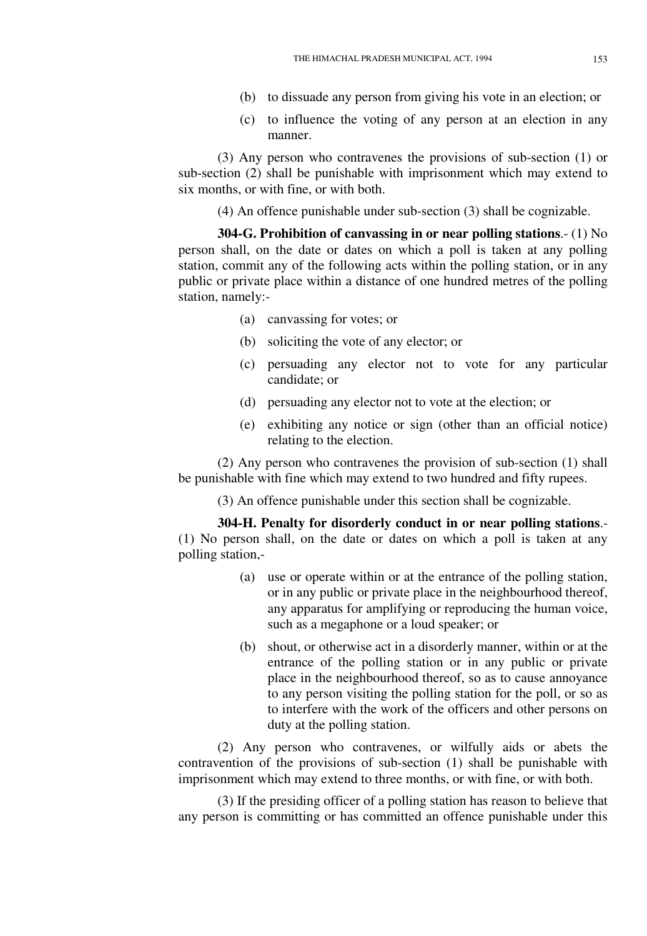- (b) to dissuade any person from giving his vote in an election; or
- (c) to influence the voting of any person at an election in any manner.

(3) Any person who contravenes the provisions of sub-section (1) or sub-section (2) shall be punishable with imprisonment which may extend to six months, or with fine, or with both.

(4) An offence punishable under sub-section (3) shall be cognizable.

**304-G. Prohibition of canvassing in or near polling stations**.- (1) No person shall, on the date or dates on which a poll is taken at any polling station, commit any of the following acts within the polling station, or in any public or private place within a distance of one hundred metres of the polling station, namely:-

- (a) canvassing for votes; or
- (b) soliciting the vote of any elector; or
- (c) persuading any elector not to vote for any particular candidate; or
- (d) persuading any elector not to vote at the election; or
- (e) exhibiting any notice or sign (other than an official notice) relating to the election.

(2) Any person who contravenes the provision of sub-section (1) shall be punishable with fine which may extend to two hundred and fifty rupees.

(3) An offence punishable under this section shall be cognizable.

**304-H. Penalty for disorderly conduct in or near polling stations**.- (1) No person shall, on the date or dates on which a poll is taken at any polling station,-

- (a) use or operate within or at the entrance of the polling station, or in any public or private place in the neighbourhood thereof, any apparatus for amplifying or reproducing the human voice, such as a megaphone or a loud speaker; or
- (b) shout, or otherwise act in a disorderly manner, within or at the entrance of the polling station or in any public or private place in the neighbourhood thereof, so as to cause annoyance to any person visiting the polling station for the poll, or so as to interfere with the work of the officers and other persons on duty at the polling station.

(2) Any person who contravenes, or wilfully aids or abets the contravention of the provisions of sub-section (1) shall be punishable with imprisonment which may extend to three months, or with fine, or with both.

(3) If the presiding officer of a polling station has reason to believe that any person is committing or has committed an offence punishable under this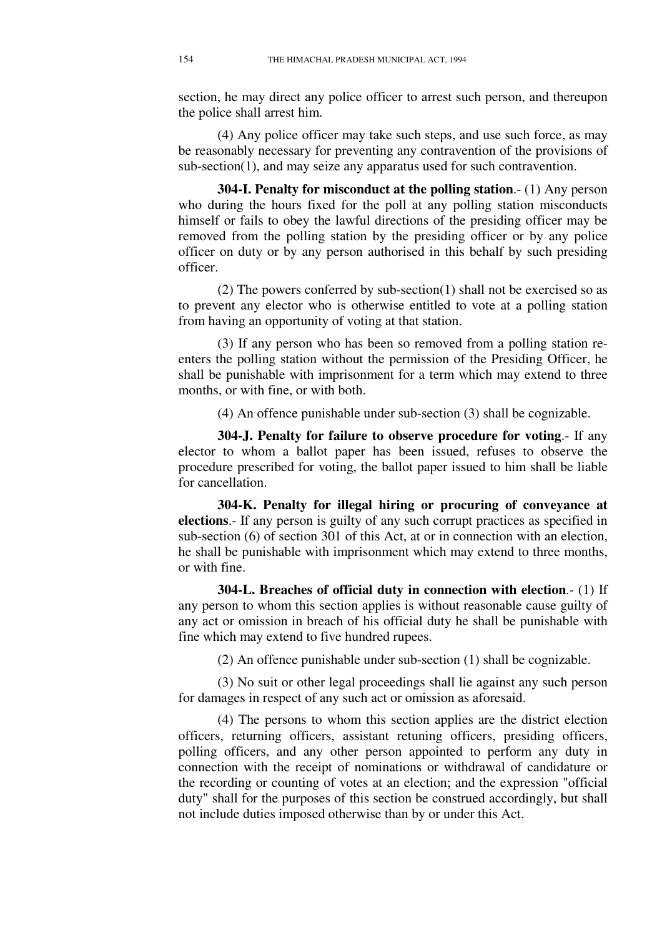section, he may direct any police officer to arrest such person, and thereupon the police shall arrest him.

(4) Any police officer may take such steps, and use such force, as may be reasonably necessary for preventing any contravention of the provisions of sub-section(1), and may seize any apparatus used for such contravention.

**304-I. Penalty for misconduct at the polling station**.- (1) Any person who during the hours fixed for the poll at any polling station misconducts himself or fails to obey the lawful directions of the presiding officer may be removed from the polling station by the presiding officer or by any police officer on duty or by any person authorised in this behalf by such presiding officer.

(2) The powers conferred by sub-section(1) shall not be exercised so as to prevent any elector who is otherwise entitled to vote at a polling station from having an opportunity of voting at that station.

(3) If any person who has been so removed from a polling station reenters the polling station without the permission of the Presiding Officer, he shall be punishable with imprisonment for a term which may extend to three months, or with fine, or with both.

(4) An offence punishable under sub-section (3) shall be cognizable.

**304-J. Penalty for failure to observe procedure for voting**.- If any elector to whom a ballot paper has been issued, refuses to observe the procedure prescribed for voting, the ballot paper issued to him shall be liable for cancellation.

**304-K. Penalty for illegal hiring or procuring of conveyance at elections**.- If any person is guilty of any such corrupt practices as specified in sub-section (6) of section 301 of this Act, at or in connection with an election, he shall be punishable with imprisonment which may extend to three months, or with fine.

**304-L. Breaches of official duty in connection with election**.- (1) If any person to whom this section applies is without reasonable cause guilty of any act or omission in breach of his official duty he shall be punishable with fine which may extend to five hundred rupees.

(2) An offence punishable under sub-section (1) shall be cognizable.

(3) No suit or other legal proceedings shall lie against any such person for damages in respect of any such act or omission as aforesaid.

(4) The persons to whom this section applies are the district election officers, returning officers, assistant retuning officers, presiding officers, polling officers, and any other person appointed to perform any duty in connection with the receipt of nominations or withdrawal of candidature or the recording or counting of votes at an election; and the expression "official duty" shall for the purposes of this section be construed accordingly, but shall not include duties imposed otherwise than by or under this Act.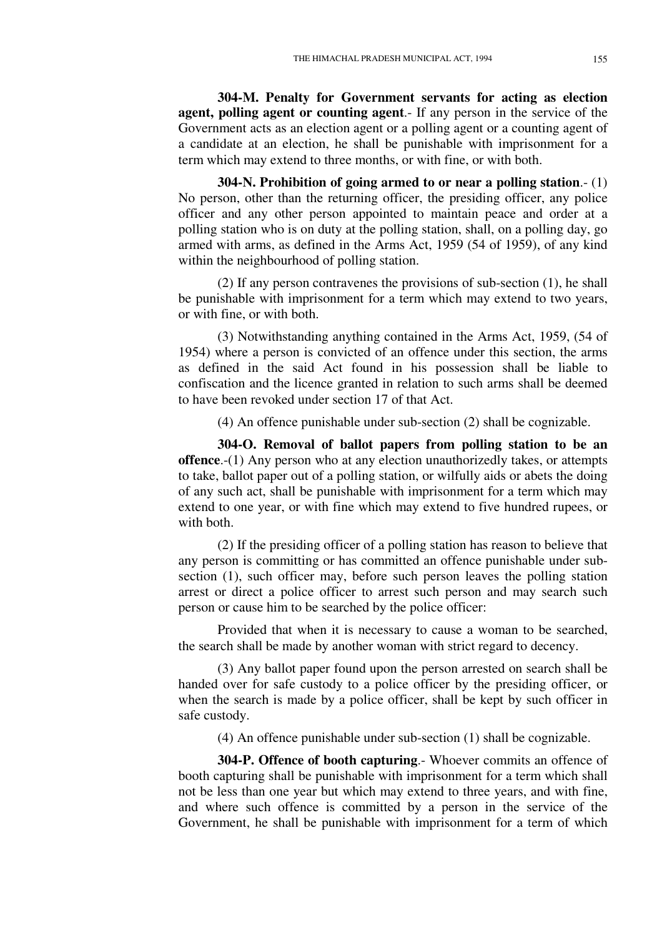**304-M. Penalty for Government servants for acting as election agent, polling agent or counting agent**.- If any person in the service of the Government acts as an election agent or a polling agent or a counting agent of a candidate at an election, he shall be punishable with imprisonment for a term which may extend to three months, or with fine, or with both.

**304-N. Prohibition of going armed to or near a polling station**.- (1) No person, other than the returning officer, the presiding officer, any police officer and any other person appointed to maintain peace and order at a polling station who is on duty at the polling station, shall, on a polling day, go armed with arms, as defined in the Arms Act, 1959 (54 of 1959), of any kind within the neighbourhood of polling station.

(2) If any person contravenes the provisions of sub-section (1), he shall be punishable with imprisonment for a term which may extend to two years, or with fine, or with both.

(3) Notwithstanding anything contained in the Arms Act, 1959, (54 of 1954) where a person is convicted of an offence under this section, the arms as defined in the said Act found in his possession shall be liable to confiscation and the licence granted in relation to such arms shall be deemed to have been revoked under section 17 of that Act.

(4) An offence punishable under sub-section (2) shall be cognizable.

**304-O. Removal of ballot papers from polling station to be an offence**.-(1) Any person who at any election unauthorizedly takes, or attempts to take, ballot paper out of a polling station, or wilfully aids or abets the doing of any such act, shall be punishable with imprisonment for a term which may extend to one year, or with fine which may extend to five hundred rupees, or with both.

(2) If the presiding officer of a polling station has reason to believe that any person is committing or has committed an offence punishable under subsection (1), such officer may, before such person leaves the polling station arrest or direct a police officer to arrest such person and may search such person or cause him to be searched by the police officer:

Provided that when it is necessary to cause a woman to be searched, the search shall be made by another woman with strict regard to decency.

(3) Any ballot paper found upon the person arrested on search shall be handed over for safe custody to a police officer by the presiding officer, or when the search is made by a police officer, shall be kept by such officer in safe custody.

(4) An offence punishable under sub-section (1) shall be cognizable.

**304-P. Offence of booth capturing**.- Whoever commits an offence of booth capturing shall be punishable with imprisonment for a term which shall not be less than one year but which may extend to three years, and with fine, and where such offence is committed by a person in the service of the Government, he shall be punishable with imprisonment for a term of which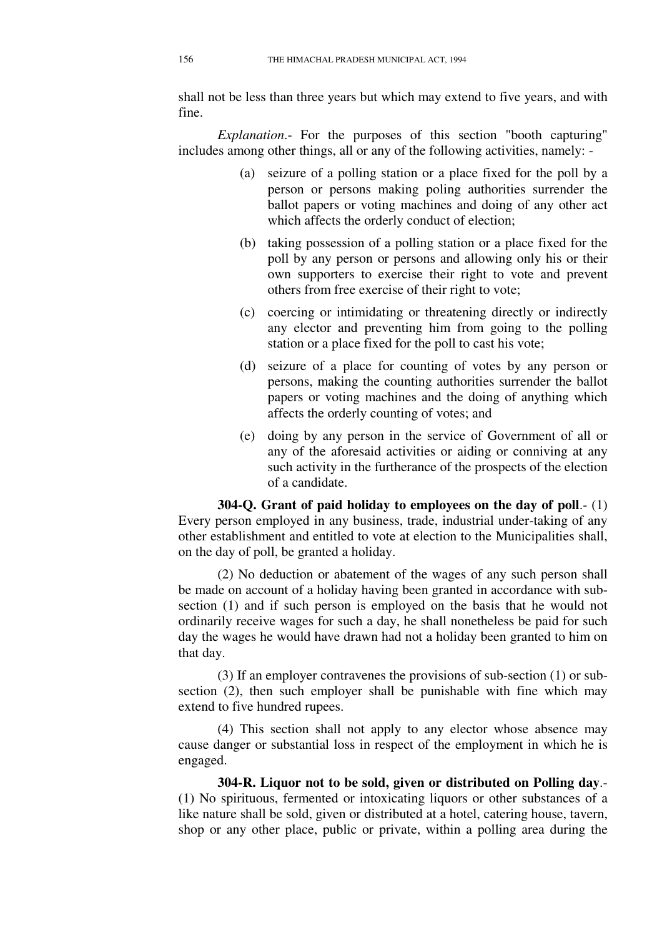shall not be less than three years but which may extend to five years, and with fine.

*Explanation*.- For the purposes of this section "booth capturing" includes among other things, all or any of the following activities, namely: -

- (a) seizure of a polling station or a place fixed for the poll by a person or persons making poling authorities surrender the ballot papers or voting machines and doing of any other act which affects the orderly conduct of election;
- (b) taking possession of a polling station or a place fixed for the poll by any person or persons and allowing only his or their own supporters to exercise their right to vote and prevent others from free exercise of their right to vote;
- (c) coercing or intimidating or threatening directly or indirectly any elector and preventing him from going to the polling station or a place fixed for the poll to cast his vote;
- (d) seizure of a place for counting of votes by any person or persons, making the counting authorities surrender the ballot papers or voting machines and the doing of anything which affects the orderly counting of votes; and
- (e) doing by any person in the service of Government of all or any of the aforesaid activities or aiding or conniving at any such activity in the furtherance of the prospects of the election of a candidate.

**304-Q. Grant of paid holiday to employees on the day of poll**.- (1) Every person employed in any business, trade, industrial under-taking of any other establishment and entitled to vote at election to the Municipalities shall, on the day of poll, be granted a holiday.

(2) No deduction or abatement of the wages of any such person shall be made on account of a holiday having been granted in accordance with subsection (1) and if such person is employed on the basis that he would not ordinarily receive wages for such a day, he shall nonetheless be paid for such day the wages he would have drawn had not a holiday been granted to him on that day.

(3) If an employer contravenes the provisions of sub-section (1) or subsection (2), then such employer shall be punishable with fine which may extend to five hundred rupees.

(4) This section shall not apply to any elector whose absence may cause danger or substantial loss in respect of the employment in which he is engaged.

**304-R. Liquor not to be sold, given or distributed on Polling day**.- (1) No spirituous, fermented or intoxicating liquors or other substances of a like nature shall be sold, given or distributed at a hotel, catering house, tavern, shop or any other place, public or private, within a polling area during the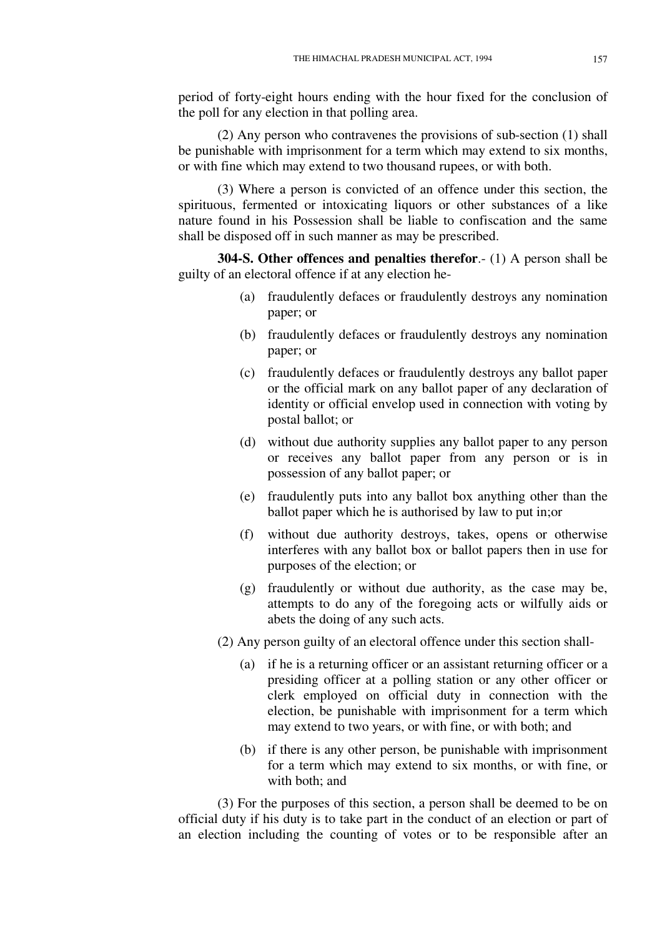period of forty-eight hours ending with the hour fixed for the conclusion of the poll for any election in that polling area.

(2) Any person who contravenes the provisions of sub-section (1) shall be punishable with imprisonment for a term which may extend to six months, or with fine which may extend to two thousand rupees, or with both.

(3) Where a person is convicted of an offence under this section, the spirituous, fermented or intoxicating liquors or other substances of a like nature found in his Possession shall be liable to confiscation and the same shall be disposed off in such manner as may be prescribed.

**304-S. Other offences and penalties therefor**.- (1) A person shall be guilty of an electoral offence if at any election he-

- (a) fraudulently defaces or fraudulently destroys any nomination paper; or
- (b) fraudulently defaces or fraudulently destroys any nomination paper; or
- (c) fraudulently defaces or fraudulently destroys any ballot paper or the official mark on any ballot paper of any declaration of identity or official envelop used in connection with voting by postal ballot; or
- (d) without due authority supplies any ballot paper to any person or receives any ballot paper from any person or is in possession of any ballot paper; or
- (e) fraudulently puts into any ballot box anything other than the ballot paper which he is authorised by law to put in;or
- (f) without due authority destroys, takes, opens or otherwise interferes with any ballot box or ballot papers then in use for purposes of the election; or
- (g) fraudulently or without due authority, as the case may be, attempts to do any of the foregoing acts or wilfully aids or abets the doing of any such acts.
- (2) Any person guilty of an electoral offence under this section shall-
	- (a) if he is a returning officer or an assistant returning officer or a presiding officer at a polling station or any other officer or clerk employed on official duty in connection with the election, be punishable with imprisonment for a term which may extend to two years, or with fine, or with both; and
	- (b) if there is any other person, be punishable with imprisonment for a term which may extend to six months, or with fine, or with both; and

(3) For the purposes of this section, a person shall be deemed to be on official duty if his duty is to take part in the conduct of an election or part of an election including the counting of votes or to be responsible after an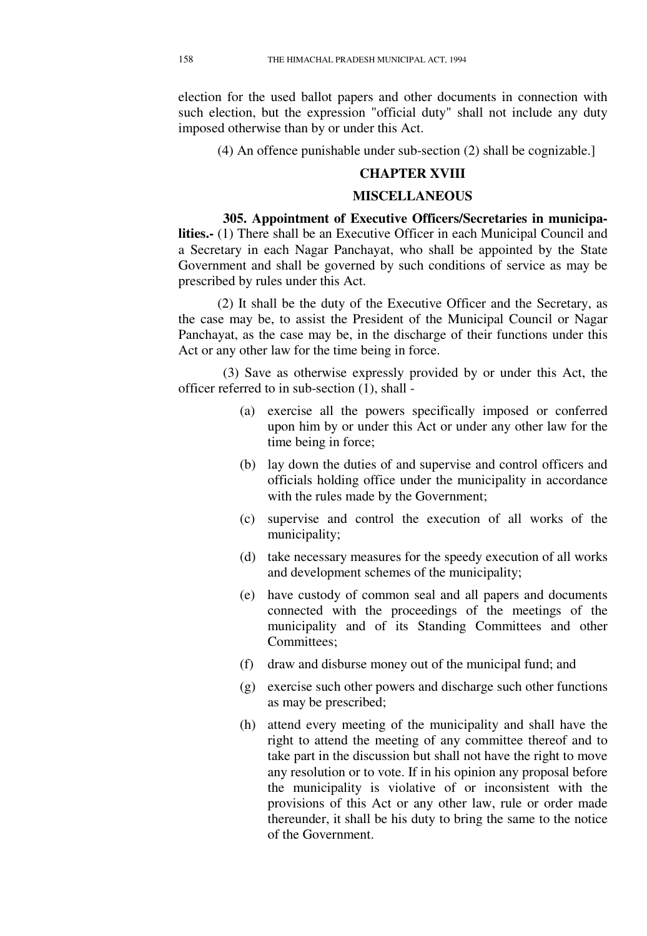election for the used ballot papers and other documents in connection with such election, but the expression "official duty" shall not include any duty imposed otherwise than by or under this Act.

(4) An offence punishable under sub-section (2) shall be cognizable.]

### **CHAPTER XVIII**

#### **MISCELLANEOUS**

**305. Appointment of Executive Officers/Secretaries in municipalities.-** (1) There shall be an Executive Officer in each Municipal Council and a Secretary in each Nagar Panchayat, who shall be appointed by the State Government and shall be governed by such conditions of service as may be prescribed by rules under this Act.

(2) It shall be the duty of the Executive Officer and the Secretary, as the case may be, to assist the President of the Municipal Council or Nagar Panchayat, as the case may be, in the discharge of their functions under this Act or any other law for the time being in force.

(3) Save as otherwise expressly provided by or under this Act, the officer referred to in sub-section (1), shall -

- (a) exercise all the powers specifically imposed or conferred upon him by or under this Act or under any other law for the time being in force;
- (b) lay down the duties of and supervise and control officers and officials holding office under the municipality in accordance with the rules made by the Government;
- (c) supervise and control the execution of all works of the municipality;
- (d) take necessary measures for the speedy execution of all works and development schemes of the municipality;
- (e) have custody of common seal and all papers and documents connected with the proceedings of the meetings of the municipality and of its Standing Committees and other Committees;
- (f) draw and disburse money out of the municipal fund; and
- (g) exercise such other powers and discharge such other functions as may be prescribed;
- (h) attend every meeting of the municipality and shall have the right to attend the meeting of any committee thereof and to take part in the discussion but shall not have the right to move any resolution or to vote. If in his opinion any proposal before the municipality is violative of or inconsistent with the provisions of this Act or any other law, rule or order made thereunder, it shall be his duty to bring the same to the notice of the Government.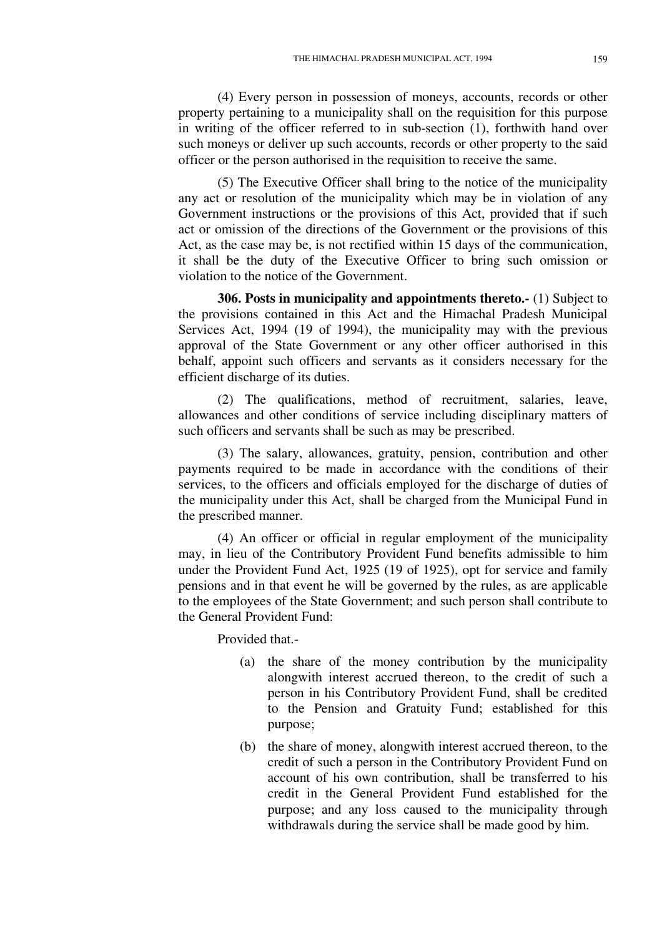(4) Every person in possession of moneys, accounts, records or other property pertaining to a municipality shall on the requisition for this purpose in writing of the officer referred to in sub-section (1), forthwith hand over such moneys or deliver up such accounts, records or other property to the said officer or the person authorised in the requisition to receive the same.

(5) The Executive Officer shall bring to the notice of the municipality any act or resolution of the municipality which may be in violation of any Government instructions or the provisions of this Act, provided that if such act or omission of the directions of the Government or the provisions of this Act, as the case may be, is not rectified within 15 days of the communication, it shall be the duty of the Executive Officer to bring such omission or violation to the notice of the Government.

**306. Posts in municipality and appointments thereto.-** (1) Subject to the provisions contained in this Act and the Himachal Pradesh Municipal Services Act, 1994 (19 of 1994), the municipality may with the previous approval of the State Government or any other officer authorised in this behalf, appoint such officers and servants as it considers necessary for the efficient discharge of its duties.

(2) The qualifications, method of recruitment, salaries, leave, allowances and other conditions of service including disciplinary matters of such officers and servants shall be such as may be prescribed.

(3) The salary, allowances, gratuity, pension, contribution and other payments required to be made in accordance with the conditions of their services, to the officers and officials employed for the discharge of duties of the municipality under this Act, shall be charged from the Municipal Fund in the prescribed manner.

(4) An officer or official in regular employment of the municipality may, in lieu of the Contributory Provident Fund benefits admissible to him under the Provident Fund Act, 1925 (19 of 1925), opt for service and family pensions and in that event he will be governed by the rules, as are applicable to the employees of the State Government; and such person shall contribute to the General Provident Fund:

Provided that.-

- (a) the share of the money contribution by the municipality alongwith interest accrued thereon, to the credit of such a person in his Contributory Provident Fund, shall be credited to the Pension and Gratuity Fund; established for this purpose;
- (b) the share of money, alongwith interest accrued thereon, to the credit of such a person in the Contributory Provident Fund on account of his own contribution, shall be transferred to his credit in the General Provident Fund established for the purpose; and any loss caused to the municipality through withdrawals during the service shall be made good by him.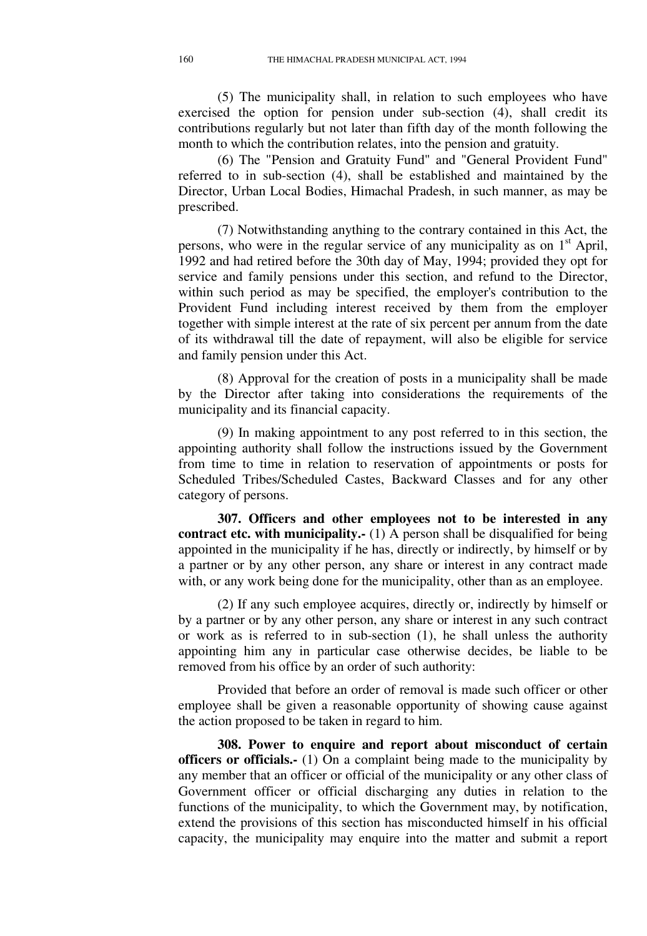(5) The municipality shall, in relation to such employees who have exercised the option for pension under sub-section (4), shall credit its contributions regularly but not later than fifth day of the month following the month to which the contribution relates, into the pension and gratuity.

(6) The "Pension and Gratuity Fund" and "General Provident Fund" referred to in sub-section (4), shall be established and maintained by the Director, Urban Local Bodies, Himachal Pradesh, in such manner, as may be prescribed.

(7) Notwithstanding anything to the contrary contained in this Act, the persons, who were in the regular service of any municipality as on  $1<sup>st</sup>$  April, 1992 and had retired before the 30th day of May, 1994; provided they opt for service and family pensions under this section, and refund to the Director, within such period as may be specified, the employer's contribution to the Provident Fund including interest received by them from the employer together with simple interest at the rate of six percent per annum from the date of its withdrawal till the date of repayment, will also be eligible for service and family pension under this Act.

(8) Approval for the creation of posts in a municipality shall be made by the Director after taking into considerations the requirements of the municipality and its financial capacity.

(9) In making appointment to any post referred to in this section, the appointing authority shall follow the instructions issued by the Government from time to time in relation to reservation of appointments or posts for Scheduled Tribes/Scheduled Castes, Backward Classes and for any other category of persons.

**307. Officers and other employees not to be interested in any contract etc. with municipality.-** (1) A person shall be disqualified for being appointed in the municipality if he has, directly or indirectly, by himself or by a partner or by any other person, any share or interest in any contract made with, or any work being done for the municipality, other than as an employee.

(2) If any such employee acquires, directly or, indirectly by himself or by a partner or by any other person, any share or interest in any such contract or work as is referred to in sub-section (1), he shall unless the authority appointing him any in particular case otherwise decides, be liable to be removed from his office by an order of such authority:

Provided that before an order of removal is made such officer or other employee shall be given a reasonable opportunity of showing cause against the action proposed to be taken in regard to him.

**308. Power to enquire and report about misconduct of certain officers or officials.-** (1) On a complaint being made to the municipality by any member that an officer or official of the municipality or any other class of Government officer or official discharging any duties in relation to the functions of the municipality, to which the Government may, by notification, extend the provisions of this section has misconducted himself in his official capacity, the municipality may enquire into the matter and submit a report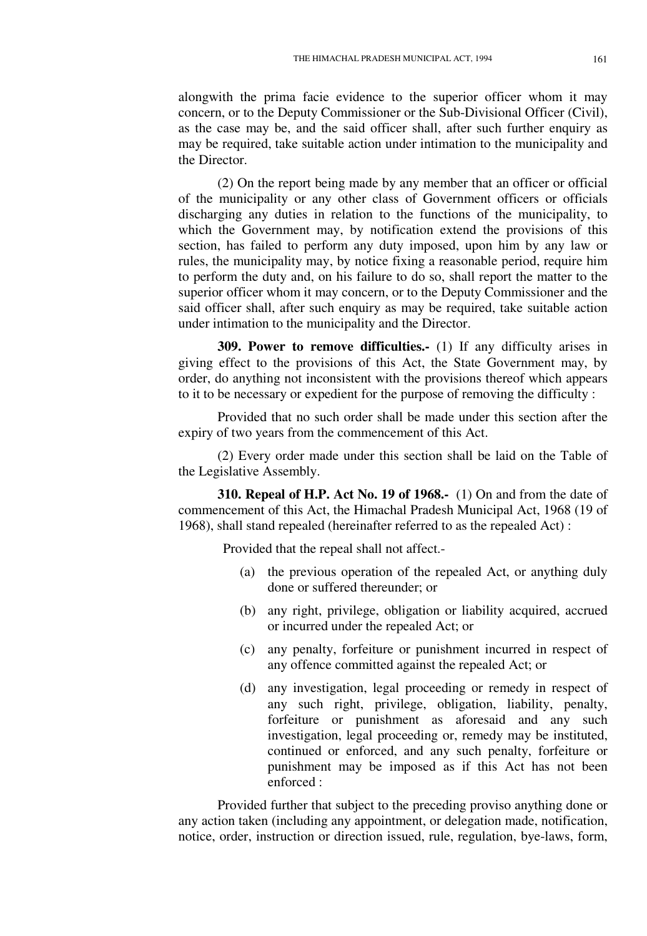alongwith the prima facie evidence to the superior officer whom it may concern, or to the Deputy Commissioner or the Sub-Divisional Officer (Civil), as the case may be, and the said officer shall, after such further enquiry as may be required, take suitable action under intimation to the municipality and the Director.

(2) On the report being made by any member that an officer or official of the municipality or any other class of Government officers or officials discharging any duties in relation to the functions of the municipality, to which the Government may, by notification extend the provisions of this section, has failed to perform any duty imposed, upon him by any law or rules, the municipality may, by notice fixing a reasonable period, require him to perform the duty and, on his failure to do so, shall report the matter to the superior officer whom it may concern, or to the Deputy Commissioner and the said officer shall, after such enquiry as may be required, take suitable action under intimation to the municipality and the Director.

**309. Power to remove difficulties.-** (1) If any difficulty arises in giving effect to the provisions of this Act, the State Government may, by order, do anything not inconsistent with the provisions thereof which appears to it to be necessary or expedient for the purpose of removing the difficulty :

Provided that no such order shall be made under this section after the expiry of two years from the commencement of this Act.

(2) Every order made under this section shall be laid on the Table of the Legislative Assembly.

**310. Repeal of H.P. Act No. 19 of 1968.-** (1) On and from the date of commencement of this Act, the Himachal Pradesh Municipal Act, 1968 (19 of 1968), shall stand repealed (hereinafter referred to as the repealed Act) :

Provided that the repeal shall not affect.-

- (a) the previous operation of the repealed Act, or anything duly done or suffered thereunder; or
- (b) any right, privilege, obligation or liability acquired, accrued or incurred under the repealed Act; or
- (c) any penalty, forfeiture or punishment incurred in respect of any offence committed against the repealed Act; or
- (d) any investigation, legal proceeding or remedy in respect of any such right, privilege, obligation, liability, penalty, forfeiture or punishment as aforesaid and any such investigation, legal proceeding or, remedy may be instituted, continued or enforced, and any such penalty, forfeiture or punishment may be imposed as if this Act has not been enforced :

Provided further that subject to the preceding proviso anything done or any action taken (including any appointment, or delegation made, notification, notice, order, instruction or direction issued, rule, regulation, bye-laws, form,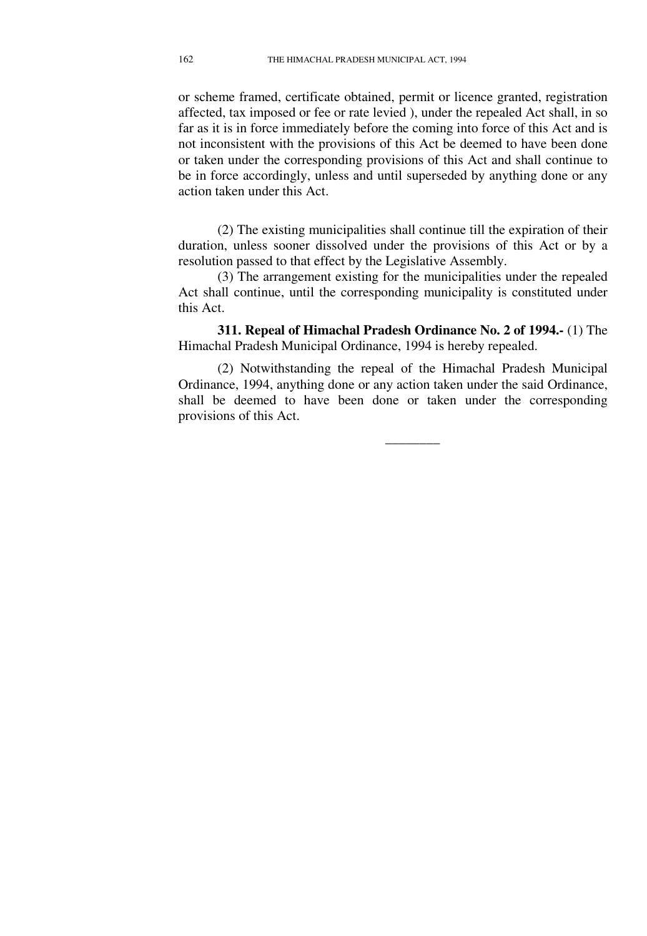or scheme framed, certificate obtained, permit or licence granted, registration affected, tax imposed or fee or rate levied ), under the repealed Act shall, in so far as it is in force immediately before the coming into force of this Act and is not inconsistent with the provisions of this Act be deemed to have been done or taken under the corresponding provisions of this Act and shall continue to be in force accordingly, unless and until superseded by anything done or any action taken under this Act.

(2) The existing municipalities shall continue till the expiration of their duration, unless sooner dissolved under the provisions of this Act or by a resolution passed to that effect by the Legislative Assembly.

(3) The arrangement existing for the municipalities under the repealed Act shall continue, until the corresponding municipality is constituted under this Act.

**311. Repeal of Himachal Pradesh Ordinance No. 2 of 1994.-** (1) The Himachal Pradesh Municipal Ordinance, 1994 is hereby repealed.

(2) Notwithstanding the repeal of the Himachal Pradesh Municipal Ordinance, 1994, anything done or any action taken under the said Ordinance, shall be deemed to have been done or taken under the corresponding provisions of this Act.

**\_\_\_\_\_\_\_\_**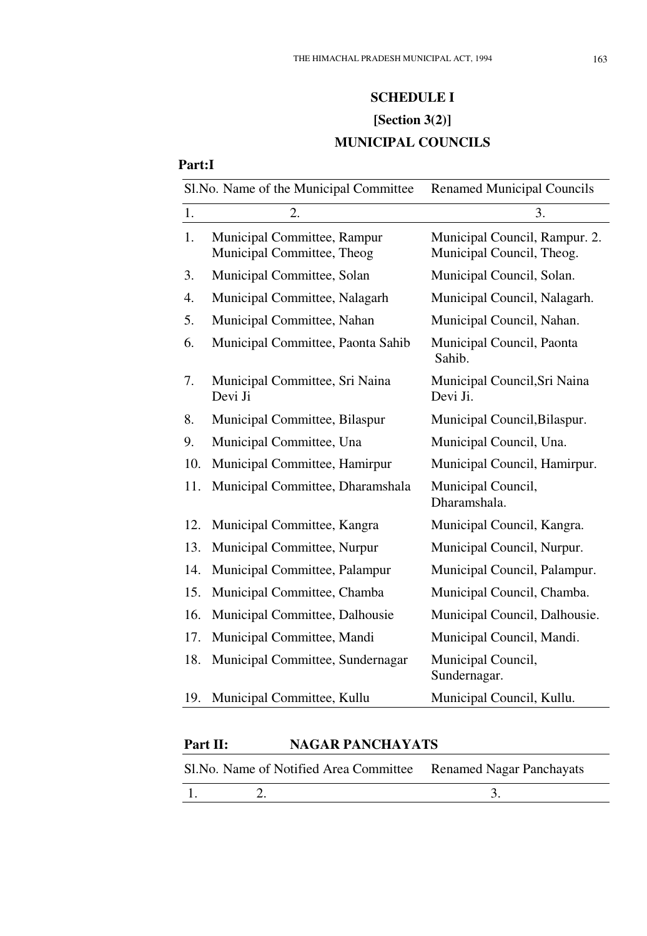# **SCHEDULE I [Section 3(2)] MUNICIPAL COUNCILS**

## **Part:I**

| 1.<br>2.<br>3.<br>1.<br>Municipal Council, Rampur. 2.<br>Municipal Committee, Rampur<br>Municipal Committee, Theog<br>Municipal Council, Theog.<br>Municipal Committee, Solan<br>Municipal Council, Solan.<br>3.<br>4.<br>Municipal Committee, Nalagarh<br>Municipal Council, Nalagarh.<br>Municipal Committee, Nahan<br>Municipal Council, Nahan.<br>5.<br>Municipal Committee, Paonta Sahib<br>Municipal Council, Paonta<br>6.<br>Sahib.<br>7.<br>Municipal Committee, Sri Naina<br>Municipal Council, Sri Naina<br>Devi Ji<br>Devi Ji.<br>8.<br>Municipal Committee, Bilaspur<br>Municipal Council, Bilaspur.<br>9.<br>Municipal Committee, Una<br>Municipal Council, Una.<br>10.<br>Municipal Committee, Hamirpur<br>Municipal Council, Hamirpur.<br>11.<br>Municipal Committee, Dharamshala<br>Municipal Council,<br>Dharamshala.<br>12.<br>Municipal Committee, Kangra<br>Municipal Council, Kangra.<br>13.<br>Municipal Committee, Nurpur<br>Municipal Council, Nurpur.<br>14.<br>Municipal Committee, Palampur<br>Municipal Council, Palampur.<br>15.<br>Municipal Committee, Chamba<br>Municipal Council, Chamba.<br>16.<br>Municipal Committee, Dalhousie<br>Municipal Council, Dalhousie.<br>17.<br>Municipal Committee, Mandi<br>Municipal Council, Mandi.<br>18.<br>Municipal Committee, Sundernagar<br>Municipal Council,<br>Sundernagar.<br>Municipal Committee, Kullu<br>Municipal Council, Kullu.<br>19. | Sl.No. Name of the Municipal Committee |  | <b>Renamed Municipal Councils</b> |
|---------------------------------------------------------------------------------------------------------------------------------------------------------------------------------------------------------------------------------------------------------------------------------------------------------------------------------------------------------------------------------------------------------------------------------------------------------------------------------------------------------------------------------------------------------------------------------------------------------------------------------------------------------------------------------------------------------------------------------------------------------------------------------------------------------------------------------------------------------------------------------------------------------------------------------------------------------------------------------------------------------------------------------------------------------------------------------------------------------------------------------------------------------------------------------------------------------------------------------------------------------------------------------------------------------------------------------------------------------------------------------------------------------------------------|----------------------------------------|--|-----------------------------------|
|                                                                                                                                                                                                                                                                                                                                                                                                                                                                                                                                                                                                                                                                                                                                                                                                                                                                                                                                                                                                                                                                                                                                                                                                                                                                                                                                                                                                                           |                                        |  |                                   |
|                                                                                                                                                                                                                                                                                                                                                                                                                                                                                                                                                                                                                                                                                                                                                                                                                                                                                                                                                                                                                                                                                                                                                                                                                                                                                                                                                                                                                           |                                        |  |                                   |
|                                                                                                                                                                                                                                                                                                                                                                                                                                                                                                                                                                                                                                                                                                                                                                                                                                                                                                                                                                                                                                                                                                                                                                                                                                                                                                                                                                                                                           |                                        |  |                                   |
|                                                                                                                                                                                                                                                                                                                                                                                                                                                                                                                                                                                                                                                                                                                                                                                                                                                                                                                                                                                                                                                                                                                                                                                                                                                                                                                                                                                                                           |                                        |  |                                   |
|                                                                                                                                                                                                                                                                                                                                                                                                                                                                                                                                                                                                                                                                                                                                                                                                                                                                                                                                                                                                                                                                                                                                                                                                                                                                                                                                                                                                                           |                                        |  |                                   |
|                                                                                                                                                                                                                                                                                                                                                                                                                                                                                                                                                                                                                                                                                                                                                                                                                                                                                                                                                                                                                                                                                                                                                                                                                                                                                                                                                                                                                           |                                        |  |                                   |
|                                                                                                                                                                                                                                                                                                                                                                                                                                                                                                                                                                                                                                                                                                                                                                                                                                                                                                                                                                                                                                                                                                                                                                                                                                                                                                                                                                                                                           |                                        |  |                                   |
|                                                                                                                                                                                                                                                                                                                                                                                                                                                                                                                                                                                                                                                                                                                                                                                                                                                                                                                                                                                                                                                                                                                                                                                                                                                                                                                                                                                                                           |                                        |  |                                   |
|                                                                                                                                                                                                                                                                                                                                                                                                                                                                                                                                                                                                                                                                                                                                                                                                                                                                                                                                                                                                                                                                                                                                                                                                                                                                                                                                                                                                                           |                                        |  |                                   |
|                                                                                                                                                                                                                                                                                                                                                                                                                                                                                                                                                                                                                                                                                                                                                                                                                                                                                                                                                                                                                                                                                                                                                                                                                                                                                                                                                                                                                           |                                        |  |                                   |
|                                                                                                                                                                                                                                                                                                                                                                                                                                                                                                                                                                                                                                                                                                                                                                                                                                                                                                                                                                                                                                                                                                                                                                                                                                                                                                                                                                                                                           |                                        |  |                                   |
|                                                                                                                                                                                                                                                                                                                                                                                                                                                                                                                                                                                                                                                                                                                                                                                                                                                                                                                                                                                                                                                                                                                                                                                                                                                                                                                                                                                                                           |                                        |  |                                   |
|                                                                                                                                                                                                                                                                                                                                                                                                                                                                                                                                                                                                                                                                                                                                                                                                                                                                                                                                                                                                                                                                                                                                                                                                                                                                                                                                                                                                                           |                                        |  |                                   |
|                                                                                                                                                                                                                                                                                                                                                                                                                                                                                                                                                                                                                                                                                                                                                                                                                                                                                                                                                                                                                                                                                                                                                                                                                                                                                                                                                                                                                           |                                        |  |                                   |
|                                                                                                                                                                                                                                                                                                                                                                                                                                                                                                                                                                                                                                                                                                                                                                                                                                                                                                                                                                                                                                                                                                                                                                                                                                                                                                                                                                                                                           |                                        |  |                                   |
|                                                                                                                                                                                                                                                                                                                                                                                                                                                                                                                                                                                                                                                                                                                                                                                                                                                                                                                                                                                                                                                                                                                                                                                                                                                                                                                                                                                                                           |                                        |  |                                   |
|                                                                                                                                                                                                                                                                                                                                                                                                                                                                                                                                                                                                                                                                                                                                                                                                                                                                                                                                                                                                                                                                                                                                                                                                                                                                                                                                                                                                                           |                                        |  |                                   |
|                                                                                                                                                                                                                                                                                                                                                                                                                                                                                                                                                                                                                                                                                                                                                                                                                                                                                                                                                                                                                                                                                                                                                                                                                                                                                                                                                                                                                           |                                        |  |                                   |
|                                                                                                                                                                                                                                                                                                                                                                                                                                                                                                                                                                                                                                                                                                                                                                                                                                                                                                                                                                                                                                                                                                                                                                                                                                                                                                                                                                                                                           |                                        |  |                                   |

| <b>Part II:</b> |                                                                  | <b>NAGAR PANCHAYATS</b> |  |  |
|-----------------|------------------------------------------------------------------|-------------------------|--|--|
|                 | Sl. No. Name of Notified Area Committee Renamed Nagar Panchayats |                         |  |  |
| $\overline{1}$  |                                                                  |                         |  |  |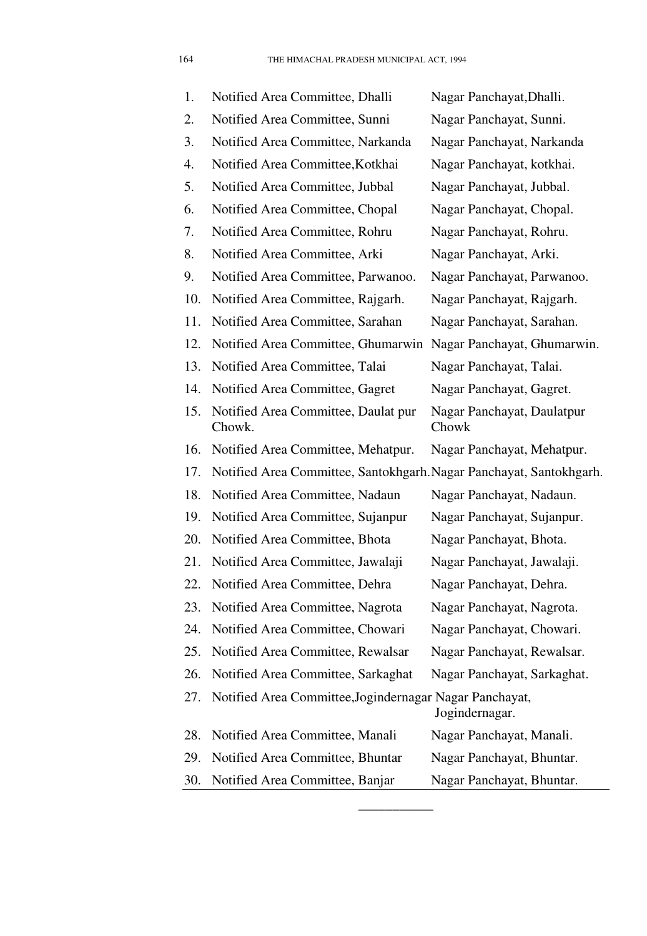| 1.  | Notified Area Committee, Dhalli                                     | Nagar Panchayat, Dhalli.            |
|-----|---------------------------------------------------------------------|-------------------------------------|
| 2.  | Notified Area Committee, Sunni                                      | Nagar Panchayat, Sunni.             |
| 3.  | Notified Area Committee, Narkanda                                   | Nagar Panchayat, Narkanda           |
| 4.  | Notified Area Committee, Kotkhai                                    | Nagar Panchayat, kotkhai.           |
| 5.  | Notified Area Committee, Jubbal                                     | Nagar Panchayat, Jubbal.            |
| 6.  | Notified Area Committee, Chopal                                     | Nagar Panchayat, Chopal.            |
| 7.  | Notified Area Committee, Rohru                                      | Nagar Panchayat, Rohru.             |
| 8.  | Notified Area Committee, Arki                                       | Nagar Panchayat, Arki.              |
| 9.  | Notified Area Committee, Parwanoo.                                  | Nagar Panchayat, Parwanoo.          |
| 10. | Notified Area Committee, Rajgarh.                                   | Nagar Panchayat, Rajgarh.           |
| 11. | Notified Area Committee, Sarahan                                    | Nagar Panchayat, Sarahan.           |
| 12. | Notified Area Committee, Ghumarwin                                  | Nagar Panchayat, Ghumarwin.         |
| 13. | Notified Area Committee, Talai                                      | Nagar Panchayat, Talai.             |
| 14. | Notified Area Committee, Gagret                                     | Nagar Panchayat, Gagret.            |
| 15. | Notified Area Committee, Daulat pur<br>Chowk.                       | Nagar Panchayat, Daulatpur<br>Chowk |
| 16. | Notified Area Committee, Mehatpur.                                  | Nagar Panchayat, Mehatpur.          |
| 17. | Notified Area Committee, Santokhgarh. Nagar Panchayat, Santokhgarh. |                                     |
| 18. | Notified Area Committee, Nadaun                                     | Nagar Panchayat, Nadaun.            |
| 19. | Notified Area Committee, Sujanpur                                   | Nagar Panchayat, Sujanpur.          |
| 20. | Notified Area Committee, Bhota                                      | Nagar Panchayat, Bhota.             |
| 21. | Notified Area Committee, Jawalaji                                   | Nagar Panchayat, Jawalaji.          |
| 22. | Notified Area Committee, Dehra                                      | Nagar Panchayat, Dehra.             |
| 23. | Notified Area Committee, Nagrota                                    | Nagar Panchayat, Nagrota.           |
| 24. | Notified Area Committee, Chowari                                    | Nagar Panchayat, Chowari.           |
| 25. | Notified Area Committee, Rewalsar                                   | Nagar Panchayat, Rewalsar.          |
| 26. | Notified Area Committee, Sarkaghat                                  | Nagar Panchayat, Sarkaghat.         |
| 27. | Notified Area Committee, Jogindernagar Nagar Panchayat,             | Jogindernagar.                      |
| 28. | Notified Area Committee, Manali                                     | Nagar Panchayat, Manali.            |
| 29. | Notified Area Committee, Bhuntar                                    | Nagar Panchayat, Bhuntar.           |
| 30. | Notified Area Committee, Banjar                                     | Nagar Panchayat, Bhuntar.           |

 $\overline{\phantom{a}}$